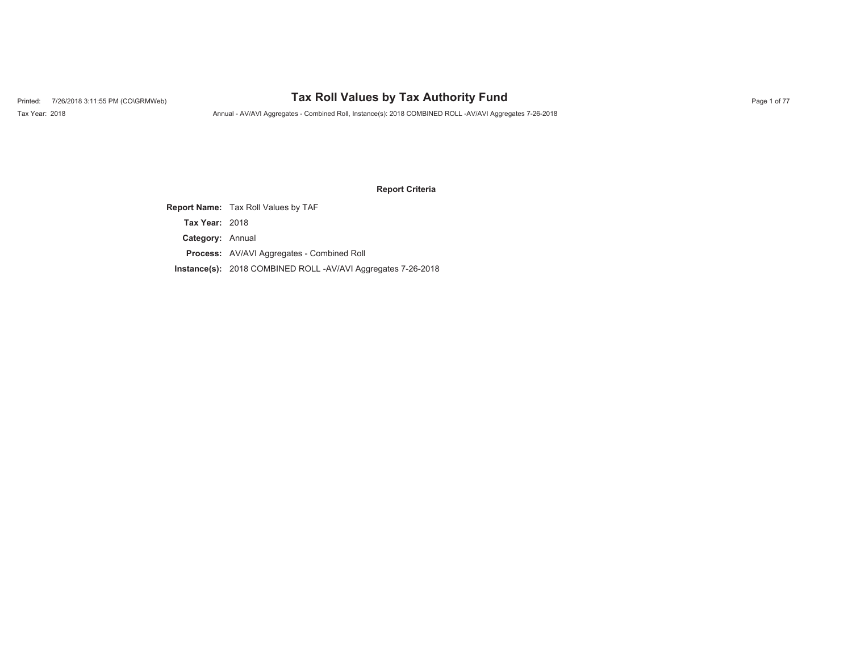# Printed: 7/26/2018 3:11:55 PM (CO\GRMWeb) **Tax Roll Values by Tax Authority Fund** Page 1 of 77

Tax Year: 2018 Annual - AV/AVI Aggregates - Combined Roll, Instance(s): 2018 COMBINED ROLL -AV/AVI Aggregates 7-26-2018

### **Report Criteria**

**Report Name:** Tax Roll Values by TAF **Category:** Annual **Process:** AV/AVI Aggregates - Combined Roll **Instance(s):** 2018 COMBINED ROLL -AV/AVI Aggregates 7-26-2018 **Tax Year:** 2018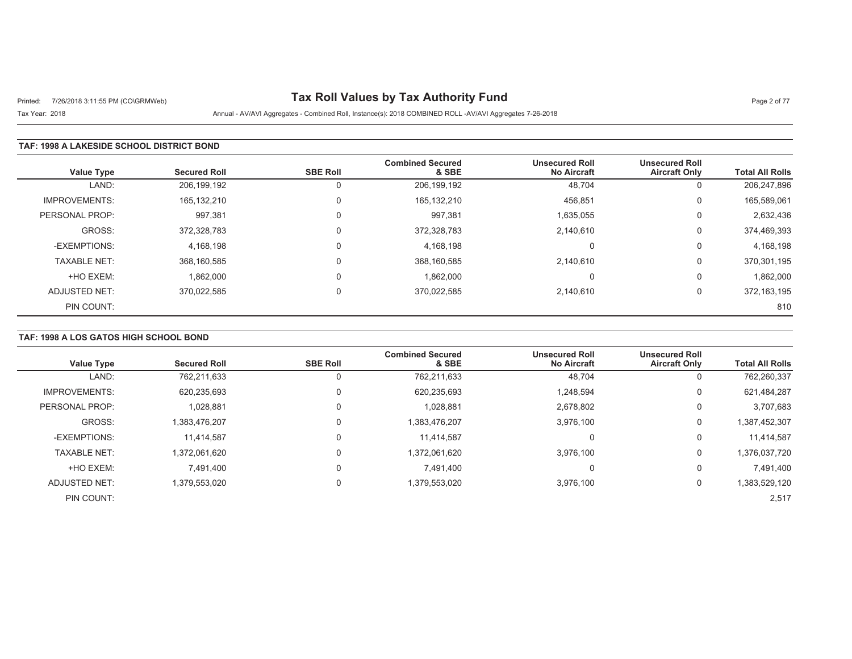# Printed: 7/26/2018 3:11:55 PM (CO\GRMWeb) **Tax Roll Values by Tax Authority Fund** Page 2 of 77

Tax Year: 2018 Annual - AV/AVI Aggregates - Combined Roll, Instance(s): 2018 COMBINED ROLL -AV/AVI Aggregates 7-26-2018

#### **TAF: 1998 A LAKESIDE SCHOOL DISTRICT BOND**

| <b>Value Type</b>    | <b>Secured Roll</b> | <b>SBE Roll</b> | <b>Combined Secured</b><br>& SBE | <b>Unsecured Roll</b><br><b>No Aircraft</b> | <b>Unsecured Roll</b><br><b>Aircraft Only</b> | <b>Total All Rolls</b> |
|----------------------|---------------------|-----------------|----------------------------------|---------------------------------------------|-----------------------------------------------|------------------------|
| LAND:                | 206,199,192         | 0               | 206,199,192                      | 48,704                                      | 0                                             | 206,247,896            |
| <b>IMPROVEMENTS:</b> | 165,132,210         | 0               | 165, 132, 210                    | 456,851                                     | 0                                             | 165,589,061            |
| PERSONAL PROP:       | 997,381             | 0               | 997,381                          | 1,635,055                                   | 0                                             | 2,632,436              |
| GROSS:               | 372.328.783         | 0               | 372,328,783                      | 2,140,610                                   | 0                                             | 374,469,393            |
| -EXEMPTIONS:         | 4,168,198           | 0               | 4,168,198                        |                                             | 0                                             | 4,168,198              |
| <b>TAXABLE NET:</b>  | 368,160,585         | 0               | 368,160,585                      | 2,140,610                                   | 0                                             | 370,301,195            |
| +HO EXEM:            | 1,862,000           | $\Omega$        | 1,862,000                        |                                             | 0                                             | 1,862,000              |
| <b>ADJUSTED NET:</b> | 370.022.585         | 0               | 370.022.585                      | 2.140.610                                   | 0                                             | 372,163,195            |
| PIN COUNT:           |                     |                 |                                  |                                             |                                               | 810                    |

#### **TAF: 1998 A LOS GATOS HIGH SCHOOL BOND**

| <b>Value Type</b>    | <b>Secured Roll</b> | <b>SBE Roll</b> | <b>Combined Secured</b><br>& SBE | <b>Unsecured Roll</b><br><b>No Aircraft</b> | <b>Unsecured Roll</b><br><b>Aircraft Only</b> | <b>Total All Rolls</b> |
|----------------------|---------------------|-----------------|----------------------------------|---------------------------------------------|-----------------------------------------------|------------------------|
| LAND:                | 762,211,633         |                 | 762,211,633                      | 48,704                                      |                                               | 762,260,337            |
|                      |                     |                 |                                  |                                             | υ                                             |                        |
| <b>IMPROVEMENTS:</b> | 620,235,693         |                 | 620,235,693                      | 1,248,594                                   | 0                                             | 621,484,287            |
| PERSONAL PROP:       | 1,028,881           |                 | 1,028,881                        | 2,678,802                                   | 0                                             | 3,707,683              |
| GROSS:               | 1,383,476,207       |                 | 1,383,476,207                    | 3,976,100                                   | 0                                             | 1,387,452,307          |
| -EXEMPTIONS:         | 11,414,587          | 0               | 11.414.587                       | 0                                           | 0                                             | 11,414,587             |
| <b>TAXABLE NET:</b>  | 1,372,061,620       |                 | 1,372,061,620                    | 3,976,100                                   | 0                                             | 1,376,037,720          |
| +HO EXEM:            | 7.491.400           |                 | 7.491.400                        | $\Omega$                                    |                                               | 7,491,400              |
| <b>ADJUSTED NET:</b> | 1,379,553,020       | 0               | 1,379,553,020                    | 3,976,100                                   | 0                                             | 1,383,529,120          |
| PIN COUNT:           |                     |                 |                                  |                                             |                                               | 2,517                  |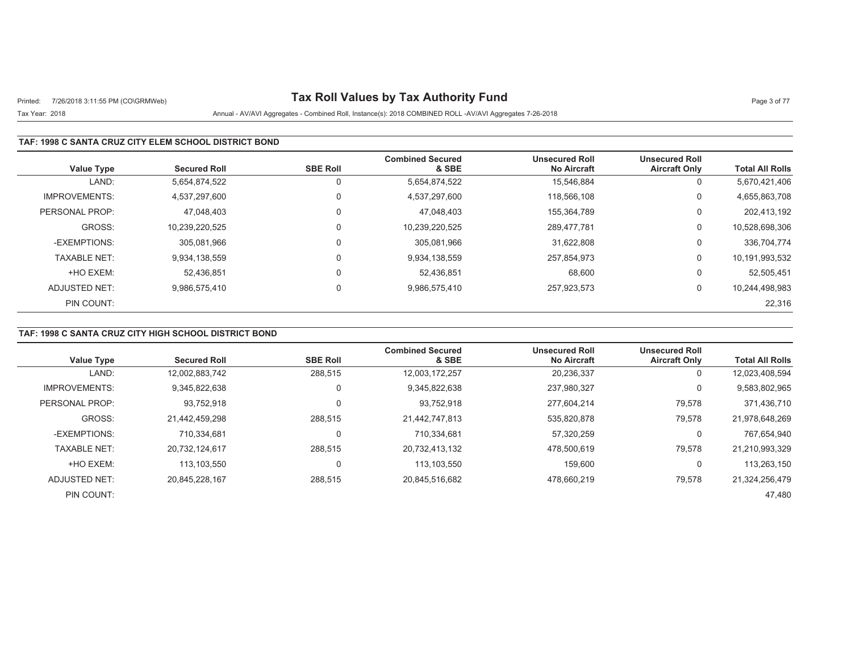# Printed: 7/26/2018 3:11:55 PM (CO\GRMWeb) **Tax Roll Values by Tax Authority Fund** Page 3 of 77

## Tax Year: 2018 Annual - AV/AVI Aggregates - Combined Roll, Instance(s): 2018 COMBINED ROLL -AV/AVI Aggregates 7-26-2018

### **TAF: 1998 C SANTA CRUZ CITY ELEM SCHOOL DISTRICT BOND**

| <b>Value Type</b>    | <b>Secured Roll</b> | <b>SBE Roll</b> | <b>Combined Secured</b><br>& SBE | <b>Unsecured Roll</b><br><b>No Aircraft</b> | <b>Unsecured Roll</b><br><b>Aircraft Only</b> | <b>Total All Rolls</b> |
|----------------------|---------------------|-----------------|----------------------------------|---------------------------------------------|-----------------------------------------------|------------------------|
| LAND:                | 5,654,874,522       | 0               | 5,654,874,522                    | 15.546.884                                  | 0                                             | 5,670,421,406          |
| <b>IMPROVEMENTS:</b> | 4.537.297.600       | $\Omega$        | 4,537,297,600                    | 118.566.108                                 | 0                                             | 4,655,863,708          |
| PERSONAL PROP:       | 47.048.403          | $\mathbf 0$     | 47.048.403                       | 155.364.789                                 | 0                                             | 202,413,192            |
| GROSS:               | 10.239.220.525      | $\Omega$        | 10,239,220,525                   | 289.477.781                                 | 0                                             | 10,528,698,306         |
| -EXEMPTIONS:         | 305.081.966         | $\Omega$        | 305,081,966                      | 31.622.808                                  | 0                                             | 336,704,774            |
| <b>TAXABLE NET:</b>  | 9,934,138,559       | $\mathbf 0$     | 9,934,138,559                    | 257,854,973                                 | 0                                             | 10,191,993,532         |
| +HO EXEM:            | 52,436,851          | $\mathbf 0$     | 52,436,851                       | 68,600                                      | 0                                             | 52,505,451             |
| ADJUSTED NET:        | 9,986,575,410       | $\mathbf 0$     | 9,986,575,410                    | 257.923.573                                 | 0                                             | 10,244,498,983         |
| PIN COUNT:           |                     |                 |                                  |                                             |                                               | 22,316                 |

## **TAF: 1998 C SANTA CRUZ CITY HIGH SCHOOL DISTRICT BOND**

| <b>Value Type</b>    | <b>Secured Roll</b> | <b>SBE Roll</b> | <b>Combined Secured</b><br>& SBE | <b>Unsecured Roll</b><br><b>No Aircraft</b> | <b>Unsecured Roll</b><br><b>Aircraft Only</b> | <b>Total All Rolls</b> |
|----------------------|---------------------|-----------------|----------------------------------|---------------------------------------------|-----------------------------------------------|------------------------|
|                      |                     |                 |                                  |                                             |                                               |                        |
| LAND:                | 12,002,883,742      | 288,515         | 12,003,172,257                   | 20,236,337                                  | 0                                             | 12,023,408,594         |
| <b>IMPROVEMENTS:</b> | 9.345.822.638       | 0               | 9,345,822,638                    | 237,980,327                                 | 0                                             | 9,583,802,965          |
| PERSONAL PROP:       | 93.752.918          | 0               | 93,752,918                       | 277,604,214                                 | 79,578                                        | 371,436,710            |
| GROSS:               | 21.442.459.298      | 288.515         | 21.442.747.813                   | 535.820.878                                 | 79.578                                        | 21,978,648,269         |
| -EXEMPTIONS:         | 710.334.681         | 0               | 710,334,681                      | 57,320,259                                  | 0                                             | 767,654,940            |
| <b>TAXABLE NET:</b>  | 20.732.124.617      | 288.515         | 20,732,413,132                   | 478.500.619                                 | 79.578                                        | 21,210,993,329         |
| +HO EXEM:            | 113.103.550         | 0               | 113,103,550                      | 159.600                                     | 0                                             | 113,263,150            |
| ADJUSTED NET:        | 20.845.228.167      | 288,515         | 20,845,516,682                   | 478.660.219                                 | 79,578                                        | 21,324,256,479         |
| PIN COUNT:           |                     |                 |                                  |                                             |                                               | 47.480                 |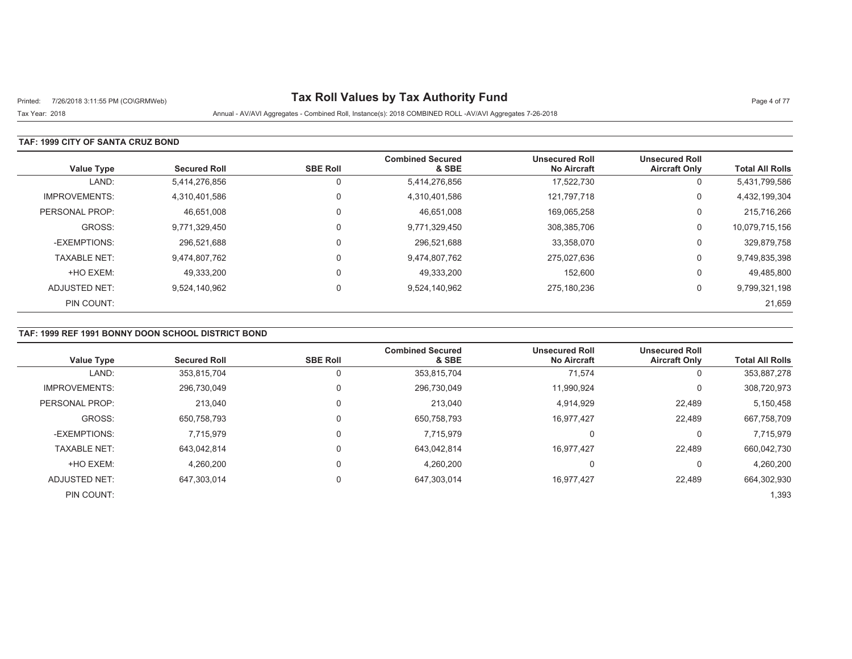# Printed: 7/26/2018 3:11:55 PM (CO\GRMWeb) **Tax Roll Values by Tax Authority Fund** Page 4 of 77

Tax Year: 2018 Annual - AV/AVI Aggregates - Combined Roll, Instance(s): 2018 COMBINED ROLL -AV/AVI Aggregates 7-26-2018

### **TAF: 1999 CITY OF SANTA CRUZ BOND**

| <b>Value Type</b>    | <b>Secured Roll</b> | <b>SBE Roll</b> | <b>Combined Secured</b><br>& SBE | <b>Unsecured Roll</b><br><b>No Aircraft</b> | <b>Unsecured Roll</b><br><b>Aircraft Only</b> | <b>Total All Rolls</b> |
|----------------------|---------------------|-----------------|----------------------------------|---------------------------------------------|-----------------------------------------------|------------------------|
| LAND:                | 5,414,276,856       |                 | 5,414,276,856                    | 17,522,730                                  | 0                                             | 5,431,799,586          |
| <b>IMPROVEMENTS:</b> | 4,310,401,586       | $\Omega$        | 4,310,401,586                    | 121.797.718                                 | 0                                             | 4,432,199,304          |
| PERSONAL PROP:       | 46,651,008          | $\Omega$        | 46,651,008                       | 169,065,258                                 | 0                                             | 215,716,266            |
| GROSS:               | 9,771,329,450       | $\Omega$        | 9,771,329,450                    | 308,385,706                                 | 0                                             | 10,079,715,156         |
| -EXEMPTIONS:         | 296.521.688         |                 | 296,521,688                      | 33,358,070                                  | 0                                             | 329,879,758            |
| <b>TAXABLE NET:</b>  | 9,474,807,762       | $\Omega$        | 9,474,807,762                    | 275,027,636                                 | 0                                             | 9,749,835,398          |
| +HO EXEM:            | 49,333,200          | $\Omega$        | 49,333,200                       | 152,600                                     | 0                                             | 49,485,800             |
| ADJUSTED NET:        | 9,524,140,962       | $\Omega$        | 9,524,140,962                    | 275.180.236                                 | 0                                             | 9,799,321,198          |
| PIN COUNT:           |                     |                 |                                  |                                             |                                               | 21,659                 |

## **TAF: 1999 REF 1991 BONNY DOON SCHOOL DISTRICT BOND**

| <b>Value Type</b>    | <b>Secured Roll</b> | <b>SBE Roll</b> | <b>Combined Secured</b><br>& SBE | <b>Unsecured Roll</b><br><b>No Aircraft</b> | <b>Unsecured Roll</b><br><b>Aircraft Only</b> | <b>Total All Rolls</b> |
|----------------------|---------------------|-----------------|----------------------------------|---------------------------------------------|-----------------------------------------------|------------------------|
| LAND:                | 353,815,704         |                 | 353,815,704                      | 71.574                                      | 0                                             | 353,887,278            |
| <b>IMPROVEMENTS:</b> | 296,730,049         |                 | 296,730,049                      | 11,990,924                                  | 0                                             | 308,720,973            |
| PERSONAL PROP:       | 213.040             |                 | 213,040                          | 4,914,929                                   | 22,489                                        | 5,150,458              |
| GROSS:               | 650,758,793         |                 | 650,758,793                      | 16,977,427                                  | 22.489                                        | 667,758,709            |
| -EXEMPTIONS:         | 7,715,979           |                 | 7,715,979                        | υ                                           | 0                                             | 7,715,979              |
| <b>TAXABLE NET:</b>  | 643.042.814         |                 | 643.042.814                      | 16.977.427                                  | 22.489                                        | 660,042,730            |
| +HO EXEM:            | 4.260.200           |                 | 4,260,200                        | 0                                           | 0                                             | 4.260.200              |
| ADJUSTED NET:        | 647,303,014         |                 | 647,303,014                      | 16,977,427                                  | 22.489                                        | 664,302,930            |
| PIN COUNT:           |                     |                 |                                  |                                             |                                               | 1,393                  |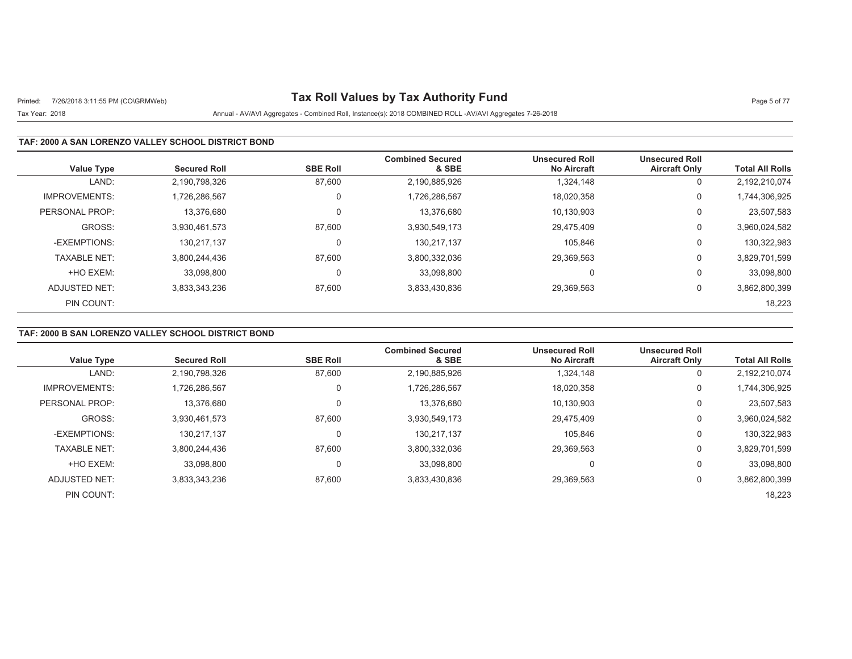# Printed: 7/26/2018 3:11:55 PM (CO\GRMWeb) **Tax Roll Values by Tax Authority Fund** Page 5 of 77

## Tax Year: 2018 Annual - AV/AVI Aggregates - Combined Roll, Instance(s): 2018 COMBINED ROLL -AV/AVI Aggregates 7-26-2018

### **TAF: 2000 A SAN LORENZO VALLEY SCHOOL DISTRICT BOND**

| <b>Value Type</b>    | <b>Secured Roll</b> | <b>SBE Roll</b> | <b>Combined Secured</b><br>& SBE | <b>Unsecured Roll</b><br><b>No Aircraft</b> | <b>Unsecured Roll</b><br><b>Aircraft Only</b> | <b>Total All Rolls</b> |
|----------------------|---------------------|-----------------|----------------------------------|---------------------------------------------|-----------------------------------------------|------------------------|
| LAND:                | 2,190,798,326       | 87,600          | 2,190,885,926                    | 1.324.148                                   | 0                                             | 2,192,210,074          |
| <b>IMPROVEMENTS:</b> | 1.726.286.567       | 0               | 1,726,286,567                    | 18,020,358                                  | 0                                             | 1,744,306,925          |
| PERSONAL PROP:       | 13.376.680          | 0               | 13.376.680                       | 10.130.903                                  | 0                                             | 23,507,583             |
| GROSS:               | 3,930,461,573       | 87,600          | 3,930,549,173                    | 29,475,409                                  | 0                                             | 3,960,024,582          |
| -EXEMPTIONS:         | 130.217.137         | 0               | 130,217,137                      | 105.846                                     | 0                                             | 130,322,983            |
| <b>TAXABLE NET:</b>  | 3,800,244,436       | 87,600          | 3,800,332,036                    | 29,369,563                                  | 0                                             | 3,829,701,599          |
| +HO EXEM:            | 33.098.800          | 0               | 33.098.800                       | $\Omega$                                    | 0                                             | 33,098,800             |
| ADJUSTED NET:        | 3,833,343,236       | 87,600          | 3,833,430,836                    | 29,369,563                                  | 0                                             | 3,862,800,399          |
| PIN COUNT:           |                     |                 |                                  |                                             |                                               | 18,223                 |

## **TAF: 2000 B SAN LORENZO VALLEY SCHOOL DISTRICT BOND**

| <b>Value Type</b>    | <b>Secured Roll</b> | <b>SBE Roll</b> | <b>Combined Secured</b><br>& SBE | <b>Unsecured Roll</b><br><b>No Aircraft</b> | <b>Unsecured Roll</b><br><b>Aircraft Only</b> | <b>Total All Rolls</b> |
|----------------------|---------------------|-----------------|----------------------------------|---------------------------------------------|-----------------------------------------------|------------------------|
| LAND:                | 2,190,798,326       | 87,600          | 2,190,885,926                    | 1,324,148                                   | U                                             | 2,192,210,074          |
| <b>IMPROVEMENTS:</b> | 1.726.286.567       | 0               | 1,726,286,567                    | 18,020,358                                  | U                                             | 1,744,306,925          |
| PERSONAL PROP:       | 13,376,680          | 0               | 13,376,680                       | 10,130,903                                  | υ                                             | 23,507,583             |
| GROSS:               | 3,930,461,573       | 87,600          | 3,930,549,173                    | 29.475.409                                  | U                                             | 3,960,024,582          |
| -EXEMPTIONS:         | 130,217,137         | 0               | 130,217,137                      | 105,846                                     | υ                                             | 130,322,983            |
| <b>TAXABLE NET:</b>  | 3.800.244.436       | 87.600          | 3,800,332,036                    | 29.369.563                                  | U                                             | 3,829,701,599          |
| +HO EXEM:            | 33.098.800          | 0               | 33.098.800                       | 0                                           | 0                                             | 33,098,800             |
| ADJUSTED NET:        | 3,833,343,236       | 87,600          | 3,833,430,836                    | 29,369,563                                  | U                                             | 3,862,800,399          |
| PIN COUNT:           |                     |                 |                                  |                                             |                                               | 18,223                 |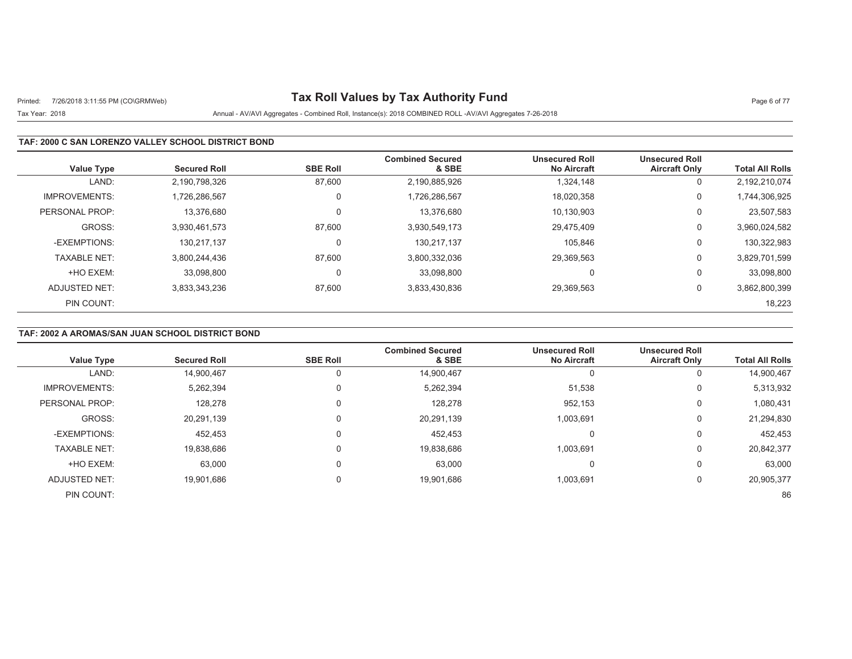# Printed: 7/26/2018 3:11:55 PM (CO\GRMWeb) **Tax Roll Values by Tax Authority Fund** Page 6 of 77

## Tax Year: 2018 Annual - AV/AVI Aggregates - Combined Roll, Instance(s): 2018 COMBINED ROLL -AV/AVI Aggregates 7-26-2018

### **TAF: 2000 C SAN LORENZO VALLEY SCHOOL DISTRICT BOND**

| Value Type           | <b>Secured Roll</b> | <b>SBE Roll</b> | <b>Combined Secured</b><br>& SBE | <b>Unsecured Roll</b><br><b>No Aircraft</b> | <b>Unsecured Roll</b><br><b>Aircraft Only</b> | <b>Total All Rolls</b> |
|----------------------|---------------------|-----------------|----------------------------------|---------------------------------------------|-----------------------------------------------|------------------------|
| LAND:                | 2,190,798,326       | 87,600          | 2,190,885,926                    | 1,324,148                                   | U                                             | 2,192,210,074          |
| <b>IMPROVEMENTS:</b> | 726,286,567         | 0               | 1,726,286,567                    | 18,020,358                                  | 0                                             | 1,744,306,925          |
| PERSONAL PROP:       | 13.376.680          | 0               | 13.376.680                       | 10.130.903                                  | υ                                             | 23,507,583             |
| GROSS:               | 3,930,461,573       | 87,600          | 3,930,549,173                    | 29,475,409                                  | 0                                             | 3,960,024,582          |
| -EXEMPTIONS:         | 130.217.137         | 0               | 130,217,137                      | 105.846                                     | 0                                             | 130,322,983            |
| <b>TAXABLE NET:</b>  | 3,800,244,436       | 87,600          | 3,800,332,036                    | 29,369,563                                  | 0                                             | 3,829,701,599          |
| +HO EXEM:            | 33.098.800          | 0               | 33,098,800                       | $\Omega$                                    | 0                                             | 33,098,800             |
| ADJUSTED NET:        | 3.833.343.236       | 87,600          | 3,833,430,836                    | 29,369,563                                  | 0                                             | 3,862,800,399          |
| PIN COUNT:           |                     |                 |                                  |                                             |                                               | 18,223                 |

## **TAF: 2002 A AROMAS/SAN JUAN SCHOOL DISTRICT BOND**

|                      |                     |                 | <b>Combined Secured</b> | <b>Unsecured Roll</b> | <b>Unsecured Roll</b> |                        |
|----------------------|---------------------|-----------------|-------------------------|-----------------------|-----------------------|------------------------|
| <b>Value Type</b>    | <b>Secured Roll</b> | <b>SBE Roll</b> | & SBE                   | <b>No Aircraft</b>    | <b>Aircraft Only</b>  | <b>Total All Rolls</b> |
| LAND:                | 14,900,467          |                 | 14,900,467              |                       | 0                     | 14,900,467             |
| <b>IMPROVEMENTS:</b> | 5,262,394           |                 | 5,262,394               | 51,538                | 0                     | 5,313,932              |
| PERSONAL PROP:       | 128,278             |                 | 128,278                 | 952,153               | 0                     | 1,080,431              |
| GROSS:               | 20,291,139          |                 | 20,291,139              | 1,003,691             | 0                     | 21,294,830             |
| -EXEMPTIONS:         | 452,453             |                 | 452,453                 |                       | $\Omega$              | 452,453                |
| <b>TAXABLE NET:</b>  | 19,838,686          |                 | 19,838,686              | 1.003.691             | 0                     | 20,842,377             |
| +HO EXEM:            | 63,000              |                 | 63,000                  |                       | 0                     | 63,000                 |
| ADJUSTED NET:        | 19,901,686          |                 | 19,901,686              | 1,003,691             | 0                     | 20,905,377             |
| PIN COUNT:           |                     |                 |                         |                       |                       | 86                     |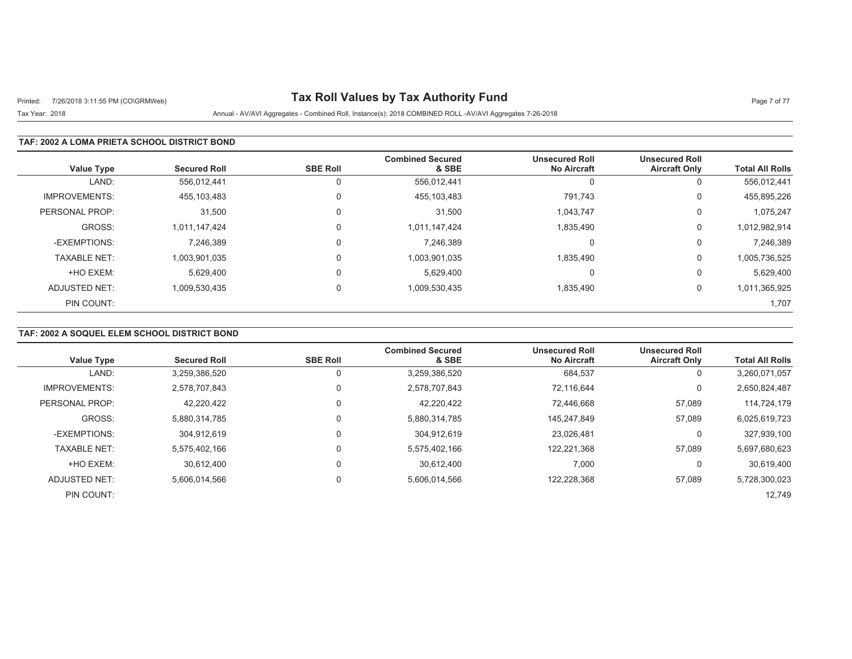# Printed: 7/26/2018 3:11:55 PM (CO\GRMWeb) **Tax Roll Values by Tax Authority Fund** Page 7 of 77

Tax Year: 2018 Annual - AV/AVI Aggregates - Combined Roll, Instance(s): 2018 COMBINED ROLL -AV/AVI Aggregates 7-26-2018

### **TAF: 2002 A LOMA PRIETA SCHOOL DISTRICT BOND**

| <b>Value Type</b>    | <b>Secured Roll</b> | <b>SBE Roll</b> | <b>Combined Secured</b><br>& SBE | <b>Unsecured Roll</b><br><b>No Aircraft</b> | <b>Unsecured Roll</b><br><b>Aircraft Only</b> | <b>Total All Rolls</b> |
|----------------------|---------------------|-----------------|----------------------------------|---------------------------------------------|-----------------------------------------------|------------------------|
| LAND:                | 556.012.441         | 0               | 556,012,441                      | J.                                          | 0                                             | 556,012,441            |
| <b>IMPROVEMENTS:</b> | 455,103,483         | 0               | 455,103,483                      | 791.743                                     | 0                                             | 455,895,226            |
| PERSONAL PROP:       | 31,500              | $\Omega$        | 31,500                           | 1,043,747                                   | 0                                             | 1,075,247              |
| GROSS:               | 1,011,147,424       | $\Omega$        | 1,011,147,424                    | 1,835,490                                   | 0                                             | 1,012,982,914          |
| -EXEMPTIONS:         | 7,246,389           | $\Omega$        | 7,246,389                        | $\Omega$                                    | 0                                             | 7,246,389              |
| <b>TAXABLE NET:</b>  | 1,003,901,035       | $\Omega$        | 1,003,901,035                    | 1,835,490                                   | 0                                             | 1,005,736,525          |
| +HO EXEM:            | 5,629,400           | $\Omega$        | 5.629.400                        | $\Omega$                                    | 0                                             | 5,629,400              |
| ADJUSTED NET:        | 1,009,530,435       | $\Omega$        | 1,009,530,435                    | 1,835,490                                   | 0                                             | 1,011,365,925          |
| PIN COUNT:           |                     |                 |                                  |                                             |                                               | 1,707                  |

## **TAF: 2002 A SOQUEL ELEM SCHOOL DISTRICT BOND**

| <b>Value Type</b>    | <b>Secured Roll</b> | <b>SBE Roll</b> | <b>Combined Secured</b><br>& SBE | <b>Unsecured Roll</b><br><b>No Aircraft</b> | <b>Unsecured Roll</b><br><b>Aircraft Only</b> | <b>Total All Rolls</b> |
|----------------------|---------------------|-----------------|----------------------------------|---------------------------------------------|-----------------------------------------------|------------------------|
|                      |                     |                 |                                  |                                             |                                               |                        |
| LAND:                | 3,259,386,520       |                 | 3,259,386,520                    | 684,537                                     | 0                                             | 3,260,071,057          |
| <b>IMPROVEMENTS:</b> | 2.578.707.843       |                 | 2,578,707,843                    | 72.116.644                                  | 0                                             | 2,650,824,487          |
| PERSONAL PROP:       | 42.220.422          | $\Omega$        | 42.220.422                       | 72.446.668                                  | 57,089                                        | 114,724,179            |
| GROSS:               | 5,880,314,785       | $\Omega$        | 5,880,314,785                    | 145.247.849                                 | 57,089                                        | 6,025,619,723          |
| -EXEMPTIONS:         | 304.912.619         |                 | 304,912,619                      | 23.026.481                                  | 0                                             | 327,939,100            |
| <b>TAXABLE NET:</b>  | 5,575,402,166       |                 | 5,575,402,166                    | 122,221,368                                 | 57,089                                        | 5,697,680,623          |
| +HO EXEM:            | 30.612.400          |                 | 30.612.400                       | 7,000                                       | $\Omega$                                      | 30,619,400             |
| ADJUSTED NET:        | 5,606,014,566       | $\Omega$        | 5,606,014,566                    | 122,228,368                                 | 57,089                                        | 5,728,300,023          |
| PIN COUNT:           |                     |                 |                                  |                                             |                                               | 12,749                 |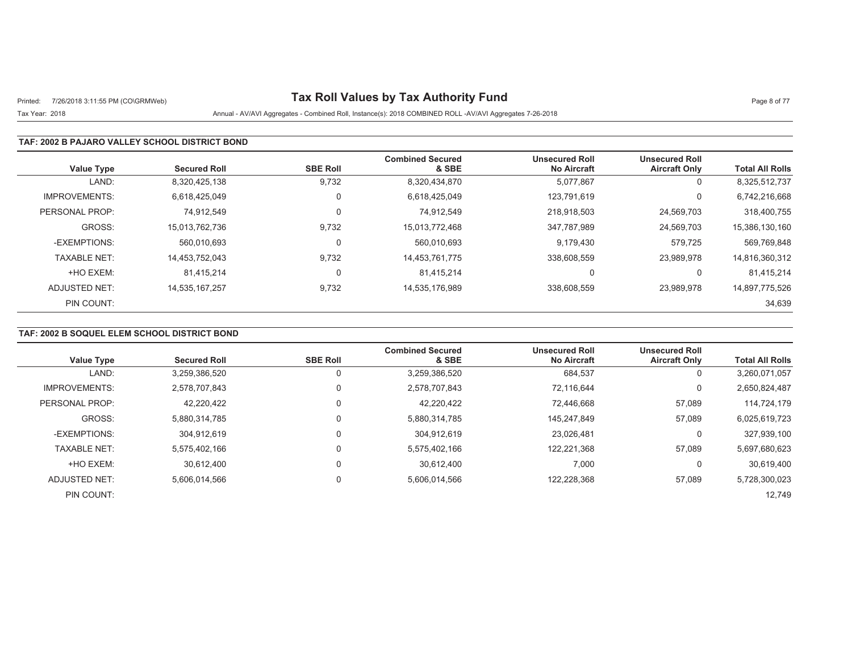# Printed: 7/26/2018 3:11:55 PM (CO\GRMWeb) **Tax Roll Values by Tax Authority Fund** Page 8 of 77

#### Tax Year: 2018 Annual - AV/AVI Aggregates - Combined Roll, Instance(s): 2018 COMBINED ROLL -AV/AVI Aggregates 7-26-2018

#### **TAF: 2002 B PAJARO VALLEY SCHOOL DISTRICT BOND**

| <b>Value Type</b>    | <b>Secured Roll</b> | <b>SBE Roll</b> | <b>Combined Secured</b><br>& SBE | <b>Unsecured Roll</b><br><b>No Aircraft</b> | <b>Unsecured Roll</b><br><b>Aircraft Only</b> | <b>Total All Rolls</b> |
|----------------------|---------------------|-----------------|----------------------------------|---------------------------------------------|-----------------------------------------------|------------------------|
| LAND:                | 8,320,425,138       | 9,732           | 8,320,434,870                    | 5,077,867                                   | U                                             | 8,325,512,737          |
| <b>IMPROVEMENTS:</b> | 6.618.425.049       | 0               | 6,618,425,049                    | 123.791.619                                 | 0                                             | 6,742,216,668          |
| PERSONAL PROP:       | 74.912.549          |                 | 74.912.549                       | 218,918,503                                 | 24,569,703                                    | 318,400,755            |
| GROSS:               | 15,013,762,736      | 9,732           | 15,013,772,468                   | 347,787,989                                 | 24,569,703                                    | 15,386,130,160         |
| -EXEMPTIONS:         | 560.010.693         |                 | 560.010.693                      | 9.179.430                                   | 579.725                                       | 569,769,848            |
| <b>TAXABLE NET:</b>  | 14,453,752,043      | 9,732           | 14,453,761,775                   | 338,608,559                                 | 23,989,978                                    | 14,816,360,312         |
| +HO EXEM:            | 81.415.214          |                 | 81.415.214                       | 0                                           |                                               | 81,415,214             |
| ADJUSTED NET:        | 14.535.167.257      | 9,732           | 14,535,176,989                   | 338,608,559                                 | 23.989.978                                    | 14,897,775,526         |
| PIN COUNT:           |                     |                 |                                  |                                             |                                               | 34,639                 |

## **TAF: 2002 B SOQUEL ELEM SCHOOL DISTRICT BOND**

|                      |                     |                 | <b>Combined Secured</b> | <b>Unsecured Roll</b> | <b>Unsecured Roll</b> |                        |
|----------------------|---------------------|-----------------|-------------------------|-----------------------|-----------------------|------------------------|
| <b>Value Type</b>    | <b>Secured Roll</b> | <b>SBE Roll</b> | & SBE                   | <b>No Aircraft</b>    | <b>Aircraft Only</b>  | <b>Total All Rolls</b> |
| LAND:                | 3,259,386,520       |                 | 3,259,386,520           | 684,537               | 0                     | 3,260,071,057          |
| <b>IMPROVEMENTS:</b> | 2.578.707.843       | $\Omega$        | 2,578,707,843           | 72.116.644            | 0                     | 2,650,824,487          |
| PERSONAL PROP:       | 42.220.422          |                 | 42.220.422              | 72.446.668            | 57,089                | 114,724,179            |
| GROSS:               | 5,880,314,785       | $\Omega$        | 5,880,314,785           | 145.247.849           | 57,089                | 6,025,619,723          |
| -EXEMPTIONS:         | 304.912.619         |                 | 304.912.619             | 23,026,481            | 0                     | 327,939,100            |
| <b>TAXABLE NET:</b>  | 5.575.402.166       | 0               | 5,575,402,166           | 122,221,368           | 57,089                | 5,697,680,623          |
| +HO EXEM:            | 30.612.400          |                 | 30.612.400              | 7,000                 | 0                     | 30,619,400             |
| ADJUSTED NET:        | 5,606,014,566       | 0               | 5,606,014,566           | 122,228,368           | 57,089                | 5,728,300,023          |
| PIN COUNT:           |                     |                 |                         |                       |                       | 12,749                 |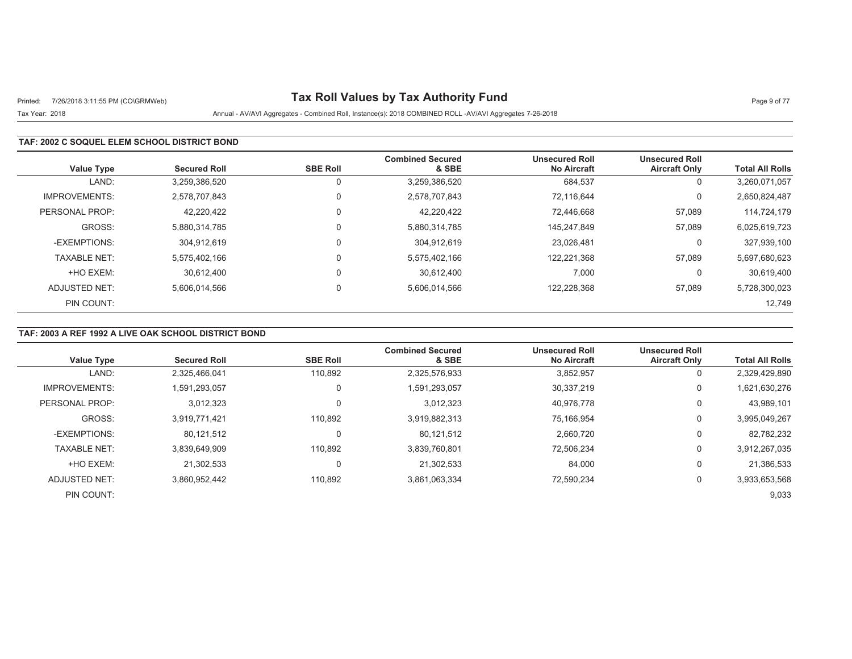# Printed: 7/26/2018 3:11:55 PM (CO\GRMWeb) **Tax Roll Values by Tax Authority Fund** Page 9 of 77

### Tax Year: 2018 Annual - AV/AVI Aggregates - Combined Roll, Instance(s): 2018 COMBINED ROLL -AV/AVI Aggregates 7-26-2018

### **TAF: 2002 C SOQUEL ELEM SCHOOL DISTRICT BOND**

| <b>Value Type</b>    | <b>Secured Roll</b> | <b>SBE Roll</b> | <b>Combined Secured</b><br>& SBE | <b>Unsecured Roll</b><br><b>No Aircraft</b> | <b>Unsecured Roll</b><br><b>Aircraft Only</b> | <b>Total All Rolls</b> |
|----------------------|---------------------|-----------------|----------------------------------|---------------------------------------------|-----------------------------------------------|------------------------|
| LAND:                | 3,259,386,520       |                 | 3,259,386,520                    | 684,537                                     | 0                                             | 3,260,071,057          |
| <b>IMPROVEMENTS:</b> | 2.578.707.843       | 0               | 2,578,707,843                    | 72.116.644                                  | 0                                             | 2,650,824,487          |
| PERSONAL PROP:       | 42,220,422          |                 | 42,220,422                       | 72.446.668                                  | 57,089                                        | 114,724,179            |
| GROSS:               | 5.880.314.785       | 0               | 5,880,314,785                    | 145.247.849                                 | 57,089                                        | 6,025,619,723          |
| -EXEMPTIONS:         | 304.912.619         |                 | 304.912.619                      | 23.026.481                                  | 0                                             | 327,939,100            |
| <b>TAXABLE NET:</b>  | 5,575,402,166       | $\Omega$        | 5,575,402,166                    | 122,221,368                                 | 57,089                                        | 5,697,680,623          |
| +HO EXEM:            | 30.612.400          |                 | 30.612.400                       | 7,000                                       | 0                                             | 30,619,400             |
| ADJUSTED NET:        | 5,606,014,566       | $\Omega$        | 5,606,014,566                    | 122,228,368                                 | 57,089                                        | 5,728,300,023          |
| PIN COUNT:           |                     |                 |                                  |                                             |                                               | 12,749                 |

### **TAF: 2003 A REF 1992 A LIVE OAK SCHOOL DISTRICT BOND**

| <b>Value Type</b>    | <b>Secured Roll</b> | <b>SBE Roll</b> | <b>Combined Secured</b><br>& SBE | <b>Unsecured Roll</b><br><b>No Aircraft</b> | <b>Unsecured Roll</b><br><b>Aircraft Only</b> | <b>Total All Rolls</b> |
|----------------------|---------------------|-----------------|----------------------------------|---------------------------------------------|-----------------------------------------------|------------------------|
| LAND:                | 2,325,466,041       | 110,892         | 2,325,576,933                    | 3,852,957                                   | 0                                             | 2,329,429,890          |
|                      |                     |                 |                                  |                                             |                                               |                        |
| <b>IMPROVEMENTS:</b> | .591.293.057        | $\Omega$        | 1,591,293,057                    | 30,337,219                                  | 0                                             | 1,621,630,276          |
| PERSONAL PROP:       | 3,012,323           | $\mathbf 0$     | 3,012,323                        | 40,976,778                                  | 0                                             | 43,989,101             |
| GROSS:               | 3.919.771.421       | 110.892         | 3,919,882,313                    | 75.166.954                                  | 0                                             | 3,995,049,267          |
| -EXEMPTIONS:         | 80,121,512          | $\Omega$        | 80,121,512                       | 2,660,720                                   | 0                                             | 82,782,232             |
| <b>TAXABLE NET:</b>  | 3.839.649.909       | 110.892         | 3,839,760,801                    | 72.506.234                                  | 0                                             | 3,912,267,035          |
| +HO EXEM:            | 21.302.533          | 0               | 21,302,533                       | 84,000                                      | 0                                             | 21,386,533             |
| ADJUSTED NET:        | 3.860.952.442       | 110,892         | 3,861,063,334                    | 72,590,234                                  | 0                                             | 3,933,653,568          |
| PIN COUNT:           |                     |                 |                                  |                                             |                                               | 9,033                  |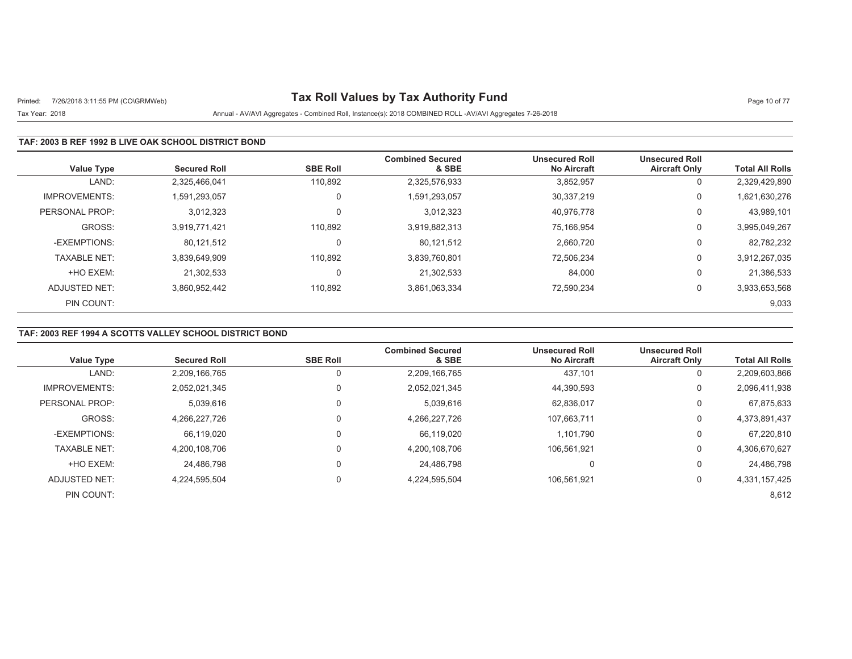# Printed: 7/26/2018 3:11:55 PM (CO\GRMWeb) **Tax Roll Values by Tax Authority Fund** Page 10 of 77

## Tax Year: 2018 Annual - AV/AVI Aggregates - Combined Roll, Instance(s): 2018 COMBINED ROLL -AV/AVI Aggregates 7-26-2018

### **TAF: 2003 B REF 1992 B LIVE OAK SCHOOL DISTRICT BOND**

| <b>Value Type</b>    | <b>Secured Roll</b> | <b>SBE Roll</b> | <b>Combined Secured</b><br>& SBE | <b>Unsecured Roll</b><br><b>No Aircraft</b> | <b>Unsecured Roll</b><br><b>Aircraft Only</b> | <b>Total All Rolls</b> |
|----------------------|---------------------|-----------------|----------------------------------|---------------------------------------------|-----------------------------------------------|------------------------|
| LAND:                | 2,325,466,041       | 110,892         | 2,325,576,933                    | 3,852,957                                   | 0                                             | 2,329,429,890          |
| <b>IMPROVEMENTS:</b> | 1,591,293,057       | $\mathbf 0$     | 1,591,293,057                    | 30,337,219                                  | 0                                             | 1,621,630,276          |
| PERSONAL PROP:       | 3,012,323           | $\Omega$        | 3,012,323                        | 40,976,778                                  | 0                                             | 43,989,101             |
| GROSS:               | 3.919.771.421       | 110.892         | 3,919,882,313                    | 75,166,954                                  | 0                                             | 3,995,049,267          |
| -EXEMPTIONS:         | 80,121,512          | 0               | 80,121,512                       | 2,660,720                                   | 0                                             | 82,782,232             |
| <b>TAXABLE NET:</b>  | 3,839,649,909       | 110,892         | 3,839,760,801                    | 72,506,234                                  | 0                                             | 3,912,267,035          |
| +HO EXEM:            | 21.302.533          | 0               | 21.302.533                       | 84,000                                      | 0                                             | 21,386,533             |
| ADJUSTED NET:        | 3,860,952,442       | 110,892         | 3,861,063,334                    | 72,590,234                                  | 0                                             | 3,933,653,568          |
| PIN COUNT:           |                     |                 |                                  |                                             |                                               | 9,033                  |

## **TAF: 2003 REF 1994 A SCOTTS VALLEY SCHOOL DISTRICT BOND**

| <b>Value Type</b>    | <b>Secured Roll</b> | <b>SBE Roll</b> | <b>Combined Secured</b><br>& SBE | <b>Unsecured Roll</b><br><b>No Aircraft</b> | <b>Unsecured Roll</b><br><b>Aircraft Only</b> | <b>Total All Rolls</b> |
|----------------------|---------------------|-----------------|----------------------------------|---------------------------------------------|-----------------------------------------------|------------------------|
| LAND:                | 2,209,166,765       | 0               | 2,209,166,765                    | 437.101                                     | U                                             | 2,209,603,866          |
| <b>IMPROVEMENTS:</b> | 2,052,021,345       | 0               | 2,052,021,345                    | 44,390,593                                  | 0                                             | 2,096,411,938          |
| PERSONAL PROP:       | 5,039,616           | 0               | 5,039,616                        | 62,836,017                                  | 0                                             | 67,875,633             |
| GROSS:               | 4.266.227.726       | 0               | 4,266,227,726                    | 107.663.711                                 | 0                                             | 4,373,891,437          |
| -EXEMPTIONS:         | 66,119,020          | 0               | 66,119,020                       | 1.101.790                                   | 0                                             | 67,220,810             |
| <b>TAXABLE NET:</b>  | 4.200.108.706       | 0               | 4,200,108,706                    | 106.561.921                                 | 0                                             | 4,306,670,627          |
| +HO EXEM:            | 24.486.798          | 0               | 24,486,798                       | $\Omega$                                    | 0                                             | 24,486,798             |
| ADJUSTED NET:        | 4.224.595.504       | 0               | 4,224,595,504                    | 106,561,921                                 | 0                                             | 4,331,157,425          |
| PIN COUNT:           |                     |                 |                                  |                                             |                                               | 8,612                  |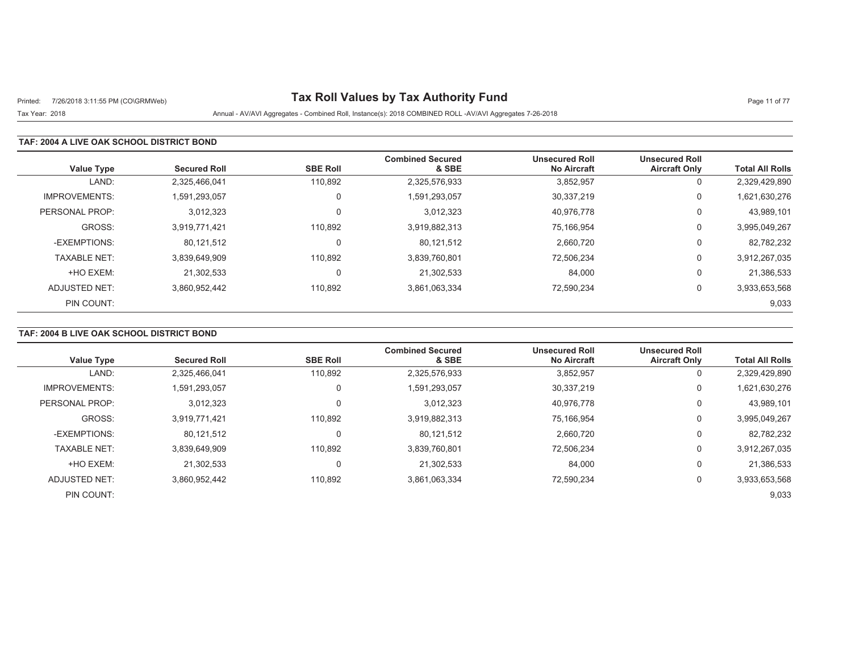# Printed: 7/26/2018 3:11:55 PM (CO\GRMWeb) **Tax Roll Values by Tax Authority Fund** Page 11 of 77

Tax Year: 2018 Annual - AV/AVI Aggregates - Combined Roll, Instance(s): 2018 COMBINED ROLL -AV/AVI Aggregates 7-26-2018

#### **TAF: 2004 A LIVE OAK SCHOOL DISTRICT BOND**

| <b>Value Type</b>    | <b>Secured Roll</b> | <b>SBE Roll</b> | <b>Combined Secured</b><br>& SBE | <b>Unsecured Roll</b><br><b>No Aircraft</b> | <b>Unsecured Roll</b><br><b>Aircraft Only</b> | <b>Total All Rolls</b> |
|----------------------|---------------------|-----------------|----------------------------------|---------------------------------------------|-----------------------------------------------|------------------------|
| LAND:                | 2,325,466,041       | 110,892         | 2,325,576,933                    | 3,852,957                                   | $\mathbf{0}$                                  | 2,329,429,890          |
| <b>IMPROVEMENTS:</b> | 1.591.293.057       | 0               | 1,591,293,057                    | 30,337,219                                  | 0                                             | 1,621,630,276          |
| PERSONAL PROP:       | 3,012,323           | $\Omega$        | 3,012,323                        | 40.976.778                                  | 0                                             | 43,989,101             |
| GROSS:               | 3,919,771,421       | 110.892         | 3,919,882,313                    | 75,166,954                                  | 0                                             | 3,995,049,267          |
| -EXEMPTIONS:         | 80,121,512          | 0               | 80,121,512                       | 2,660,720                                   | 0                                             | 82,782,232             |
| <b>TAXABLE NET:</b>  | 3,839,649,909       | 110.892         | 3,839,760,801                    | 72,506,234                                  | 0                                             | 3,912,267,035          |
| +HO EXEM:            | 21.302.533          | 0               | 21,302,533                       | 84,000                                      | 0                                             | 21,386,533             |
| ADJUSTED NET:        | 3,860,952,442       | 110,892         | 3,861,063,334                    | 72,590,234                                  | 0                                             | 3,933,653,568          |
| PIN COUNT:           |                     |                 |                                  |                                             |                                               | 9,033                  |

## **TAF: 2004 B LIVE OAK SCHOOL DISTRICT BOND**

| <b>Value Type</b>    | <b>Secured Roll</b> | <b>SBE Roll</b> | <b>Combined Secured</b><br>& SBE | <b>Unsecured Roll</b><br><b>No Aircraft</b> | <b>Unsecured Roll</b><br><b>Aircraft Only</b> | <b>Total All Rolls</b> |
|----------------------|---------------------|-----------------|----------------------------------|---------------------------------------------|-----------------------------------------------|------------------------|
| LAND:                | 2,325,466,041       | 110.892         | 2,325,576,933                    | 3,852,957                                   | 0                                             | 2,329,429,890          |
| <b>IMPROVEMENTS:</b> | 1,591,293,057       | $\Omega$        | 1,591,293,057                    | 30,337,219                                  | 0                                             | 1,621,630,276          |
| PERSONAL PROP:       | 3,012,323           |                 | 3.012.323                        | 40,976,778                                  | 0                                             | 43,989,101             |
| GROSS:               | 3,919,771,421       | 110,892         | 3,919,882,313                    | 75.166.954                                  | 0                                             | 3,995,049,267          |
| -EXEMPTIONS:         | 80,121,512          |                 | 80,121,512                       | 2,660,720                                   | 0                                             | 82,782,232             |
| <b>TAXABLE NET:</b>  | 3.839.649.909       | 110.892         | 3,839,760,801                    | 72,506,234                                  | 0                                             | 3,912,267,035          |
| +HO EXEM:            | 21.302.533          |                 | 21,302,533                       | 84,000                                      | 0                                             | 21,386,533             |
| ADJUSTED NET:        | 3,860,952,442       | 110,892         | 3,861,063,334                    | 72,590,234                                  | 0                                             | 3,933,653,568          |
| PIN COUNT:           |                     |                 |                                  |                                             |                                               | 9,033                  |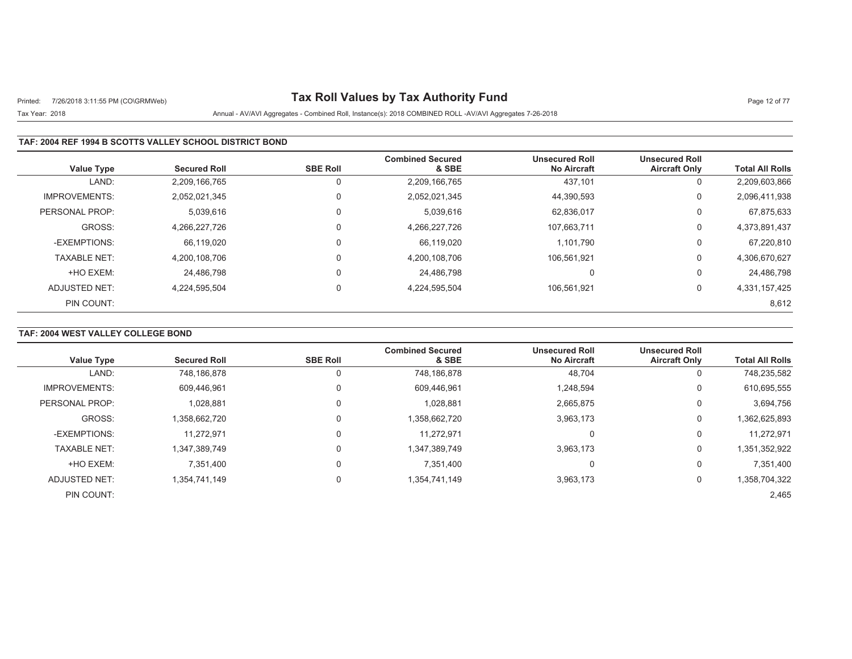# Printed: 7/26/2018 3:11:55 PM (CO\GRMWeb) **Tax Roll Values by Tax Authority Fund** Page 12 of 77

## Tax Year: 2018 Annual - AV/AVI Aggregates - Combined Roll, Instance(s): 2018 COMBINED ROLL -AV/AVI Aggregates 7-26-2018

### **TAF: 2004 REF 1994 B SCOTTS VALLEY SCHOOL DISTRICT BOND**

| <b>Value Type</b>    | <b>Secured Roll</b> | <b>SBE Roll</b> | <b>Combined Secured</b><br>& SBE | <b>Unsecured Roll</b><br><b>No Aircraft</b> | <b>Unsecured Roll</b><br><b>Aircraft Only</b> | <b>Total All Rolls</b> |
|----------------------|---------------------|-----------------|----------------------------------|---------------------------------------------|-----------------------------------------------|------------------------|
| LAND:                | 2,209,166,765       | 0               | 2,209,166,765                    | 437.101                                     | 0                                             | 2,209,603,866          |
| <b>IMPROVEMENTS:</b> | 2,052,021,345       | $\Omega$        | 2,052,021,345                    | 44,390,593                                  | 0                                             | 2,096,411,938          |
| PERSONAL PROP:       | 5,039,616           | $\mathbf 0$     | 5,039,616                        | 62,836,017                                  | 0                                             | 67,875,633             |
| GROSS:               | 4.266.227.726       | $\Omega$        | 4,266,227,726                    | 107.663.711                                 | 0                                             | 4,373,891,437          |
| -EXEMPTIONS:         | 66,119,020          | $\Omega$        | 66,119,020                       | 1,101,790                                   | 0                                             | 67,220,810             |
| <b>TAXABLE NET:</b>  | 4,200,108,706       | $\mathbf 0$     | 4,200,108,706                    | 106.561.921                                 | 0                                             | 4,306,670,627          |
| +HO EXEM:            | 24,486,798          | $\mathbf 0$     | 24,486,798                       | $\Omega$                                    | 0                                             | 24,486,798             |
| ADJUSTED NET:        | 4.224.595.504       | $\mathbf 0$     | 4,224,595,504                    | 106.561.921                                 | 0                                             | 4,331,157,425          |
| PIN COUNT:           |                     |                 |                                  |                                             |                                               | 8,612                  |

### **TAF: 2004 WEST VALLEY COLLEGE BOND**

| <b>Value Type</b>    | <b>Secured Roll</b> | <b>SBE Roll</b> | <b>Combined Secured</b><br>& SBE | <b>Unsecured Roll</b><br><b>No Aircraft</b> | <b>Unsecured Roll</b><br><b>Aircraft Only</b> | <b>Total All Rolls</b> |
|----------------------|---------------------|-----------------|----------------------------------|---------------------------------------------|-----------------------------------------------|------------------------|
| LAND:                | 748.186.878         | 0               | 748,186,878                      | 48,704                                      | 0                                             | 748,235,582            |
| <b>IMPROVEMENTS:</b> | 609,446,961         | 0               | 609,446,961                      | 1,248,594                                   | 0                                             | 610,695,555            |
| PERSONAL PROP:       | 1,028,881           | $\mathbf 0$     | 1,028,881                        | 2,665,875                                   | 0                                             | 3,694,756              |
| GROSS:               | 1,358,662,720       | 0               | 1,358,662,720                    | 3,963,173                                   | 0                                             | 1,362,625,893          |
| -EXEMPTIONS:         | 11,272,971          | 0               | 11.272.971                       | 0                                           | 0                                             | 11,272,971             |
| <b>TAXABLE NET:</b>  | 1,347,389,749       | 0               | 1,347,389,749                    | 3,963,173                                   | 0                                             | 1,351,352,922          |
| +HO EXEM:            | 7,351,400           | $\mathbf 0$     | 7,351,400                        | 0                                           | 0                                             | 7,351,400              |
| ADJUSTED NET:        | 1,354,741,149       | 0               | 1,354,741,149                    | 3,963,173                                   | 0                                             | 1,358,704,322          |
| PIN COUNT:           |                     |                 |                                  |                                             |                                               | 2,465                  |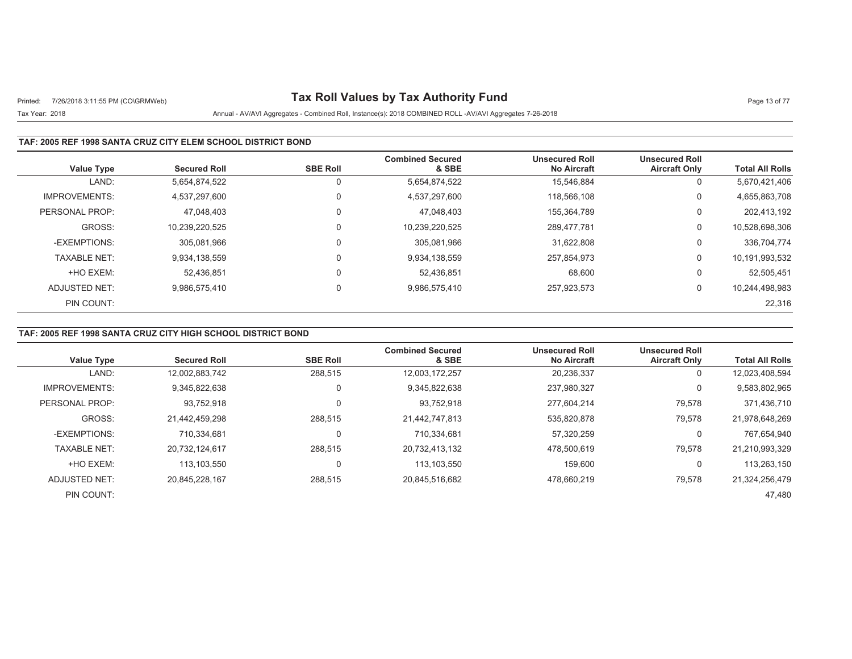# Printed: 7/26/2018 3:11:55 PM (CO\GRMWeb) **Tax Roll Values by Tax Authority Fund** Page 13 of 77

## Tax Year: 2018 Annual - AV/AVI Aggregates - Combined Roll, Instance(s): 2018 COMBINED ROLL -AV/AVI Aggregates 7-26-2018

### **TAF: 2005 REF 1998 SANTA CRUZ CITY ELEM SCHOOL DISTRICT BOND**

| <b>Value Type</b>    | <b>Secured Roll</b> | <b>SBE Roll</b> | <b>Combined Secured</b><br>& SBE | <b>Unsecured Roll</b><br><b>No Aircraft</b> | <b>Unsecured Roll</b><br><b>Aircraft Only</b> | <b>Total All Rolls</b> |
|----------------------|---------------------|-----------------|----------------------------------|---------------------------------------------|-----------------------------------------------|------------------------|
| LAND:                | 5,654,874,522       | 0               | 5,654,874,522                    | 15.546.884                                  | 0                                             | 5,670,421,406          |
| <b>IMPROVEMENTS:</b> | 4.537.297.600       | 0               | 4,537,297,600                    | 118.566.108                                 | 0                                             | 4,655,863,708          |
| PERSONAL PROP:       | 47.048.403          | $\Omega$        | 47.048.403                       | 155.364.789                                 | 0                                             | 202,413,192            |
| GROSS:               | 10,239,220,525      | $\mathbf 0$     | 10,239,220,525                   | 289,477,781                                 | 0                                             | 10,528,698,306         |
| -EXEMPTIONS:         | 305.081.966         | 0               | 305,081,966                      | 31.622.808                                  | 0                                             | 336,704,774            |
| <b>TAXABLE NET:</b>  | 9,934,138,559       | $\mathbf 0$     | 9,934,138,559                    | 257,854,973                                 | 0                                             | 10,191,993,532         |
| +HO EXEM:            | 52.436.851          | $\Omega$        | 52.436.851                       | 68.600                                      | 0                                             | 52,505,451             |
| ADJUSTED NET:        | 9.986.575.410       | $\mathbf 0$     | 9,986,575,410                    | 257,923,573                                 | 0                                             | 10,244,498,983         |
| PIN COUNT:           |                     |                 |                                  |                                             |                                               | 22,316                 |

## **TAF: 2005 REF 1998 SANTA CRUZ CITY HIGH SCHOOL DISTRICT BOND**

|                      |                     |                 | <b>Combined Secured</b> | <b>Unsecured Roll</b> | <b>Unsecured Roll</b> |                        |
|----------------------|---------------------|-----------------|-------------------------|-----------------------|-----------------------|------------------------|
| <b>Value Type</b>    | <b>Secured Roll</b> | <b>SBE Roll</b> | & SBE                   | <b>No Aircraft</b>    | <b>Aircraft Only</b>  | <b>Total All Rolls</b> |
| LAND:                | 12,002,883,742      | 288,515         | 12,003,172,257          | 20,236,337            | U                     | 12,023,408,594         |
| <b>IMPROVEMENTS:</b> | 9.345.822.638       | $\mathbf 0$     | 9,345,822,638           | 237,980,327           | υ                     | 9,583,802,965          |
| PERSONAL PROP:       | 93,752,918          | 0               | 93,752,918              | 277.604.214           | 79,578                | 371,436,710            |
| GROSS:               | 21.442.459.298      | 288.515         | 21,442,747,813          | 535.820.878           | 79,578                | 21.978.648.269         |
| -EXEMPTIONS:         | 710.334.681         | 0               | 710,334,681             | 57,320,259            | U                     | 767,654,940            |
| <b>TAXABLE NET:</b>  | 20.732.124.617      | 288.515         | 20,732,413,132          | 478.500.619           | 79,578                | 21,210,993,329         |
| +HO EXEM:            | 113.103.550         | 0               | 113,103,550             | 159.600               | U                     | 113,263,150            |
| ADJUSTED NET:        | 20.845.228.167      | 288,515         | 20,845,516,682          | 478.660.219           | 79,578                | 21,324,256,479         |
| PIN COUNT:           |                     |                 |                         |                       |                       | 47.480                 |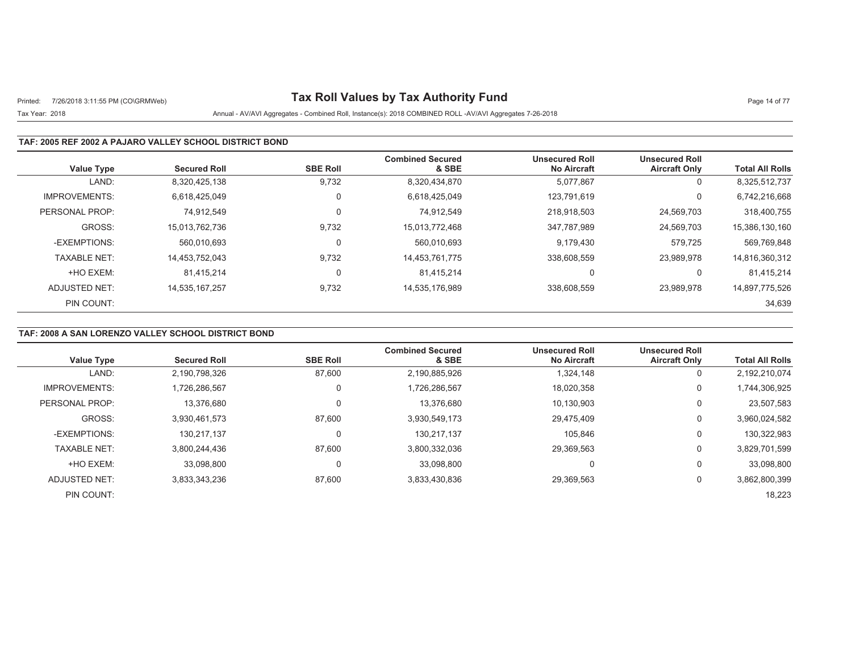# Printed: 7/26/2018 3:11:55 PM (CO\GRMWeb) **Tax Roll Values by Tax Authority Fund** Page 14 of 77

## Tax Year: 2018 Annual - AV/AVI Aggregates - Combined Roll, Instance(s): 2018 COMBINED ROLL -AV/AVI Aggregates 7-26-2018

### **TAF: 2005 REF 2002 A PAJARO VALLEY SCHOOL DISTRICT BOND**

| <b>Value Type</b>    | <b>Secured Roll</b> | <b>SBE Roll</b> | <b>Combined Secured</b><br>& SBE | <b>Unsecured Roll</b><br><b>No Aircraft</b> | <b>Unsecured Roll</b><br><b>Aircraft Only</b> | <b>Total All Rolls</b> |
|----------------------|---------------------|-----------------|----------------------------------|---------------------------------------------|-----------------------------------------------|------------------------|
| LAND:                | 8,320,425,138       | 9,732           | 8,320,434,870                    | 5,077,867                                   | 0                                             | 8,325,512,737          |
| <b>IMPROVEMENTS:</b> | 6.618.425.049       | $\mathbf 0$     | 6,618,425,049                    | 123.791.619                                 | 0                                             | 6,742,216,668          |
| PERSONAL PROP:       | 74.912.549          | 0               | 74.912.549                       | 218.918.503                                 | 24,569,703                                    | 318,400,755            |
| GROSS:               | 15,013,762,736      | 9,732           | 15,013,772,468                   | 347.787.989                                 | 24,569,703                                    | 15,386,130,160         |
| -EXEMPTIONS:         | 560.010.693         | 0               | 560,010,693                      | 9.179.430                                   | 579.725                                       | 569,769,848            |
| <b>TAXABLE NET:</b>  | 14,453,752,043      | 9,732           | 14,453,761,775                   | 338,608,559                                 | 23,989,978                                    | 14,816,360,312         |
| +HO EXEM:            | 81.415.214          | 0               | 81.415.214                       |                                             | 0                                             | 81,415,214             |
| ADJUSTED NET:        | 14,535,167,257      | 9,732           | 14,535,176,989                   | 338,608,559                                 | 23.989.978                                    | 14,897,775,526         |
| PIN COUNT:           |                     |                 |                                  |                                             |                                               | 34,639                 |

### **TAF: 2008 A SAN LORENZO VALLEY SCHOOL DISTRICT BOND**

|                      |                     |                 | <b>Combined Secured</b> | <b>Unsecured Roll</b> | <b>Unsecured Roll</b> |                        |
|----------------------|---------------------|-----------------|-------------------------|-----------------------|-----------------------|------------------------|
| <b>Value Type</b>    | <b>Secured Roll</b> | <b>SBE Roll</b> | & SBE                   | <b>No Aircraft</b>    | <b>Aircraft Only</b>  | <b>Total All Rolls</b> |
| LAND:                | 2,190,798,326       | 87,600          | 2,190,885,926           | 1,324,148             | 0                     | 2,192,210,074          |
| <b>IMPROVEMENTS:</b> | 1.726.286.567       | 0               | 1,726,286,567           | 18,020,358            | 0                     | 1,744,306,925          |
| PERSONAL PROP:       | 13,376,680          | 0               | 13.376.680              | 10,130,903            | 0                     | 23,507,583             |
| GROSS:               | 3.930.461.573       | 87,600          | 3,930,549,173           | 29.475.409            | 0                     | 3,960,024,582          |
| -EXEMPTIONS:         | 130,217,137         | 0               | 130,217,137             | 105,846               | 0                     | 130,322,983            |
| <b>TAXABLE NET:</b>  | 3,800,244,436       | 87.600          | 3,800,332,036           | 29.369.563            | 0                     | 3,829,701,599          |
| +HO EXEM:            | 33.098.800          | 0               | 33.098.800              | 0                     | 0                     | 33,098,800             |
| ADJUSTED NET:        | 3,833,343,236       | 87,600          | 3,833,430,836           | 29,369,563            | 0                     | 3,862,800,399          |
| PIN COUNT:           |                     |                 |                         |                       |                       | 18,223                 |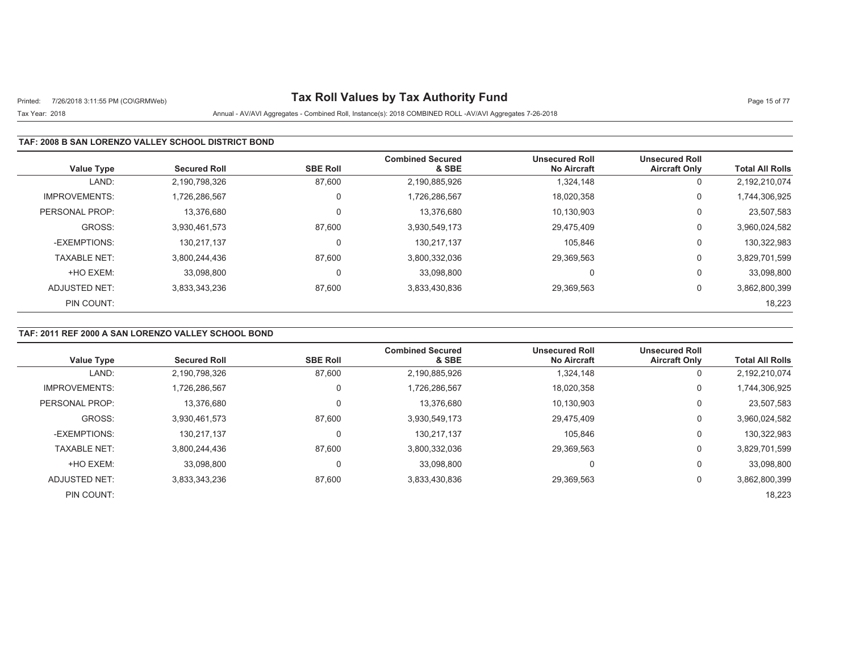# Printed: 7/26/2018 3:11:55 PM (CO\GRMWeb) **Tax Roll Values by Tax Authority Fund** Page 15 of 77

## Tax Year: 2018 Annual - AV/AVI Aggregates - Combined Roll, Instance(s): 2018 COMBINED ROLL -AV/AVI Aggregates 7-26-2018

### **TAF: 2008 B SAN LORENZO VALLEY SCHOOL DISTRICT BOND**

| <b>Value Type</b>    | <b>Secured Roll</b> | <b>SBE Roll</b> | <b>Combined Secured</b><br>& SBE | <b>Unsecured Roll</b><br><b>No Aircraft</b> | <b>Unsecured Roll</b><br><b>Aircraft Only</b> | <b>Total All Rolls</b> |
|----------------------|---------------------|-----------------|----------------------------------|---------------------------------------------|-----------------------------------------------|------------------------|
| LAND:                | 2,190,798,326       | 87,600          | 2,190,885,926                    | 1.324.148                                   | 0                                             | 2,192,210,074          |
| <b>IMPROVEMENTS:</b> | 1.726.286.567       | 0               | 1,726,286,567                    | 18,020,358                                  | 0                                             | 1,744,306,925          |
| PERSONAL PROP:       | 13.376.680          | 0               | 13.376.680                       | 10.130.903                                  | 0                                             | 23,507,583             |
| GROSS:               | 3,930,461,573       | 87,600          | 3,930,549,173                    | 29,475,409                                  | 0                                             | 3,960,024,582          |
| -EXEMPTIONS:         | 130.217.137         | 0               | 130,217,137                      | 105.846                                     | 0                                             | 130,322,983            |
| <b>TAXABLE NET:</b>  | 3,800,244,436       | 87,600          | 3,800,332,036                    | 29,369,563                                  | 0                                             | 3,829,701,599          |
| +HO EXEM:            | 33.098.800          | 0               | 33.098.800                       | $\Omega$                                    | 0                                             | 33,098,800             |
| ADJUSTED NET:        | 3,833,343,236       | 87,600          | 3,833,430,836                    | 29,369,563                                  | 0                                             | 3,862,800,399          |
| PIN COUNT:           |                     |                 |                                  |                                             |                                               | 18,223                 |

## **TAF: 2011 REF 2000 A SAN LORENZO VALLEY SCHOOL BOND**

| <b>Value Type</b>    | <b>Secured Roll</b> | <b>SBE Roll</b> | <b>Combined Secured</b><br>& SBE | <b>Unsecured Roll</b><br><b>No Aircraft</b> | <b>Unsecured Roll</b><br><b>Aircraft Only</b> | <b>Total All Rolls</b> |
|----------------------|---------------------|-----------------|----------------------------------|---------------------------------------------|-----------------------------------------------|------------------------|
| LAND:                | 2,190,798,326       | 87,600          | 2,190,885,926                    | 1,324,148                                   | U                                             | 2,192,210,074          |
| <b>IMPROVEMENTS:</b> | 1.726.286.567       | 0               | 1,726,286,567                    | 18,020,358                                  | U                                             | 1,744,306,925          |
| PERSONAL PROP:       | 13,376,680          | 0               | 13,376,680                       | 10,130,903                                  | υ                                             | 23,507,583             |
| GROSS:               | 3,930,461,573       | 87,600          | 3,930,549,173                    | 29.475.409                                  | U                                             | 3,960,024,582          |
| -EXEMPTIONS:         | 130,217,137         | 0               | 130,217,137                      | 105,846                                     | υ                                             | 130,322,983            |
| <b>TAXABLE NET:</b>  | 3.800.244.436       | 87.600          | 3,800,332,036                    | 29.369.563                                  | υ                                             | 3,829,701,599          |
| +HO EXEM:            | 33.098.800          | 0               | 33.098.800                       | 0                                           | 0                                             | 33,098,800             |
| ADJUSTED NET:        | 3,833,343,236       | 87,600          | 3,833,430,836                    | 29,369,563                                  | U                                             | 3,862,800,399          |
| PIN COUNT:           |                     |                 |                                  |                                             |                                               | 18,223                 |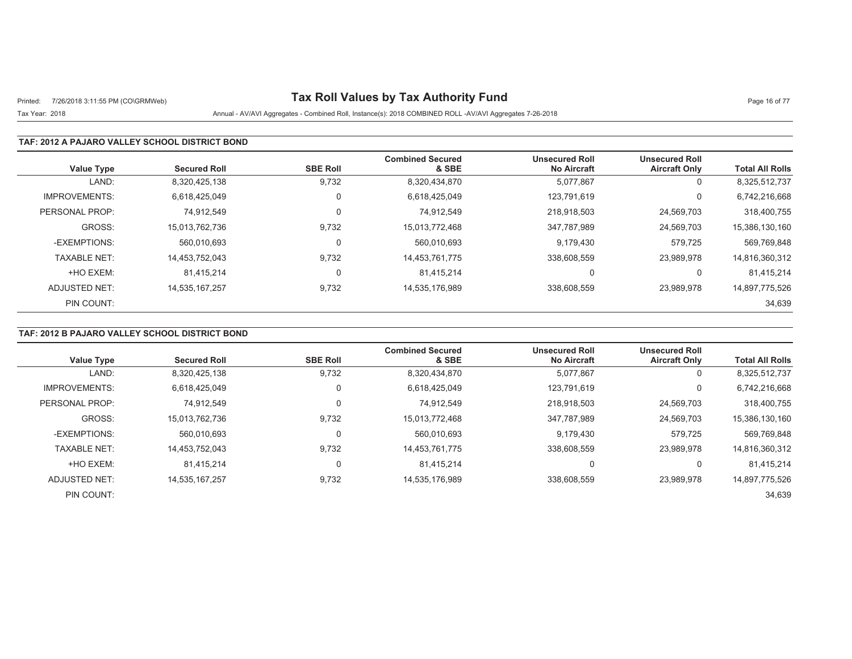# Printed: 7/26/2018 3:11:55 PM (CO\GRMWeb) **Tax Roll Values by Tax Authority Fund** Page 16 of 77

### Tax Year: 2018 Annual - AV/AVI Aggregates - Combined Roll, Instance(s): 2018 COMBINED ROLL -AV/AVI Aggregates 7-26-2018

#### **TAF: 2012 A PAJARO VALLEY SCHOOL DISTRICT BOND**

| <b>Value Type</b>    | <b>Secured Roll</b> | <b>SBE Roll</b> | <b>Combined Secured</b><br>& SBE | <b>Unsecured Roll</b><br><b>No Aircraft</b> | <b>Unsecured Roll</b><br><b>Aircraft Only</b> | <b>Total All Rolls</b> |
|----------------------|---------------------|-----------------|----------------------------------|---------------------------------------------|-----------------------------------------------|------------------------|
| LAND:                | 8,320,425,138       | 9,732           | 8,320,434,870                    | 5,077,867                                   | 0                                             | 8,325,512,737          |
| <b>IMPROVEMENTS:</b> | 6.618.425.049       | $\Omega$        | 6,618,425,049                    | 123.791.619                                 | $\Omega$                                      | 6,742,216,668          |
| PERSONAL PROP:       | 74.912.549          | $\Omega$        | 74.912.549                       | 218.918.503                                 | 24,569,703                                    | 318,400,755            |
| GROSS:               | 15,013,762,736      | 9,732           | 15,013,772,468                   | 347,787,989                                 | 24,569,703                                    | 15,386,130,160         |
| -EXEMPTIONS:         | 560.010.693         |                 | 560.010.693                      | 9,179,430                                   | 579.725                                       | 569,769,848            |
| <b>TAXABLE NET:</b>  | 14,453,752,043      | 9,732           | 14,453,761,775                   | 338,608,559                                 | 23,989,978                                    | 14,816,360,312         |
| +HO EXEM:            | 81.415.214          | $\Omega$        | 81.415.214                       | 0                                           | 0                                             | 81,415,214             |
| ADJUSTED NET:        | 14.535.167.257      | 9,732           | 14,535,176,989                   | 338,608,559                                 | 23.989.978                                    | 14,897,775,526         |
| PIN COUNT:           |                     |                 |                                  |                                             |                                               | 34,639                 |

## **TAF: 2012 B PAJARO VALLEY SCHOOL DISTRICT BOND**

|                      |                     |                 | <b>Combined Secured</b> | <b>Unsecured Roll</b> | <b>Unsecured Roll</b> |                        |
|----------------------|---------------------|-----------------|-------------------------|-----------------------|-----------------------|------------------------|
| <b>Value Type</b>    | <b>Secured Roll</b> | <b>SBE Roll</b> | & SBE                   | <b>No Aircraft</b>    | <b>Aircraft Only</b>  | <b>Total All Rolls</b> |
| LAND:                | 8,320,425,138       | 9,732           | 8,320,434,870           | 5,077,867             | U                     | 8,325,512,737          |
| <b>IMPROVEMENTS:</b> | 6.618.425.049       |                 | 6,618,425,049           | 123.791.619           |                       | 6,742,216,668          |
| PERSONAL PROP:       | 74.912.549          | $\Omega$        | 74.912.549              | 218.918.503           | 24,569,703            | 318,400,755            |
| GROSS:               | 15.013.762.736      | 9,732           | 15,013,772,468          | 347.787.989           | 24,569,703            | 15,386,130,160         |
| -EXEMPTIONS:         | 560.010.693         | $\Omega$        | 560,010,693             | 9,179,430             | 579,725               | 569,769,848            |
| <b>TAXABLE NET:</b>  | 14.453.752.043      | 9,732           | 14,453,761,775          | 338.608.559           | 23.989.978            | 14,816,360,312         |
| +HO EXEM:            | 81.415.214          | $\Omega$        | 81.415.214              | 0                     |                       | 81.415.214             |
| ADJUSTED NET:        | 14.535.167.257      | 9,732           | 14,535,176,989          | 338.608.559           | 23.989.978            | 14,897,775,526         |
| PIN COUNT:           |                     |                 |                         |                       |                       | 34,639                 |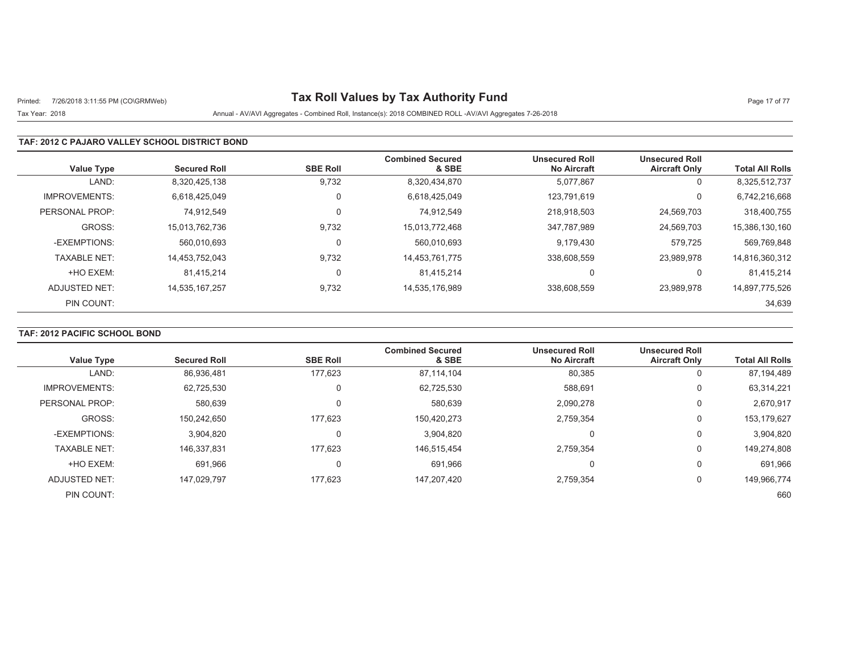# Printed: 7/26/2018 3:11:55 PM (CO\GRMWeb) **Tax Roll Values by Tax Authority Fund** Page 17 of 77

## Tax Year: 2018 Annual - AV/AVI Aggregates - Combined Roll, Instance(s): 2018 COMBINED ROLL -AV/AVI Aggregates 7-26-2018

#### **TAF: 2012 C PAJARO VALLEY SCHOOL DISTRICT BOND**

| <b>Value Type</b>    | <b>Secured Roll</b> | <b>SBE Roll</b> | <b>Combined Secured</b><br>& SBE | <b>Unsecured Roll</b><br><b>No Aircraft</b> | <b>Unsecured Roll</b><br><b>Aircraft Only</b> | <b>Total All Rolls</b> |
|----------------------|---------------------|-----------------|----------------------------------|---------------------------------------------|-----------------------------------------------|------------------------|
| LAND:                | 8,320,425,138       | 9,732           | 8,320,434,870                    | 5,077,867                                   | 0                                             | 8,325,512,737          |
| <b>IMPROVEMENTS:</b> | 6.618.425.049       | $\Omega$        | 6,618,425,049                    | 123.791.619                                 | $\Omega$                                      | 6,742,216,668          |
| PERSONAL PROP:       | 74.912.549          | $\Omega$        | 74.912.549                       | 218.918.503                                 | 24,569,703                                    | 318,400,755            |
| GROSS:               | 15,013,762,736      | 9,732           | 15,013,772,468                   | 347,787,989                                 | 24,569,703                                    | 15,386,130,160         |
| -EXEMPTIONS:         | 560.010.693         |                 | 560.010.693                      | 9,179,430                                   | 579.725                                       | 569,769,848            |
| <b>TAXABLE NET:</b>  | 14,453,752,043      | 9,732           | 14,453,761,775                   | 338,608,559                                 | 23,989,978                                    | 14,816,360,312         |
| +HO EXEM:            | 81.415.214          | $\Omega$        | 81.415.214                       | 0                                           | 0                                             | 81,415,214             |
| ADJUSTED NET:        | 14.535.167.257      | 9,732           | 14,535,176,989                   | 338,608,559                                 | 23.989.978                                    | 14,897,775,526         |
| PIN COUNT:           |                     |                 |                                  |                                             |                                               | 34,639                 |

## **TAF: 2012 PACIFIC SCHOOL BOND**

|                      |                     |                 | <b>Combined Secured</b> | <b>Unsecured Roll</b> | <b>Unsecured Roll</b> |                        |
|----------------------|---------------------|-----------------|-------------------------|-----------------------|-----------------------|------------------------|
| <b>Value Type</b>    | <b>Secured Roll</b> | <b>SBE Roll</b> | & SBE                   | <b>No Aircraft</b>    | <b>Aircraft Only</b>  | <b>Total All Rolls</b> |
| LAND:                | 86,936,481          | 177,623         | 87,114,104              | 80,385                | 0                     | 87,194,489             |
| <b>IMPROVEMENTS:</b> | 62,725,530          |                 | 62,725,530              | 588,691               | 0                     | 63,314,221             |
| PERSONAL PROP:       | 580,639             |                 | 580,639                 | 2,090,278             | 0                     | 2,670,917              |
| GROSS:               | 150.242.650         | 177.623         | 150,420,273             | 2,759,354             | 0                     | 153, 179, 627          |
| -EXEMPTIONS:         | 3,904,820           |                 | 3,904,820               |                       | $\Omega$              | 3,904,820              |
| <b>TAXABLE NET:</b>  | 146,337,831         | 177.623         | 146,515,454             | 2.759.354             | 0                     | 149,274,808            |
| +HO EXEM:            | 691,966             |                 | 691,966                 |                       | 0                     | 691,966                |
| ADJUSTED NET:        | 147.029.797         | 177,623         | 147,207,420             | 2,759,354             | 0                     | 149,966,774            |
| PIN COUNT:           |                     |                 |                         |                       |                       | 660                    |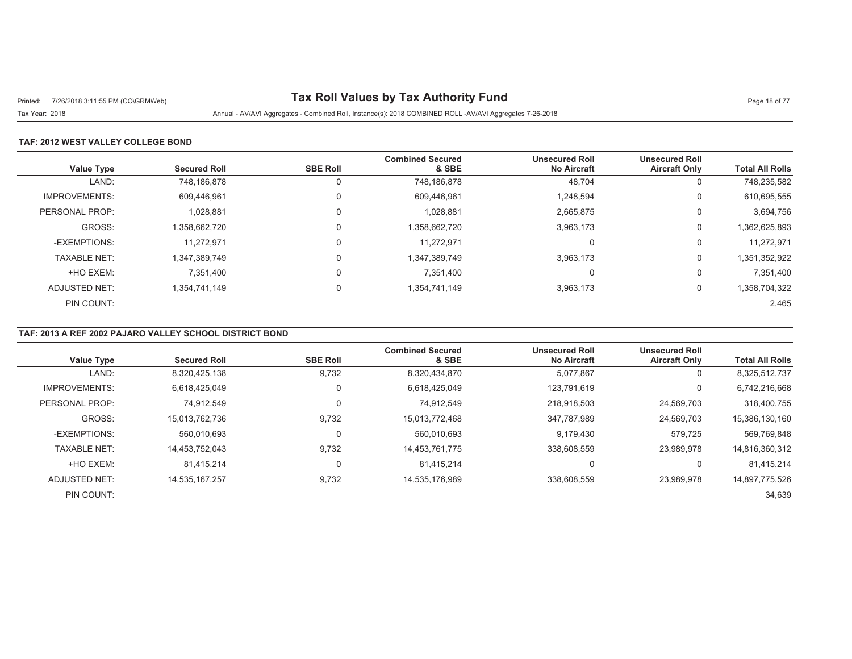# Printed: 7/26/2018 3:11:55 PM (CO\GRMWeb) **Tax Roll Values by Tax Authority Fund** Page 18 of 77

Tax Year: 2018 Annual - AV/AVI Aggregates - Combined Roll, Instance(s): 2018 COMBINED ROLL -AV/AVI Aggregates 7-26-2018

### **TAF: 2012 WEST VALLEY COLLEGE BOND**

| <b>Value Type</b>    | <b>Secured Roll</b> | <b>SBE Roll</b> | <b>Combined Secured</b><br>& SBE | <b>Unsecured Roll</b><br><b>No Aircraft</b> | <b>Unsecured Roll</b><br><b>Aircraft Only</b> | <b>Total All Rolls</b> |
|----------------------|---------------------|-----------------|----------------------------------|---------------------------------------------|-----------------------------------------------|------------------------|
| LAND:                | 748,186,878         | 0               | 748,186,878                      | 48,704                                      | 0                                             | 748,235,582            |
| <b>IMPROVEMENTS:</b> | 609,446,961         | 0               | 609,446,961                      | 1,248,594                                   | 0                                             | 610,695,555            |
| PERSONAL PROP:       | 1,028,881           | 0               | 1,028,881                        | 2,665,875                                   | 0                                             | 3,694,756              |
| GROSS:               | 1,358,662,720       | 0               | 1,358,662,720                    | 3,963,173                                   | 0                                             | 1,362,625,893          |
| -EXEMPTIONS:         | 11.272.971          | $\Omega$        | 11.272.971                       |                                             | 0                                             | 11,272,971             |
| <b>TAXABLE NET:</b>  | 1,347,389,749       | $\Omega$        | 1,347,389,749                    | 3,963,173                                   | 0                                             | 1,351,352,922          |
| +HO EXEM:            | 7,351,400           | 0               | 7,351,400                        |                                             | 0                                             | 7,351,400              |
| ADJUSTED NET:        | 1,354,741,149       | $\Omega$        | 1,354,741,149                    | 3,963,173                                   | 0                                             | 1,358,704,322          |
| PIN COUNT:           |                     |                 |                                  |                                             |                                               | 2,465                  |

## **TAF: 2013 A REF 2002 PAJARO VALLEY SCHOOL DISTRICT BOND**

| <b>Value Type</b>    | <b>Secured Roll</b> | <b>SBE Roll</b> | <b>Combined Secured</b><br>& SBE | <b>Unsecured Roll</b><br><b>No Aircraft</b> | <b>Unsecured Roll</b><br><b>Aircraft Only</b> | <b>Total All Rolls</b> |
|----------------------|---------------------|-----------------|----------------------------------|---------------------------------------------|-----------------------------------------------|------------------------|
| LAND:                | 8,320,425,138       | 9,732           | 8,320,434,870                    | 5,077,867                                   | 0                                             | 8,325,512,737          |
| <b>IMPROVEMENTS:</b> | 6,618,425,049       | 0               | 6,618,425,049                    | 123.791.619                                 | 0                                             | 6,742,216,668          |
| PERSONAL PROP:       | 74.912.549          | $\mathbf 0$     | 74.912.549                       | 218.918.503                                 | 24.569.703                                    | 318,400,755            |
| GROSS:               | 15,013,762,736      | 9.732           | 15.013.772.468                   | 347.787.989                                 | 24,569,703                                    | 15,386,130,160         |
| -EXEMPTIONS:         | 560,010,693         | 0               | 560,010,693                      | 9,179,430                                   | 579.725                                       | 569,769,848            |
| <b>TAXABLE NET:</b>  | 14.453.752.043      | 9,732           | 14.453.761.775                   | 338.608.559                                 | 23.989.978                                    | 14,816,360,312         |
| +HO EXEM:            | 81.415.214          | 0               | 81.415.214                       |                                             | 0                                             | 81.415.214             |
| ADJUSTED NET:        | 14,535,167,257      | 9,732           | 14,535,176,989                   | 338,608,559                                 | 23.989.978                                    | 14,897,775,526         |
| PIN COUNT:           |                     |                 |                                  |                                             |                                               | 34,639                 |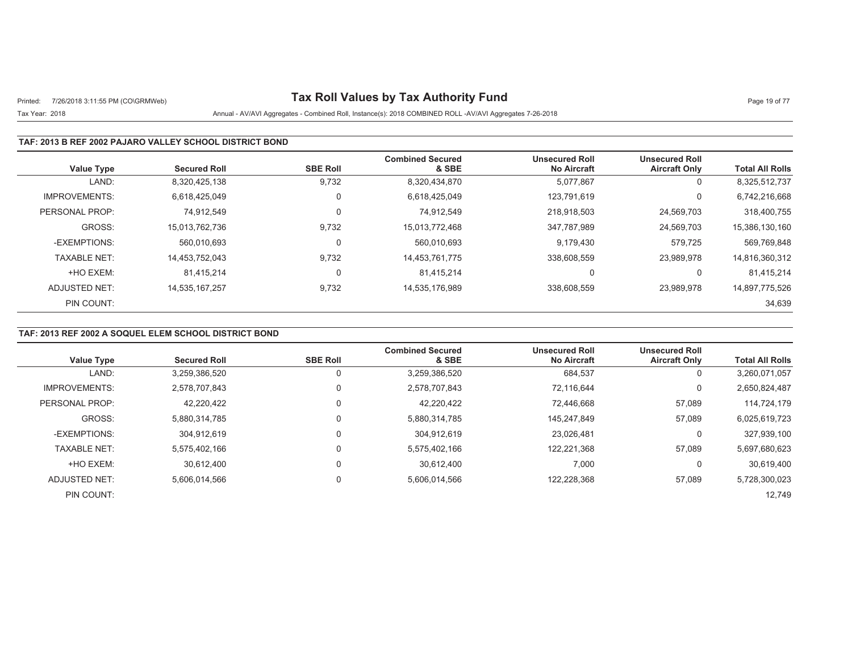# Printed: 7/26/2018 3:11:55 PM (CO\GRMWeb) **Tax Roll Values by Tax Authority Fund** Page 19 of 77

## Tax Year: 2018 Annual - AV/AVI Aggregates - Combined Roll, Instance(s): 2018 COMBINED ROLL -AV/AVI Aggregates 7-26-2018

### **TAF: 2013 B REF 2002 PAJARO VALLEY SCHOOL DISTRICT BOND**

| <b>Value Type</b>    | <b>Secured Roll</b> | <b>SBE Roll</b> | <b>Combined Secured</b><br>& SBE | <b>Unsecured Roll</b><br><b>No Aircraft</b> | <b>Unsecured Roll</b><br><b>Aircraft Only</b> | <b>Total All Rolls</b> |
|----------------------|---------------------|-----------------|----------------------------------|---------------------------------------------|-----------------------------------------------|------------------------|
| LAND:                | 8,320,425,138       | 9,732           | 8,320,434,870                    | 5,077,867                                   | 0                                             | 8,325,512,737          |
| <b>IMPROVEMENTS:</b> | 6.618.425.049       | $\mathbf 0$     | 6,618,425,049                    | 123.791.619                                 | 0                                             | 6,742,216,668          |
| PERSONAL PROP:       | 74.912.549          | $\mathbf 0$     | 74.912.549                       | 218,918,503                                 | 24,569,703                                    | 318,400,755            |
| GROSS:               | 15,013,762,736      | 9,732           | 15.013.772.468                   | 347.787.989                                 | 24,569,703                                    | 15,386,130,160         |
| -EXEMPTIONS:         | 560.010.693         | 0               | 560.010.693                      | 9.179.430                                   | 579.725                                       | 569,769,848            |
| <b>TAXABLE NET:</b>  | 14,453,752,043      | 9,732           | 14,453,761,775                   | 338,608,559                                 | 23,989,978                                    | 14,816,360,312         |
| +HO EXEM:            | 81.415.214          | 0               | 81.415.214                       |                                             | 0                                             | 81,415,214             |
| ADJUSTED NET:        | 14,535,167,257      | 9,732           | 14,535,176,989                   | 338,608,559                                 | 23.989.978                                    | 14,897,775,526         |
| PIN COUNT:           |                     |                 |                                  |                                             |                                               | 34,639                 |

## **TAF: 2013 REF 2002 A SOQUEL ELEM SCHOOL DISTRICT BOND**

| <b>Value Type</b>    | <b>Secured Roll</b> | <b>SBE Roll</b> | <b>Combined Secured</b><br>& SBE | <b>Unsecured Roll</b><br><b>No Aircraft</b> | <b>Unsecured Roll</b><br><b>Aircraft Only</b> | <b>Total All Rolls</b> |
|----------------------|---------------------|-----------------|----------------------------------|---------------------------------------------|-----------------------------------------------|------------------------|
| LAND:                | 3,259,386,520       | 0               | 3,259,386,520                    | 684,537                                     | 0                                             | 3,260,071,057          |
| <b>IMPROVEMENTS:</b> | 2.578.707.843       | $\Omega$        | 2,578,707,843                    | 72.116.644                                  | 0                                             | 2,650,824,487          |
| PERSONAL PROP:       | 42,220,422          | $\mathbf 0$     | 42.220.422                       | 72.446.668                                  | 57,089                                        | 114,724,179            |
| GROSS:               | 5.880.314.785       | $\Omega$        | 5,880,314,785                    | 145.247.849                                 | 57.089                                        | 6,025,619,723          |
| -EXEMPTIONS:         | 304.912.619         | $\Omega$        | 304.912.619                      | 23.026.481                                  | 0                                             | 327,939,100            |
| <b>TAXABLE NET:</b>  | 5,575,402,166       | $\Omega$        | 5,575,402,166                    | 122,221,368                                 | 57,089                                        | 5,697,680,623          |
| +HO EXEM:            | 30.612.400          | $\Omega$        | 30,612,400                       | 7,000                                       | 0                                             | 30,619,400             |
| ADJUSTED NET:        | 5,606,014,566       | $\mathbf 0$     | 5,606,014,566                    | 122,228,368                                 | 57,089                                        | 5,728,300,023          |
| PIN COUNT:           |                     |                 |                                  |                                             |                                               | 12,749                 |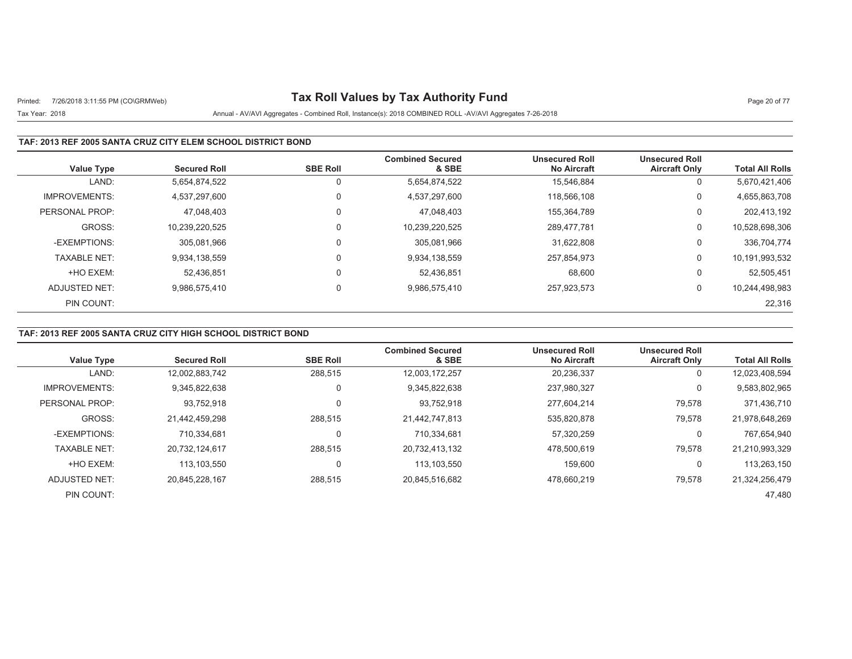# Printed: 7/26/2018 3:11:55 PM (CO\GRMWeb) **Tax Roll Values by Tax Authority Fund** Page 20 of 77

## Tax Year: 2018 Annual - AV/AVI Aggregates - Combined Roll, Instance(s): 2018 COMBINED ROLL -AV/AVI Aggregates 7-26-2018

### **TAF: 2013 REF 2005 SANTA CRUZ CITY ELEM SCHOOL DISTRICT BOND**

| <b>Value Type</b>    | <b>Secured Roll</b> | <b>SBE Roll</b> | <b>Combined Secured</b><br>& SBE | <b>Unsecured Roll</b><br><b>No Aircraft</b> | <b>Unsecured Roll</b><br><b>Aircraft Only</b> | <b>Total All Rolls</b> |
|----------------------|---------------------|-----------------|----------------------------------|---------------------------------------------|-----------------------------------------------|------------------------|
| LAND:                | 5,654,874,522       | 0               | 5,654,874,522                    | 15.546.884                                  | 0                                             | 5,670,421,406          |
| <b>IMPROVEMENTS:</b> | 4,537,297,600       | 0               | 4,537,297,600                    | 118.566.108                                 | 0                                             | 4,655,863,708          |
| PERSONAL PROP:       | 47.048.403          | 0               | 47.048.403                       | 155.364.789                                 | 0                                             | 202,413,192            |
| GROSS:               | 10.239.220.525      | 0               | 10,239,220,525                   | 289.477.781                                 | 0                                             | 10,528,698,306         |
| -EXEMPTIONS:         | 305,081,966         | 0               | 305,081,966                      | 31.622.808                                  | 0                                             | 336,704,774            |
| <b>TAXABLE NET:</b>  | 9,934,138,559       | $\mathbf 0$     | 9,934,138,559                    | 257,854,973                                 | 0                                             | 10,191,993,532         |
| +HO EXEM:            | 52.436.851          | 0               | 52,436,851                       | 68.600                                      | 0                                             | 52,505,451             |
| ADJUSTED NET:        | 9.986.575.410       | 0               | 9,986,575,410                    | 257,923,573                                 | 0                                             | 10,244,498,983         |
| PIN COUNT:           |                     |                 |                                  |                                             |                                               | 22,316                 |

## **TAF: 2013 REF 2005 SANTA CRUZ CITY HIGH SCHOOL DISTRICT BOND**

|                      |                     |                 | <b>Combined Secured</b> | <b>Unsecured Roll</b> | <b>Unsecured Roll</b> |                        |
|----------------------|---------------------|-----------------|-------------------------|-----------------------|-----------------------|------------------------|
| <b>Value Type</b>    | <b>Secured Roll</b> | <b>SBE Roll</b> | & SBE                   | <b>No Aircraft</b>    | <b>Aircraft Only</b>  | <b>Total All Rolls</b> |
| LAND:                | 12,002,883,742      | 288,515         | 12,003,172,257          | 20,236,337            | U                     | 12,023,408,594         |
| <b>IMPROVEMENTS:</b> | 9.345.822.638       | $\mathbf 0$     | 9,345,822,638           | 237,980,327           | υ                     | 9,583,802,965          |
| PERSONAL PROP:       | 93,752,918          | 0               | 93,752,918              | 277.604.214           | 79,578                | 371,436,710            |
| GROSS:               | 21.442.459.298      | 288.515         | 21,442,747,813          | 535.820.878           | 79,578                | 21.978.648.269         |
| -EXEMPTIONS:         | 710.334.681         | 0               | 710,334,681             | 57,320,259            | U                     | 767,654,940            |
| <b>TAXABLE NET:</b>  | 20.732.124.617      | 288.515         | 20,732,413,132          | 478.500.619           | 79,578                | 21,210,993,329         |
| +HO EXEM:            | 113.103.550         | 0               | 113,103,550             | 159.600               | U                     | 113,263,150            |
| ADJUSTED NET:        | 20.845.228.167      | 288,515         | 20,845,516,682          | 478.660.219           | 79,578                | 21,324,256,479         |
| PIN COUNT:           |                     |                 |                         |                       |                       | 47.480                 |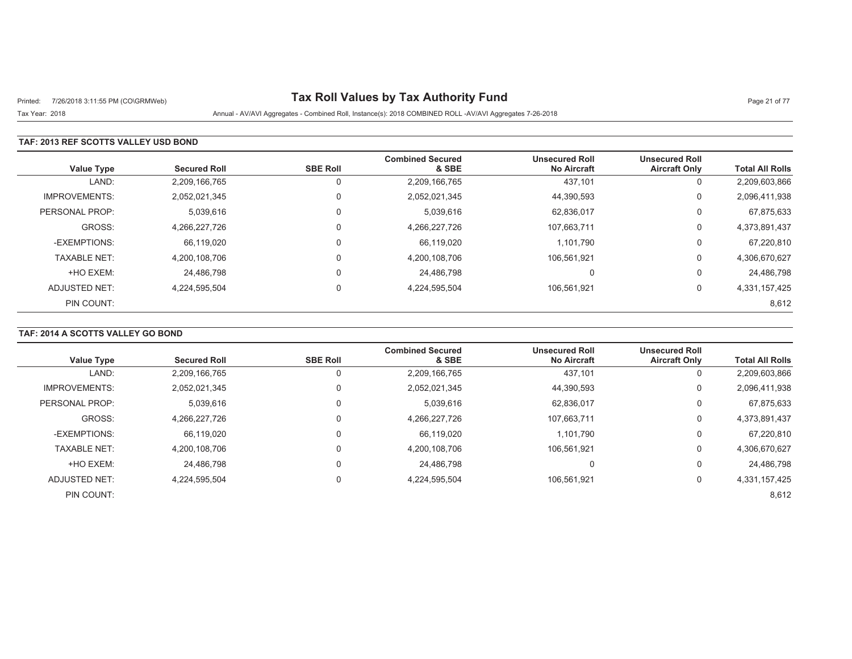# Printed: 7/26/2018 3:11:55 PM (CO\GRMWeb) **Tax Roll Values by Tax Authority Fund** Page 21 of 77

Tax Year: 2018 Annual - AV/AVI Aggregates - Combined Roll, Instance(s): 2018 COMBINED ROLL -AV/AVI Aggregates 7-26-2018

### **TAF: 2013 REF SCOTTS VALLEY USD BOND**

| <b>Value Type</b>    | <b>Secured Roll</b> | <b>SBE Roll</b> | <b>Combined Secured</b><br>& SBE | <b>Unsecured Roll</b><br><b>No Aircraft</b> | <b>Unsecured Roll</b><br><b>Aircraft Only</b> | <b>Total All Rolls</b> |
|----------------------|---------------------|-----------------|----------------------------------|---------------------------------------------|-----------------------------------------------|------------------------|
| LAND:                | 2,209,166,765       | 0               | 2,209,166,765                    | 437,101                                     | 0                                             | 2,209,603,866          |
| <b>IMPROVEMENTS:</b> | 2,052,021,345       | 0               | 2,052,021,345                    | 44,390,593                                  | 0                                             | 2,096,411,938          |
| PERSONAL PROP:       | 5,039,616           | $\mathbf 0$     | 5,039,616                        | 62,836,017                                  | 0                                             | 67,875,633             |
| GROSS:               | 4,266,227,726       | 0               | 4,266,227,726                    | 107,663,711                                 | 0                                             | 4,373,891,437          |
| -EXEMPTIONS:         | 66,119,020          | $\Omega$        | 66.119.020                       | 1.101.790                                   | 0                                             | 67,220,810             |
| <b>TAXABLE NET:</b>  | 4,200,108,706       | $\mathbf 0$     | 4,200,108,706                    | 106,561,921                                 | 0                                             | 4,306,670,627          |
| +HO EXEM:            | 24,486,798          | $\mathbf 0$     | 24,486,798                       | $\Omega$                                    | 0                                             | 24,486,798             |
| ADJUSTED NET:        | 4.224.595.504       | $\mathbf 0$     | 4,224,595,504                    | 106.561.921                                 | 0                                             | 4,331,157,425          |
| PIN COUNT:           |                     |                 |                                  |                                             |                                               | 8,612                  |

## **TAF: 2014 A SCOTTS VALLEY GO BOND**

| <b>Value Type</b>    | <b>Secured Roll</b> | <b>SBE Roll</b> | <b>Combined Secured</b><br>& SBE | <b>Unsecured Roll</b><br><b>No Aircraft</b> | <b>Unsecured Roll</b><br><b>Aircraft Only</b> | <b>Total All Rolls</b> |
|----------------------|---------------------|-----------------|----------------------------------|---------------------------------------------|-----------------------------------------------|------------------------|
| LAND:                | 2,209,166,765       |                 | 2,209,166,765                    | 437,101                                     | 0                                             | 2,209,603,866          |
| <b>IMPROVEMENTS:</b> | 2,052,021,345       |                 | 2,052,021,345                    | 44,390,593                                  | 0                                             | 2,096,411,938          |
| PERSONAL PROP:       | 5,039,616           |                 | 5,039,616                        | 62,836,017                                  | 0                                             | 67,875,633             |
| GROSS:               | 4.266.227.726       |                 | 4,266,227,726                    | 107.663.711                                 | 0                                             | 4,373,891,437          |
| -EXEMPTIONS:         | 66,119,020          |                 | 66,119,020                       | 1,101,790                                   | 0                                             | 67,220,810             |
| <b>TAXABLE NET:</b>  | 4.200.108.706       |                 | 4,200,108,706                    | 106.561.921                                 | 0                                             | 4,306,670,627          |
| +HO EXEM:            | 24.486.798          |                 | 24.486.798                       | υ                                           | $\Omega$                                      | 24,486,798             |
| ADJUSTED NET:        | 4,224,595,504       |                 | 4,224,595,504                    | 106.561.921                                 | 0                                             | 4,331,157,425          |
| PIN COUNT:           |                     |                 |                                  |                                             |                                               | 8,612                  |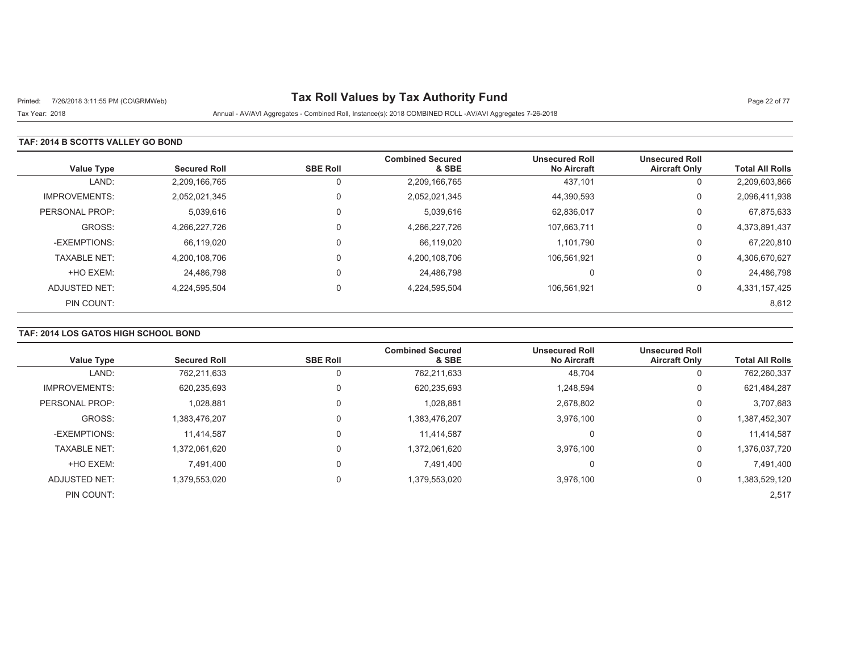# Printed: 7/26/2018 3:11:55 PM (CO\GRMWeb) **Tax Roll Values by Tax Authority Fund** Page 22 of 77

Tax Year: 2018 Annual - AV/AVI Aggregates - Combined Roll, Instance(s): 2018 COMBINED ROLL -AV/AVI Aggregates 7-26-2018

### **TAF: 2014 B SCOTTS VALLEY GO BOND**

| <b>Value Type</b>    | <b>Secured Roll</b> | <b>SBE Roll</b> | <b>Combined Secured</b><br>& SBE | <b>Unsecured Roll</b><br><b>No Aircraft</b> | <b>Unsecured Roll</b><br><b>Aircraft Only</b> | <b>Total All Rolls</b> |
|----------------------|---------------------|-----------------|----------------------------------|---------------------------------------------|-----------------------------------------------|------------------------|
| LAND:                | 2,209,166,765       |                 | 2,209,166,765                    | 437,101                                     | 0                                             | 2,209,603,866          |
| <b>IMPROVEMENTS:</b> | 2,052,021,345       |                 | 2,052,021,345                    | 44,390,593                                  | 0                                             | 2,096,411,938          |
| PERSONAL PROP:       | 5,039,616           |                 | 5,039,616                        | 62,836,017                                  | 0                                             | 67,875,633             |
| GROSS:               | 4,266,227,726       |                 | 4,266,227,726                    | 107,663,711                                 | 0                                             | 4,373,891,437          |
| -EXEMPTIONS:         | 66,119,020          |                 | 66,119,020                       | 1.101.790                                   | 0                                             | 67,220,810             |
| <b>TAXABLE NET:</b>  | 4,200,108,706       |                 | 4,200,108,706                    | 106,561,921                                 | 0                                             | 4,306,670,627          |
| +HO EXEM:            | 24,486,798          |                 | 24,486,798                       | $\Omega$                                    | 0                                             | 24,486,798             |
| ADJUSTED NET:        | 4,224,595,504       |                 | 4,224,595,504                    | 106,561,921                                 | 0                                             | 4,331,157,425          |
| PIN COUNT:           |                     |                 |                                  |                                             |                                               | 8,612                  |

## **TAF: 2014 LOS GATOS HIGH SCHOOL BOND**

| <b>Value Type</b>    | <b>Secured Roll</b> | <b>SBE Roll</b> | <b>Combined Secured</b><br>& SBE | <b>Unsecured Roll</b><br><b>No Aircraft</b> | <b>Unsecured Roll</b><br><b>Aircraft Only</b> | <b>Total All Rolls</b> |
|----------------------|---------------------|-----------------|----------------------------------|---------------------------------------------|-----------------------------------------------|------------------------|
|                      |                     |                 |                                  |                                             |                                               |                        |
| LAND:                | 762,211,633         | O               | 762,211,633                      | 48,704                                      | 0                                             | 762,260,337            |
| <b>IMPROVEMENTS:</b> | 620,235,693         | 0               | 620,235,693                      | 1,248,594                                   | 0                                             | 621,484,287            |
| PERSONAL PROP:       | 1,028,881           | 0               | 1,028,881                        | 2,678,802                                   | 0                                             | 3,707,683              |
| GROSS:               | 1,383,476,207       | 0               | 1,383,476,207                    | 3,976,100                                   | 0                                             | 1,387,452,307          |
| -EXEMPTIONS:         | 11,414,587          | 0               | 11.414.587                       | 0                                           | 0                                             | 11,414,587             |
| <b>TAXABLE NET:</b>  | 1.372.061.620       | 0               | 1,372,061,620                    | 3.976.100                                   | 0                                             | 1,376,037,720          |
| +HO EXEM:            | 7.491.400           | $\Omega$        | 7.491.400                        | 0                                           | 0                                             | 7.491.400              |
| ADJUSTED NET:        | 1,379,553,020       | $\mathbf 0$     | 1,379,553,020                    | 3,976,100                                   | 0                                             | 1,383,529,120          |
| PIN COUNT:           |                     |                 |                                  |                                             |                                               | 2,517                  |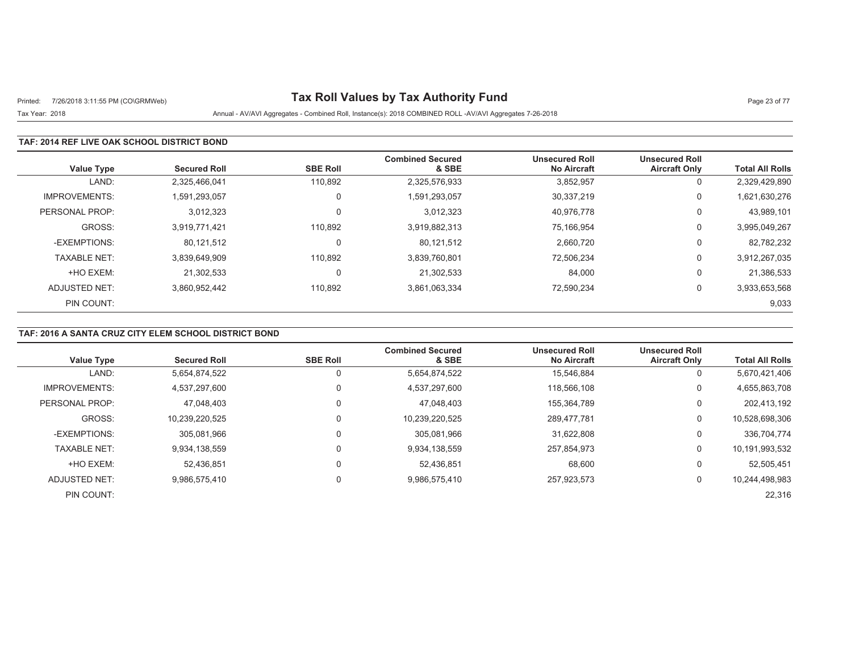# Printed: 7/26/2018 3:11:55 PM (CO\GRMWeb) **Tax Roll Values by Tax Authority Fund** Page 23 of 77

#### Tax Year: 2018 Annual - AV/AVI Aggregates - Combined Roll, Instance(s): 2018 COMBINED ROLL -AV/AVI Aggregates 7-26-2018

### **TAF: 2014 REF LIVE OAK SCHOOL DISTRICT BOND**

| <b>Value Type</b>    | <b>Secured Roll</b> | <b>SBE Roll</b> | <b>Combined Secured</b><br>& SBE | <b>Unsecured Roll</b><br><b>No Aircraft</b> | <b>Unsecured Roll</b><br><b>Aircraft Only</b> | <b>Total All Rolls</b> |
|----------------------|---------------------|-----------------|----------------------------------|---------------------------------------------|-----------------------------------------------|------------------------|
| LAND:                | 2,325,466,041       | 110,892         | 2,325,576,933                    | 3,852,957                                   | 0                                             | 2,329,429,890          |
| <b>IMPROVEMENTS:</b> | 1,591,293,057       | $\Omega$        | 1,591,293,057                    | 30,337,219                                  | 0                                             | 1,621,630,276          |
| PERSONAL PROP:       | 3,012,323           |                 | 3.012.323                        | 40,976,778                                  | 0                                             | 43,989,101             |
| GROSS:               | 3,919,771,421       | 110.892         | 3,919,882,313                    | 75,166,954                                  | 0                                             | 3,995,049,267          |
| -EXEMPTIONS:         | 80,121,512          |                 | 80,121,512                       | 2,660,720                                   | 0                                             | 82,782,232             |
| <b>TAXABLE NET:</b>  | 3,839,649,909       | 110,892         | 3,839,760,801                    | 72,506,234                                  | 0                                             | 3,912,267,035          |
| +HO EXEM:            | 21.302.533          |                 | 21.302.533                       | 84,000                                      | 0                                             | 21,386,533             |
| ADJUSTED NET:        | 3,860,952,442       | 110,892         | 3,861,063,334                    | 72,590,234                                  | $\mathbf 0$                                   | 3,933,653,568          |
| PIN COUNT:           |                     |                 |                                  |                                             |                                               | 9,033                  |

## **TAF: 2016 A SANTA CRUZ CITY ELEM SCHOOL DISTRICT BOND**

|                      |                     |                 | <b>Combined Secured</b> | <b>Unsecured Roll</b> | <b>Unsecured Roll</b> |                        |
|----------------------|---------------------|-----------------|-------------------------|-----------------------|-----------------------|------------------------|
| <b>Value Type</b>    | <b>Secured Roll</b> | <b>SBE Roll</b> | & SBE                   | <b>No Aircraft</b>    | <b>Aircraft Only</b>  | <b>Total All Rolls</b> |
| LAND:                | 5,654,874,522       | 0               | 5,654,874,522           | 15.546.884            | υ                     | 5,670,421,406          |
| <b>IMPROVEMENTS:</b> | 4,537,297,600       | 0               | 4,537,297,600           | 118.566.108           | 0                     | 4,655,863,708          |
| PERSONAL PROP:       | 47,048,403          | 0               | 47,048,403              | 155.364.789           | υ                     | 202,413,192            |
| GROSS:               | 10,239,220,525      | 0               | 10,239,220,525          | 289.477.781           | 0                     | 10,528,698,306         |
| -EXEMPTIONS:         | 305,081,966         | $\mathbf 0$     | 305,081,966             | 31,622,808            | 0                     | 336,704,774            |
| <b>TAXABLE NET:</b>  | 9.934.138.559       | $\Omega$        | 9,934,138,559           | 257.854.973           | 0                     | 10,191,993,532         |
| +HO EXEM:            | 52.436.851          | 0               | 52.436.851              | 68,600                | υ                     | 52,505,451             |
| ADJUSTED NET:        | 9.986.575.410       | $\mathbf 0$     | 9,986,575,410           | 257,923,573           | 0                     | 10,244,498,983         |
| PIN COUNT:           |                     |                 |                         |                       |                       | 22,316                 |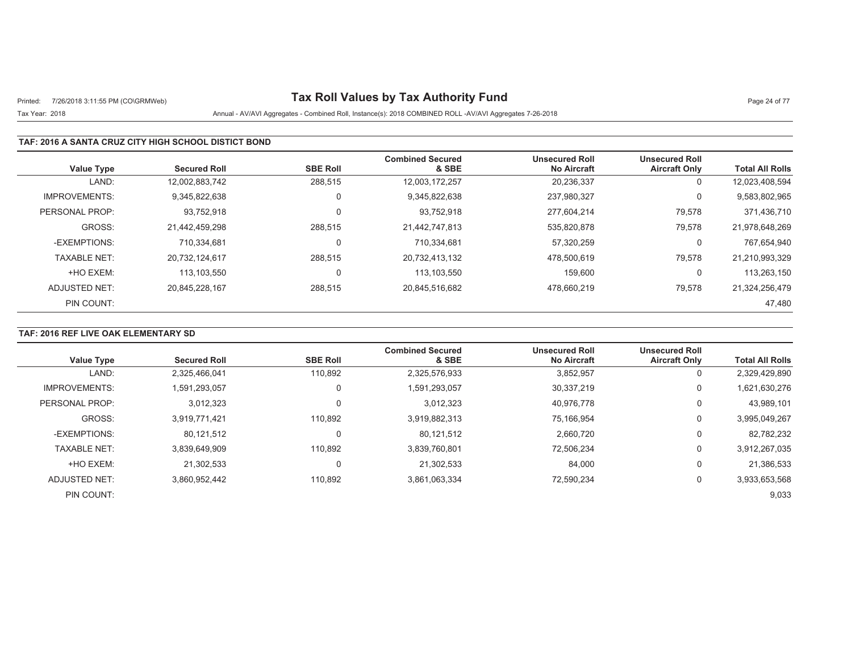# Printed: 7/26/2018 3:11:55 PM (CO\GRMWeb) **Tax Roll Values by Tax Authority Fund** Page 24 of 77

## Tax Year: 2018 Annual - AV/AVI Aggregates - Combined Roll, Instance(s): 2018 COMBINED ROLL -AV/AVI Aggregates 7-26-2018

### **TAF: 2016 A SANTA CRUZ CITY HIGH SCHOOL DISTICT BOND**

| <b>Value Type</b>    | <b>Secured Roll</b> | <b>SBE Roll</b> | <b>Combined Secured</b><br>& SBE | <b>Unsecured Roll</b><br><b>No Aircraft</b> | <b>Unsecured Roll</b><br><b>Aircraft Only</b> | <b>Total All Rolls</b> |
|----------------------|---------------------|-----------------|----------------------------------|---------------------------------------------|-----------------------------------------------|------------------------|
| LAND:                | 12,002,883,742      | 288,515         | 12,003,172,257                   | 20,236,337                                  | 0                                             | 12,023,408,594         |
| <b>IMPROVEMENTS:</b> | 9.345.822.638       | 0               | 9,345,822,638                    | 237,980,327                                 | 0                                             | 9,583,802,965          |
| PERSONAL PROP:       | 93.752.918          | 0               | 93,752,918                       | 277.604.214                                 | 79,578                                        | 371,436,710            |
| GROSS:               | 21,442,459,298      | 288,515         | 21,442,747,813                   | 535.820.878                                 | 79,578                                        | 21,978,648,269         |
| -EXEMPTIONS:         | 710.334.681         | 0               | 710.334.681                      | 57.320.259                                  | 0                                             | 767,654,940            |
| <b>TAXABLE NET:</b>  | 20,732,124,617      | 288,515         | 20,732,413,132                   | 478,500,619                                 | 79,578                                        | 21,210,993,329         |
| +HO EXEM:            | 113.103.550         | 0               | 113,103,550                      | 159.600                                     | 0                                             | 113,263,150            |
| ADJUSTED NET:        | 20.845.228.167      | 288,515         | 20,845,516,682                   | 478.660.219                                 | 79,578                                        | 21,324,256,479         |
| PIN COUNT:           |                     |                 |                                  |                                             |                                               | 47,480                 |

## **TAF: 2016 REF LIVE OAK ELEMENTARY SD**

| <b>Value Type</b>    | <b>Secured Roll</b> | <b>SBE Roll</b> | <b>Combined Secured</b><br>& SBE | <b>Unsecured Roll</b><br><b>No Aircraft</b> | <b>Unsecured Roll</b><br><b>Aircraft Only</b> | <b>Total All Rolls</b> |
|----------------------|---------------------|-----------------|----------------------------------|---------------------------------------------|-----------------------------------------------|------------------------|
| LAND:                | 2,325,466,041       | 110,892         | 2,325,576,933                    | 3,852,957                                   | 0                                             | 2,329,429,890          |
|                      |                     |                 |                                  |                                             |                                               |                        |
| <b>IMPROVEMENTS:</b> | .591.293.057        | $\Omega$        | 1,591,293,057                    | 30,337,219                                  | 0                                             | 1,621,630,276          |
| PERSONAL PROP:       | 3,012,323           | $\mathbf 0$     | 3,012,323                        | 40,976,778                                  | 0                                             | 43,989,101             |
| GROSS:               | 3.919.771.421       | 110.892         | 3,919,882,313                    | 75.166.954                                  | 0                                             | 3,995,049,267          |
| -EXEMPTIONS:         | 80,121,512          | $\Omega$        | 80,121,512                       | 2,660,720                                   | 0                                             | 82,782,232             |
| <b>TAXABLE NET:</b>  | 3.839.649.909       | 110.892         | 3,839,760,801                    | 72.506.234                                  | 0                                             | 3,912,267,035          |
| +HO EXEM:            | 21.302.533          | 0               | 21,302,533                       | 84,000                                      | 0                                             | 21,386,533             |
| ADJUSTED NET:        | 3.860.952.442       | 110,892         | 3,861,063,334                    | 72,590,234                                  | 0                                             | 3,933,653,568          |
| PIN COUNT:           |                     |                 |                                  |                                             |                                               | 9,033                  |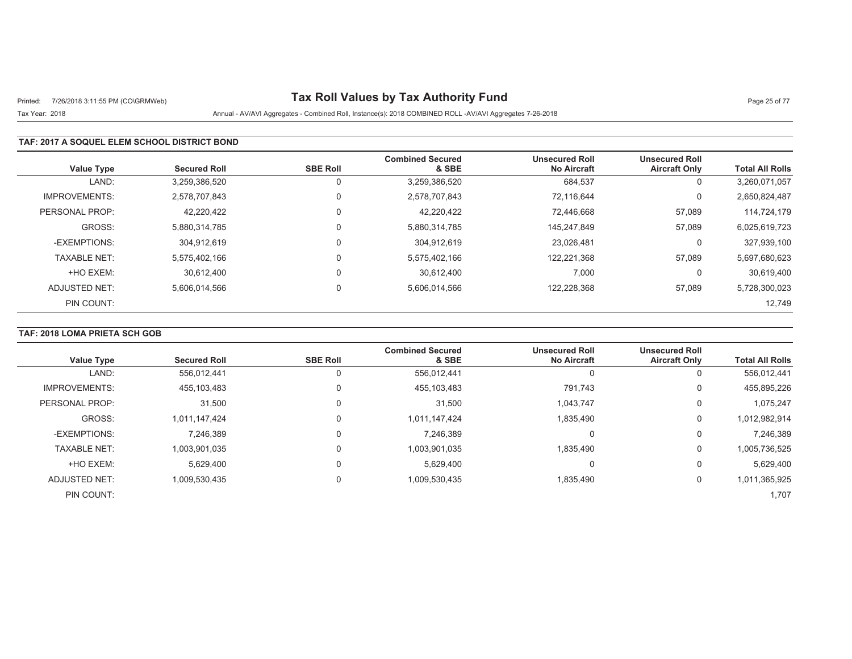# Printed: 7/26/2018 3:11:55 PM (CO\GRMWeb) **Tax Roll Values by Tax Authority Fund** Page 25 of 77

## Tax Year: 2018 Annual - AV/AVI Aggregates - Combined Roll, Instance(s): 2018 COMBINED ROLL -AV/AVI Aggregates 7-26-2018

### **TAF: 2017 A SOQUEL ELEM SCHOOL DISTRICT BOND**

| <b>Value Type</b>    | <b>Secured Roll</b> | <b>SBE Roll</b> | <b>Combined Secured</b><br>& SBE | <b>Unsecured Roll</b><br><b>No Aircraft</b> | <b>Unsecured Roll</b><br><b>Aircraft Only</b> | <b>Total All Rolls</b> |
|----------------------|---------------------|-----------------|----------------------------------|---------------------------------------------|-----------------------------------------------|------------------------|
| LAND:                | 3,259,386,520       |                 | 3,259,386,520                    | 684,537                                     | 0                                             | 3,260,071,057          |
| <b>IMPROVEMENTS:</b> | 2.578.707.843       | $\Omega$        | 2,578,707,843                    | 72.116.644                                  | 0                                             | 2,650,824,487          |
| PERSONAL PROP:       | 42,220,422          |                 | 42,220,422                       | 72.446.668                                  | 57,089                                        | 114,724,179            |
| GROSS:               | 5.880.314.785       | $\Omega$        | 5,880,314,785                    | 145.247.849                                 | 57,089                                        | 6,025,619,723          |
| -EXEMPTIONS:         | 304.912.619         |                 | 304,912,619                      | 23.026.481                                  | 0                                             | 327,939,100            |
| <b>TAXABLE NET:</b>  | 5,575,402,166       | $\Omega$        | 5,575,402,166                    | 122,221,368                                 | 57,089                                        | 5,697,680,623          |
| +HO EXEM:            | 30.612.400          | $\Omega$        | 30.612.400                       | 7,000                                       | 0                                             | 30,619,400             |
| ADJUSTED NET:        | 5,606,014,566       |                 | 5,606,014,566                    | 122,228,368                                 | 57,089                                        | 5,728,300,023          |
| PIN COUNT:           |                     |                 |                                  |                                             |                                               | 12.749                 |

## **TAF: 2018 LOMA PRIETA SCH GOB**

| <b>Value Type</b>    | <b>Secured Roll</b> | <b>SBE Roll</b> | <b>Combined Secured</b><br>& SBE | <b>Unsecured Roll</b><br><b>No Aircraft</b> | <b>Unsecured Roll</b><br><b>Aircraft Only</b> | <b>Total All Rolls</b> |
|----------------------|---------------------|-----------------|----------------------------------|---------------------------------------------|-----------------------------------------------|------------------------|
|                      |                     |                 |                                  |                                             |                                               |                        |
| LAND:                | 556,012,441         |                 | 556,012,441                      | 0                                           |                                               | 556,012,441            |
| <b>IMPROVEMENTS:</b> | 455,103,483         |                 | 455,103,483                      | 791,743                                     | 0                                             | 455,895,226            |
| PERSONAL PROP:       | 31,500              |                 | 31,500                           | 1,043,747                                   | 0                                             | 1,075,247              |
| GROSS:               | 1,011,147,424       |                 | 1,011,147,424                    | 1,835,490                                   | $\Omega$                                      | 1,012,982,914          |
| -EXEMPTIONS:         | 7,246,389           |                 | 7,246,389                        | 0                                           | 0                                             | 7,246,389              |
| <b>TAXABLE NET:</b>  | 1,003,901,035       |                 | 1,003,901,035                    | 1.835.490                                   | 0                                             | 1,005,736,525          |
| +HO EXEM:            | 5,629,400           |                 | 5.629.400                        | $\Omega$                                    | 0                                             | 5,629,400              |
| ADJUSTED NET:        | 1,009,530,435       |                 | 1,009,530,435                    | 1,835,490                                   | 0                                             | 1,011,365,925          |
| PIN COUNT:           |                     |                 |                                  |                                             |                                               | 1,707                  |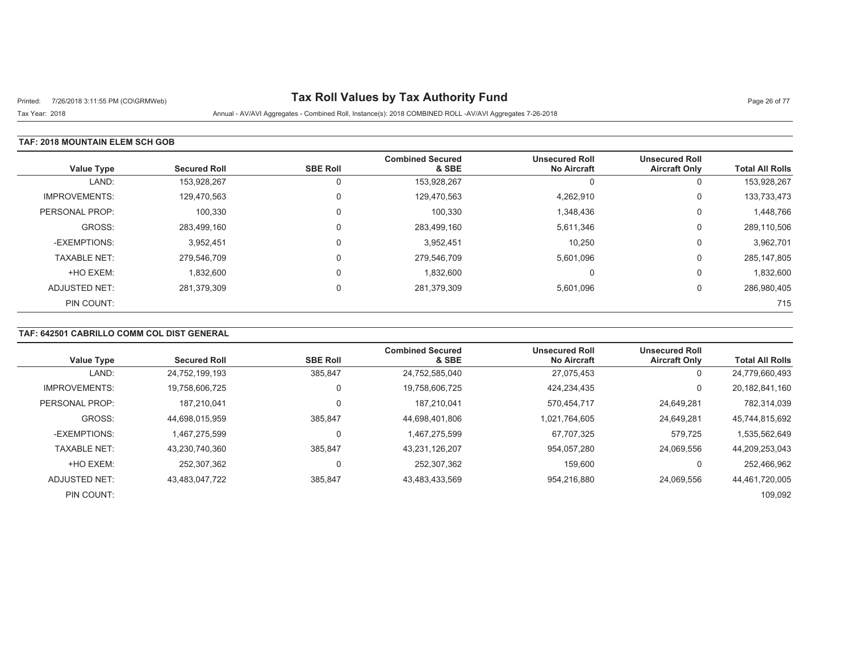# Printed: 7/26/2018 3:11:55 PM (CO\GRMWeb) **Tax Roll Values by Tax Authority Fund** Page 26 of 77

Tax Year: 2018 Annual - AV/AVI Aggregates - Combined Roll, Instance(s): 2018 COMBINED ROLL -AV/AVI Aggregates 7-26-2018

### **TAF: 2018 MOUNTAIN ELEM SCH GOB**

| <b>Value Type</b>    | <b>Secured Roll</b> | <b>SBE Roll</b> | <b>Combined Secured</b><br>& SBE | <b>Unsecured Roll</b><br><b>No Aircraft</b> | <b>Unsecured Roll</b><br><b>Aircraft Only</b> | <b>Total All Rolls</b> |
|----------------------|---------------------|-----------------|----------------------------------|---------------------------------------------|-----------------------------------------------|------------------------|
| LAND:                | 153,928,267         | 0               | 153,928,267                      | $\Omega$                                    | Ü                                             | 153,928,267            |
| <b>IMPROVEMENTS:</b> | 129,470,563         | 0               | 129,470,563                      | 4,262,910                                   | 0                                             | 133,733,473            |
| PERSONAL PROP:       | 100,330             | 0               | 100,330                          | 1,348,436                                   | 0                                             | 1,448,766              |
| GROSS:               | 283,499,160         | 0               | 283,499,160                      | 5,611,346                                   | 0                                             | 289,110,506            |
| -EXEMPTIONS:         | 3,952,451           | $\Omega$        | 3,952,451                        | 10,250                                      | 0                                             | 3,962,701              |
| <b>TAXABLE NET:</b>  | 279.546.709         | 0               | 279,546,709                      | 5,601,096                                   | 0                                             | 285, 147, 805          |
| +HO EXEM:            | 1,832,600           | 0               | 1,832,600                        | $\Omega$                                    | 0                                             | 1,832,600              |
| ADJUSTED NET:        | 281,379,309         | $\Omega$        | 281,379,309                      | 5,601,096                                   | 0                                             | 286,980,405            |
| PIN COUNT:           |                     |                 |                                  |                                             |                                               | 715                    |

## **TAF: 642501 CABRILLO COMM COL DIST GENERAL**

| <b>Value Type</b>    | <b>Secured Roll</b> | <b>SBE Roll</b> | <b>Combined Secured</b><br>& SBE | <b>Unsecured Roll</b><br><b>No Aircraft</b> | <b>Unsecured Roll</b><br><b>Aircraft Only</b> | <b>Total All Rolls</b> |
|----------------------|---------------------|-----------------|----------------------------------|---------------------------------------------|-----------------------------------------------|------------------------|
| LAND:                | 24,752,199,193      | 385,847         | 24,752,585,040                   | 27,075,453                                  | υ                                             | 24,779,660,493         |
| <b>IMPROVEMENTS:</b> | 19,758,606,725      |                 | 19,758,606,725                   | 424,234,435                                 | $\Omega$                                      | 20,182,841,160         |
| PERSONAL PROP:       | 187.210.041         |                 | 187.210.041                      | 570,454,717                                 | 24,649,281                                    | 782,314,039            |
| GROSS:               | 44.698.015.959      | 385.847         | 44,698,401,806                   | 1.021.764.605                               | 24.649.281                                    | 45,744,815,692         |
| -EXEMPTIONS:         | 1,467,275,599       |                 | 1,467,275,599                    | 67,707,325                                  | 579,725                                       | 1,535,562,649          |
| <b>TAXABLE NET:</b>  | 43.230.740.360      | 385.847         | 43,231,126,207                   | 954.057.280                                 | 24,069,556                                    | 44,209,253,043         |
| +HO EXEM:            | 252.307.362         |                 | 252,307,362                      | 159,600                                     |                                               | 252,466,962            |
| ADJUSTED NET:        | 43.483.047.722      | 385,847         | 43,483,433,569                   | 954.216.880                                 | 24.069.556                                    | 44,461,720,005         |
| PIN COUNT:           |                     |                 |                                  |                                             |                                               | 109,092                |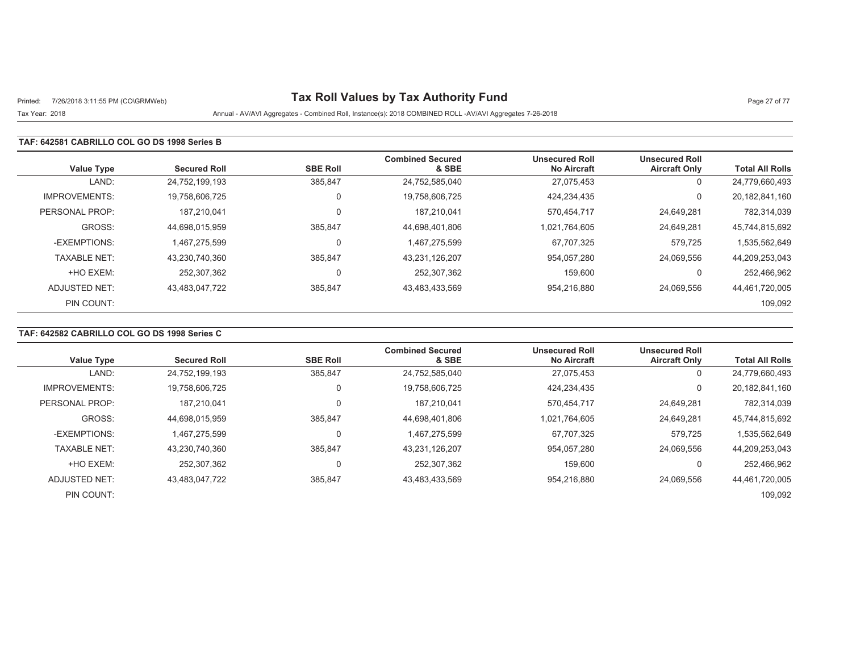# Printed: 7/26/2018 3:11:55 PM (CO\GRMWeb) **Tax Roll Values by Tax Authority Fund** Page 27 of 77

### Tax Year: 2018 Annual - AV/AVI Aggregates - Combined Roll, Instance(s): 2018 COMBINED ROLL -AV/AVI Aggregates 7-26-2018

### **TAF: 642581 CABRILLO COL GO DS 1998 Series B**

| <b>Value Type</b>    | <b>Secured Roll</b> | <b>SBE Roll</b> | <b>Combined Secured</b><br>& SBE | <b>Unsecured Roll</b><br><b>No Aircraft</b> | <b>Unsecured Roll</b><br><b>Aircraft Only</b> | <b>Total All Rolls</b> |
|----------------------|---------------------|-----------------|----------------------------------|---------------------------------------------|-----------------------------------------------|------------------------|
| LAND:                | 24,752,199,193      | 385,847         | 24,752,585,040                   | 27,075,453                                  | 0                                             | 24,779,660,493         |
| <b>IMPROVEMENTS:</b> | 19,758,606,725      |                 | 19,758,606,725                   | 424,234,435                                 |                                               | 20,182,841,160         |
| PERSONAL PROP:       | 187.210.041         |                 | 187,210,041                      | 570,454,717                                 | 24,649,281                                    | 782,314,039            |
| GROSS:               | 44,698,015,959      | 385,847         | 44,698,401,806                   | 1,021,764,605                               | 24,649,281                                    | 45,744,815,692         |
| -EXEMPTIONS:         | 1.467.275.599       |                 | 1,467,275,599                    | 67,707,325                                  | 579,725                                       | 1,535,562,649          |
| <b>TAXABLE NET:</b>  | 43,230,740,360      | 385,847         | 43,231,126,207                   | 954,057,280                                 | 24,069,556                                    | 44,209,253,043         |
| +HO EXEM:            | 252,307,362         |                 | 252,307,362                      | 159,600                                     |                                               | 252,466,962            |
| ADJUSTED NET:        | 43,483,047,722      | 385,847         | 43,483,433,569                   | 954,216,880                                 | 24,069,556                                    | 44,461,720,005         |
| PIN COUNT:           |                     |                 |                                  |                                             |                                               | 109,092                |

## **TAF: 642582 CABRILLO COL GO DS 1998 Series C**

|                      |                     |                 | <b>Combined Secured</b> | <b>Unsecured Roll</b> | <b>Unsecured Roll</b> |                        |
|----------------------|---------------------|-----------------|-------------------------|-----------------------|-----------------------|------------------------|
| <b>Value Type</b>    | <b>Secured Roll</b> | <b>SBE Roll</b> | & SBE                   | <b>No Aircraft</b>    | <b>Aircraft Only</b>  | <b>Total All Rolls</b> |
| LAND:                | 24,752,199,193      | 385,847         | 24,752,585,040          | 27,075,453            | 0                     | 24,779,660,493         |
| <b>IMPROVEMENTS:</b> | 19.758.606.725      |                 | 19,758,606,725          | 424.234.435           | 0                     | 20,182,841,160         |
| PERSONAL PROP:       | 187.210.041         |                 | 187,210,041             | 570,454,717           | 24,649,281            | 782,314,039            |
| GROSS:               | 44.698.015.959      | 385.847         | 44.698.401.806          | 1.021.764.605         | 24.649.281            | 45.744.815.692         |
| -EXEMPTIONS:         | 1,467,275,599       |                 | 1,467,275,599           | 67,707,325            | 579,725               | 1,535,562,649          |
| <b>TAXABLE NET:</b>  | 43.230.740.360      | 385.847         | 43,231,126,207          | 954.057.280           | 24.069.556            | 44,209,253,043         |
| +HO EXEM:            | 252.307.362         |                 | 252,307,362             | 159,600               |                       | 252,466,962            |
| ADJUSTED NET:        | 43,483,047,722      | 385,847         | 43,483,433,569          | 954,216,880           | 24.069.556            | 44,461,720,005         |
| PIN COUNT:           |                     |                 |                         |                       |                       | 109,092                |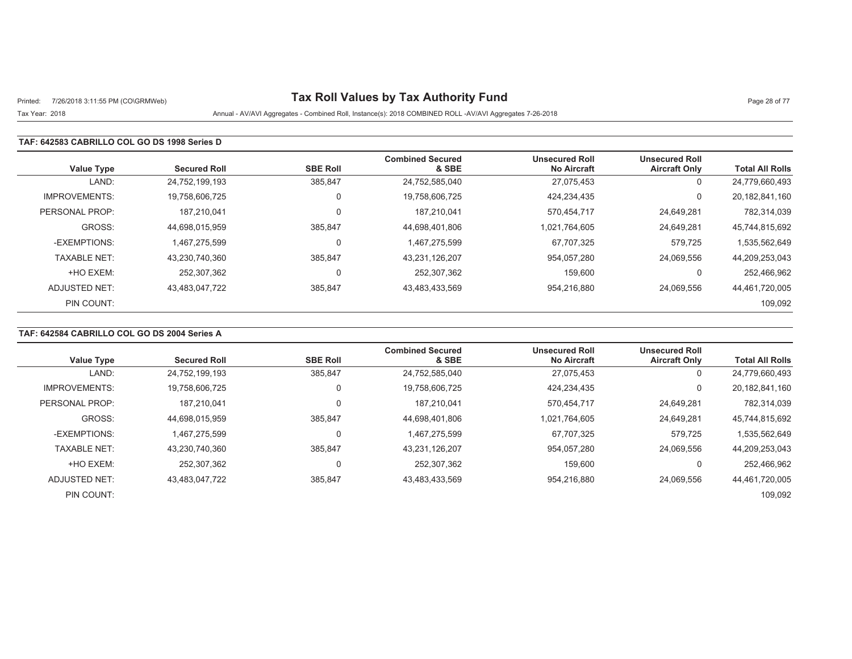# Printed: 7/26/2018 3:11:55 PM (CO\GRMWeb) **Tax Roll Values by Tax Authority Fund** Page 28 of 77

#### Tax Year: 2018 Annual - AV/AVI Aggregates - Combined Roll, Instance(s): 2018 COMBINED ROLL -AV/AVI Aggregates 7-26-2018

#### **TAF: 642583 CABRILLO COL GO DS 1998 Series D**

| <b>Value Type</b>    | <b>Secured Roll</b> | <b>SBE Roll</b> | <b>Combined Secured</b><br>& SBE | <b>Unsecured Roll</b><br><b>No Aircraft</b> | <b>Unsecured Roll</b><br><b>Aircraft Only</b> | <b>Total All Rolls</b> |
|----------------------|---------------------|-----------------|----------------------------------|---------------------------------------------|-----------------------------------------------|------------------------|
| LAND:                | 24,752,199,193      | 385,847         | 24,752,585,040                   | 27,075,453                                  | U                                             | 24,779,660,493         |
| <b>IMPROVEMENTS:</b> | 19,758,606,725      |                 | 19,758,606,725                   | 424,234,435                                 | 0                                             | 20, 182, 841, 160      |
| PERSONAL PROP:       | 187.210.041         |                 | 187,210,041                      | 570.454.717                                 | 24,649,281                                    | 782,314,039            |
| GROSS:               | 44,698,015,959      | 385,847         | 44,698,401,806                   | 1,021,764,605                               | 24,649,281                                    | 45,744,815,692         |
| -EXEMPTIONS:         | 1.467.275.599       |                 | 1,467,275,599                    | 67.707.325                                  | 579.725                                       | 1,535,562,649          |
| <b>TAXABLE NET:</b>  | 43,230,740,360      | 385,847         | 43,231,126,207                   | 954,057,280                                 | 24,069,556                                    | 44,209,253,043         |
| +HO EXEM:            | 252.307.362         |                 | 252,307,362                      | 159.600                                     |                                               | 252,466,962            |
| ADJUSTED NET:        | 43,483,047,722      | 385,847         | 43,483,433,569                   | 954.216.880                                 | 24.069.556                                    | 44,461,720,005         |
| PIN COUNT:           |                     |                 |                                  |                                             |                                               | 109,092                |

## **TAF: 642584 CABRILLO COL GO DS 2004 Series A**

| <b>Value Type</b>    | <b>Secured Roll</b> | <b>SBE Roll</b> | <b>Combined Secured</b><br>& SBE | <b>Unsecured Roll</b><br><b>No Aircraft</b> | <b>Unsecured Roll</b><br><b>Aircraft Only</b> | <b>Total All Rolls</b> |
|----------------------|---------------------|-----------------|----------------------------------|---------------------------------------------|-----------------------------------------------|------------------------|
| LAND:                | 24,752,199,193      | 385,847         | 24,752,585,040                   | 27,075,453                                  | υ                                             | 24,779,660,493         |
| <b>IMPROVEMENTS:</b> | 19,758,606,725      |                 | 19,758,606,725                   | 424,234,435                                 | 0                                             | 20,182,841,160         |
| PERSONAL PROP:       | 187.210.041         |                 | 187,210,041                      | 570.454.717                                 | 24,649,281                                    | 782,314,039            |
| GROSS:               | 44.698.015.959      | 385.847         | 44,698,401,806                   | 1.021.764.605                               | 24.649.281                                    | 45,744,815,692         |
| -EXEMPTIONS:         | 1.467.275.599       | $\Omega$        | 1,467,275,599                    | 67,707,325                                  | 579,725                                       | 1,535,562,649          |
| <b>TAXABLE NET:</b>  | 43.230.740.360      | 385.847         | 43,231,126,207                   | 954.057.280                                 | 24.069.556                                    | 44,209,253,043         |
| +HO EXEM:            | 252.307.362         |                 | 252,307,362                      | 159,600                                     |                                               | 252,466,962            |
| ADJUSTED NET:        | 43.483.047.722      | 385,847         | 43,483,433,569                   | 954.216.880                                 | 24.069.556                                    | 44,461,720,005         |
| PIN COUNT:           |                     |                 |                                  |                                             |                                               | 109,092                |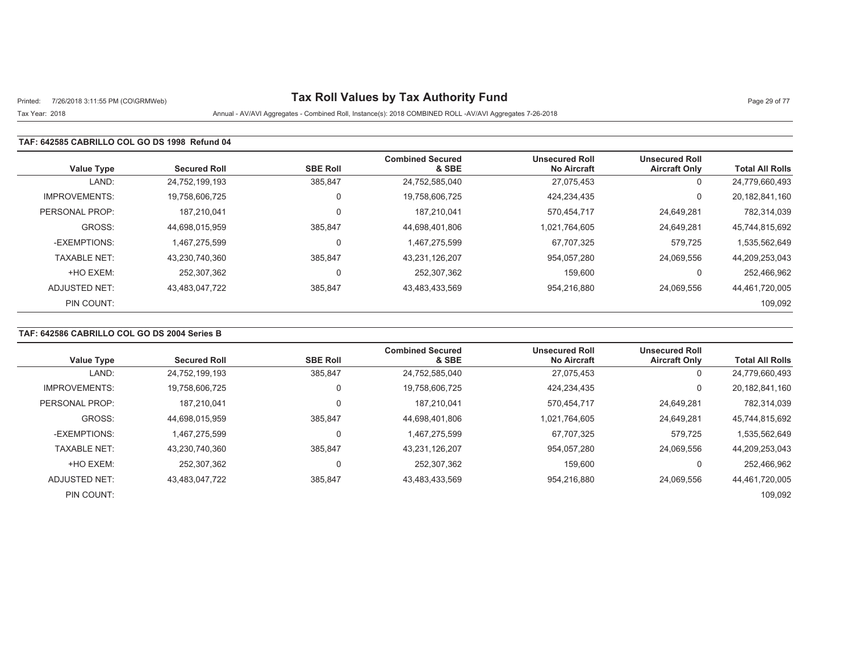# Printed: 7/26/2018 3:11:55 PM (CO\GRMWeb) **Tax Roll Values by Tax Authority Fund** Page 29 of 77

#### Tax Year: 2018 Annual - AV/AVI Aggregates - Combined Roll, Instance(s): 2018 COMBINED ROLL -AV/AVI Aggregates 7-26-2018

### **TAF: 642585 CABRILLO COL GO DS 1998 Refund 04**

| <b>Value Type</b>    | <b>Secured Roll</b> | <b>SBE Roll</b> | <b>Combined Secured</b><br>& SBE | <b>Unsecured Roll</b><br><b>No Aircraft</b> | <b>Unsecured Roll</b><br><b>Aircraft Only</b> | <b>Total All Rolls</b> |
|----------------------|---------------------|-----------------|----------------------------------|---------------------------------------------|-----------------------------------------------|------------------------|
| LAND:                | 24,752,199,193      | 385,847         | 24,752,585,040                   | 27,075,453                                  | 0                                             | 24,779,660,493         |
| <b>IMPROVEMENTS:</b> | 19,758,606,725      | 0               | 19,758,606,725                   | 424,234,435                                 | 0                                             | 20,182,841,160         |
| PERSONAL PROP:       | 187.210.041         |                 | 187,210,041                      | 570.454.717                                 | 24,649,281                                    | 782,314,039            |
| GROSS:               | 44,698,015,959      | 385,847         | 44,698,401,806                   | 1,021,764,605                               | 24,649,281                                    | 45,744,815,692         |
| -EXEMPTIONS:         | 1.467.275.599       |                 | 1,467,275,599                    | 67,707,325                                  | 579,725                                       | 1,535,562,649          |
| <b>TAXABLE NET:</b>  | 43,230,740,360      | 385,847         | 43,231,126,207                   | 954,057,280                                 | 24,069,556                                    | 44,209,253,043         |
| +HO EXEM:            | 252,307,362         |                 | 252,307,362                      | 159,600                                     | 0                                             | 252,466,962            |
| ADJUSTED NET:        | 43,483,047,722      | 385,847         | 43,483,433,569                   | 954,216,880                                 | 24,069,556                                    | 44,461,720,005         |
| PIN COUNT:           |                     |                 |                                  |                                             |                                               | 109,092                |

## **TAF: 642586 CABRILLO COL GO DS 2004 Series B**

|                      |                     |                 | <b>Combined Secured</b> | <b>Unsecured Roll</b> | <b>Unsecured Roll</b> |                        |
|----------------------|---------------------|-----------------|-------------------------|-----------------------|-----------------------|------------------------|
| <b>Value Type</b>    | <b>Secured Roll</b> | <b>SBE Roll</b> | & SBE                   | <b>No Aircraft</b>    | <b>Aircraft Only</b>  | <b>Total All Rolls</b> |
| LAND:                | 24,752,199,193      | 385,847         | 24,752,585,040          | 27,075,453            | 0                     | 24,779,660,493         |
| <b>IMPROVEMENTS:</b> | 19.758.606.725      |                 | 19,758,606,725          | 424.234.435           | 0                     | 20,182,841,160         |
| PERSONAL PROP:       | 187.210.041         |                 | 187,210,041             | 570,454,717           | 24,649,281            | 782,314,039            |
| GROSS:               | 44.698.015.959      | 385.847         | 44.698.401.806          | 1.021.764.605         | 24.649.281            | 45.744.815.692         |
| -EXEMPTIONS:         | 1,467,275,599       |                 | 1,467,275,599           | 67,707,325            | 579,725               | 1,535,562,649          |
| <b>TAXABLE NET:</b>  | 43.230.740.360      | 385.847         | 43,231,126,207          | 954.057.280           | 24.069.556            | 44,209,253,043         |
| +HO EXEM:            | 252.307.362         |                 | 252,307,362             | 159,600               |                       | 252,466,962            |
| ADJUSTED NET:        | 43,483,047,722      | 385,847         | 43,483,433,569          | 954,216,880           | 24.069.556            | 44,461,720,005         |
| PIN COUNT:           |                     |                 |                         |                       |                       | 109,092                |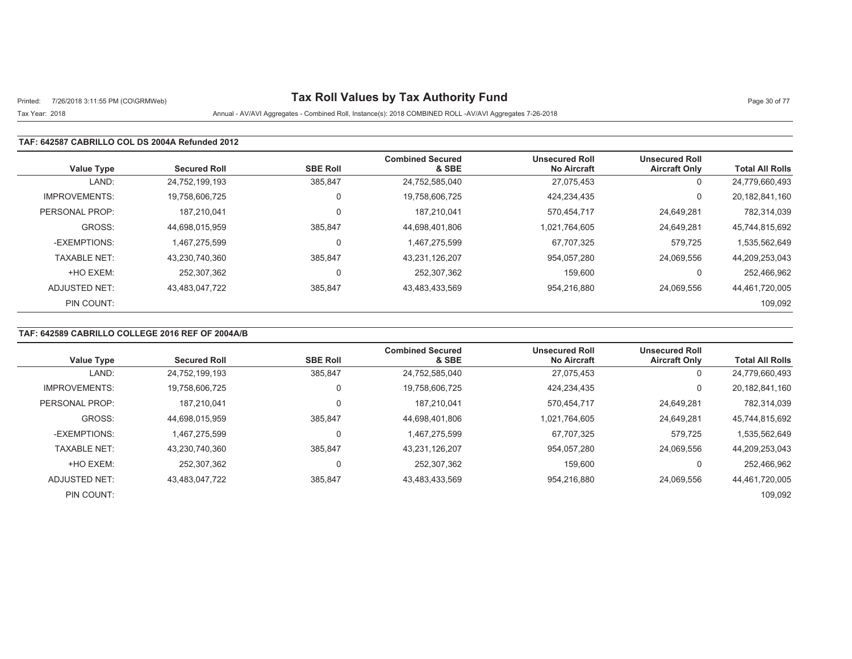# Printed: 7/26/2018 3:11:55 PM (CO\GRMWeb) **Tax Roll Values by Tax Authority Fund** Page 30 of 77

### Tax Year: 2018 Annual - AV/AVI Aggregates - Combined Roll, Instance(s): 2018 COMBINED ROLL -AV/AVI Aggregates 7-26-2018

### **TAF: 642587 CABRILLO COL DS 2004A Refunded 2012**

| <b>Value Type</b>    | <b>Secured Roll</b> | <b>SBE Roll</b> | <b>Combined Secured</b><br>& SBE | <b>Unsecured Roll</b><br><b>No Aircraft</b> | <b>Unsecured Roll</b><br><b>Aircraft Only</b> | <b>Total All Rolls</b> |
|----------------------|---------------------|-----------------|----------------------------------|---------------------------------------------|-----------------------------------------------|------------------------|
| LAND:                | 24,752,199,193      | 385,847         | 24,752,585,040                   | 27,075,453                                  | 0                                             | 24,779,660,493         |
| <b>IMPROVEMENTS:</b> | 19,758,606,725      |                 | 19,758,606,725                   | 424,234,435                                 |                                               | 20,182,841,160         |
| PERSONAL PROP:       | 187.210.041         |                 | 187,210,041                      | 570,454,717                                 | 24,649,281                                    | 782,314,039            |
| GROSS:               | 44,698,015,959      | 385,847         | 44,698,401,806                   | 1,021,764,605                               | 24,649,281                                    | 45,744,815,692         |
| -EXEMPTIONS:         | 1.467.275.599       |                 | 1,467,275,599                    | 67,707,325                                  | 579,725                                       | 1,535,562,649          |
| <b>TAXABLE NET:</b>  | 43,230,740,360      | 385,847         | 43,231,126,207                   | 954,057,280                                 | 24,069,556                                    | 44,209,253,043         |
| +HO EXEM:            | 252,307,362         |                 | 252,307,362                      | 159,600                                     |                                               | 252,466,962            |
| ADJUSTED NET:        | 43,483,047,722      | 385,847         | 43,483,433,569                   | 954,216,880                                 | 24,069,556                                    | 44,461,720,005         |
| PIN COUNT:           |                     |                 |                                  |                                             |                                               | 109,092                |

### **TAF: 642589 CABRILLO COLLEGE 2016 REF OF 2004A/B**

|                      |                     |                 | <b>Combined Secured</b> | <b>Unsecured Roll</b> | <b>Unsecured Roll</b> |                        |
|----------------------|---------------------|-----------------|-------------------------|-----------------------|-----------------------|------------------------|
| <b>Value Type</b>    | <b>Secured Roll</b> | <b>SBE Roll</b> | & SBE                   | <b>No Aircraft</b>    | <b>Aircraft Only</b>  | <b>Total All Rolls</b> |
| LAND:                | 24,752,199,193      | 385,847         | 24,752,585,040          | 27,075,453            | U                     | 24,779,660,493         |
| <b>IMPROVEMENTS:</b> | 19.758.606.725      |                 | 19,758,606,725          | 424.234.435           | 0                     | 20,182,841,160         |
| PERSONAL PROP:       | 187.210.041         |                 | 187,210,041             | 570,454,717           | 24,649,281            | 782,314,039            |
| GROSS:               | 44.698.015.959      | 385.847         | 44.698.401.806          | 1.021.764.605         | 24.649.281            | 45.744.815.692         |
| -EXEMPTIONS:         | 1.467.275.599       |                 | 1,467,275,599           | 67,707,325            | 579,725               | 1,535,562,649          |
| <b>TAXABLE NET:</b>  | 43.230.740.360      | 385.847         | 43,231,126,207          | 954.057.280           | 24.069.556            | 44,209,253,043         |
| +HO EXEM:            | 252.307.362         |                 | 252,307,362             | 159.600               |                       | 252,466,962            |
| ADJUSTED NET:        | 43,483,047,722      | 385,847         | 43,483,433,569          | 954,216,880           | 24.069.556            | 44,461,720,005         |
| PIN COUNT:           |                     |                 |                         |                       |                       | 109,092                |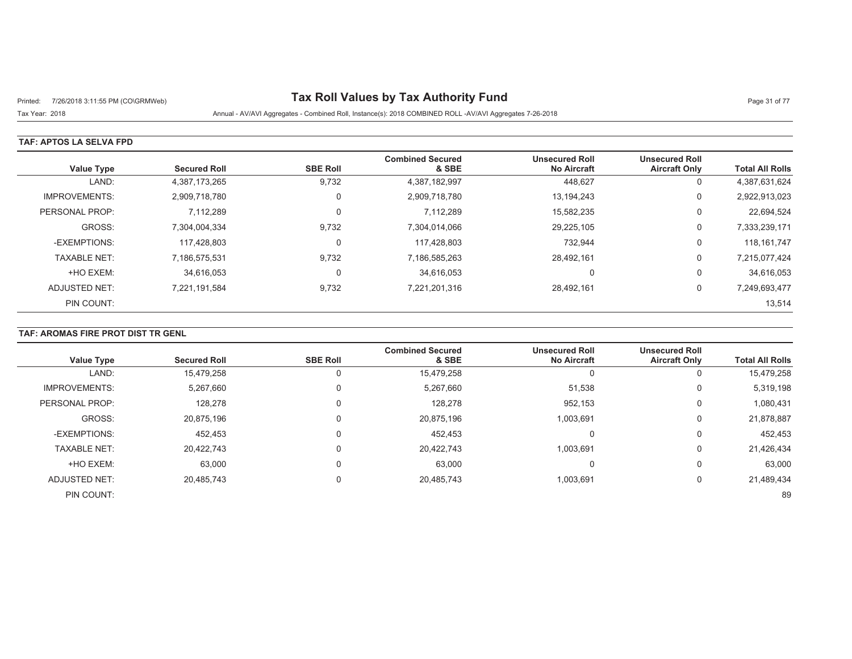# Printed: 7/26/2018 3:11:55 PM (CO\GRMWeb) **Tax Roll Values by Tax Authority Fund** Page 31 of 77

Tax Year: 2018 Annual - AV/AVI Aggregates - Combined Roll, Instance(s): 2018 COMBINED ROLL -AV/AVI Aggregates 7-26-2018

### **TAF: APTOS LA SELVA FPD**

| <b>Value Type</b>    | <b>Secured Roll</b> | <b>SBE Roll</b> | <b>Combined Secured</b><br>& SBE | <b>Unsecured Roll</b><br><b>No Aircraft</b> | <b>Unsecured Roll</b><br><b>Aircraft Only</b> | <b>Total All Rolls</b> |
|----------------------|---------------------|-----------------|----------------------------------|---------------------------------------------|-----------------------------------------------|------------------------|
| LAND:                | 4,387,173,265       | 9,732           | 4,387,182,997                    | 448,627                                     | 0                                             | 4,387,631,624          |
| <b>IMPROVEMENTS:</b> | 2,909,718,780       | 0               | 2,909,718,780                    | 13,194,243                                  | 0                                             | 2,922,913,023          |
| PERSONAL PROP:       | 7,112,289           | $\Omega$        | 7,112,289                        | 15,582,235                                  | 0                                             | 22,694,524             |
| GROSS:               | 7,304,004,334       | 9,732           | 7,304,014,066                    | 29,225,105                                  | 0                                             | 7,333,239,171          |
| -EXEMPTIONS:         | 117,428,803         | 0               | 117,428,803                      | 732,944                                     | 0                                             | 118, 161, 747          |
| <b>TAXABLE NET:</b>  | 7,186,575,531       | 9,732           | 7,186,585,263                    | 28,492,161                                  | 0                                             | 7,215,077,424          |
| +HO EXEM:            | 34.616.053          | 0               | 34,616,053                       | 0                                           | U                                             | 34,616,053             |
| ADJUSTED NET:        | 7,221,191,584       | 9,732           | 7,221,201,316                    | 28,492,161                                  | 0                                             | 7,249,693,477          |
| PIN COUNT:           |                     |                 |                                  |                                             |                                               | 13,514                 |

## **TAF: AROMAS FIRE PROT DIST TR GENL**

| <b>Value Type</b>    | <b>Secured Roll</b> | <b>SBE Roll</b> | <b>Combined Secured</b><br>& SBE | <b>Unsecured Roll</b><br><b>No Aircraft</b> | <b>Unsecured Roll</b><br><b>Aircraft Only</b> | <b>Total All Rolls</b> |
|----------------------|---------------------|-----------------|----------------------------------|---------------------------------------------|-----------------------------------------------|------------------------|
| LAND:                | 15,479,258          |                 | 15,479,258                       |                                             | O                                             | 15,479,258             |
| <b>IMPROVEMENTS:</b> | 5,267,660           | 0               | 5,267,660                        | 51,538                                      | 0                                             | 5,319,198              |
| PERSONAL PROP:       | 128,278             | 0               | 128,278                          | 952,153                                     | 0                                             | 1,080,431              |
| GROSS:               | 20,875,196          | 0               | 20,875,196                       | 1,003,691                                   | 0                                             | 21,878,887             |
| -EXEMPTIONS:         | 452,453             | $\mathbf 0$     | 452,453                          | 0                                           | 0                                             | 452,453                |
| <b>TAXABLE NET:</b>  | 20.422.743          | 0               | 20,422,743                       | 1,003,691                                   | 0                                             | 21,426,434             |
| +HO EXEM:            | 63,000              | 0               | 63,000                           | 0                                           | 0                                             | 63,000                 |
| ADJUSTED NET:        | 20,485,743          | $\mathbf 0$     | 20.485.743                       | 1,003,691                                   | 0                                             | 21,489,434             |
| PIN COUNT:           |                     |                 |                                  |                                             |                                               | 89                     |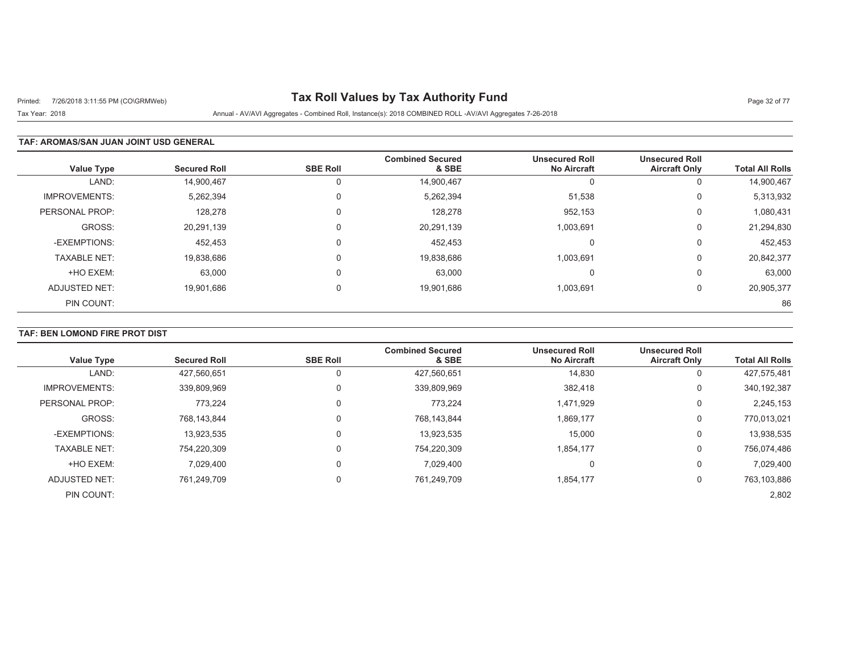# Printed: 7/26/2018 3:11:55 PM (CO\GRMWeb) **Tax Roll Values by Tax Authority Fund** Page 32 of 77

Tax Year: 2018 Annual - AV/AVI Aggregates - Combined Roll, Instance(s): 2018 COMBINED ROLL -AV/AVI Aggregates 7-26-2018

### **TAF: AROMAS/SAN JUAN JOINT USD GENERAL**

| <b>Value Type</b>    | <b>Secured Roll</b> | <b>SBE Roll</b> | <b>Combined Secured</b><br>& SBE | <b>Unsecured Roll</b><br><b>No Aircraft</b> | <b>Unsecured Roll</b><br><b>Aircraft Only</b> | <b>Total All Rolls</b> |
|----------------------|---------------------|-----------------|----------------------------------|---------------------------------------------|-----------------------------------------------|------------------------|
| LAND:                | 14,900,467          |                 | 14,900,467                       |                                             | 0                                             | 14,900,467             |
| <b>IMPROVEMENTS:</b> | 5,262,394           | $\Omega$        | 5,262,394                        | 51,538                                      | 0                                             | 5,313,932              |
| PERSONAL PROP:       | 128,278             | $\Omega$        | 128,278                          | 952,153                                     | 0                                             | 1,080,431              |
| GROSS:               | 20,291,139          | $\Omega$        | 20,291,139                       | 1,003,691                                   | 0                                             | 21,294,830             |
| -EXEMPTIONS:         | 452,453             |                 | 452,453                          |                                             | $\Omega$                                      | 452,453                |
| <b>TAXABLE NET:</b>  | 19,838,686          |                 | 19,838,686                       | 1,003,691                                   | 0                                             | 20,842,377             |
| +HO EXEM:            | 63,000              |                 | 63,000                           |                                             | $\Omega$                                      | 63,000                 |
| ADJUSTED NET:        | 19,901,686          | $\Omega$        | 19,901,686                       | 1,003,691                                   | 0                                             | 20,905,377             |
| PIN COUNT:           |                     |                 |                                  |                                             |                                               | 86                     |

## **TAF: BEN LOMOND FIRE PROT DIST**

|                      |                     |                 | <b>Combined Secured</b> | <b>Unsecured Roll</b> | <b>Unsecured Roll</b> |                        |
|----------------------|---------------------|-----------------|-------------------------|-----------------------|-----------------------|------------------------|
| <b>Value Type</b>    | <b>Secured Roll</b> | <b>SBE Roll</b> | & SBE                   | <b>No Aircraft</b>    | <b>Aircraft Only</b>  | <b>Total All Rolls</b> |
| LAND:                | 427.560.651         |                 | 427,560,651             | 14,830                | 0                     | 427,575,481            |
| <b>IMPROVEMENTS:</b> | 339,809,969         |                 | 339,809,969             | 382,418               | 0                     | 340, 192, 387          |
| PERSONAL PROP:       | 773.224             |                 | 773.224                 | 1,471,929             | 0                     | 2,245,153              |
| GROSS:               | 768.143.844         |                 | 768,143,844             | 1,869,177             | 0                     | 770,013,021            |
| -EXEMPTIONS:         | 13,923,535          |                 | 13,923,535              | 15,000                | 0                     | 13,938,535             |
| <b>TAXABLE NET:</b>  | 754,220,309         |                 | 754,220,309             | 1,854,177             | 0                     | 756,074,486            |
| +HO EXEM:            | 7,029,400           |                 | 7,029,400               | υ                     | 0                     | 7,029,400              |
| ADJUSTED NET:        | 761.249.709         |                 | 761,249,709             | 1.854.177             | 0                     | 763,103,886            |
| PIN COUNT:           |                     |                 |                         |                       |                       | 2,802                  |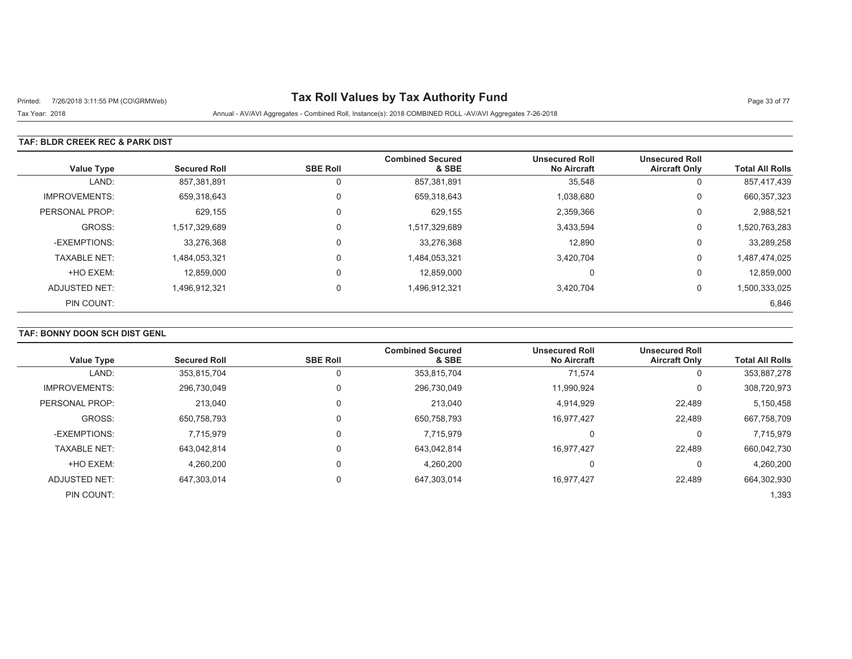# Printed: 7/26/2018 3:11:55 PM (CO\GRMWeb) **Tax Roll Values by Tax Authority Fund** Page 33 of 77

Tax Year: 2018 Annual - AV/AVI Aggregates - Combined Roll, Instance(s): 2018 COMBINED ROLL -AV/AVI Aggregates 7-26-2018

### **TAF: BLDR CREEK REC & PARK DIST**

| <b>Value Type</b>    | <b>Secured Roll</b> | <b>SBE Roll</b> | <b>Combined Secured</b><br>& SBE | <b>Unsecured Roll</b><br><b>No Aircraft</b> | <b>Unsecured Roll</b><br><b>Aircraft Only</b> | <b>Total All Rolls</b> |
|----------------------|---------------------|-----------------|----------------------------------|---------------------------------------------|-----------------------------------------------|------------------------|
| LAND:                | 857,381,891         |                 | 857,381,891                      | 35,548                                      | 0                                             | 857,417,439            |
| <b>IMPROVEMENTS:</b> | 659,318,643         | $\Omega$        | 659,318,643                      | 1,038,680                                   | 0                                             | 660, 357, 323          |
| PERSONAL PROP:       | 629,155             | $\Omega$        | 629,155                          | 2,359,366                                   | 0                                             | 2,988,521              |
| GROSS:               | 1,517,329,689       | $\Omega$        | 1,517,329,689                    | 3,433,594                                   | 0                                             | 1,520,763,283          |
| -EXEMPTIONS:         | 33,276,368          | $\Omega$        | 33,276,368                       | 12,890                                      | 0                                             | 33,289,258             |
| <b>TAXABLE NET:</b>  | 1,484,053,321       | $\Omega$        | 1,484,053,321                    | 3,420,704                                   | 0                                             | 1,487,474,025          |
| +HO EXEM:            | 12,859,000          | $\Omega$        | 12,859,000                       | $\Omega$                                    | 0                                             | 12,859,000             |
| ADJUSTED NET:        | 1,496,912,321       | $\Omega$        | 1,496,912,321                    | 3,420,704                                   | 0                                             | 1,500,333,025          |
| PIN COUNT:           |                     |                 |                                  |                                             |                                               | 6,846                  |

## **TAF: BONNY DOON SCH DIST GENL**

| <b>Value Type</b>    | <b>Secured Roll</b> | <b>SBE Roll</b> | <b>Combined Secured</b><br>& SBE | <b>Unsecured Roll</b><br><b>No Aircraft</b> | <b>Unsecured Roll</b><br><b>Aircraft Only</b> | <b>Total All Rolls</b> |
|----------------------|---------------------|-----------------|----------------------------------|---------------------------------------------|-----------------------------------------------|------------------------|
| LAND:                | 353,815,704         | 0               | 353,815,704                      | 71,574                                      |                                               | 353,887,278            |
| <b>IMPROVEMENTS:</b> | 296,730,049         | 0               | 296,730,049                      | 11,990,924                                  | 0                                             | 308,720,973            |
| PERSONAL PROP:       | 213.040             | 0               | 213.040                          | 4,914,929                                   | 22,489                                        | 5,150,458              |
| GROSS:               | 650,758,793         | $\Omega$        | 650,758,793                      | 16,977,427                                  | 22,489                                        | 667,758,709            |
| -EXEMPTIONS:         | 7,715,979           | $\Omega$        | 7.715.979                        | 0                                           |                                               | 7,715,979              |
| <b>TAXABLE NET:</b>  | 643.042.814         | 0               | 643,042,814                      | 16,977,427                                  | 22,489                                        | 660,042,730            |
| +HO EXEM:            | 4,260,200           | $\Omega$        | 4,260,200                        | 0                                           |                                               | 4,260,200              |
| <b>ADJUSTED NET:</b> | 647.303.014         | 0               | 647,303,014                      | 16,977,427                                  | 22,489                                        | 664,302,930            |
| PIN COUNT:           |                     |                 |                                  |                                             |                                               | 1,393                  |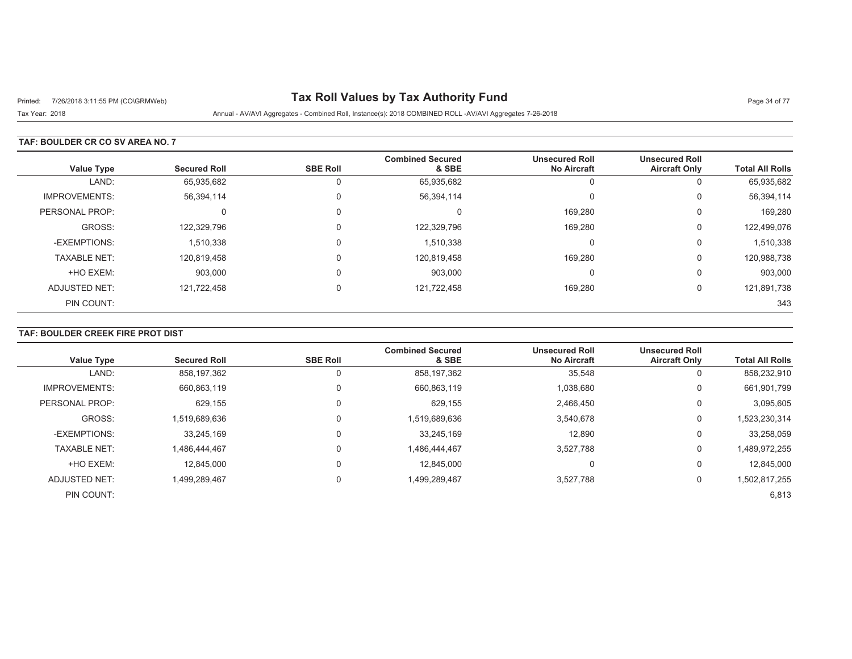# Printed: 7/26/2018 3:11:55 PM (CO\GRMWeb) **Tax Roll Values by Tax Authority Fund** Page 34 of 77

Tax Year: 2018 Annual - AV/AVI Aggregates - Combined Roll, Instance(s): 2018 COMBINED ROLL -AV/AVI Aggregates 7-26-2018

### **TAF: BOULDER CR CO SV AREA NO. 7**

| <b>Value Type</b>    | <b>Secured Roll</b> | <b>SBE Roll</b> | <b>Combined Secured</b><br>& SBE | <b>Unsecured Roll</b><br><b>No Aircraft</b> | <b>Unsecured Roll</b><br><b>Aircraft Only</b> | <b>Total All Rolls</b> |
|----------------------|---------------------|-----------------|----------------------------------|---------------------------------------------|-----------------------------------------------|------------------------|
| LAND:                | 65,935,682          | 0               | 65,935,682                       | U                                           | υ                                             | 65,935,682             |
| <b>IMPROVEMENTS:</b> | 56,394,114          | 0               | 56,394,114                       | 0                                           | 0                                             | 56,394,114             |
| PERSONAL PROP:       | 0                   | 0               | 0                                | 169,280                                     | 0                                             | 169,280                |
| GROSS:               | 122,329,796         |                 | 122,329,796                      | 169,280                                     | 0                                             | 122,499,076            |
| -EXEMPTIONS:         | 1,510,338           | 0               | 1,510,338                        | 0                                           | 0                                             | 1,510,338              |
| <b>TAXABLE NET:</b>  | 120,819,458         | 0               | 120,819,458                      | 169,280                                     | 0                                             | 120,988,738            |
| +HO EXEM:            | 903,000             | 0               | 903,000                          | 0                                           | 0                                             | 903,000                |
| ADJUSTED NET:        | 121,722,458         | 0               | 121,722,458                      | 169,280                                     | 0                                             | 121,891,738            |
| PIN COUNT:           |                     |                 |                                  |                                             |                                               | 343                    |

## **TAF: BOULDER CREEK FIRE PROT DIST**

| <b>Value Type</b>    | <b>Secured Roll</b> | <b>SBE Roll</b> | <b>Combined Secured</b><br>& SBE | <b>Unsecured Roll</b><br><b>No Aircraft</b> | <b>Unsecured Roll</b><br><b>Aircraft Only</b> | <b>Total All Rolls</b> |
|----------------------|---------------------|-----------------|----------------------------------|---------------------------------------------|-----------------------------------------------|------------------------|
|                      |                     |                 |                                  |                                             |                                               |                        |
| LAND:                | 858,197,362         |                 | 858,197,362                      | 35,548                                      | 0                                             | 858,232,910            |
| <b>IMPROVEMENTS:</b> | 660,863,119         |                 | 660,863,119                      | 1,038,680                                   | 0                                             | 661,901,799            |
| PERSONAL PROP:       | 629.155             |                 | 629,155                          | 2,466,450                                   | 0                                             | 3,095,605              |
| GROSS:               | 1,519,689,636       |                 | 1,519,689,636                    | 3,540,678                                   | 0                                             | 1,523,230,314          |
| -EXEMPTIONS:         | 33,245,169          |                 | 33,245,169                       | 12,890                                      | 0                                             | 33,258,059             |
| <b>TAXABLE NET:</b>  | 1.486.444.467       |                 | A86,444,467,                     | 3,527,788                                   | 0                                             | 1,489,972,255          |
| +HO EXEM:            | 12.845.000          |                 | 12.845.000                       | 0                                           | 0                                             | 12,845,000             |
| ADJUSTED NET:        | 1,499,289,467       |                 | 499,289,467,                     | 3,527,788                                   | 0                                             | 1,502,817,255          |
| PIN COUNT:           |                     |                 |                                  |                                             |                                               | 6,813                  |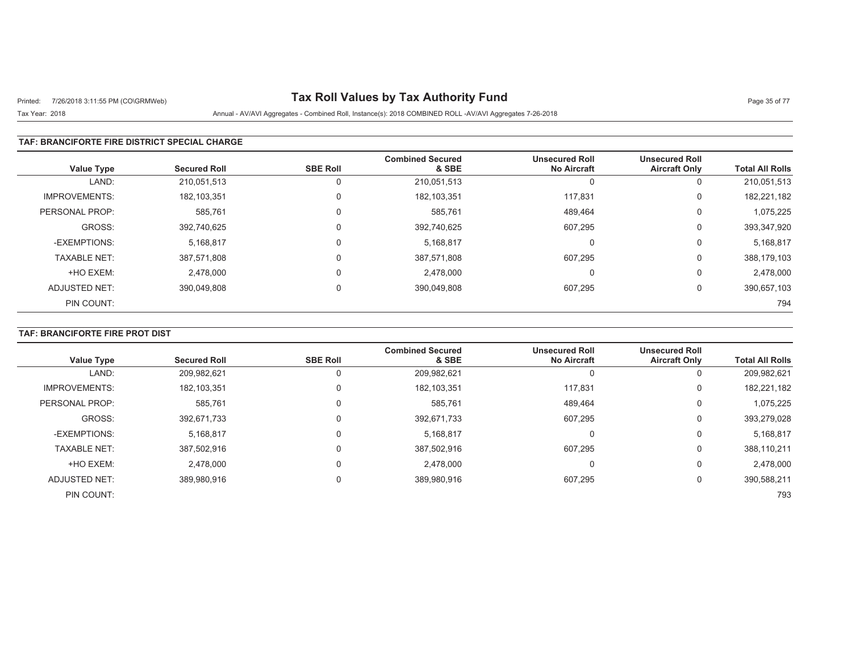# Printed: 7/26/2018 3:11:55 PM (CO\GRMWeb) **Tax Roll Values by Tax Authority Fund** Page 35 of 77

## Tax Year: 2018 Annual - AV/AVI Aggregates - Combined Roll, Instance(s): 2018 COMBINED ROLL -AV/AVI Aggregates 7-26-2018

### **TAF: BRANCIFORTE FIRE DISTRICT SPECIAL CHARGE**

| <b>Value Type</b>    | <b>Secured Roll</b> | <b>SBE Roll</b> | <b>Combined Secured</b><br>& SBE | <b>Unsecured Roll</b><br><b>No Aircraft</b> | <b>Unsecured Roll</b><br><b>Aircraft Only</b> | <b>Total All Rolls</b> |
|----------------------|---------------------|-----------------|----------------------------------|---------------------------------------------|-----------------------------------------------|------------------------|
| LAND:                | 210.051.513         | 0               | 210,051,513                      | U                                           | 0                                             | 210,051,513            |
| <b>IMPROVEMENTS:</b> | 182,103,351         | 0               | 182, 103, 351                    | 117.831                                     | 0                                             | 182,221,182            |
| PERSONAL PROP:       | 585,761             | $\Omega$        | 585.761                          | 489.464                                     | 0                                             | 1,075,225              |
| GROSS:               | 392,740,625         | $\Omega$        | 392,740,625                      | 607.295                                     | 0                                             | 393,347,920            |
| -EXEMPTIONS:         | 5,168,817           | $\Omega$        | 5.168.817                        | $\Omega$                                    | 0                                             | 5,168,817              |
| <b>TAXABLE NET:</b>  | 387,571,808         | $\mathbf 0$     | 387,571,808                      | 607,295                                     | 0                                             | 388,179,103            |
| +HO EXEM:            | 2,478,000           | $\Omega$        | 2,478,000                        | $\Omega$                                    | 0                                             | 2,478,000              |
| <b>ADJUSTED NET:</b> | 390,049,808         | $\mathbf 0$     | 390,049,808                      | 607,295                                     | 0                                             | 390,657,103            |
| PIN COUNT:           |                     |                 |                                  |                                             |                                               | 794                    |

### **TAF: BRANCIFORTE FIRE PROT DIST**

| <b>Value Type</b>    | <b>Secured Roll</b> | <b>SBE Roll</b> | <b>Combined Secured</b><br>& SBE | <b>Unsecured Roll</b><br><b>No Aircraft</b> | <b>Unsecured Roll</b><br><b>Aircraft Only</b> | <b>Total All Rolls</b> |
|----------------------|---------------------|-----------------|----------------------------------|---------------------------------------------|-----------------------------------------------|------------------------|
| LAND:                | 209,982,621         |                 | 209,982,621                      | 0                                           |                                               | 209,982,621            |
| <b>IMPROVEMENTS:</b> | 182, 103, 351       | 0               | 182, 103, 351                    | 117.831                                     | 0                                             | 182,221,182            |
| PERSONAL PROP:       | 585,761             | 0               | 585,761                          | 489,464                                     | $\Omega$                                      | 1,075,225              |
| GROSS:               | 392,671,733         | 0               | 392,671,733                      | 607,295                                     | 0                                             | 393,279,028            |
| -EXEMPTIONS:         | 5,168,817           | 0               | 5,168,817                        | 0                                           | $\Omega$                                      | 5,168,817              |
| <b>TAXABLE NET:</b>  | 387,502,916         | 0               | 387,502,916                      | 607,295                                     | 0                                             | 388,110,211            |
| +HO EXEM:            | 2,478,000           | 0               | 2,478,000                        | 0                                           | 0                                             | 2,478,000              |
| ADJUSTED NET:        | 389,980,916         | 0               | 389,980,916                      | 607,295                                     | 0                                             | 390,588,211            |
| PIN COUNT:           |                     |                 |                                  |                                             |                                               | 793                    |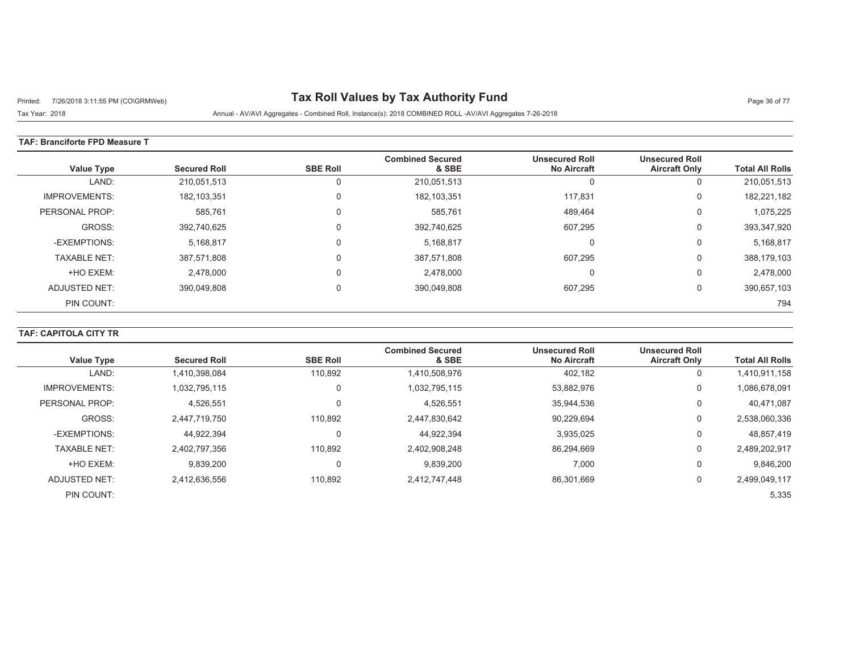# Printed: 7/26/2018 3:11:55 PM (CO\GRMWeb) **Tax Roll Values by Tax Authority Fund** Page 36 of 77

Tax Year: 2018 Annual - AV/AVI Aggregates - Combined Roll, Instance(s): 2018 COMBINED ROLL -AV/AVI Aggregates 7-26-2018

#### **TAF: Branciforte FPD Measure T**

| <b>Value Type</b>    | <b>Secured Roll</b> | <b>SBE Roll</b> | <b>Combined Secured</b><br>& SBE | <b>Unsecured Roll</b><br><b>No Aircraft</b> | <b>Unsecured Roll</b><br><b>Aircraft Only</b> | <b>Total All Rolls</b> |
|----------------------|---------------------|-----------------|----------------------------------|---------------------------------------------|-----------------------------------------------|------------------------|
| LAND:                | 210,051,513         |                 | 210,051,513                      | <sup>t</sup>                                | υ                                             | 210,051,513            |
| <b>IMPROVEMENTS:</b> | 182, 103, 351       | $\Omega$        | 182, 103, 351                    | 117.831                                     | 0                                             | 182,221,182            |
| PERSONAL PROP:       | 585,761             | $\Omega$        | 585,761                          | 489,464                                     | 0                                             | 1,075,225              |
| GROSS:               | 392,740,625         | $\Omega$        | 392,740,625                      | 607,295                                     | 0                                             | 393,347,920            |
| -EXEMPTIONS:         | 5,168,817           | $\Omega$        | 5,168,817                        | C                                           | υ                                             | 5,168,817              |
| <b>TAXABLE NET:</b>  | 387,571,808         | $\Omega$        | 387,571,808                      | 607,295                                     | 0                                             | 388,179,103            |
| +HO EXEM:            | 2,478,000           | $\Omega$        | 2,478,000                        | 0                                           | U                                             | 2,478,000              |
| ADJUSTED NET:        | 390,049,808         | $\Omega$        | 390,049,808                      | 607,295                                     | 0                                             | 390,657,103            |
| PIN COUNT:           |                     |                 |                                  |                                             |                                               | 794                    |

## **TAF: CAPITOLA CITY TR**

| <b>Value Type</b>    | <b>Secured Roll</b> | <b>SBE Roll</b> | <b>Combined Secured</b><br>& SBE | <b>Unsecured Roll</b><br><b>No Aircraft</b> | <b>Unsecured Roll</b><br><b>Aircraft Only</b> | <b>Total All Rolls</b> |
|----------------------|---------------------|-----------------|----------------------------------|---------------------------------------------|-----------------------------------------------|------------------------|
| LAND:                | 1,410,398,084       | 110,892         | 1,410,508,976                    | 402,182                                     | 0                                             | 1,410,911,158          |
| <b>IMPROVEMENTS:</b> | 1.032.795.115       |                 | 1,032,795,115                    | 53,882,976                                  | 0                                             | 1,086,678,091          |
| PERSONAL PROP:       | 4,526,551           |                 | 4,526,551                        | 35,944,536                                  | 0                                             | 40,471,087             |
| GROSS:               | 2.447.719.750       | 110.892         | 2,447,830,642                    | 90.229.694                                  | 0                                             | 2,538,060,336          |
| -EXEMPTIONS:         | 44.922.394          |                 | 44,922,394                       | 3,935,025                                   | 0                                             | 48,857,419             |
| <b>TAXABLE NET:</b>  | 2,402,797,356       | 110.892         | 2,402,908,248                    | 86.294.669                                  | 0                                             | 2,489,202,917          |
| +HO EXEM:            | 9,839,200           |                 | 9,839,200                        | 7,000                                       | 0                                             | 9,846,200              |
| ADJUSTED NET:        | 2.412.636.556       | 110.892         | 2,412,747,448                    | 86,301,669                                  | 0                                             | 2,499,049,117          |
| PIN COUNT:           |                     |                 |                                  |                                             |                                               | 5,335                  |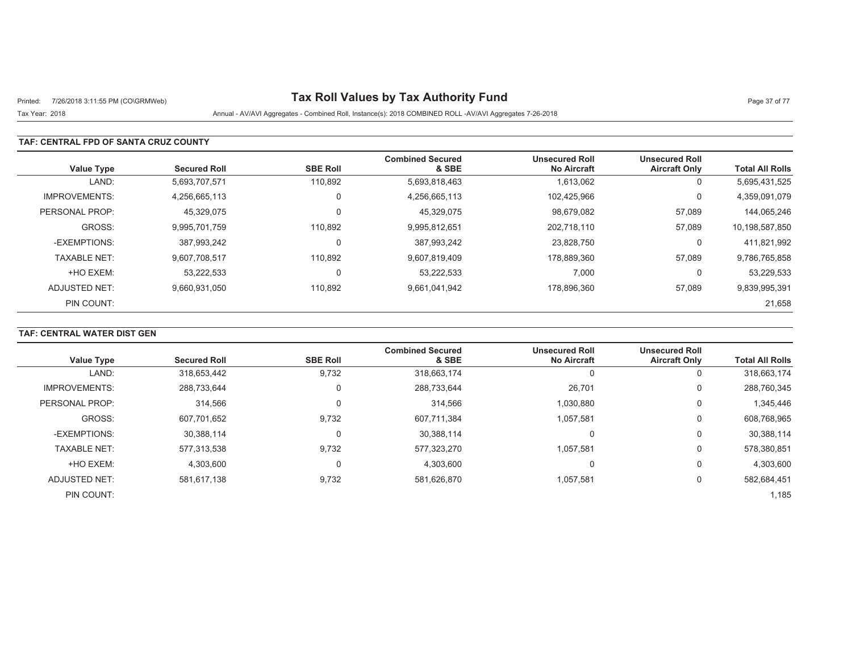# Printed: 7/26/2018 3:11:55 PM (CO\GRMWeb) **Tax Roll Values by Tax Authority Fund** Page 37 of 77

## Tax Year: 2018 Annual - AV/AVI Aggregates - Combined Roll, Instance(s): 2018 COMBINED ROLL -AV/AVI Aggregates 7-26-2018

### **TAF: CENTRAL FPD OF SANTA CRUZ COUNTY**

| <b>Value Type</b>    | <b>Secured Roll</b> | <b>SBE Roll</b> | <b>Combined Secured</b><br>& SBE | <b>Unsecured Roll</b><br><b>No Aircraft</b> | <b>Unsecured Roll</b><br><b>Aircraft Only</b> | <b>Total All Rolls</b> |
|----------------------|---------------------|-----------------|----------------------------------|---------------------------------------------|-----------------------------------------------|------------------------|
| LAND:                | 5,693,707,571       | 110,892         | 5,693,818,463                    | 1,613,062                                   | 0                                             | 5,695,431,525          |
| <b>IMPROVEMENTS:</b> | 4.256.665.113       | 0               | 4,256,665,113                    | 102.425.966                                 | 0                                             | 4,359,091,079          |
| PERSONAL PROP:       | 45,329,075          | $\Omega$        | 45,329,075                       | 98,679,082                                  | 57,089                                        | 144,065,246            |
| GROSS:               | 9.995.701.759       | 110.892         | 9,995,812,651                    | 202.718.110                                 | 57,089                                        | 10,198,587,850         |
| -EXEMPTIONS:         | 387.993.242         | 0               | 387,993,242                      | 23,828,750                                  | 0                                             | 411,821,992            |
| <b>TAXABLE NET:</b>  | 9.607.708.517       | 110,892         | 9,607,819,409                    | 178.889.360                                 | 57,089                                        | 9,786,765,858          |
| +HO EXEM:            | 53,222,533          | 0               | 53,222,533                       | 7,000                                       | 0                                             | 53,229,533             |
| ADJUSTED NET:        | 9,660,931,050       | 110,892         | 9,661,041,942                    | 178.896.360                                 | 57,089                                        | 9,839,995,391          |
| PIN COUNT:           |                     |                 |                                  |                                             |                                               | 21,658                 |

## **TAF: CENTRAL WATER DIST GEN**

|                      |                     |                 | <b>Combined Secured</b> | <b>Unsecured Roll</b> | <b>Unsecured Roll</b> |                        |
|----------------------|---------------------|-----------------|-------------------------|-----------------------|-----------------------|------------------------|
| <b>Value Type</b>    | <b>Secured Roll</b> | <b>SBE Roll</b> | & SBE                   | <b>No Aircraft</b>    | <b>Aircraft Only</b>  | <b>Total All Rolls</b> |
| LAND:                | 318,653,442         | 9,732           | 318,663,174             |                       | 0                     | 318,663,174            |
| <b>IMPROVEMENTS:</b> | 288,733,644         | 0               | 288,733,644             | 26,701                | 0                     | 288,760,345            |
| PERSONAL PROP:       | 314.566             | 0               | 314.566                 | 1.030.880             | 0                     | 1,345,446              |
| GROSS:               | 607,701,652         | 9,732           | 607,711,384             | 1.057.581             | 0                     | 608,768,965            |
| -EXEMPTIONS:         | 30,388,114          | 0               | 30,388,114              |                       | 0                     | 30,388,114             |
| <b>TAXABLE NET:</b>  | 577.313.538         | 9,732           | 577,323,270             | 1.057.581             | 0                     | 578,380,851            |
| +HO EXEM:            | 4,303,600           | 0               | 4,303,600               |                       | $\Omega$              | 4,303,600              |
| ADJUSTED NET:        | 581.617.138         | 9,732           | 581,626,870             | 1.057.581             | 0                     | 582,684,451            |
| PIN COUNT:           |                     |                 |                         |                       |                       | 1,185                  |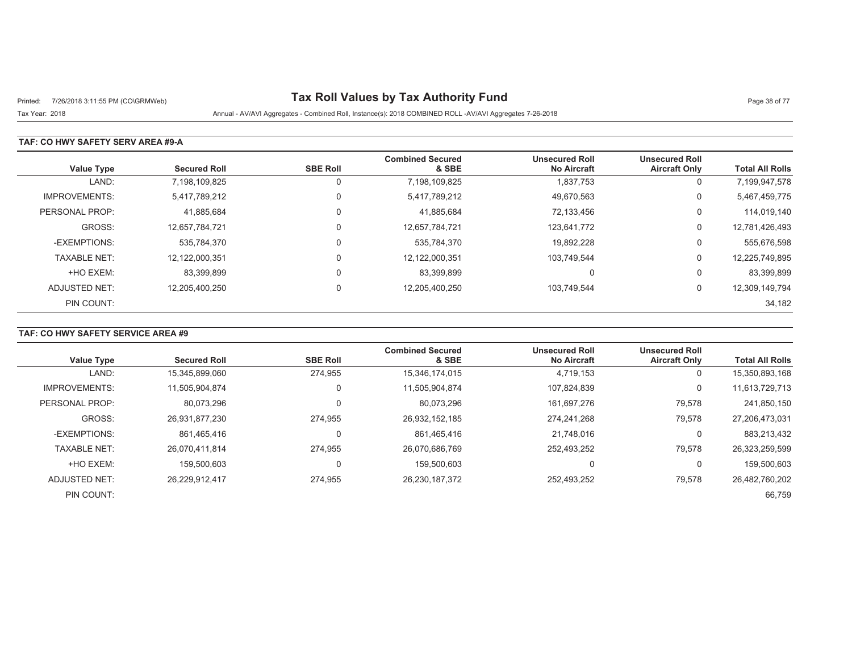# Printed: 7/26/2018 3:11:55 PM (CO\GRMWeb) **Tax Roll Values by Tax Authority Fund** Page 38 of 77

Tax Year: 2018 Annual - AV/AVI Aggregates - Combined Roll, Instance(s): 2018 COMBINED ROLL -AV/AVI Aggregates 7-26-2018

### **TAF: CO HWY SAFETY SERV AREA #9-A**

| <b>Value Type</b>    | <b>Secured Roll</b> | <b>SBE Roll</b> | <b>Combined Secured</b><br>& SBE | <b>Unsecured Roll</b><br><b>No Aircraft</b> | <b>Unsecured Roll</b><br><b>Aircraft Only</b> | <b>Total All Rolls</b> |
|----------------------|---------------------|-----------------|----------------------------------|---------------------------------------------|-----------------------------------------------|------------------------|
| LAND:                | 7,198,109,825       | 0               | 7,198,109,825                    | 1,837,753                                   | 0                                             | 7,199,947,578          |
| <b>IMPROVEMENTS:</b> | 5,417,789,212       | 0               | 5,417,789,212                    | 49,670,563                                  | 0                                             | 5,467,459,775          |
| PERSONAL PROP:       | 41,885,684          | 0               | 41,885,684                       | 72,133,456                                  | 0                                             | 114,019,140            |
| GROSS:               | 12.657.784.721      | 0               | 12,657,784,721                   | 123.641.772                                 | 0                                             | 12,781,426,493         |
| -EXEMPTIONS:         | 535.784.370         | $\mathbf 0$     | 535,784,370                      | 19.892.228                                  | 0                                             | 555,676,598            |
| <b>TAXABLE NET:</b>  | 12,122,000,351      | $\mathbf 0$     | 12,122,000,351                   | 103.749.544                                 | 0                                             | 12,225,749,895         |
| +HO EXEM:            | 83,399,899          | $\mathbf 0$     | 83,399,899                       | $\mathbf{0}$                                | 0                                             | 83,399,899             |
| ADJUSTED NET:        | 12,205,400,250      | $\mathbf 0$     | 12,205,400,250                   | 103.749.544                                 | 0                                             | 12,309,149,794         |
| PIN COUNT:           |                     |                 |                                  |                                             |                                               | 34,182                 |

## **TAF: CO HWY SAFETY SERVICE AREA #9**

| <b>Value Type</b>    | <b>Secured Roll</b> | <b>SBE Roll</b> | <b>Combined Secured</b><br>& SBE | <b>Unsecured Roll</b><br><b>No Aircraft</b> | <b>Unsecured Roll</b><br><b>Aircraft Only</b> | <b>Total All Rolls</b> |
|----------------------|---------------------|-----------------|----------------------------------|---------------------------------------------|-----------------------------------------------|------------------------|
| LAND:                | 15,345,899,060      | 274.955         | 15,346,174,015                   | 4,719,153                                   | U                                             | 15,350,893,168         |
| <b>IMPROVEMENTS:</b> | 11,505,904,874      |                 | 11,505,904,874                   | 107,824,839                                 | $\Omega$                                      | 11,613,729,713         |
| PERSONAL PROP:       | 80,073,296          |                 | 80,073,296                       | 161,697,276                                 | 79,578                                        | 241,850,150            |
| GROSS:               | 26,931,877,230      | 274.955         | 26,932,152,185                   | 274.241.268                                 | 79,578                                        | 27,206,473,031         |
| -EXEMPTIONS:         | 861,465,416         |                 | 861,465,416                      | 21,748,016                                  | 0                                             | 883,213,432            |
| <b>TAXABLE NET:</b>  | 26.070.411.814      | 274.955         | 26.070.686.769                   | 252.493.252                                 | 79,578                                        | 26,323,259,599         |
| +HO EXEM:            | 159.500.603         |                 | 159.500.603                      | 0                                           | 0                                             | 159,500,603            |
| ADJUSTED NET:        | 26.229.912.417      | 274,955         | 26,230,187,372                   | 252.493.252                                 | 79,578                                        | 26,482,760,202         |
| PIN COUNT:           |                     |                 |                                  |                                             |                                               | 66,759                 |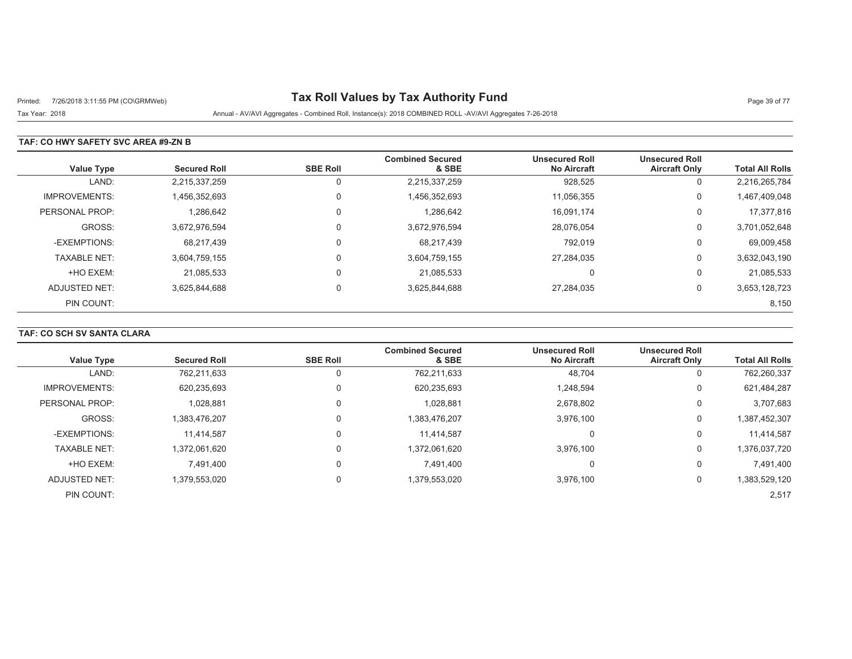# Printed: 7/26/2018 3:11:55 PM (CO\GRMWeb) **Tax Roll Values by Tax Authority Fund** Page 39 of 77

Tax Year: 2018 Annual - AV/AVI Aggregates - Combined Roll, Instance(s): 2018 COMBINED ROLL -AV/AVI Aggregates 7-26-2018

### **TAF: CO HWY SAFETY SVC AREA #9-ZN B**

| <b>Value Type</b>    | <b>Secured Roll</b> | <b>SBE Roll</b> | <b>Combined Secured</b><br>& SBE | <b>Unsecured Roll</b><br><b>No Aircraft</b> | <b>Unsecured Roll</b><br><b>Aircraft Only</b> | <b>Total All Rolls</b> |
|----------------------|---------------------|-----------------|----------------------------------|---------------------------------------------|-----------------------------------------------|------------------------|
| LAND:                | 2,215,337,259       | 0               | 2,215,337,259                    | 928,525                                     | U                                             | 2,216,265,784          |
| <b>IMPROVEMENTS:</b> | 1,456,352,693       | 0               | 1,456,352,693                    | 11,056,355                                  | 0                                             | 1,467,409,048          |
| PERSONAL PROP:       | 1,286,642           | 0               | 1,286,642                        | 16.091.174                                  | 0                                             | 17,377,816             |
| GROSS:               | 3,672,976,594       | 0               | 3,672,976,594                    | 28,076,054                                  | 0                                             | 3,701,052,648          |
| -EXEMPTIONS:         | 68,217,439          | $\Omega$        | 68,217,439                       | 792,019                                     | 0                                             | 69,009,458             |
| <b>TAXABLE NET:</b>  | 3,604,759,155       | $\Omega$        | 3,604,759,155                    | 27,284,035                                  | 0                                             | 3,632,043,190          |
| +HO EXEM:            | 21.085.533          | 0               | 21.085.533                       | 0                                           | υ                                             | 21,085,533             |
| ADJUSTED NET:        | 3.625.844.688       | $\Omega$        | 3,625,844,688                    | 27,284,035                                  | 0                                             | 3,653,128,723          |
| PIN COUNT:           |                     |                 |                                  |                                             |                                               | 8,150                  |

## **TAF: CO SCH SV SANTA CLARA**

| <b>Value Type</b>    | <b>Secured Roll</b> | <b>SBE Roll</b> | <b>Combined Secured</b><br>& SBE | <b>Unsecured Roll</b><br><b>No Aircraft</b> | <b>Unsecured Roll</b><br><b>Aircraft Only</b> | <b>Total All Rolls</b> |
|----------------------|---------------------|-----------------|----------------------------------|---------------------------------------------|-----------------------------------------------|------------------------|
|                      |                     |                 |                                  |                                             |                                               |                        |
| LAND:                | 762,211,633         |                 | 762,211,633                      | 48,704                                      |                                               | 762,260,337            |
| <b>IMPROVEMENTS:</b> | 620,235,693         | 0               | 620,235,693                      | 1,248,594                                   | 0                                             | 621,484,287            |
| PERSONAL PROP:       | 1.028.881           | 0               | 1,028,881                        | 2,678,802                                   | 0                                             | 3,707,683              |
| GROSS:               | 1,383,476,207       | 0               | 1,383,476,207                    | 3,976,100                                   | 0                                             | 1,387,452,307          |
| -EXEMPTIONS:         | 11,414,587          | 0               | 11,414,587                       | 0                                           | $\Omega$                                      | 11,414,587             |
| <b>TAXABLE NET:</b>  | 1,372,061,620       | 0               | 1,372,061,620                    | 3.976.100                                   | $\Omega$                                      | 1,376,037,720          |
| +HO EXEM:            | 7.491.400           | 0               | 7.491.400                        | 0                                           | $\Omega$                                      | 7,491,400              |
| ADJUSTED NET:        | 1,379,553,020       | 0               | 1,379,553,020                    | 3,976,100                                   | 0                                             | 1,383,529,120          |
| PIN COUNT:           |                     |                 |                                  |                                             |                                               | 2,517                  |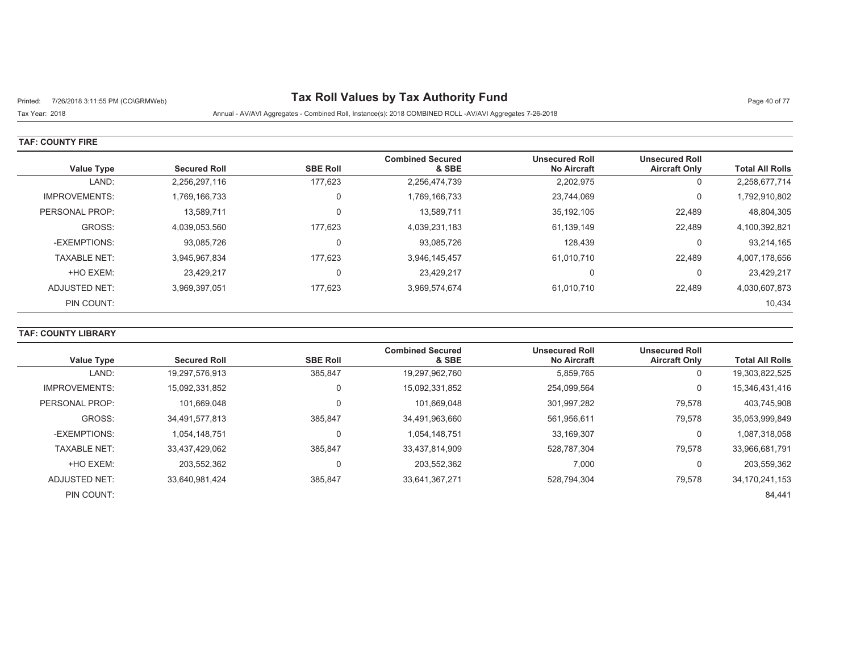# Printed: 7/26/2018 3:11:55 PM (CO\GRMWeb) **Tax Roll Values by Tax Authority Fund** Page 40 of 77

Tax Year: 2018 Annual - AV/AVI Aggregates - Combined Roll, Instance(s): 2018 COMBINED ROLL -AV/AVI Aggregates 7-26-2018

#### **TAF: COUNTY FIRE**

| Value Type           | <b>Secured Roll</b> | <b>SBE Roll</b> | <b>Combined Secured</b><br>& SBE | <b>Unsecured Roll</b><br><b>No Aircraft</b> | <b>Unsecured Roll</b><br><b>Aircraft Only</b> | <b>Total All Rolls</b> |
|----------------------|---------------------|-----------------|----------------------------------|---------------------------------------------|-----------------------------------------------|------------------------|
| LAND:                | 2,256,297,116       | 177,623         | 2,256,474,739                    | 2,202,975                                   | 0                                             | 2,258,677,714          |
| <b>IMPROVEMENTS:</b> | 1,769,166,733       | 0               | 1,769,166,733                    | 23,744,069                                  | 0                                             | 1,792,910,802          |
| PERSONAL PROP:       | 13.589.711          | 0               | 13,589,711                       | 35,192,105                                  | 22,489                                        | 48,804,305             |
| GROSS:               | 4,039,053,560       | 177,623         | 4,039,231,183                    | 61,139,149                                  | 22,489                                        | 4,100,392,821          |
| -EXEMPTIONS:         | 93,085,726          | 0               | 93,085,726                       | 128.439                                     | 0                                             | 93,214,165             |
| <b>TAXABLE NET:</b>  | 3.945.967.834       | 177.623         | 3.946.145.457                    | 61,010,710                                  | 22.489                                        | 4,007,178,656          |
| +HO EXEM:            | 23.429.217          | $\mathbf 0$     | 23.429.217                       | $\mathbf{0}$                                | υ                                             | 23,429,217             |
| ADJUSTED NET:        | 3,969,397,051       | 177,623         | 3,969,574,674                    | 61,010,710                                  | 22,489                                        | 4,030,607,873          |
| PIN COUNT:           |                     |                 |                                  |                                             |                                               | 10,434                 |

### **TAF: COUNTY LIBRARY**

| <b>Value Type</b>    | <b>Secured Roll</b> | <b>SBE Roll</b> | <b>Combined Secured</b><br>& SBE | <b>Unsecured Roll</b><br><b>No Aircraft</b> | <b>Unsecured Roll</b><br><b>Aircraft Only</b> | <b>Total All Rolls</b> |
|----------------------|---------------------|-----------------|----------------------------------|---------------------------------------------|-----------------------------------------------|------------------------|
| LAND:                | 19,297,576,913      | 385,847         | 19,297,962,760                   | 5,859,765                                   | υ                                             | 19,303,822,525         |
| <b>IMPROVEMENTS:</b> | 15,092,331,852      |                 | 15,092,331,852                   | 254,099,564                                 | 0                                             | 15,346,431,416         |
| PERSONAL PROP:       | 101.669.048         |                 | 101,669,048                      | 301,997,282                                 | 79,578                                        | 403,745,908            |
| GROSS:               | 34.491.577.813      | 385.847         | 34,491,963,660                   | 561.956.611                                 | 79,578                                        | 35,053,999,849         |
| -EXEMPTIONS:         | 1,054,148,751       |                 | 1,054,148,751                    | 33,169,307                                  | 0                                             | 1,087,318,058          |
| <b>TAXABLE NET:</b>  | 33,437,429,062      | 385.847         | 33,437,814,909                   | 528,787,304                                 | 79,578                                        | 33,966,681,791         |
| +HO EXEM:            | 203.552.362         |                 | 203,552,362                      | 7,000                                       |                                               | 203,559,362            |
| ADJUSTED NET:        | 33.640.981.424      | 385,847         | 33,641,367,271                   | 528,794,304                                 | 79,578                                        | 34, 170, 241, 153      |
| PIN COUNT:           |                     |                 |                                  |                                             |                                               | 84,441                 |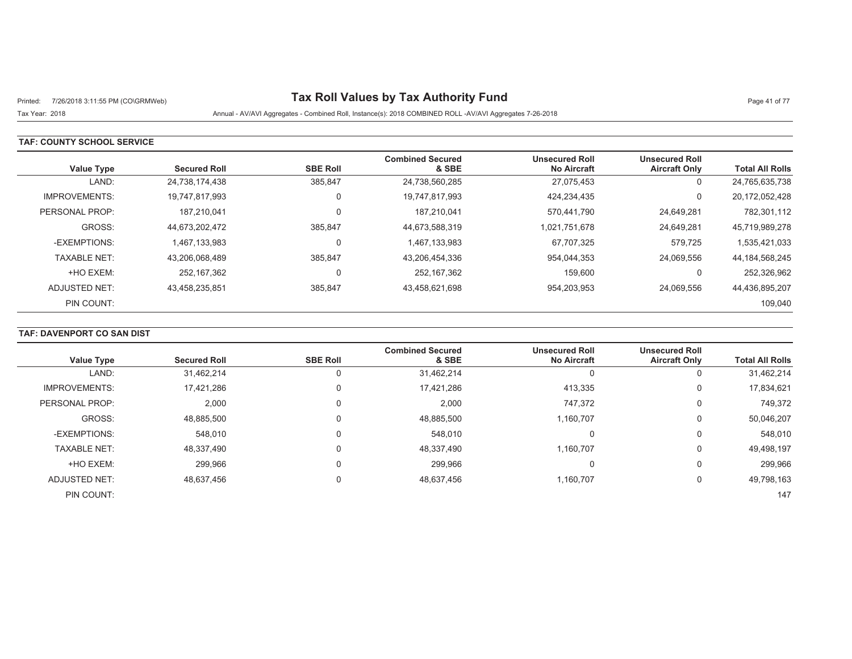# Printed: 7/26/2018 3:11:55 PM (CO\GRMWeb) **Tax Roll Values by Tax Authority Fund** Page 41 of 77

Tax Year: 2018 Annual - AV/AVI Aggregates - Combined Roll, Instance(s): 2018 COMBINED ROLL -AV/AVI Aggregates 7-26-2018

### **TAF: COUNTY SCHOOL SERVICE**

| <b>Value Type</b>    | <b>Secured Roll</b> | <b>SBE Roll</b> | <b>Combined Secured</b><br>& SBE | <b>Unsecured Roll</b><br><b>No Aircraft</b> | <b>Unsecured Roll</b><br><b>Aircraft Only</b> | <b>Total All Rolls</b> |
|----------------------|---------------------|-----------------|----------------------------------|---------------------------------------------|-----------------------------------------------|------------------------|
| LAND:                | 24,738,174,438      | 385,847         | 24,738,560,285                   | 27,075,453                                  | 0                                             | 24,765,635,738         |
| <b>IMPROVEMENTS:</b> | 19.747.817.993      | 0               | 19,747,817,993                   | 424.234.435                                 | 0                                             | 20,172,052,428         |
| PERSONAL PROP:       | 187.210.041         |                 | 187.210.041                      | 570.441.790                                 | 24,649,281                                    | 782,301,112            |
| GROSS:               | 44.673.202.472      | 385.847         | 44,673,588,319                   | 1,021,751,678                               | 24.649.281                                    | 45,719,989,278         |
| -EXEMPTIONS:         | 1.467.133.983       | 0               | 1,467,133,983                    | 67.707.325                                  | 579.725                                       | 1,535,421,033          |
| <b>TAXABLE NET:</b>  | 43,206,068,489      | 385,847         | 43,206,454,336                   | 954,044,353                                 | 24,069,556                                    | 44, 184, 568, 245      |
| +HO EXEM:            | 252.167.362         | 0               | 252.167.362                      | 159.600                                     | 0                                             | 252,326,962            |
| ADJUSTED NET:        | 43.458.235.851      | 385,847         | 43,458,621,698                   | 954,203,953                                 | 24.069.556                                    | 44,436,895,207         |
| PIN COUNT:           |                     |                 |                                  |                                             |                                               | 109,040                |

## **TAF: DAVENPORT CO SAN DIST**

|                      |                     |                 | <b>Combined Secured</b> | <b>Unsecured Roll</b> | <b>Unsecured Roll</b> |                        |
|----------------------|---------------------|-----------------|-------------------------|-----------------------|-----------------------|------------------------|
| <b>Value Type</b>    | <b>Secured Roll</b> | <b>SBE Roll</b> | & SBE                   | <b>No Aircraft</b>    | <b>Aircraft Only</b>  | <b>Total All Rolls</b> |
| LAND:                | 31,462,214          | 0               | 31,462,214              |                       | 0                     | 31,462,214             |
| <b>IMPROVEMENTS:</b> | 17,421,286          | 0               | 17.421.286              | 413,335               | 0                     | 17,834,621             |
| PERSONAL PROP:       | 2,000               | $\mathbf 0$     | 2,000                   | 747,372               | 0                     | 749,372                |
| GROSS:               | 48,885,500          | 0               | 48,885,500              | 1,160,707             | 0                     | 50,046,207             |
| -EXEMPTIONS:         | 548,010             | 0               | 548,010                 | 0                     | 0                     | 548,010                |
| <b>TAXABLE NET:</b>  | 48,337,490          | 0               | 48,337,490              | 1,160,707             | 0                     | 49,498,197             |
| +HO EXEM:            | 299,966             | 0               | 299,966                 | 0                     | 0                     | 299,966                |
| <b>ADJUSTED NET:</b> | 48,637,456          | $\overline{0}$  | 48,637,456              | 1,160,707             | 0                     | 49,798,163             |
| PIN COUNT:           |                     |                 |                         |                       |                       | 147                    |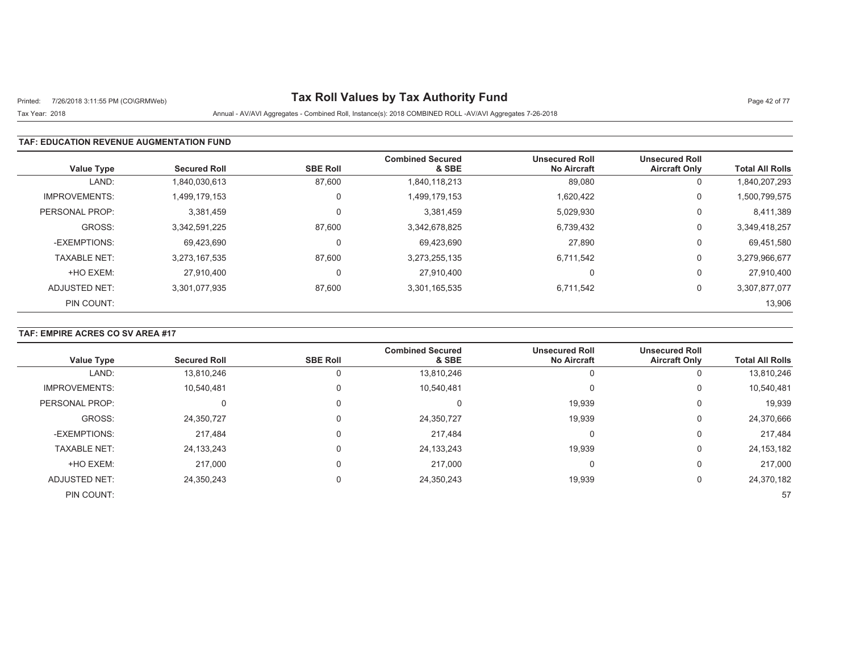# Printed: 7/26/2018 3:11:55 PM (CO\GRMWeb) **Tax Roll Values by Tax Authority Fund** Page 42 of 77

## Tax Year: 2018 Annual - AV/AVI Aggregates - Combined Roll, Instance(s): 2018 COMBINED ROLL -AV/AVI Aggregates 7-26-2018

### **TAF: EDUCATION REVENUE AUGMENTATION FUND**

| <b>Value Type</b>    | <b>Secured Roll</b> | <b>SBE Roll</b> | <b>Combined Secured</b><br>& SBE | <b>Unsecured Roll</b><br><b>No Aircraft</b> | <b>Unsecured Roll</b><br><b>Aircraft Only</b> | <b>Total All Rolls</b> |
|----------------------|---------------------|-----------------|----------------------------------|---------------------------------------------|-----------------------------------------------|------------------------|
| LAND:                | 1,840,030,613       | 87,600          | 1,840,118,213                    | 89,080                                      | 0                                             | 1,840,207,293          |
| <b>IMPROVEMENTS:</b> | 1,499,179,153       | 0               | 1,499,179,153                    | 1,620,422                                   | 0                                             | 1,500,799,575          |
| PERSONAL PROP:       | 3,381,459           | 0               | 3.381.459                        | 5,029,930                                   | 0                                             | 8,411,389              |
| GROSS:               | 3.342.591.225       | 87.600          | 3,342,678,825                    | 6,739,432                                   | 0                                             | 3,349,418,257          |
| -EXEMPTIONS:         | 69.423.690          | 0               | 69,423,690                       | 27.890                                      | 0                                             | 69,451,580             |
| <b>TAXABLE NET:</b>  | 3,273,167,535       | 87,600          | 3,273,255,135                    | 6,711,542                                   | 0                                             | 3,279,966,677          |
| +HO EXEM:            | 27.910.400          | 0               | 27.910.400                       |                                             | 0                                             | 27,910,400             |
| ADJUSTED NET:        | 3,301,077,935       | 87,600          | 3,301,165,535                    | 6,711,542                                   | 0                                             | 3,307,877,077          |
| PIN COUNT:           |                     |                 |                                  |                                             |                                               | 13,906                 |

### **TAF: EMPIRE ACRES CO SV AREA #17**

| <b>Value Type</b>    | <b>Secured Roll</b> | <b>SBE Roll</b> | <b>Combined Secured</b><br>& SBE | <b>Unsecured Roll</b><br><b>No Aircraft</b> | <b>Unsecured Roll</b><br><b>Aircraft Only</b> | <b>Total All Rolls</b> |
|----------------------|---------------------|-----------------|----------------------------------|---------------------------------------------|-----------------------------------------------|------------------------|
| LAND:                | 13,810,246          |                 | 13,810,246                       |                                             | 0                                             | 13,810,246             |
| <b>IMPROVEMENTS:</b> | 10,540,481          |                 | 10,540,481                       |                                             | 0                                             | 10,540,481             |
| PERSONAL PROP:       | $\Omega$            |                 | 0                                | 19,939                                      | 0                                             | 19,939                 |
| GROSS:               | 24,350,727          |                 | 24,350,727                       | 19,939                                      | 0                                             | 24,370,666             |
| -EXEMPTIONS:         | 217,484             |                 | 217.484                          |                                             | $\Omega$                                      | 217,484                |
| <b>TAXABLE NET:</b>  | 24, 133, 243        |                 | 24,133,243                       | 19,939                                      | 0                                             | 24, 153, 182           |
| +HO EXEM:            | 217,000             |                 | 217,000                          |                                             | 0                                             | 217,000                |
| <b>ADJUSTED NET:</b> | 24,350,243          |                 | 24,350,243                       | 19,939                                      | 0                                             | 24,370,182             |
| PIN COUNT:           |                     |                 |                                  |                                             |                                               | 57                     |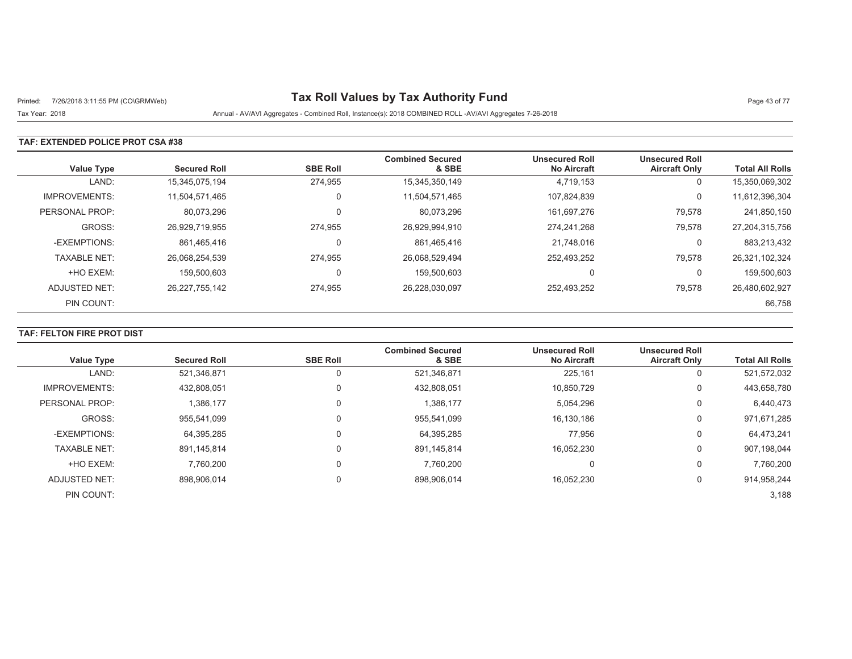# Printed: 7/26/2018 3:11:55 PM (CO\GRMWeb) **Tax Roll Values by Tax Authority Fund** Page 43 of 77

Tax Year: 2018 Annual - AV/AVI Aggregates - Combined Roll, Instance(s): 2018 COMBINED ROLL -AV/AVI Aggregates 7-26-2018

### **TAF: EXTENDED POLICE PROT CSA #38**

| Value Type           | <b>Secured Roll</b> | <b>SBE Roll</b> | <b>Combined Secured</b><br>& SBE | <b>Unsecured Roll</b><br><b>No Aircraft</b> | <b>Unsecured Roll</b><br><b>Aircraft Only</b> | <b>Total All Rolls</b> |
|----------------------|---------------------|-----------------|----------------------------------|---------------------------------------------|-----------------------------------------------|------------------------|
| LAND:                | 15,345,075,194      | 274,955         | 15,345,350,149                   | 4,719,153                                   | 0                                             | 15,350,069,302         |
| <b>IMPROVEMENTS:</b> | 11,504,571,465      | 0               | 11,504,571,465                   | 107,824,839                                 | 0                                             | 11,612,396,304         |
| PERSONAL PROP:       | 80,073,296          | 0               | 80,073,296                       | 161,697,276                                 | 79,578                                        | 241,850,150            |
| GROSS:               | 26,929,719,955      | 274.955         | 26,929,994,910                   | 274,241,268                                 | 79,578                                        | 27,204,315,756         |
| -EXEMPTIONS:         | 861,465,416         |                 | 861,465,416                      | 21,748,016                                  | 0                                             | 883,213,432            |
| <b>TAXABLE NET:</b>  | 26,068,254,539      | 274,955         | 26,068,529,494                   | 252,493,252                                 | 79,578                                        | 26,321,102,324         |
| +HO EXEM:            | 159.500.603         | 0               | 159,500,603                      |                                             | 0                                             | 159,500,603            |
| ADJUSTED NET:        | 26,227,755,142      | 274,955         | 26,228,030,097                   | 252,493,252                                 | 79,578                                        | 26,480,602,927         |
| PIN COUNT:           |                     |                 |                                  |                                             |                                               | 66,758                 |

### **TAF: FELTON FIRE PROT DIST**

| <b>Value Type</b>    | <b>Secured Roll</b> | <b>SBE Roll</b> | <b>Combined Secured</b><br>& SBE | <b>Unsecured Roll</b><br><b>No Aircraft</b> | <b>Unsecured Roll</b><br><b>Aircraft Only</b> | <b>Total All Rolls</b> |
|----------------------|---------------------|-----------------|----------------------------------|---------------------------------------------|-----------------------------------------------|------------------------|
|                      |                     |                 |                                  |                                             |                                               |                        |
| LAND:                | 521,346,871         |                 | 521,346,871                      | 225,161                                     | U                                             | 521,572,032            |
| <b>IMPROVEMENTS:</b> | 432,808,051         |                 | 432,808,051                      | 10,850,729                                  | $\Omega$                                      | 443,658,780            |
| PERSONAL PROP:       | 1.386.177           |                 | 1,386,177                        | 5,054,296                                   | 0                                             | 6,440,473              |
| GROSS:               | 955.541.099         |                 | 955,541,099                      | 16,130,186                                  | 0                                             | 971,671,285            |
| -EXEMPTIONS:         | 64,395,285          |                 | 64,395,285                       | 77,956                                      | 0                                             | 64,473,241             |
| <b>TAXABLE NET:</b>  | 891.145.814         |                 | 891,145,814                      | 16.052.230                                  | $\Omega$                                      | 907,198,044            |
| +HO EXEM:            | 7.760.200           |                 | 7,760,200                        | 0                                           | $\Omega$                                      | 7.760.200              |
| ADJUSTED NET:        | 898,906,014         | 0               | 898,906,014                      | 16,052,230                                  | $\Omega$                                      | 914,958,244            |
| PIN COUNT:           |                     |                 |                                  |                                             |                                               | 3,188                  |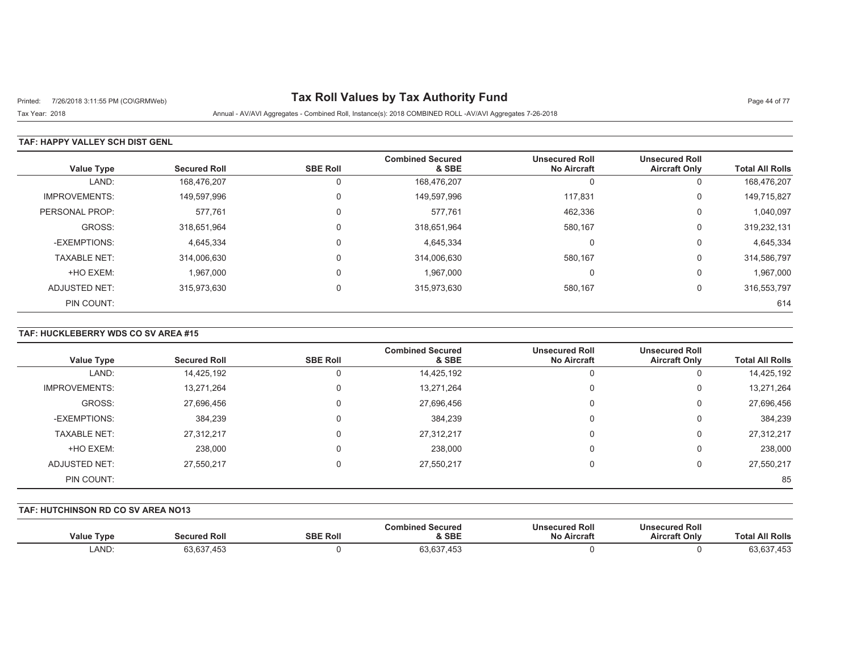# Printed: 7/26/2018 3:11:55 PM (CO\GRMWeb) **Tax Roll Values by Tax Authority Fund** Page 44 of 77

Tax Year: 2018 Annual - AV/AVI Aggregates - Combined Roll, Instance(s): 2018 COMBINED ROLL -AV/AVI Aggregates 7-26-2018

### **TAF: HAPPY VALLEY SCH DIST GENL**

| <b>Value Type</b>    | <b>Secured Roll</b> | <b>SBE Roll</b> | <b>Combined Secured</b><br>& SBE | <b>Unsecured Roll</b><br><b>No Aircraft</b> | <b>Unsecured Roll</b><br><b>Aircraft Only</b> | <b>Total All Rolls</b> |
|----------------------|---------------------|-----------------|----------------------------------|---------------------------------------------|-----------------------------------------------|------------------------|
| LAND:                | 168,476,207         |                 | 168,476,207                      | <sup>t</sup>                                | υ                                             | 168,476,207            |
| <b>IMPROVEMENTS:</b> | 149,597,996         | $\Omega$        | 149,597,996                      | 117.831                                     | 0                                             | 149,715,827            |
| PERSONAL PROP:       | 577,761             | $\Omega$        | 577,761                          | 462,336                                     | 0                                             | 1,040,097              |
| GROSS:               | 318,651,964         | $\Omega$        | 318,651,964                      | 580,167                                     | 0                                             | 319,232,131            |
| -EXEMPTIONS:         | 4,645,334           | $\Omega$        | 4,645,334                        | C                                           | υ                                             | 4,645,334              |
| <b>TAXABLE NET:</b>  | 314,006,630         | $\Omega$        | 314,006,630                      | 580,167                                     | 0                                             | 314,586,797            |
| +HO EXEM:            | 1,967,000           | $\Omega$        | 1,967,000                        | 0                                           | U                                             | 1,967,000              |
| ADJUSTED NET:        | 315,973,630         | $\Omega$        | 315,973,630                      | 580,167                                     | 0                                             | 316,553,797            |
| PIN COUNT:           |                     |                 |                                  |                                             |                                               | 614                    |

### **TAF: HUCKLEBERRY WDS CO SV AREA #15**

| <b>Value Type</b>    | <b>Secured Roll</b> | <b>SBE Roll</b> | <b>Combined Secured</b><br>& SBE | <b>Unsecured Roll</b><br><b>No Aircraft</b> | <b>Unsecured Roll</b><br><b>Aircraft Only</b> | <b>Total All Rolls</b> |
|----------------------|---------------------|-----------------|----------------------------------|---------------------------------------------|-----------------------------------------------|------------------------|
| LAND:                | 14,425,192          |                 | 14,425,192                       | υ                                           | 0                                             | 14,425,192             |
| <b>IMPROVEMENTS:</b> | 13,271,264          | 0               | 13,271,264                       | 0                                           | 0                                             | 13,271,264             |
| GROSS:               | 27,696,456          |                 | 27,696,456                       | 0                                           | 0                                             | 27,696,456             |
| -EXEMPTIONS:         | 384,239             |                 | 384,239                          | 0                                           | 0                                             | 384,239                |
| <b>TAXABLE NET:</b>  | 27,312,217          |                 | 27,312,217                       | 0                                           | 0                                             | 27,312,217             |
| +HO EXEM:            | 238,000             |                 | 238,000                          | 0                                           | 0                                             | 238,000                |
| ADJUSTED NET:        | 27,550,217          |                 | 27,550,217                       | 0                                           | 0                                             | 27,550,217             |
| PIN COUNT:           |                     |                 |                                  |                                             |                                               | 85                     |

#### **TAF: HUTCHINSON RD CO SV AREA NO13**

|                   |                           |                 | Combined Secured | <b>Unsecured Roll</b> | <b>Unsecured Roll</b> |                        |
|-------------------|---------------------------|-----------------|------------------|-----------------------|-----------------------|------------------------|
| <b>Value Type</b> | Secured Roll              | <b>SBE Roll</b> | & SBE            | <b>No Aircraft</b>    | <b>Aircraft Only</b>  | <b>Total All Rolls</b> |
| LAND:             | רמה מה<br>ו טט.טט<br>.400 |                 | 63,637,453       |                       |                       | 63,637,453             |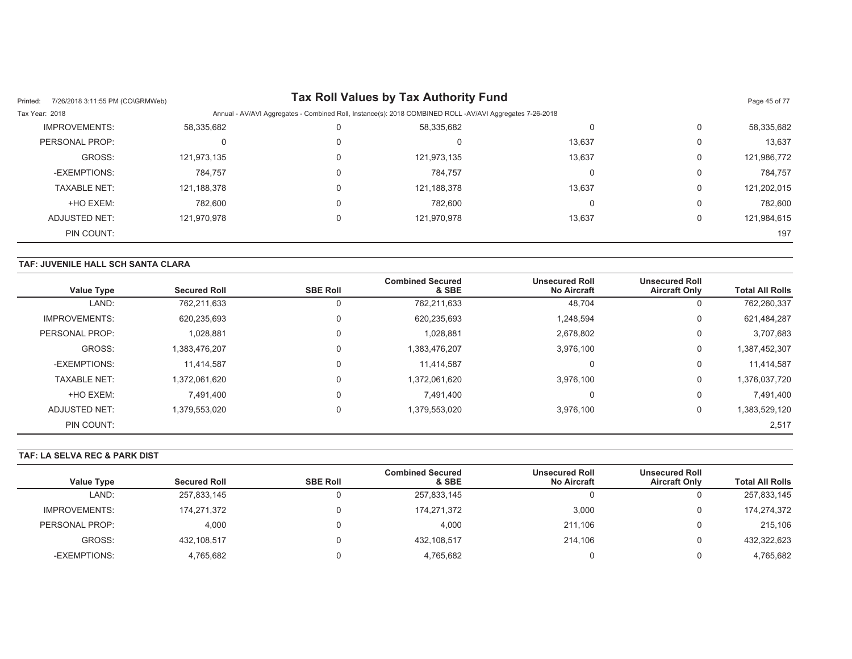| 7/26/2018 3:11:55 PM (CO\GRMWeb)<br>Printed: |             |   | <b>Tax Roll Values by Tax Authority Fund</b>                                                             |        |   | Page 45 of 77 |
|----------------------------------------------|-------------|---|----------------------------------------------------------------------------------------------------------|--------|---|---------------|
| Tax Year: 2018                               |             |   | Annual - AV/AVI Aggregates - Combined Roll, Instance(s): 2018 COMBINED ROLL -AV/AVI Aggregates 7-26-2018 |        |   |               |
| IMPROVEMENTS:                                | 58,335,682  |   | 58.335.682                                                                                               |        | 0 | 58,335,682    |
| PERSONAL PROP:                               |             |   | 0                                                                                                        | 13,637 | 0 | 13,637        |
| GROSS:                                       | 121,973,135 | 0 | 121,973,135                                                                                              | 13,637 | 0 | 121,986,772   |
| -EXEMPTIONS:                                 | 784.757     |   | 784.757                                                                                                  |        | 0 | 784.757       |
| <b>TAXABLE NET:</b>                          | 121,188,378 |   | 121, 188, 378                                                                                            | 13,637 | 0 | 121,202,015   |
| +HO EXEM:                                    | 782,600     |   | 782.600                                                                                                  |        | 0 | 782,600       |
| ADJUSTED NET:                                | 121.970.978 |   | 121.970.978                                                                                              | 13,637 | 0 | 121,984,615   |
| PIN COUNT:                                   |             |   |                                                                                                          |        |   | 197           |

## **TAF: JUVENILE HALL SCH SANTA CLARA**

| <b>Value Type</b>    | <b>Secured Roll</b> | <b>SBE Roll</b> | <b>Combined Secured</b><br>& SBE | <b>Unsecured Roll</b><br><b>No Aircraft</b> | <b>Unsecured Roll</b><br><b>Aircraft Only</b> | <b>Total All Rolls</b> |
|----------------------|---------------------|-----------------|----------------------------------|---------------------------------------------|-----------------------------------------------|------------------------|
| LAND:                | 762,211,633         | U               | 762,211,633                      | 48.704                                      | υ                                             | 762,260,337            |
| <b>IMPROVEMENTS:</b> | 620,235,693         | $\Omega$        | 620,235,693                      | 1,248,594                                   | 0                                             | 621,484,287            |
| PERSONAL PROP:       | 1,028,881           | 0               | 1,028,881                        | 2,678,802                                   | 0                                             | 3,707,683              |
| GROSS:               | 1,383,476,207       | $\Omega$        | 1,383,476,207                    | 3,976,100                                   | 0                                             | 1,387,452,307          |
| -EXEMPTIONS:         | 11,414,587          | 0               | 11,414,587                       | 0                                           | U                                             | 11,414,587             |
| <b>TAXABLE NET:</b>  | 1,372,061,620       | $\Omega$        | 1,372,061,620                    | 3,976,100                                   | 0                                             | 1,376,037,720          |
| +HO EXEM:            | 7.491.400           | 0               | 7,491,400                        | 0                                           | 0                                             | 7,491,400              |
| ADJUSTED NET:        | 1,379,553,020       | $\Omega$        | 1,379,553,020                    | 3,976,100                                   | 0                                             | 1,383,529,120          |
| PIN COUNT:           |                     |                 |                                  |                                             |                                               | 2,517                  |

## **TAF: LA SELVA REC & PARK DIST**

|                   |                     |                 | <b>Combined Secured</b> | <b>Unsecured Roll</b> | <b>Unsecured Roll</b> |                        |
|-------------------|---------------------|-----------------|-------------------------|-----------------------|-----------------------|------------------------|
| <b>Value Type</b> | <b>Secured Roll</b> | <b>SBE Roll</b> | & SBE                   | <b>No Aircraft</b>    | <b>Aircraft Only</b>  | <b>Total All Rolls</b> |
| LAND:             | 257,833,145         |                 | 257,833,145             |                       |                       | 257,833,145            |
| IMPROVEMENTS:     | 174,271,372         |                 | 174.271.372             | 3,000                 |                       | 174,274,372            |
| PERSONAL PROP:    | 4,000               |                 | 4,000                   | 211,106               |                       | 215,106                |
| GROSS:            | 432,108,517         |                 | 432,108,517             | 214.106               |                       | 432,322,623            |
| -EXEMPTIONS:      | 4,765,682           |                 | 4,765,682               |                       |                       | 4,765,682              |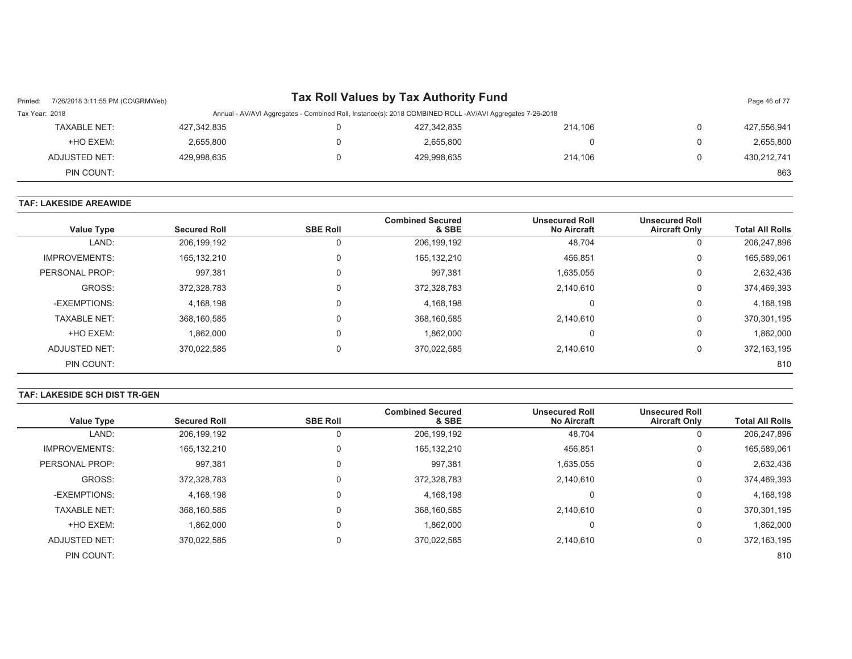| Printed:       | 7/26/2018 3:11:55 PM (CO\GRMWeb) |             |                                                                                                          | Tax Roll Values by Tax Authority Fund |         |  | Page 46 of 77 |  |
|----------------|----------------------------------|-------------|----------------------------------------------------------------------------------------------------------|---------------------------------------|---------|--|---------------|--|
| Tax Year: 2018 |                                  |             | Annual - AV/AVI Aggregates - Combined Roll, Instance(s): 2018 COMBINED ROLL -AV/AVI Aggregates 7-26-2018 |                                       |         |  |               |  |
|                | <b>TAXABLE NET:</b>              | 427,342,835 |                                                                                                          | 427,342,835                           | 214.106 |  | 427,556,941   |  |
|                | +HO EXEM:                        | 2,655,800   |                                                                                                          | 2,655,800                             |         |  | 2,655,800     |  |
|                | ADJUSTED NET:                    | 429,998,635 |                                                                                                          | 429,998,635                           | 214.106 |  | 430,212,741   |  |
|                | PIN COUNT:                       |             |                                                                                                          |                                       |         |  | 863           |  |

#### **TAF: LAKESIDE AREAWIDE**

| <b>Value Type</b>    | <b>Secured Roll</b> | <b>SBE Roll</b> | <b>Combined Secured</b><br>& SBE | <b>Unsecured Roll</b><br><b>No Aircraft</b> | <b>Unsecured Roll</b><br><b>Aircraft Only</b> | <b>Total All Rolls</b> |
|----------------------|---------------------|-----------------|----------------------------------|---------------------------------------------|-----------------------------------------------|------------------------|
| LAND:                | 206,199,192         |                 | 206,199,192                      | 48,704                                      | 0                                             | 206,247,896            |
| <b>IMPROVEMENTS:</b> | 165,132,210         | $\Omega$        | 165, 132, 210                    | 456,851                                     | 0                                             | 165,589,061            |
| PERSONAL PROP:       | 997,381             |                 | 997,381                          | 1,635,055                                   | 0                                             | 2,632,436              |
| GROSS:               | 372,328,783         |                 | 372,328,783                      | 2,140,610                                   | 0                                             | 374,469,393            |
| -EXEMPTIONS:         | 4.168.198           |                 | 4,168,198                        | υ                                           | 0                                             | 4,168,198              |
| <b>TAXABLE NET:</b>  | 368,160,585         |                 | 368,160,585                      | 2.140.610                                   | 0                                             | 370,301,195            |
| +HO EXEM:            | 1,862,000           |                 | 1,862,000                        |                                             | 0                                             | 1,862,000              |
| <b>ADJUSTED NET:</b> | 370.022.585         |                 | 370,022,585                      | 2,140,610                                   | 0                                             | 372, 163, 195          |
| PIN COUNT:           |                     |                 |                                  |                                             |                                               | 810                    |

#### **TAF: LAKESIDE SCH DIST TR-GEN**

|                      |                     |                 | <b>Combined Secured</b> | <b>Unsecured Roll</b> | <b>Unsecured Roll</b> |                        |
|----------------------|---------------------|-----------------|-------------------------|-----------------------|-----------------------|------------------------|
| <b>Value Type</b>    | <b>Secured Roll</b> | <b>SBE Roll</b> | & SBE                   | <b>No Aircraft</b>    | <b>Aircraft Only</b>  | <b>Total All Rolls</b> |
| LAND:                | 206,199,192         | 0               | 206, 199, 192           | 48,704                | 0                     | 206,247,896            |
| <b>IMPROVEMENTS:</b> | 165,132,210         | $\Omega$        | 165, 132, 210           | 456,851               | 0                     | 165,589,061            |
| PERSONAL PROP:       | 997,381             | 0               | 997,381                 | 1,635,055             | 0                     | 2,632,436              |
| GROSS:               | 372,328,783         | $\Omega$        | 372,328,783             | 2.140.610             | 0                     | 374,469,393            |
| -EXEMPTIONS:         | 4,168,198           | $\mathbf 0$     | 4,168,198               | 0                     | 0                     | 4,168,198              |
| <b>TAXABLE NET:</b>  | 368.160.585         | $\Omega$        | 368.160.585             | 2.140.610             | 0                     | 370,301,195            |
| +HO EXEM:            | 1.862.000           | $\Omega$        | 1.862.000               | 0                     | 0                     | 1,862,000              |
| ADJUSTED NET:        | 370,022,585         | $\mathbf 0$     | 370,022,585             | 2,140,610             | 0                     | 372, 163, 195          |
| PIN COUNT:           |                     |                 |                         |                       |                       | 810                    |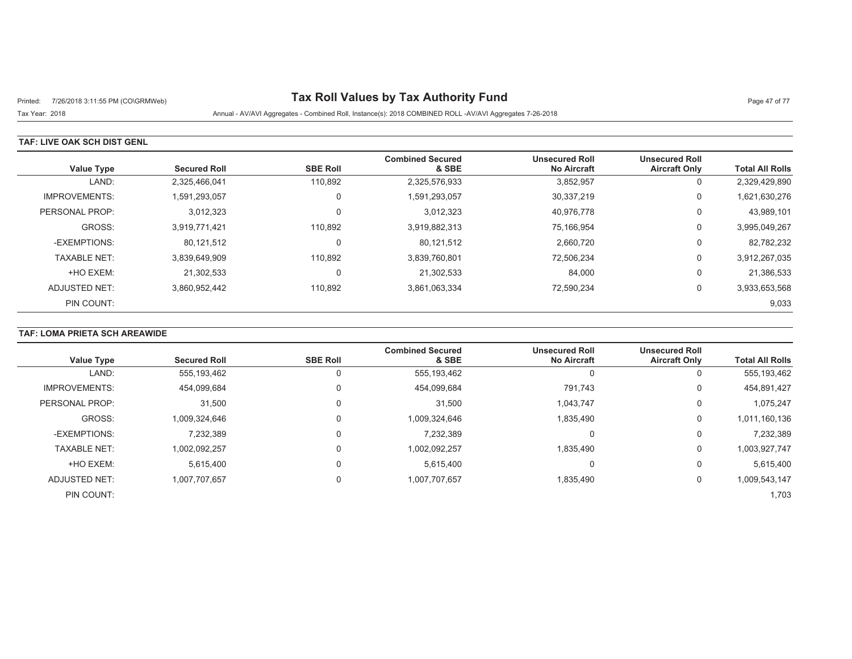# Printed: 7/26/2018 3:11:55 PM (CO\GRMWeb) **Tax Roll Values by Tax Authority Fund** Page 47 of 77

Tax Year: 2018 Annual - AV/AVI Aggregates - Combined Roll, Instance(s): 2018 COMBINED ROLL -AV/AVI Aggregates 7-26-2018

### **TAF: LIVE OAK SCH DIST GENL**

| <b>Value Type</b>    | <b>Secured Roll</b> | <b>SBE Roll</b> | <b>Combined Secured</b><br>& SBE | <b>Unsecured Roll</b><br><b>No Aircraft</b> | <b>Unsecured Roll</b><br><b>Aircraft Only</b> | <b>Total All Rolls</b> |
|----------------------|---------------------|-----------------|----------------------------------|---------------------------------------------|-----------------------------------------------|------------------------|
| LAND:                | 2,325,466,041       | 110,892         | 2,325,576,933                    | 3,852,957                                   | 0                                             | 2,329,429,890          |
| <b>IMPROVEMENTS:</b> | 1,591,293,057       | 0               | 1,591,293,057                    | 30,337,219                                  | 0                                             | 1,621,630,276          |
| PERSONAL PROP:       | 3,012,323           | 0               | 3,012,323                        | 40.976.778                                  | 0                                             | 43,989,101             |
| GROSS:               | 3.919.771.421       | 110.892         | 3,919,882,313                    | 75.166.954                                  | 0                                             | 3,995,049,267          |
| -EXEMPTIONS:         | 80,121,512          | 0               | 80,121,512                       | 2,660,720                                   | 0                                             | 82,782,232             |
| <b>TAXABLE NET:</b>  | 3,839,649,909       | 110.892         | 3,839,760,801                    | 72,506,234                                  | 0                                             | 3,912,267,035          |
| +HO EXEM:            | 21.302.533          | 0               | 21,302,533                       | 84,000                                      | 0                                             | 21,386,533             |
| ADJUSTED NET:        | 3,860,952,442       | 110,892         | 3,861,063,334                    | 72,590,234                                  | 0                                             | 3,933,653,568          |
| PIN COUNT:           |                     |                 |                                  |                                             |                                               | 9,033                  |

## **TAF: LOMA PRIETA SCH AREAWIDE**

| <b>Value Type</b>    | <b>Secured Roll</b> | <b>SBE Roll</b> | <b>Combined Secured</b><br>& SBE | <b>Unsecured Roll</b><br><b>No Aircraft</b> | <b>Unsecured Roll</b><br><b>Aircraft Only</b> | <b>Total All Rolls</b> |
|----------------------|---------------------|-----------------|----------------------------------|---------------------------------------------|-----------------------------------------------|------------------------|
|                      |                     |                 |                                  |                                             |                                               |                        |
| LAND:                | 555,193,462         |                 | 555, 193, 462                    | 0                                           |                                               | 555,193,462            |
| <b>IMPROVEMENTS:</b> | 454,099,684         | 0               | 454,099,684                      | 791,743                                     | 0                                             | 454,891,427            |
| PERSONAL PROP:       | 31,500              | 0               | 31,500                           | 1,043,747                                   | 0                                             | 1.075.247              |
| GROSS:               | 1,009,324,646       | 0               | 1,009,324,646                    | 1,835,490                                   | 0                                             | 1,011,160,136          |
| -EXEMPTIONS:         | 7,232,389           | 0               | 7,232,389                        | 0                                           | $\Omega$                                      | 7,232,389              |
| <b>TAXABLE NET:</b>  | 1,002,092,257       | 0               | 1,002,092,257                    | 1.835.490                                   | $\Omega$                                      | 1,003,927,747          |
| +HO EXEM:            | 5.615.400           | 0               | 5.615.400                        | 0                                           | $\Omega$                                      | 5,615,400              |
| ADJUSTED NET:        | 1,007,707,657       | 0               | 1,007,707,657                    | 1,835,490                                   | 0                                             | 1,009,543,147          |
| PIN COUNT:           |                     |                 |                                  |                                             |                                               | 1,703                  |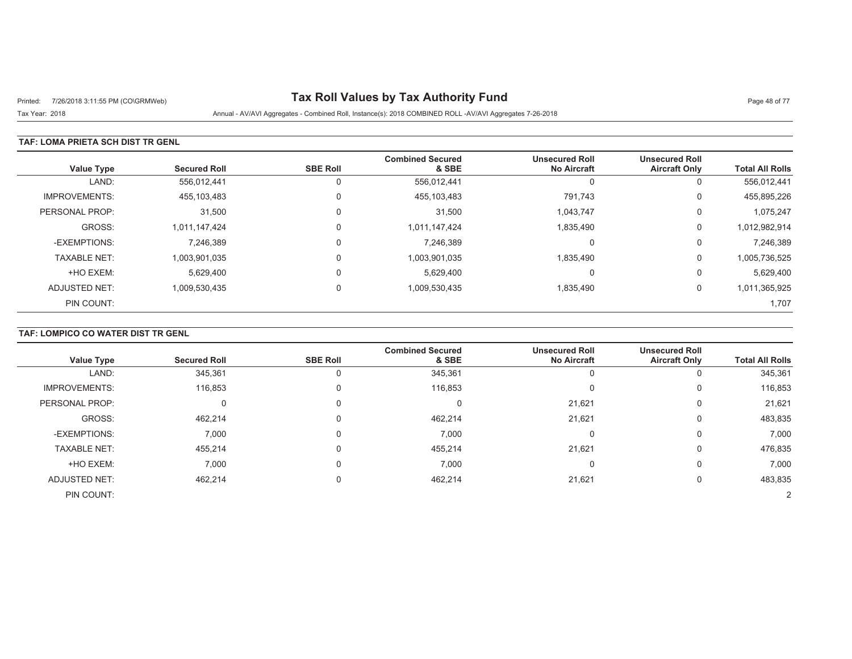# Printed: 7/26/2018 3:11:55 PM (CO\GRMWeb) **Tax Roll Values by Tax Authority Fund** Page 48 of 77

Tax Year: 2018 Annual - AV/AVI Aggregates - Combined Roll, Instance(s): 2018 COMBINED ROLL -AV/AVI Aggregates 7-26-2018

### **TAF: LOMA PRIETA SCH DIST TR GENL**

| <b>Value Type</b>    | <b>Secured Roll</b> | <b>SBE Roll</b> | <b>Combined Secured</b><br>& SBE | <b>Unsecured Roll</b><br><b>No Aircraft</b> | <b>Unsecured Roll</b><br><b>Aircraft Only</b> | <b>Total All Rolls</b> |
|----------------------|---------------------|-----------------|----------------------------------|---------------------------------------------|-----------------------------------------------|------------------------|
| LAND:                | 556,012,441         | 0               | 556,012,441                      | 0                                           | υ                                             | 556,012,441            |
| <b>IMPROVEMENTS:</b> | 455,103,483         | 0               | 455,103,483                      | 791.743                                     | 0                                             | 455,895,226            |
| PERSONAL PROP:       | 31,500              | $\Omega$        | 31,500                           | 1,043,747                                   | 0                                             | 1,075,247              |
| GROSS:               | 1.011.147.424       | 0               | 1,011,147,424                    | 1,835,490                                   | 0                                             | 1,012,982,914          |
| -EXEMPTIONS:         | 7,246,389           | $\Omega$        | 7,246,389                        | 0                                           | 0                                             | 7,246,389              |
| <b>TAXABLE NET:</b>  | 1,003,901,035       | $\Omega$        | 1,003,901,035                    | 1,835,490                                   | 0                                             | 1,005,736,525          |
| +HO EXEM:            | 5,629,400           | 0               | 5,629,400                        | 0                                           | 0                                             | 5,629,400              |
| ADJUSTED NET:        | 1,009,530,435       | $\Omega$        | 1,009,530,435                    | 1,835,490                                   | 0                                             | 1,011,365,925          |
| PIN COUNT:           |                     |                 |                                  |                                             |                                               | 1,707                  |

## **TAF: LOMPICO CO WATER DIST TR GENL**

|                      |                     |                 | <b>Combined Secured</b> | <b>Unsecured Roll</b> | <b>Unsecured Roll</b> |                        |
|----------------------|---------------------|-----------------|-------------------------|-----------------------|-----------------------|------------------------|
| <b>Value Type</b>    | <b>Secured Roll</b> | <b>SBE Roll</b> | & SBE                   | <b>No Aircraft</b>    | <b>Aircraft Only</b>  | <b>Total All Rolls</b> |
| LAND:                | 345,361             |                 | 345,361                 |                       | 0                     | 345,361                |
| <b>IMPROVEMENTS:</b> | 116,853             |                 | 116,853                 |                       | 0                     | 116,853                |
| PERSONAL PROP:       |                     |                 | 0                       | 21,621                | 0                     | 21,621                 |
| GROSS:               | 462,214             |                 | 462,214                 | 21,621                | 0                     | 483,835                |
| -EXEMPTIONS:         | 7,000               |                 | 7,000                   |                       | 0                     | 7,000                  |
| <b>TAXABLE NET:</b>  | 455,214             |                 | 455,214                 | 21,621                | 0                     | 476,835                |
| +HO EXEM:            | 7,000               |                 | 7,000                   |                       | 0                     | 7,000                  |
| <b>ADJUSTED NET:</b> | 462,214             |                 | 462,214                 | 21,621                | 0                     | 483,835                |
| PIN COUNT:           |                     |                 |                         |                       |                       |                        |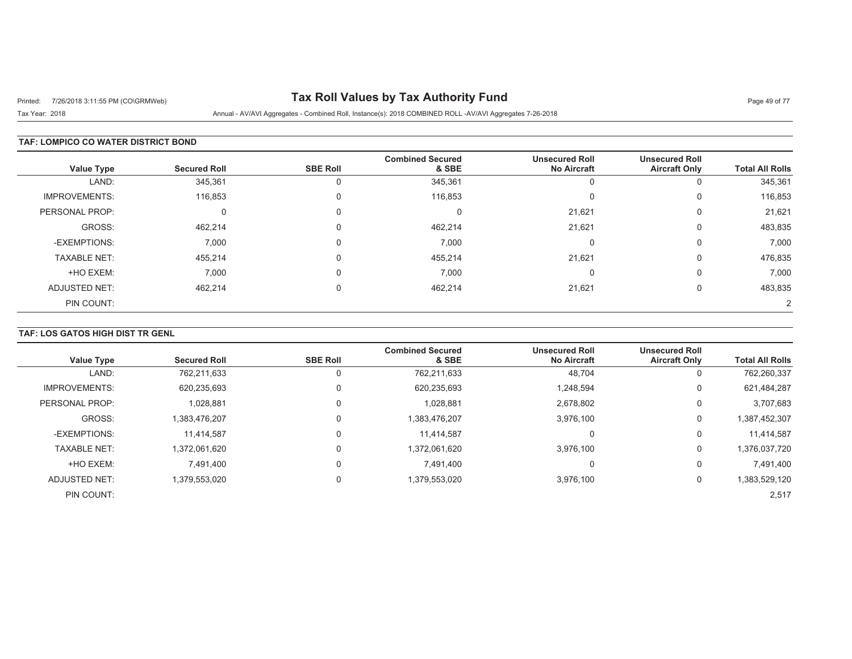# Printed: 7/26/2018 3:11:55 PM (CO\GRMWeb) **Tax Roll Values by Tax Authority Fund** Page 49 of 77

Tax Year: 2018 Annual - AV/AVI Aggregates - Combined Roll, Instance(s): 2018 COMBINED ROLL -AV/AVI Aggregates 7-26-2018

### **TAF: LOMPICO CO WATER DISTRICT BOND**

| <b>Value Type</b>    | <b>Secured Roll</b> | <b>SBE Roll</b> | <b>Combined Secured</b><br>& SBE | <b>Unsecured Roll</b><br><b>No Aircraft</b> | <b>Unsecured Roll</b><br><b>Aircraft Only</b> | <b>Total All Rolls</b> |
|----------------------|---------------------|-----------------|----------------------------------|---------------------------------------------|-----------------------------------------------|------------------------|
| LAND:                | 345,361             |                 | 345,361                          | U                                           | υ                                             | 345,361                |
| <b>IMPROVEMENTS:</b> | 116,853             |                 | 116,853                          | $\Omega$                                    | 0                                             | 116,853                |
| PERSONAL PROP:       | O                   |                 | 0                                | 21,621                                      | 0                                             | 21,621                 |
| GROSS:               | 462,214             |                 | 462,214                          | 21,621                                      | 0                                             | 483,835                |
| -EXEMPTIONS:         | 7,000               |                 | 7,000                            | O                                           | 0                                             | 7,000                  |
| <b>TAXABLE NET:</b>  | 455,214             |                 | 455,214                          | 21,621                                      | 0                                             | 476,835                |
| +HO EXEM:            | 7,000               |                 | 7,000                            | O                                           | 0                                             | 7,000                  |
| ADJUSTED NET:        | 462,214             |                 | 462,214                          | 21,621                                      | 0                                             | 483,835                |
| PIN COUNT:           |                     |                 |                                  |                                             |                                               |                        |

## **TAF: LOS GATOS HIGH DIST TR GENL**

| <b>Value Type</b>    | <b>Secured Roll</b> | <b>SBE Roll</b> | <b>Combined Secured</b><br>& SBE | <b>Unsecured Roll</b><br><b>No Aircraft</b> | <b>Unsecured Roll</b><br><b>Aircraft Only</b> | <b>Total All Rolls</b> |
|----------------------|---------------------|-----------------|----------------------------------|---------------------------------------------|-----------------------------------------------|------------------------|
| LAND:                | 762,211,633         |                 | 762,211,633                      | 48,704                                      | 0                                             | 762,260,337            |
| <b>IMPROVEMENTS:</b> | 620,235,693         |                 | 620,235,693                      | 1,248,594                                   | 0                                             | 621,484,287            |
| PERSONAL PROP:       | 1,028,881           |                 | 1,028,881                        | 2,678,802                                   | 0                                             | 3,707,683              |
| GROSS:               | 1,383,476,207       |                 | 1,383,476,207                    | 3,976,100                                   | 0                                             | 1,387,452,307          |
| -EXEMPTIONS:         | 11.414.587          |                 | 11.414.587                       |                                             | 0                                             | 11,414,587             |
| <b>TAXABLE NET:</b>  | 1,372,061,620       |                 | 1,372,061,620                    | 3.976.100                                   | 0                                             | 1,376,037,720          |
| +HO EXEM:            | 7.491.400           |                 | 7.491.400                        | υ                                           | 0                                             | 7,491,400              |
| ADJUSTED NET:        | 1,379,553,020       |                 | 1,379,553,020                    | 3,976,100                                   | 0                                             | 1,383,529,120          |
| PIN COUNT:           |                     |                 |                                  |                                             |                                               | 2,517                  |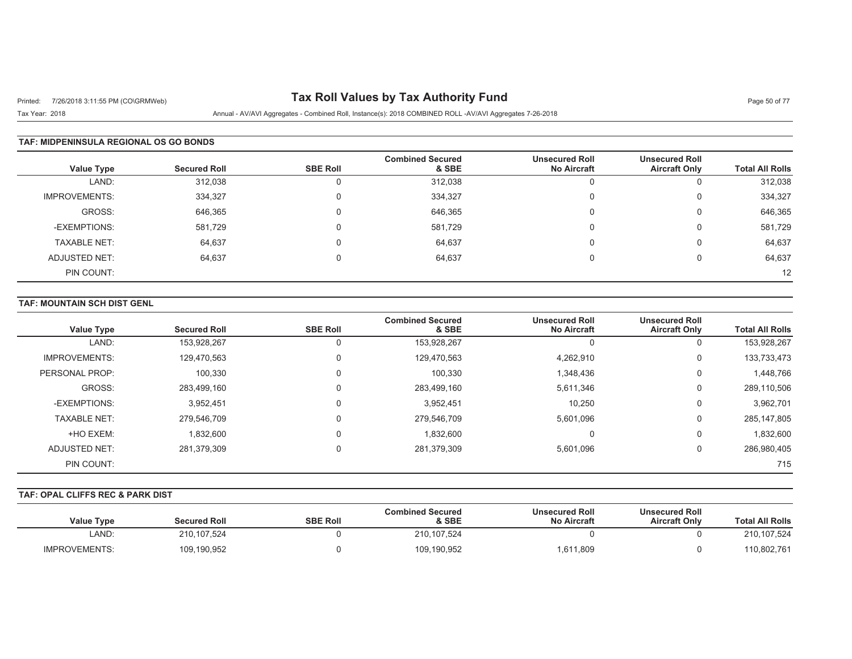# Printed: 7/26/2018 3:11:55 PM (CO\GRMWeb) **Tax Roll Values by Tax Authority Fund** Page 50 of 77

Tax Year: 2018 Annual - AV/AVI Aggregates - Combined Roll, Instance(s): 2018 COMBINED ROLL -AV/AVI Aggregates 7-26-2018

#### **TAF: MIDPENINSULA REGIONAL OS GO BONDS**

| Value Type           | <b>Secured Roll</b> | <b>SBE Roll</b> | <b>Combined Secured</b><br>& SBE | <b>Unsecured Roll</b><br><b>No Aircraft</b> | <b>Unsecured Roll</b><br><b>Aircraft Only</b> | <b>Total All Rolls</b> |
|----------------------|---------------------|-----------------|----------------------------------|---------------------------------------------|-----------------------------------------------|------------------------|
| LAND:                | 312,038             | 0               | 312,038                          | υ                                           | u                                             | 312,038                |
| <b>IMPROVEMENTS:</b> | 334,327             | $\Omega$        | 334,327                          | 0                                           | U                                             | 334,327                |
| GROSS:               | 646,365             | 0               | 646,365                          | 0                                           | U                                             | 646,365                |
| -EXEMPTIONS:         | 581.729             | $\Omega$        | 581,729                          | 0                                           | υ                                             | 581,729                |
| <b>TAXABLE NET:</b>  | 64,637              | $\Omega$        | 64,637                           | 0                                           | O                                             | 64,637                 |
| ADJUSTED NET:        | 64,637              | $\Omega$        | 64,637                           | $\Omega$                                    | 0                                             | 64,637                 |
| PIN COUNT:           |                     |                 |                                  |                                             |                                               | 12                     |

#### **TAF: MOUNTAIN SCH DIST GENL**

| <b>Value Type</b>    | <b>Secured Roll</b> | <b>SBE Roll</b> | <b>Combined Secured</b><br>& SBE | <b>Unsecured Roll</b><br><b>No Aircraft</b> | <b>Unsecured Roll</b><br><b>Aircraft Only</b> | <b>Total All Rolls</b> |
|----------------------|---------------------|-----------------|----------------------------------|---------------------------------------------|-----------------------------------------------|------------------------|
| LAND:                | 153,928,267         |                 | 153,928,267                      |                                             | 0                                             | 153,928,267            |
| <b>IMPROVEMENTS:</b> | 129,470,563         |                 | 129.470.563                      | 4,262,910                                   | 0                                             | 133,733,473            |
| PERSONAL PROP:       | 100,330             | 0               | 100,330                          | 1,348,436                                   | 0                                             | 1,448,766              |
| GROSS:               | 283,499,160         |                 | 283,499,160                      | 5,611,346                                   | 0                                             | 289,110,506            |
| -EXEMPTIONS:         | 3,952,451           |                 | 3,952,451                        | 10,250                                      | 0                                             | 3,962,701              |
| <b>TAXABLE NET:</b>  | 279.546.709         |                 | 279,546,709                      | 5.601.096                                   | 0                                             | 285, 147, 805          |
| +HO EXEM:            | 1,832,600           |                 | 1,832,600                        | υ                                           | 0                                             | 1,832,600              |
| ADJUSTED NET:        | 281,379,309         |                 | 281,379,309                      | 5,601,096                                   | 0                                             | 286,980,405            |
| PIN COUNT:           |                     |                 |                                  |                                             |                                               | 715                    |

#### **TAF: OPAL CLIFFS REC & PARK DIST**

| <b>Total All Rolls</b> | <b>Unsecured Roll</b><br><b>Aircraft Only</b> | <b>Unsecured Roll</b><br><b>No Aircraft</b> | <b>Combined Secured</b><br>& SBE | <b>SBE Roll</b> | <b>Secured Roll</b> | <b>Value Type</b>    |
|------------------------|-----------------------------------------------|---------------------------------------------|----------------------------------|-----------------|---------------------|----------------------|
| 210, 107, 524          |                                               |                                             | 210, 107, 524                    |                 | 210,107,524         | LAND:                |
| 110,802,761            |                                               | 1,611,809                                   | 109,190,952                      |                 | 109,190,952         | <b>IMPROVEMENTS:</b> |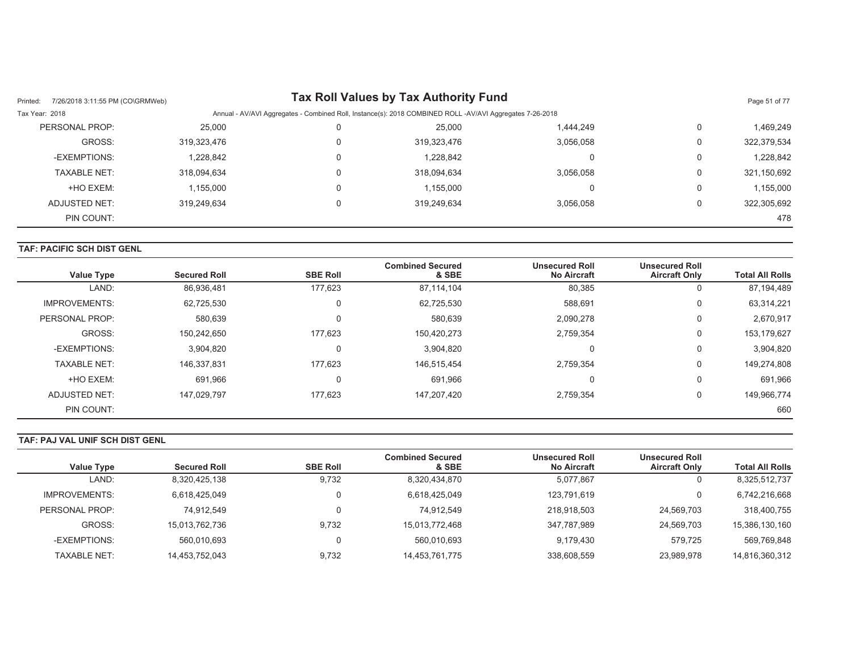| 7/26/2018 3:11:55 PM (CO\GRMWeb)<br>Printed: |             |   | <b>Tax Roll Values by Tax Authority Fund</b>                                                             |           |          | Page 51 of 77 |
|----------------------------------------------|-------------|---|----------------------------------------------------------------------------------------------------------|-----------|----------|---------------|
| Tax Year: 2018                               |             |   | Annual - AV/AVI Aggregates - Combined Roll, Instance(s): 2018 COMBINED ROLL -AV/AVI Aggregates 7-26-2018 |           |          |               |
| PERSONAL PROP:                               | 25,000      | 0 | 25,000                                                                                                   | 1,444,249 | $\Omega$ | 1.469.249     |
| GROSS:                                       | 319,323,476 | 0 | 319,323,476                                                                                              | 3,056,058 | 0        | 322,379,534   |
| -EXEMPTIONS:                                 | 1,228,842   | 0 | 1,228,842                                                                                                |           | 0        | 1,228,842     |
| <b>TAXABLE NET:</b>                          | 318.094.634 |   | 318,094,634                                                                                              | 3.056.058 | 0        | 321,150,692   |
| +HO EXEM:                                    | 1,155,000   |   | 1,155,000                                                                                                |           | $\Omega$ | 1,155,000     |
| ADJUSTED NET:                                | 319.249.634 |   | 319,249,634                                                                                              | 3.056.058 |          | 322,305,692   |
| PIN COUNT:                                   |             |   |                                                                                                          |           |          | 478           |

## **TAF: PACIFIC SCH DIST GENL**

| <b>Value Type</b>    | <b>Secured Roll</b> | <b>SBE Roll</b> | <b>Combined Secured</b><br>& SBE | <b>Unsecured Roll</b><br><b>No Aircraft</b> | <b>Unsecured Roll</b><br><b>Aircraft Only</b> | <b>Total All Rolls</b> |
|----------------------|---------------------|-----------------|----------------------------------|---------------------------------------------|-----------------------------------------------|------------------------|
| LAND:                | 86,936,481          | 177.623         | 87,114,104                       | 80,385                                      | 0                                             | 87,194,489             |
| <b>IMPROVEMENTS:</b> | 62,725,530          | $\mathbf 0$     | 62,725,530                       | 588,691                                     | 0                                             | 63,314,221             |
| PERSONAL PROP:       | 580.639             | $\Omega$        | 580,639                          | 2.090.278                                   | 0                                             | 2,670,917              |
| GROSS:               | 150,242,650         | 177.623         | 150,420,273                      | 2,759,354                                   | 0                                             | 153,179,627            |
| -EXEMPTIONS:         | 3,904,820           | $\Omega$        | 3,904,820                        |                                             | 0                                             | 3,904,820              |
| <b>TAXABLE NET:</b>  | 146,337,831         | 177.623         | 146,515,454                      | 2.759.354                                   | 0                                             | 149,274,808            |
| +HO EXEM:            | 691,966             | $\mathbf 0$     | 691,966                          |                                             | 0                                             | 691.966                |
| ADJUSTED NET:        | 147.029.797         | 177.623         | 147,207,420                      | 2,759,354                                   | $\mathbf 0$                                   | 149,966,774            |
| PIN COUNT:           |                     |                 |                                  |                                             |                                               | 660                    |

## **TAF: PAJ VAL UNIF SCH DIST GENL**

| <b>Value Type</b> | <b>Secured Roll</b> | <b>SBE Roll</b> | <b>Combined Secured</b><br>& SBE | <b>Unsecured Roll</b><br><b>No Aircraft</b> | <b>Unsecured Roll</b><br><b>Aircraft Only</b> | <b>Total All Rolls</b> |
|-------------------|---------------------|-----------------|----------------------------------|---------------------------------------------|-----------------------------------------------|------------------------|
| LAND:             | 8,320,425,138       | 9,732           | 8,320,434,870                    | 5,077,867                                   | υ                                             | 8,325,512,737          |
| IMPROVEMENTS:     | 6,618,425,049       |                 | 6,618,425,049                    | 123,791,619                                 | 0                                             | 6,742,216,668          |
| PERSONAL PROP:    | 74.912.549          |                 | 74.912.549                       | 218,918,503                                 | 24.569.703                                    | 318,400,755            |
| GROSS:            | 15,013,762,736      | 9,732           | 15,013,772,468                   | 347,787,989                                 | 24,569,703                                    | 15,386,130,160         |
| -EXEMPTIONS:      | 560,010,693         |                 | 560.010.693                      | 9,179,430                                   | 579.725                                       | 569.769.848            |
| TAXABLE NET:      | 14,453,752,043      | 9.732           | 14,453,761,775                   | 338,608,559                                 | 23,989,978                                    | 14,816,360,312         |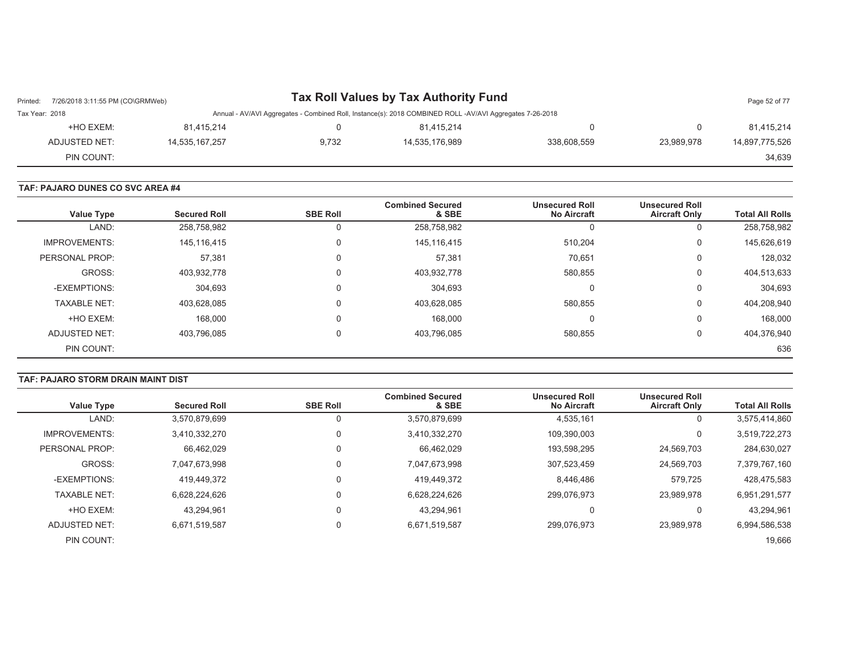| Printed:       | Tax Roll Values by Tax Authority Fund<br>7/26/2018 3:11:55 PM (CO\GRMWeb) |                |       |                                                                                                          |             |            |                |
|----------------|---------------------------------------------------------------------------|----------------|-------|----------------------------------------------------------------------------------------------------------|-------------|------------|----------------|
| Tax Year: 2018 |                                                                           |                |       | Annual - AV/AVI Aggregates - Combined Roll, Instance(s): 2018 COMBINED ROLL -AV/AVI Aggregates 7-26-2018 |             |            |                |
|                | +HO EXEM:                                                                 | 81.415.214     |       | 81.415.214                                                                                               |             |            | 81,415,214     |
|                | ADJUSTED NET:                                                             | 14,535,167,257 | 9,732 | 14,535,176,989                                                                                           | 338.608.559 | 23.989.978 | 14,897,775,526 |
|                | PIN COUNT:                                                                |                |       |                                                                                                          |             |            | 34,639         |

#### **TAF: PAJARO DUNES CO SVC AREA #4**

| <b>Value Type</b>    | <b>Secured Roll</b> | <b>SBE Roll</b> | <b>Combined Secured</b><br>& SBE | <b>Unsecured Roll</b><br><b>No Aircraft</b> | <b>Unsecured Roll</b><br><b>Aircraft Only</b> | <b>Total All Rolls</b> |
|----------------------|---------------------|-----------------|----------------------------------|---------------------------------------------|-----------------------------------------------|------------------------|
| LAND:                | 258,758,982         | 0               | 258,758,982                      |                                             | 0                                             | 258,758,982            |
| <b>IMPROVEMENTS:</b> | 145,116,415         | 0               | 145,116,415                      | 510,204                                     | 0                                             | 145,626,619            |
| PERSONAL PROP:       | 57,381              | $\mathbf 0$     | 57,381                           | 70,651                                      | 0                                             | 128,032                |
| GROSS:               | 403,932,778         | 0               | 403,932,778                      | 580,855                                     | 0                                             | 404,513,633            |
| -EXEMPTIONS:         | 304,693             | $\mathbf 0$     | 304,693                          |                                             | 0                                             | 304,693                |
| <b>TAXABLE NET:</b>  | 403,628,085         | 0               | 403,628,085                      | 580,855                                     | 0                                             | 404,208,940            |
| +HO EXEM:            | 168,000             | 0               | 168,000                          | 0                                           | 0                                             | 168,000                |
| ADJUSTED NET:        | 403,796,085         | 0               | 403,796,085                      | 580,855                                     | 0                                             | 404,376,940            |
| PIN COUNT:           |                     |                 |                                  |                                             |                                               | 636                    |

#### **TAF: PAJARO STORM DRAIN MAINT DIST**

| <b>Value Type</b>    | <b>Secured Roll</b> | <b>SBE Roll</b> | <b>Combined Secured</b><br>& SBE | <b>Unsecured Roll</b><br><b>No Aircraft</b> | <b>Unsecured Roll</b><br><b>Aircraft Only</b> | <b>Total All Rolls</b> |
|----------------------|---------------------|-----------------|----------------------------------|---------------------------------------------|-----------------------------------------------|------------------------|
| LAND:                | 3,570,879,699       |                 | 3,570,879,699                    | 4,535,161                                   | 0                                             | 3,575,414,860          |
|                      |                     |                 |                                  |                                             |                                               |                        |
| <b>IMPROVEMENTS:</b> | 3,410,332,270       | $\Omega$        | 3,410,332,270                    | 109.390.003                                 | 0                                             | 3,519,722,273          |
| PERSONAL PROP:       | 66,462,029          |                 | 66,462,029                       | 193,598,295                                 | 24,569,703                                    | 284,630,027            |
| GROSS:               | 7.047.673.998       |                 | 7,047,673,998                    | 307,523,459                                 | 24,569,703                                    | 7,379,767,160          |
| -EXEMPTIONS:         | 419,449,372         | $\mathbf{0}$    | 419,449,372                      | 8.446.486                                   | 579.725                                       | 428,475,583            |
| <b>TAXABLE NET:</b>  | 6.628.224.626       |                 | 6,628,224,626                    | 299,076,973                                 | 23,989,978                                    | 6,951,291,577          |
| +HO EXEM:            | 43.294.961          |                 | 43,294,961                       |                                             | 0                                             | 43,294,961             |
| ADJUSTED NET:        | 6,671,519,587       |                 | 6,671,519,587                    | 299,076,973                                 | 23.989.978                                    | 6,994,586,538          |
| PIN COUNT:           |                     |                 |                                  |                                             |                                               | 19,666                 |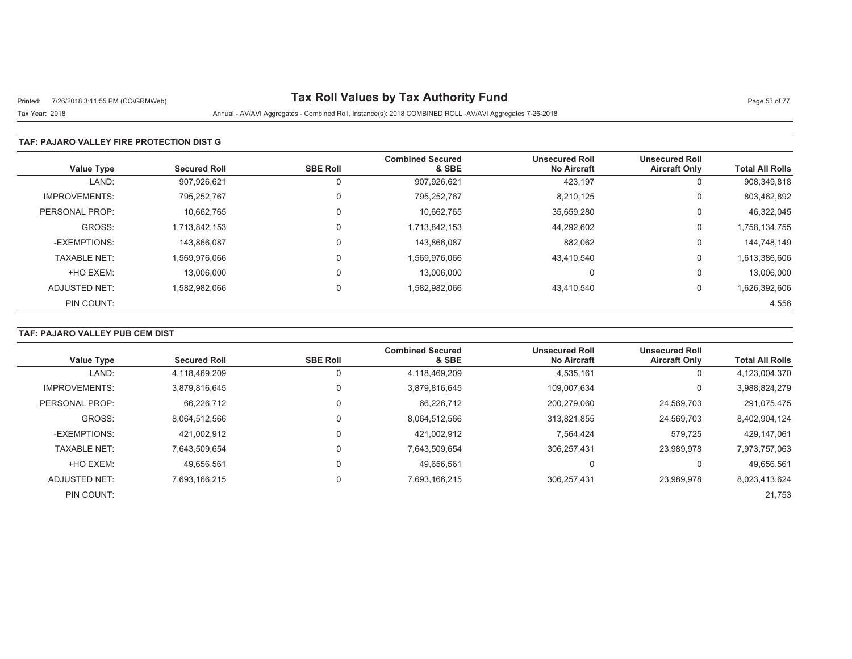# Printed: 7/26/2018 3:11:55 PM (CO\GRMWeb) **Tax Roll Values by Tax Authority Fund** Page 53 of 77

#### Tax Year: 2018 Annual - AV/AVI Aggregates - Combined Roll, Instance(s): 2018 COMBINED ROLL -AV/AVI Aggregates 7-26-2018

### **TAF: PAJARO VALLEY FIRE PROTECTION DIST G**

| <b>Value Type</b>    | <b>Secured Roll</b> | <b>SBE Roll</b> | <b>Combined Secured</b><br>& SBE | <b>Unsecured Roll</b><br><b>No Aircraft</b> | <b>Unsecured Roll</b><br><b>Aircraft Only</b> | <b>Total All Rolls</b> |
|----------------------|---------------------|-----------------|----------------------------------|---------------------------------------------|-----------------------------------------------|------------------------|
| LAND:                | 907.926.621         |                 | 907,926,621                      | 423,197                                     | U                                             | 908,349,818            |
| <b>IMPROVEMENTS:</b> | 795,252,767         |                 | 795,252,767                      | 8,210,125                                   | 0                                             | 803,462,892            |
| PERSONAL PROP:       | 10.662.765          |                 | 10.662.765                       | 35,659,280                                  | 0                                             | 46,322,045             |
| GROSS:               | 1.713.842.153       |                 | 1,713,842,153                    | 44,292,602                                  | 0                                             | 1,758,134,755          |
| -EXEMPTIONS:         | 143.866.087         |                 | 143.866.087                      | 882,062                                     | 0                                             | 144,748,149            |
| <b>TAXABLE NET:</b>  | 1,569,976,066       |                 | 1,569,976,066                    | 43,410,540                                  | 0                                             | 1,613,386,606          |
| +HO EXEM:            | 13.006.000          |                 | 13.006.000                       | 0                                           | 0                                             | 13,006,000             |
| ADJUSTED NET:        | 1,582,982,066       | $\Omega$        | 1,582,982,066                    | 43,410,540                                  | 0                                             | 1,626,392,606          |
| PIN COUNT:           |                     |                 |                                  |                                             |                                               | 4,556                  |

## **TAF: PAJARO VALLEY PUB CEM DIST**

|                      |                     |                 | <b>Combined Secured</b> | <b>Unsecured Roll</b> | <b>Unsecured Roll</b> |                        |
|----------------------|---------------------|-----------------|-------------------------|-----------------------|-----------------------|------------------------|
| <b>Value Type</b>    | <b>Secured Roll</b> | <b>SBE Roll</b> | & SBE                   | <b>No Aircraft</b>    | <b>Aircraft Only</b>  | <b>Total All Rolls</b> |
| LAND:                | 4,118,469,209       |                 | 4,118,469,209           | 4,535,161             | υ                     | 4,123,004,370          |
| <b>IMPROVEMENTS:</b> | 3,879,816,645       |                 | 3,879,816,645           | 109,007,634           |                       | 3,988,824,279          |
| PERSONAL PROP:       | 66.226.712          |                 | 66.226.712              | 200.279.060           | 24,569,703            | 291,075,475            |
| GROSS:               | 8.064.512.566       |                 | 8,064,512,566           | 313.821.855           | 24,569,703            | 8,402,904,124          |
| -EXEMPTIONS:         | 421.002.912         |                 | 421,002,912             | 7,564,424             | 579,725               | 429,147,061            |
| <b>TAXABLE NET:</b>  | 7.643.509.654       |                 | 7,643,509,654           | 306.257.431           | 23.989.978            | 7,973,757,063          |
| +HO EXEM:            | 49.656.561          |                 | 49.656.561              | 0                     |                       | 49.656.561             |
| ADJUSTED NET:        | 7.693.166.215       |                 | 7,693,166,215           | 306,257,431           | 23.989.978            | 8,023,413,624          |
| PIN COUNT:           |                     |                 |                         |                       |                       | 21,753                 |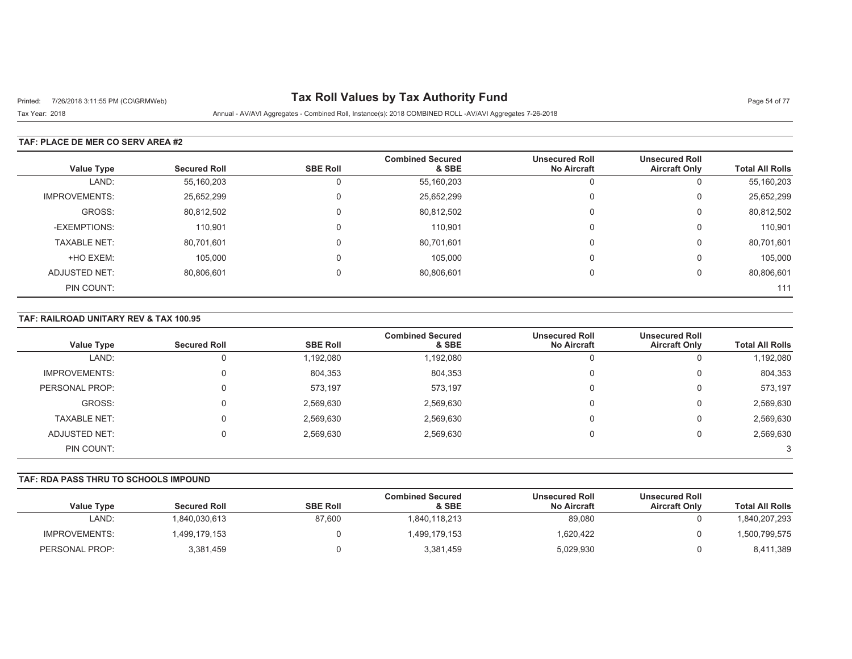# Printed: 7/26/2018 3:11:55 PM (CO\GRMWeb) **Tax Roll Values by Tax Authority Fund** Page 54 of 77

Tax Year: 2018 Annual - AV/AVI Aggregates - Combined Roll, Instance(s): 2018 COMBINED ROLL -AV/AVI Aggregates 7-26-2018

### **TAF: PLACE DE MER CO SERV AREA #2**

| Value Type           | <b>Secured Roll</b> | <b>SBE Roll</b> | <b>Combined Secured</b><br>& SBE | <b>Unsecured Roll</b><br><b>No Aircraft</b> | <b>Unsecured Roll</b><br><b>Aircraft Only</b> | <b>Total All Rolls</b> |
|----------------------|---------------------|-----------------|----------------------------------|---------------------------------------------|-----------------------------------------------|------------------------|
| LAND:                | 55,160,203          |                 | 55,160,203                       | 0                                           | 0                                             | 55,160,203             |
| <b>IMPROVEMENTS:</b> | 25,652,299          |                 | 25,652,299                       | 0                                           | 0                                             | 25,652,299             |
| GROSS:               | 80,812,502          |                 | 80,812,502                       | 0                                           | 0                                             | 80,812,502             |
| -EXEMPTIONS:         | 110.901             |                 | 110,901                          | 0                                           | 0                                             | 110,901                |
| <b>TAXABLE NET:</b>  | 80,701,601          |                 | 80,701,601                       | $\Omega$                                    | 0                                             | 80,701,601             |
| +HO EXEM:            | 105,000             |                 | 105,000                          | $\Omega$                                    | $\mathbf 0$                                   | 105,000                |
| ADJUSTED NET:        | 80,806,601          |                 | 80,806,601                       | $\Omega$                                    | $\Omega$                                      | 80,806,601             |
| PIN COUNT:           |                     |                 |                                  |                                             |                                               | 111                    |

#### **TAF: RAILROAD UNITARY REV & TAX 100.95**

|                      |                     |                 | <b>Combined Secured</b> | <b>Unsecured Roll</b> | <b>Unsecured Roll</b> |                        |
|----------------------|---------------------|-----------------|-------------------------|-----------------------|-----------------------|------------------------|
| Value Type           | <b>Secured Roll</b> | <b>SBE Roll</b> | & SBE                   | <b>No Aircraft</b>    | <b>Aircraft Only</b>  | <b>Total All Rolls</b> |
| LAND:                |                     | 1,192,080       | 1,192,080               |                       | U                     | 1,192,080              |
| <b>IMPROVEMENTS:</b> | 0                   | 804,353         | 804,353                 |                       | $\mathbf 0$           | 804,353                |
| PERSONAL PROP:       | 0                   | 573,197         | 573,197                 |                       | 0                     | 573,197                |
| GROSS:               | 0                   | 2,569,630       | 2,569,630               |                       | $\overline{0}$        | 2,569,630              |
| <b>TAXABLE NET:</b>  | 0                   | 2,569,630       | 2,569,630               |                       | 0                     | 2,569,630              |
| ADJUSTED NET:        | 0                   | 2,569,630       | 2,569,630               |                       | 0                     | 2,569,630              |
| PIN COUNT:           |                     |                 |                         |                       |                       | 3                      |

### **TAF: RDA PASS THRU TO SCHOOLS IMPOUND**

|                   |                     |                 | Combined Secured | <b>Unsecured Roll</b> | <b>Unsecured Roll</b> |                        |
|-------------------|---------------------|-----------------|------------------|-----------------------|-----------------------|------------------------|
| <b>Value Type</b> | <b>Secured Roll</b> | <b>SBE Roll</b> | & SBE            | <b>No Aircraft</b>    | <b>Aircraft Only</b>  | <b>Total All Rolls</b> |
| LAND:             | 840.030.613         | 87,600          | 1.840.118.213    | 89,080                |                       | 840,207,293            |
| IMPROVEMENTS:     | 499,179,153         |                 | 1,499,179,153    | 1,620,422             |                       | ,500,799,575           |
| PERSONAL PROP:    | 3,381,459           |                 | 3,381,459        | 5,029,930             |                       | 8,411,389              |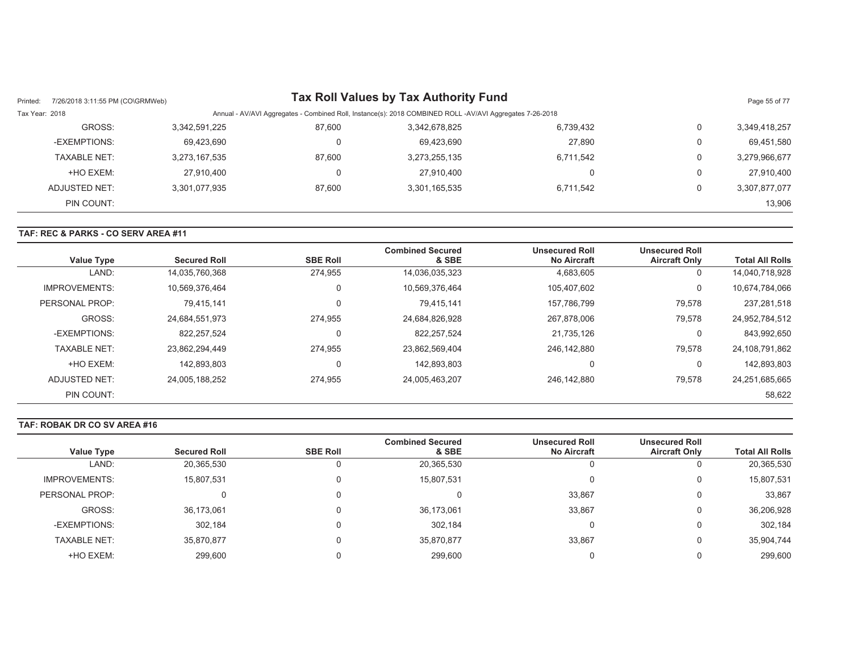| Printed:       | 7/26/2018 3:11:55 PM (CO\GRMWeb) |               |        | <b>Tax Roll Values by Tax Authority Fund</b>                                                             |           |                | Page 55 of 77 |
|----------------|----------------------------------|---------------|--------|----------------------------------------------------------------------------------------------------------|-----------|----------------|---------------|
| Tax Year: 2018 |                                  |               |        | Annual - AV/AVI Aggregates - Combined Roll, Instance(s): 2018 COMBINED ROLL -AV/AVI Aggregates 7-26-2018 |           |                |               |
|                | GROSS:                           | 3,342,591,225 | 87,600 | 3,342,678,825                                                                                            | 6,739,432 | 0              | 3,349,418,257 |
|                | -EXEMPTIONS:                     | 69,423,690    |        | 69.423.690                                                                                               | 27.890    | 0              | 69,451,580    |
|                | <b>TAXABLE NET:</b>              | 3,273,167,535 | 87.600 | 3,273,255,135                                                                                            | 6,711,542 | $\Omega$       | 3,279,966,677 |
|                | +HO EXEM:                        | 27,910,400    | υ      | 27.910.400                                                                                               |           | $\overline{0}$ | 27,910,400    |
|                | ADJUSTED NET:                    | 3,301,077,935 | 87.600 | 3,301,165,535                                                                                            | 6,711,542 | 0              | 3,307,877,077 |
|                | PIN COUNT:                       |               |        |                                                                                                          |           |                | 13,906        |

#### **TAF: REC & PARKS - CO SERV AREA #11**

| <b>Value Type</b>    | <b>Secured Roll</b> | <b>SBE Roll</b> | <b>Combined Secured</b><br>& SBE | <b>Unsecured Roll</b><br><b>No Aircraft</b> | <b>Unsecured Roll</b><br><b>Aircraft Only</b> | <b>Total All Rolls</b> |
|----------------------|---------------------|-----------------|----------------------------------|---------------------------------------------|-----------------------------------------------|------------------------|
| LAND:                | 14,035,760,368      | 274.955         | 14,036,035,323                   | 4,683,605                                   | 0                                             | 14.040.718.928         |
| <b>IMPROVEMENTS:</b> | 10,569,376,464      | υ               | 10,569,376,464                   | 105,407,602                                 | 0                                             | 10,674,784,066         |
| PERSONAL PROP:       | 79,415,141          |                 | 79.415.141                       | 157,786,799                                 | 79,578                                        | 237,281,518            |
| GROSS:               | 24,684,551,973      | 274.955         | 24,684,826,928                   | 267,878,006                                 | 79,578                                        | 24,952,784,512         |
| -EXEMPTIONS:         | 822,257,524         |                 | 822, 257, 524                    | 21,735,126                                  | $\Omega$                                      | 843,992,650            |
| <b>TAXABLE NET:</b>  | 23,862,294,449      | 274,955         | 23,862,569,404                   | 246.142.880                                 | 79,578                                        | 24,108,791,862         |
| +HO EXEM:            | 142.893.803         | υ               | 142.893.803                      | $\Omega$                                    | 0                                             | 142,893,803            |
| ADJUSTED NET:        | 24,005,188,252      | 274,955         | 24,005,463,207                   | 246.142.880                                 | 79,578                                        | 24,251,685,665         |
| PIN COUNT:           |                     |                 |                                  |                                             |                                               | 58,622                 |

#### **TAF: ROBAK DR CO SV AREA #16**

|                      |                     |                 | <b>Combined Secured</b> | <b>Unsecured Roll</b> | <b>Unsecured Roll</b> |                        |
|----------------------|---------------------|-----------------|-------------------------|-----------------------|-----------------------|------------------------|
| Value Type           | <b>Secured Roll</b> | <b>SBE Roll</b> | & SBE                   | <b>No Aircraft</b>    | <b>Aircraft Only</b>  | <b>Total All Rolls</b> |
| LAND:                | 20,365,530          |                 | 20,365,530              |                       |                       | 20,365,530             |
| <b>IMPROVEMENTS:</b> | 15,807,531          |                 | 15,807,531              |                       |                       | 15,807,531             |
| PERSONAL PROP:       |                     |                 |                         | 33,867                |                       | 33,867                 |
| GROSS:               | 36,173,061          |                 | 36.173.061              | 33,867                |                       | 36,206,928             |
| -EXEMPTIONS:         | 302.184             |                 | 302.184                 |                       |                       | 302,184                |
| <b>TAXABLE NET:</b>  | 35,870,877          |                 | 35.870.877              | 33,867                |                       | 35,904,744             |
| +HO EXEM:            | 299.600             |                 | 299.600                 |                       |                       | 299,600                |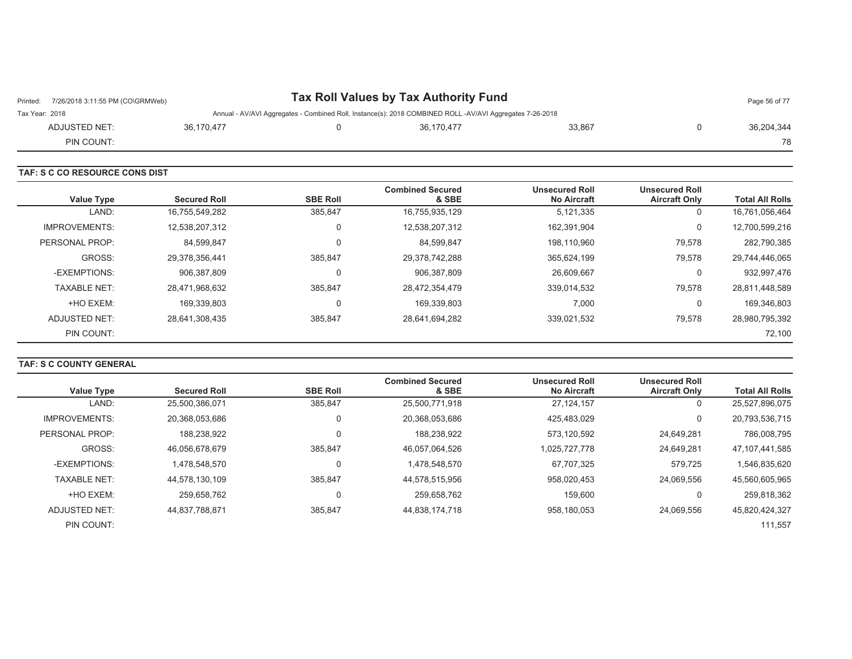| 7/26/2018 3:11:55 PM (CO\GRMWeb)<br>Printed: |            | Tax Roll Values by Tax Authority Fund                                                                    |        | Page 56 of 77 |
|----------------------------------------------|------------|----------------------------------------------------------------------------------------------------------|--------|---------------|
| Tax Year: 2018                               |            | Annual - AV/AVI Aggregates - Combined Roll, Instance(s): 2018 COMBINED ROLL -AV/AVI Aggregates 7-26-2018 |        |               |
| ADJUSTED NET:                                | 36.170.477 | 36.170.477                                                                                               | 33.867 | 36.204.344    |
| PIN COUNT:                                   |            |                                                                                                          |        | 78            |

|                      | TAF: S C CO RESOURCE CONS DIST |                 |                                  |                                             |                                               |                        |  |  |  |  |
|----------------------|--------------------------------|-----------------|----------------------------------|---------------------------------------------|-----------------------------------------------|------------------------|--|--|--|--|
| <b>Value Type</b>    | <b>Secured Roll</b>            | <b>SBE Roll</b> | <b>Combined Secured</b><br>& SBE | <b>Unsecured Roll</b><br><b>No Aircraft</b> | <b>Unsecured Roll</b><br><b>Aircraft Only</b> | <b>Total All Rolls</b> |  |  |  |  |
| LAND:                | 16,755,549,282                 | 385,847         | 16,755,935,129                   | 5,121,335                                   | $\mathbf{0}$                                  | 16,761,056,464         |  |  |  |  |
| <b>IMPROVEMENTS:</b> | 12,538,207,312                 | 0               | 12,538,207,312                   | 162,391,904                                 | 0                                             | 12,700,599,216         |  |  |  |  |
| PERSONAL PROP:       | 84,599,847                     | 0               | 84,599,847                       | 198,110,960                                 | 79,578                                        | 282,790,385            |  |  |  |  |
| GROSS:               | 29,378,356,441                 | 385,847         | 29,378,742,288                   | 365,624,199                                 | 79,578                                        | 29,744,446,065         |  |  |  |  |
| -EXEMPTIONS:         | 906,387,809                    | 0               | 906,387,809                      | 26,609,667                                  | 0                                             | 932,997,476            |  |  |  |  |
| <b>TAXABLE NET:</b>  | 28,471,968,632                 | 385,847         | 28,472,354,479                   | 339,014,532                                 | 79,578                                        | 28,811,448,589         |  |  |  |  |
| +HO EXEM:            | 169,339,803                    | 0               | 169,339,803                      | 7,000                                       | 0                                             | 169,346,803            |  |  |  |  |
| ADJUSTED NET:        | 28,641,308,435                 | 385,847         | 28,641,694,282                   | 339,021,532                                 | 79,578                                        | 28,980,795,392         |  |  |  |  |
| PIN COUNT:           |                                |                 |                                  |                                             |                                               | 72,100                 |  |  |  |  |

#### **TAF: S C COUNTY GENERAL**

|                      | <b>Secured Roll</b> | <b>SBE Roll</b> | <b>Combined Secured</b> | <b>Unsecured Roll</b> | <b>Unsecured Roll</b> |                        |
|----------------------|---------------------|-----------------|-------------------------|-----------------------|-----------------------|------------------------|
| <b>Value Type</b>    |                     |                 | & SBE                   | <b>No Aircraft</b>    | <b>Aircraft Only</b>  | <b>Total All Rolls</b> |
| LAND:                | 25,500,386,071      | 385,847         | 25,500,771,918          | 27.124.157            | 0                     | 25,527,896,075         |
| <b>IMPROVEMENTS:</b> | 20,368,053,686      | $\mathbf 0$     | 20,368,053,686          | 425,483,029           | 0                     | 20,793,536,715         |
| PERSONAL PROP:       | 188.238.922         | $\Omega$        | 188.238.922             | 573.120.592           | 24.649.281            | 786.008.795            |
| GROSS:               | 46.056.678.679      | 385.847         | 46,057,064,526          | 1.025.727.778         | 24.649.281            | 47, 107, 441, 585      |
| -EXEMPTIONS:         | 1.478.548.570       | 0               | 1,478,548,570           | 67,707,325            | 579,725               | 1,546,835,620          |
| <b>TAXABLE NET:</b>  | 44.578.130.109      | 385.847         | 44,578,515,956          | 958.020.453           | 24.069.556            | 45,560,605,965         |
| +HO EXEM:            | 259.658.762         | 0               | 259,658,762             | 159,600               | 0                     | 259,818,362            |
| ADJUSTED NET:        | 44.837.788.871      | 385.847         | 44,838,174,718          | 958,180,053           | 24.069.556            | 45,820,424,327         |
| PIN COUNT:           |                     |                 |                         |                       |                       | 111,557                |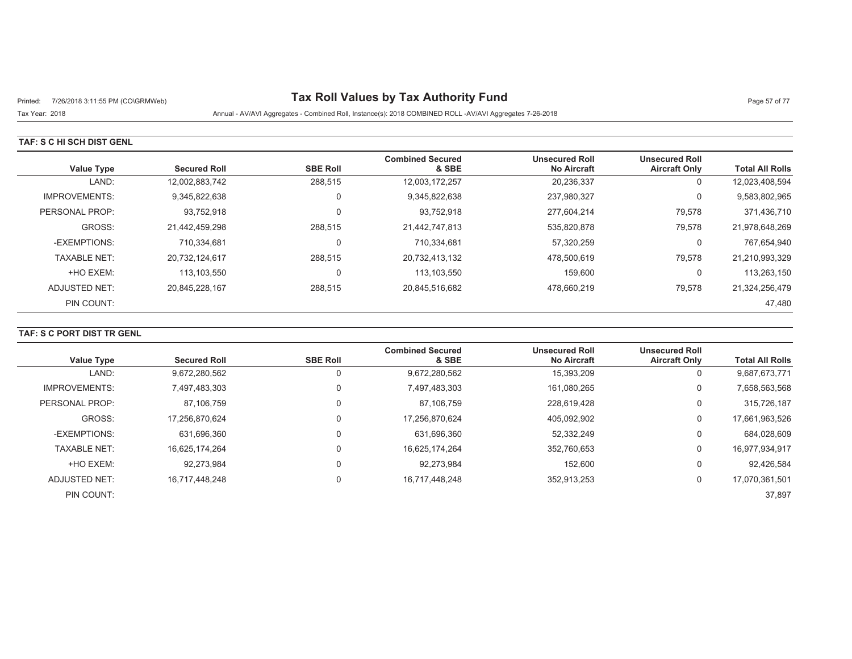# Printed: 7/26/2018 3:11:55 PM (CO\GRMWeb) **Tax Roll Values by Tax Authority Fund** Page 57 of 77

Tax Year: 2018 Annual - AV/AVI Aggregates - Combined Roll, Instance(s): 2018 COMBINED ROLL -AV/AVI Aggregates 7-26-2018

### **TAF: S C HI SCH DIST GENL**

| <b>Value Type</b>    | <b>Secured Roll</b> | <b>SBE Roll</b> | <b>Combined Secured</b><br>& SBE | <b>Unsecured Roll</b><br><b>No Aircraft</b> | <b>Unsecured Roll</b><br><b>Aircraft Only</b> | <b>Total All Rolls</b> |
|----------------------|---------------------|-----------------|----------------------------------|---------------------------------------------|-----------------------------------------------|------------------------|
| LAND:                | 12,002,883,742      | 288,515         | 12,003,172,257                   | 20,236,337                                  | 0                                             | 12,023,408,594         |
| <b>IMPROVEMENTS:</b> | 9.345.822.638       | 0               | 9,345,822,638                    | 237,980,327                                 | 0                                             | 9,583,802,965          |
| PERSONAL PROP:       | 93,752,918          | 0               | 93,752,918                       | 277.604.214                                 | 79,578                                        | 371,436,710            |
| GROSS:               | 21,442,459,298      | 288,515         | 21,442,747,813                   | 535,820,878                                 | 79,578                                        | 21,978,648,269         |
| -EXEMPTIONS:         | 710.334.681         |                 | 710.334.681                      | 57.320.259                                  | 0                                             | 767,654,940            |
| <b>TAXABLE NET:</b>  | 20,732,124,617      | 288,515         | 20,732,413,132                   | 478,500,619                                 | 79,578                                        | 21,210,993,329         |
| +HO EXEM:            | 113.103.550         | 0               | 113,103,550                      | 159.600                                     | 0                                             | 113,263,150            |
| ADJUSTED NET:        | 20.845.228.167      | 288,515         | 20,845,516,682                   | 478.660.219                                 | 79,578                                        | 21,324,256,479         |
| PIN COUNT:           |                     |                 |                                  |                                             |                                               | 47,480                 |

## **TAF: S C PORT DIST TR GENL**

| <b>Value Type</b>    | <b>Secured Roll</b> | <b>SBE Roll</b> | <b>Combined Secured</b><br>& SBE | <b>Unsecured Roll</b><br><b>No Aircraft</b> | <b>Unsecured Roll</b><br><b>Aircraft Only</b> | <b>Total All Rolls</b> |
|----------------------|---------------------|-----------------|----------------------------------|---------------------------------------------|-----------------------------------------------|------------------------|
| LAND:                | 9,672,280,562       |                 | 9,672,280,562                    | 15,393,209                                  | 0                                             | 9,687,673,771          |
| <b>IMPROVEMENTS:</b> | 7,497,483,303       |                 | 7,497,483,303                    | 161,080,265                                 | 0                                             | 7,658,563,568          |
| PERSONAL PROP:       | 87.106.759          |                 | 87.106.759                       | 228.619.428                                 | 0                                             | 315,726,187            |
| GROSS:               | 17.256.870.624      |                 | 17,256,870,624                   | 405.092.902                                 | 0                                             | 17,661,963,526         |
| -EXEMPTIONS:         | 631.696.360         |                 | 631,696,360                      | 52,332,249                                  | 0                                             | 684,028,609            |
| <b>TAXABLE NET:</b>  | 16.625.174.264      |                 | 16.625.174.264                   | 352.760.653                                 | 0                                             | 16,977,934,917         |
| +HO EXEM:            | 92,273,984          |                 | 92.273.984                       | 152,600                                     | 0                                             | 92,426,584             |
| ADJUSTED NET:        | 16,717,448,248      |                 | 16,717,448,248                   | 352,913,253                                 | 0                                             | 17,070,361,501         |
| PIN COUNT:           |                     |                 |                                  |                                             |                                               | 37.897                 |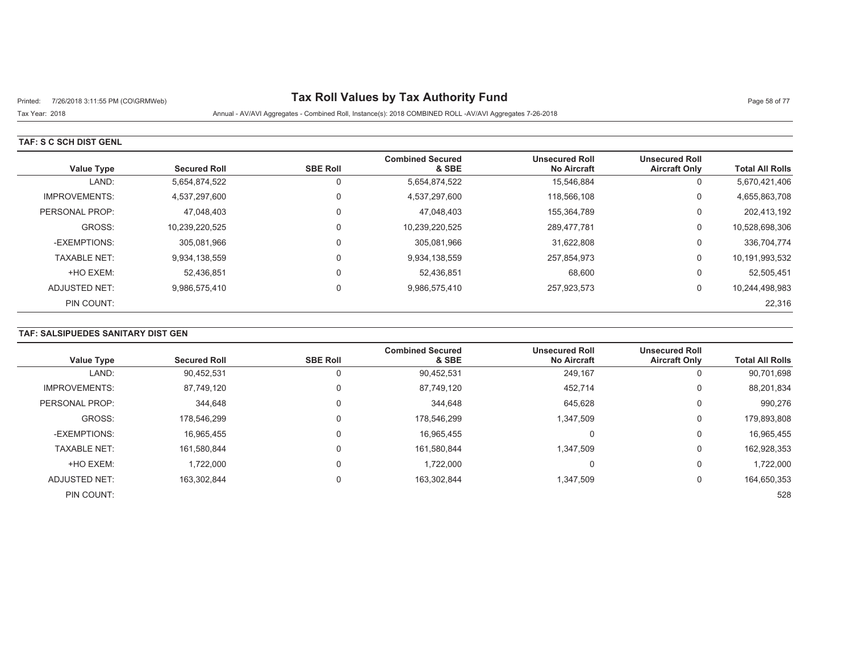# Printed: 7/26/2018 3:11:55 PM (CO\GRMWeb) **Tax Roll Values by Tax Authority Fund** Page 58 of 77

## Tax Year: 2018 Annual - AV/AVI Aggregates - Combined Roll, Instance(s): 2018 COMBINED ROLL -AV/AVI Aggregates 7-26-2018

#### **TAF: S C SCH DIST GENL**

| <b>Value Type</b>    | <b>Secured Roll</b> | <b>SBE Roll</b> | <b>Combined Secured</b><br>& SBE | <b>Unsecured Roll</b><br><b>No Aircraft</b> | <b>Unsecured Roll</b><br><b>Aircraft Only</b> | <b>Total All Rolls</b> |
|----------------------|---------------------|-----------------|----------------------------------|---------------------------------------------|-----------------------------------------------|------------------------|
| LAND:                | 5,654,874,522       |                 | 5,654,874,522                    | 15,546,884                                  | 0                                             | 5,670,421,406          |
| <b>IMPROVEMENTS:</b> | 4.537.297.600       |                 | 4,537,297,600                    | 118.566.108                                 | 0                                             | 4,655,863,708          |
| PERSONAL PROP:       | 47,048,403          |                 | 47,048,403                       | 155,364,789                                 | 0                                             | 202,413,192            |
| GROSS:               | 10.239.220.525      |                 | 10,239,220,525                   | 289.477.781                                 | 0                                             | 10,528,698,306         |
| -EXEMPTIONS:         | 305.081.966         |                 | 305,081,966                      | 31.622.808                                  | 0                                             | 336,704,774            |
| <b>TAXABLE NET:</b>  | 9,934,138,559       |                 | 9,934,138,559                    | 257,854,973                                 | 0                                             | 10,191,993,532         |
| +HO EXEM:            | 52.436.851          |                 | 52,436,851                       | 68,600                                      | 0                                             | 52,505,451             |
| ADJUSTED NET:        | 9,986,575,410       | $\Omega$        | 9,986,575,410                    | 257,923,573                                 | 0                                             | 10,244,498,983         |
| PIN COUNT:           |                     |                 |                                  |                                             |                                               | 22,316                 |

## **TAF: SALSIPUEDES SANITARY DIST GEN**

|                      |                     |                 | <b>Combined Secured</b> | <b>Unsecured Roll</b> | <b>Unsecured Roll</b> |                        |
|----------------------|---------------------|-----------------|-------------------------|-----------------------|-----------------------|------------------------|
| <b>Value Type</b>    | <b>Secured Roll</b> | <b>SBE Roll</b> | & SBE                   | <b>No Aircraft</b>    | <b>Aircraft Only</b>  | <b>Total All Rolls</b> |
| LAND:                | 90,452,531          |                 | 90,452,531              | 249,167               |                       | 90,701,698             |
| <b>IMPROVEMENTS:</b> | 87,749,120          | $\Omega$        | 87.749.120              | 452,714               | 0                     | 88,201,834             |
| PERSONAL PROP:       | 344.648             | 0               | 344,648                 | 645,628               | $\Omega$              | 990,276                |
| GROSS:               | 178.546.299         | 0               | 178,546,299             | 1,347,509             | 0                     | 179,893,808            |
| -EXEMPTIONS:         | 16,965,455          | 0               | 16,965,455              | 0                     | 0                     | 16,965,455             |
| <b>TAXABLE NET:</b>  | 161.580.844         | 0               | 161,580,844             | 1,347,509             | $\Omega$              | 162,928,353            |
| +HO EXEM:            | 1.722.000           | 0               | 1,722,000               | 0                     | 0                     | 1,722,000              |
| ADJUSTED NET:        | 163,302,844         | 0               | 163,302,844             | 1,347,509             | 0                     | 164,650,353            |
| PIN COUNT:           |                     |                 |                         |                       |                       | 528                    |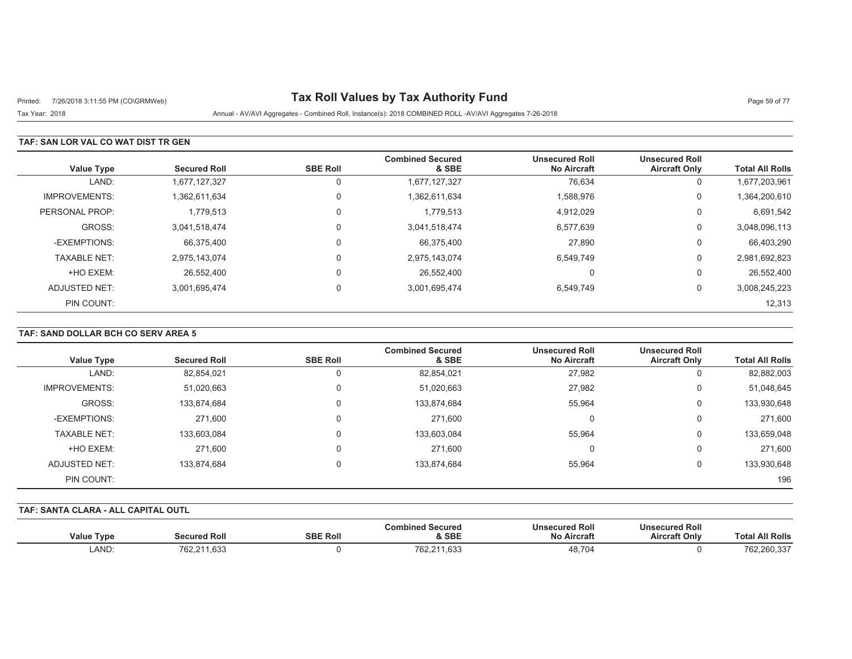# Printed: 7/26/2018 3:11:55 PM (CO\GRMWeb) **Tax Roll Values by Tax Authority Fund** Page 59 of 77

Tax Year: 2018 Annual - AV/AVI Aggregates - Combined Roll, Instance(s): 2018 COMBINED ROLL -AV/AVI Aggregates 7-26-2018

### **TAF: SAN LOR VAL CO WAT DIST TR GEN**

| <b>Value Type</b>    | <b>Secured Roll</b> | <b>SBE Roll</b> | <b>Combined Secured</b><br>& SBE | <b>Unsecured Roll</b><br><b>No Aircraft</b> | <b>Unsecured Roll</b><br><b>Aircraft Only</b> | <b>Total All Rolls</b> |
|----------------------|---------------------|-----------------|----------------------------------|---------------------------------------------|-----------------------------------------------|------------------------|
| LAND:                | 1,677,127,327       | 0               | 1,677,127,327                    | 76,634                                      | 0                                             | 1,677,203,961          |
| <b>IMPROVEMENTS:</b> | 1,362,611,634       | 0               | 1,362,611,634                    | 1,588,976                                   | 0                                             | 1,364,200,610          |
| PERSONAL PROP:       | 1,779,513           | $\mathbf 0$     | 1,779,513                        | 4,912,029                                   | 0                                             | 6,691,542              |
| GROSS:               | 3,041,518,474       | 0               | 3,041,518,474                    | 6,577,639                                   | 0                                             | 3,048,096,113          |
| -EXEMPTIONS:         | 66,375,400          | 0               | 66,375,400                       | 27,890                                      | 0                                             | 66,403,290             |
| <b>TAXABLE NET:</b>  | 2,975,143,074       | 0               | 2,975,143,074                    | 6,549,749                                   | 0                                             | 2,981,692,823          |
| +HO EXEM:            | 26.552.400          | 0               | 26,552,400                       | $\Omega$                                    | U                                             | 26,552,400             |
| ADJUSTED NET:        | 3,001,695,474       | $\mathbf 0$     | 3,001,695,474                    | 6,549,749                                   | 0                                             | 3,008,245,223          |
| PIN COUNT:           |                     |                 |                                  |                                             |                                               | 12,313                 |

### **TAF: SAND DOLLAR BCH CO SERV AREA 5**

| <b>Value Type</b>    | <b>Secured Roll</b> | <b>SBE Roll</b> | <b>Combined Secured</b><br>& SBE | <b>Unsecured Roll</b><br><b>No Aircraft</b> | <b>Unsecured Roll</b><br><b>Aircraft Only</b> | <b>Total All Rolls</b> |
|----------------------|---------------------|-----------------|----------------------------------|---------------------------------------------|-----------------------------------------------|------------------------|
| LAND:                | 82,854,021          |                 | 82,854,021                       | 27,982                                      |                                               | 82,882,003             |
|                      |                     |                 |                                  |                                             |                                               |                        |
| <b>IMPROVEMENTS:</b> | 51,020,663          | 0               | 51,020,663                       | 27,982                                      | 0                                             | 51,048,645             |
| GROSS:               | 133,874,684         | 0               | 133,874,684                      | 55,964                                      | 0                                             | 133,930,648            |
| -EXEMPTIONS:         | 271,600             | 0               | 271,600                          | 0                                           | 0                                             | 271,600                |
| <b>TAXABLE NET:</b>  | 133,603,084         | 0               | 133,603,084                      | 55,964                                      | 0                                             | 133,659,048            |
| +HO EXEM:            | 271,600             | 0               | 271,600                          | $\Omega$                                    | 0                                             | 271,600                |
| ADJUSTED NET:        | 133,874,684         | 0               | 133,874,684                      | 55,964                                      | 0                                             | 133,930,648            |
| PIN COUNT:           |                     |                 |                                  |                                             |                                               | 196                    |

#### **TAF: SANTA CLARA - ALL CAPITAL OUTL**

| <b>Value Type</b> | Secured Roll | <b>SBE Roll</b> | Combined Secured<br>& SBE | <b>Unsecured Roll</b><br><b>No Aircraft</b> | <b>Unsecured Roll</b><br><b>Aircraft Only</b> | <b>Total All Rolls</b> |
|-------------------|--------------|-----------------|---------------------------|---------------------------------------------|-----------------------------------------------|------------------------|
| LAND:             | 762,211,633  |                 | 762,211,633               | 48.704                                      |                                               | 762,260,337            |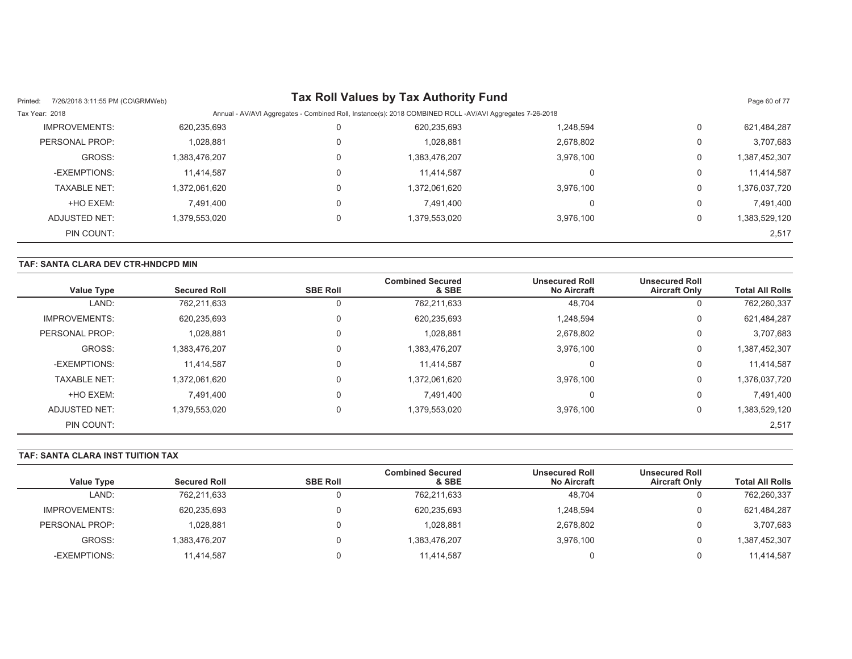| 7/26/2018 3:11:55 PM (CO\GRMWeb)<br>Printed: |               |          | Tax Roll Values by Tax Authority Fund                                                                    |           |          | Page 60 of 77 |
|----------------------------------------------|---------------|----------|----------------------------------------------------------------------------------------------------------|-----------|----------|---------------|
| Tax Year: 2018                               |               |          | Annual - AV/AVI Aggregates - Combined Roll, Instance(s): 2018 COMBINED ROLL -AV/AVI Aggregates 7-26-2018 |           |          |               |
| <b>IMPROVEMENTS:</b>                         | 620,235,693   | 0        | 620,235,693                                                                                              | 1,248,594 | 0        | 621,484,287   |
| PERSONAL PROP:                               | 1,028,881     | 0        | 1,028,881                                                                                                | 2,678,802 | $\Omega$ | 3,707,683     |
| GROSS:                                       | 1,383,476,207 | 0        | 1,383,476,207                                                                                            | 3,976,100 | 0        | 1,387,452,307 |
| -EXEMPTIONS:                                 | 11,414,587    | 0        | 11.414.587                                                                                               |           | 0        | 11.414.587    |
| <b>TAXABLE NET:</b>                          | 1,372,061,620 | 0        | 1,372,061,620                                                                                            | 3,976,100 | 0        | 1,376,037,720 |
| +HO EXEM:                                    | 7.491.400     | 0        | 7.491.400                                                                                                |           | 0        | 7,491,400     |
| ADJUSTED NET:                                | 1.379.553.020 | $\Omega$ | 1,379,553,020                                                                                            | 3.976.100 | $\Omega$ | 1,383,529,120 |
| PIN COUNT:                                   |               |          |                                                                                                          |           |          | 2,517         |

## **TAF: SANTA CLARA DEV CTR-HNDCPD MIN**

| <b>Value Type</b>    | <b>Secured Roll</b> | <b>SBE Roll</b> | <b>Combined Secured</b><br>& SBE | <b>Unsecured Roll</b><br><b>No Aircraft</b> | <b>Unsecured Roll</b><br><b>Aircraft Only</b> | <b>Total All Rolls</b> |
|----------------------|---------------------|-----------------|----------------------------------|---------------------------------------------|-----------------------------------------------|------------------------|
| LAND:                | 762,211,633         |                 | 762,211,633                      | 48,704                                      | U                                             | 762,260,337            |
| <b>IMPROVEMENTS:</b> | 620,235,693         |                 | 620,235,693                      | 1,248,594                                   | 0                                             | 621,484,287            |
| PERSONAL PROP:       | 1,028,881           |                 | 1,028,881                        | 2,678,802                                   | U                                             | 3,707,683              |
| GROSS:               | 1,383,476,207       |                 | 1,383,476,207                    | 3,976,100                                   | 0                                             | 1,387,452,307          |
| -EXEMPTIONS:         | 11,414,587          |                 | 11.414.587                       | O                                           | 0                                             | 11,414,587             |
| <b>TAXABLE NET:</b>  | 1,372,061,620       |                 | 1,372,061,620                    | 3,976,100                                   | 0                                             | 1,376,037,720          |
| +HO EXEM:            | 7.491.400           |                 | 7,491,400                        | O                                           | 0                                             | 7,491,400              |
| ADJUSTED NET:        | 1,379,553,020       |                 | 1,379,553,020                    | 3,976,100                                   | 0                                             | 1,383,529,120          |
| PIN COUNT:           |                     |                 |                                  |                                             |                                               | 2,517                  |

## **TAF: SANTA CLARA INST TUITION TAX**

|                      |                     |                 | <b>Combined Secured</b> | <b>Unsecured Roll</b> | <b>Unsecured Roll</b> |                        |
|----------------------|---------------------|-----------------|-------------------------|-----------------------|-----------------------|------------------------|
| <b>Value Type</b>    | <b>Secured Roll</b> | <b>SBE Roll</b> | & SBE                   | <b>No Aircraft</b>    | <b>Aircraft Only</b>  | <b>Total All Rolls</b> |
| LAND:                | 762,211,633         |                 | 762,211,633             | 48,704                | U                     | 762,260,337            |
| <b>IMPROVEMENTS:</b> | 620,235,693         |                 | 620,235,693             | .248,594              |                       | 621,484,287            |
| PERSONAL PROP:       | 1,028,881           |                 | 1,028,881               | 2,678,802             |                       | 3,707,683              |
| GROSS:               | 1.383.476.207       |                 | 1,383,476,207           | 3,976,100             |                       | 387,452,307            |
| -EXEMPTIONS:         | 11,414,587          |                 | 11,414,587              |                       | 0                     | 11,414,587             |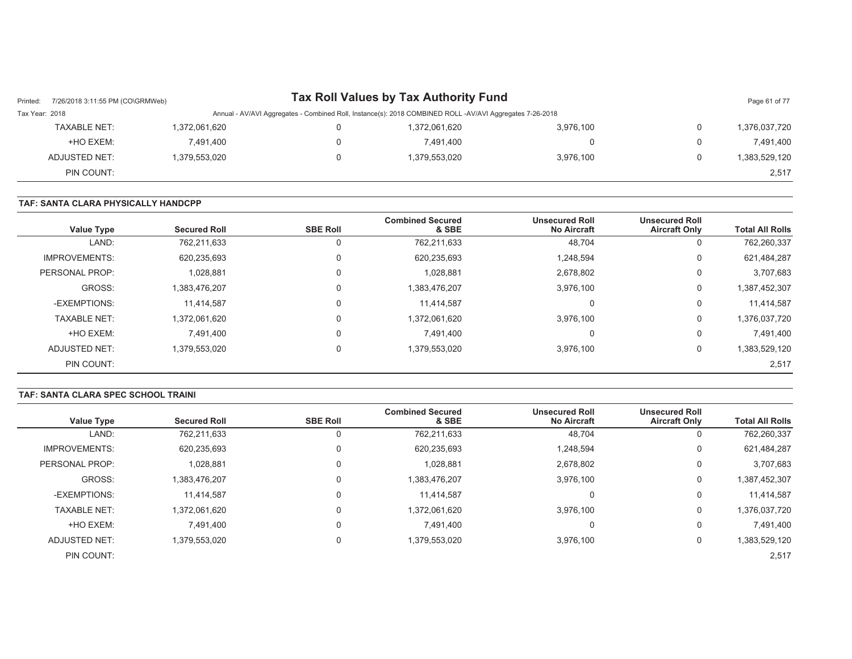| Printed:       | 7/26/2018 3:11:55 PM (CO\GRMWeb) |               | Tax Roll Values by Tax Authority Fund                                                                    |           |   | Page 61 of 77 |
|----------------|----------------------------------|---------------|----------------------------------------------------------------------------------------------------------|-----------|---|---------------|
| Tax Year: 2018 |                                  |               | Annual - AV/AVI Aggregates - Combined Roll, Instance(s): 2018 COMBINED ROLL -AV/AVI Aggregates 7-26-2018 |           |   |               |
|                | <b>TAXABLE NET:</b>              | 1,372,061,620 | 1,372,061,620                                                                                            | 3,976,100 | 0 | 1,376,037,720 |
|                | +HO EXEM:                        | 7.491.400     | 7.491.400                                                                                                | 0         | 0 | 7.491.400     |
|                | ADJUSTED NET:                    | 1,379,553,020 | 1,379,553,020                                                                                            | 3,976,100 | 0 | 1,383,529,120 |
|                | PIN COUNT:                       |               |                                                                                                          |           |   | 2,517         |

#### **TAF: SANTA CLARA PHYSICALLY HANDCPP**

| <b>Value Type</b>    | <b>Secured Roll</b> | <b>SBE Roll</b> | <b>Combined Secured</b><br>& SBE | <b>Unsecured Roll</b><br><b>No Aircraft</b> | <b>Unsecured Roll</b><br><b>Aircraft Only</b> | <b>Total All Rolls</b> |
|----------------------|---------------------|-----------------|----------------------------------|---------------------------------------------|-----------------------------------------------|------------------------|
| LAND:                | 762,211,633         |                 | 762,211,633                      | 48,704                                      | 0                                             | 762,260,337            |
| <b>IMPROVEMENTS:</b> | 620,235,693         |                 | 620,235,693                      | 1,248,594                                   | 0                                             | 621,484,287            |
| PERSONAL PROP:       | 1,028,881           |                 | 1,028,881                        | 2,678,802                                   | 0                                             | 3,707,683              |
| GROSS:               | 1,383,476,207       |                 | 1,383,476,207                    | 3,976,100                                   | $\mathbf 0$                                   | 1,387,452,307          |
| -EXEMPTIONS:         | 11,414,587          |                 | 11,414,587                       | υ                                           | 0                                             | 11,414,587             |
| <b>TAXABLE NET:</b>  | 1,372,061,620       |                 | 1,372,061,620                    | 3.976.100                                   | 0                                             | 1,376,037,720          |
| +HO EXEM:            | 7.491.400           |                 | 7.491.400                        |                                             | 0                                             | 7,491,400              |
| ADJUSTED NET:        | 1,379,553,020       |                 | 1,379,553,020                    | 3,976,100                                   | 0                                             | 1,383,529,120          |
| PIN COUNT:           |                     |                 |                                  |                                             |                                               | 2,517                  |

#### **TAF: SANTA CLARA SPEC SCHOOL TRAINI**

| <b>Value Type</b>    | <b>Secured Roll</b> | <b>SBE Roll</b> | <b>Combined Secured</b><br>& SBE | <b>Unsecured Roll</b><br><b>No Aircraft</b> | <b>Unsecured Roll</b><br><b>Aircraft Only</b> | <b>Total All Rolls</b> |
|----------------------|---------------------|-----------------|----------------------------------|---------------------------------------------|-----------------------------------------------|------------------------|
| LAND:                | 762,211,633         | U               | 762,211,633                      | 48,704                                      | 0                                             | 762,260,337            |
| <b>IMPROVEMENTS:</b> | 620,235,693         | 0               | 620,235,693                      | 1,248,594                                   | 0                                             | 621,484,287            |
| PERSONAL PROP:       | 1,028,881           | 0               | 1,028,881                        | 2,678,802                                   | 0                                             | 3,707,683              |
| GROSS:               | 1,383,476,207       | 0               | 1,383,476,207                    | 3,976,100                                   | 0                                             | 1,387,452,307          |
| -EXEMPTIONS:         | 11,414,587          | 0               | 11,414,587                       | 0                                           | 0                                             | 11,414,587             |
| <b>TAXABLE NET:</b>  | 1,372,061,620       | 0               | 1,372,061,620                    | 3,976,100                                   | 0                                             | 1,376,037,720          |
| +HO EXEM:            | 7.491.400           | 0               | 7.491.400                        | 0                                           | 0                                             | 7,491,400              |
| ADJUSTED NET:        | 1,379,553,020       | 0               | 1,379,553,020                    | 3,976,100                                   | 0                                             | 1,383,529,120          |
| PIN COUNT:           |                     |                 |                                  |                                             |                                               | 2,517                  |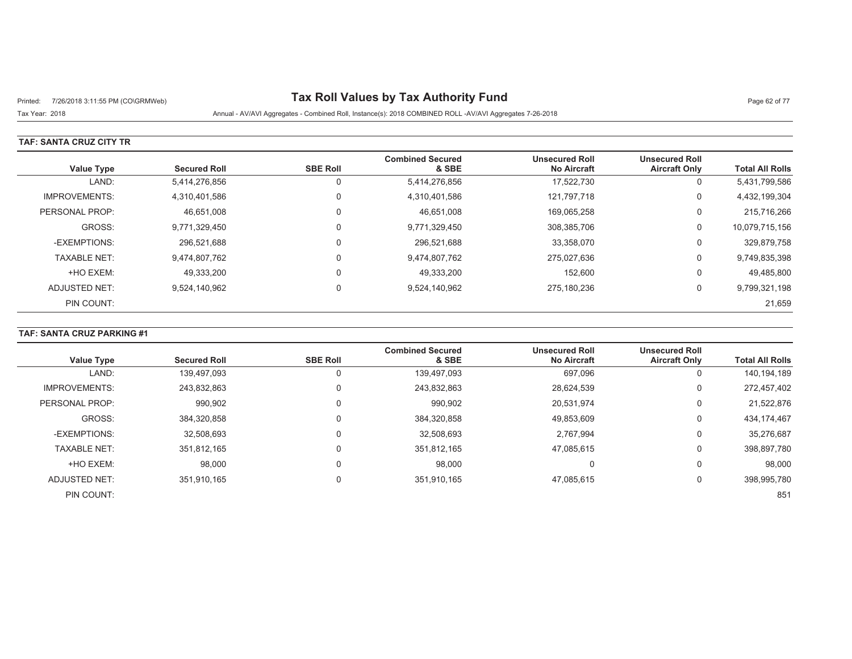# Printed: 7/26/2018 3:11:55 PM (CO\GRMWeb) **Tax Roll Values by Tax Authority Fund** Page 62 of 77

### Tax Year: 2018 Annual - AV/AVI Aggregates - Combined Roll, Instance(s): 2018 COMBINED ROLL -AV/AVI Aggregates 7-26-2018

#### **TAF: SANTA CRUZ CITY TR**

| <b>Value Type</b>    | <b>Secured Roll</b> | <b>SBE Roll</b> | <b>Combined Secured</b><br>& SBE | <b>Unsecured Roll</b><br><b>No Aircraft</b> | <b>Unsecured Roll</b><br><b>Aircraft Only</b> | <b>Total All Rolls</b> |
|----------------------|---------------------|-----------------|----------------------------------|---------------------------------------------|-----------------------------------------------|------------------------|
| LAND:                | 5,414,276,856       |                 | 5,414,276,856                    | 17,522,730                                  | 0                                             | 5,431,799,586          |
| <b>IMPROVEMENTS:</b> | 4,310,401,586       | $\Omega$        | 4,310,401,586                    | 121.797.718                                 | 0                                             | 4,432,199,304          |
| PERSONAL PROP:       | 46,651,008          |                 | 46,651,008                       | 169.065.258                                 | 0                                             | 215,716,266            |
| GROSS:               | 9,771,329,450       | $\Omega$        | 9,771,329,450                    | 308,385,706                                 | 0                                             | 10,079,715,156         |
| -EXEMPTIONS:         | 296.521.688         |                 | 296,521,688                      | 33,358,070                                  | 0                                             | 329,879,758            |
| <b>TAXABLE NET:</b>  | 9,474,807,762       |                 | 9,474,807,762                    | 275.027.636                                 | 0                                             | 9,749,835,398          |
| +HO EXEM:            | 49.333.200          | $\Omega$        | 49,333,200                       | 152.600                                     | 0                                             | 49,485,800             |
| ADJUSTED NET:        | 9,524,140,962       | $\Omega$        | 9,524,140,962                    | 275.180.236                                 | 0                                             | 9,799,321,198          |
| PIN COUNT:           |                     |                 |                                  |                                             |                                               | 21,659                 |

## **TAF: SANTA CRUZ PARKING #1**

|                      |                     |                 | <b>Combined Secured</b> | <b>Unsecured Roll</b> | <b>Unsecured Roll</b> |                        |
|----------------------|---------------------|-----------------|-------------------------|-----------------------|-----------------------|------------------------|
| <b>Value Type</b>    | <b>Secured Roll</b> | <b>SBE Roll</b> | & SBE                   | <b>No Aircraft</b>    | <b>Aircraft Only</b>  | <b>Total All Rolls</b> |
| LAND:                | 139,497,093         | 0               | 139,497,093             | 697,096               | U                     | 140,194,189            |
| <b>IMPROVEMENTS:</b> | 243,832,863         | 0               | 243,832,863             | 28,624,539            | υ                     | 272,457,402            |
| PERSONAL PROP:       | 990,902             | $\Omega$        | 990,902                 | 20,531,974            | 0                     | 21,522,876             |
| GROSS:               | 384,320,858         | 0               | 384,320,858             | 49,853,609            | 0                     | 434, 174, 467          |
| -EXEMPTIONS:         | 32,508,693          | $\Omega$        | 32,508,693              | 2,767,994             | 0                     | 35,276,687             |
| <b>TAXABLE NET:</b>  | 351,812,165         | 0               | 351,812,165             | 47,085,615            | 0                     | 398,897,780            |
| +HO EXEM:            | 98,000              | 0               | 98,000                  | $\Omega$              | 0                     | 98,000                 |
| <b>ADJUSTED NET:</b> | 351,910,165         | $\Omega$        | 351,910,165             | 47,085,615            | 0                     | 398,995,780            |
| PIN COUNT:           |                     |                 |                         |                       |                       | 851                    |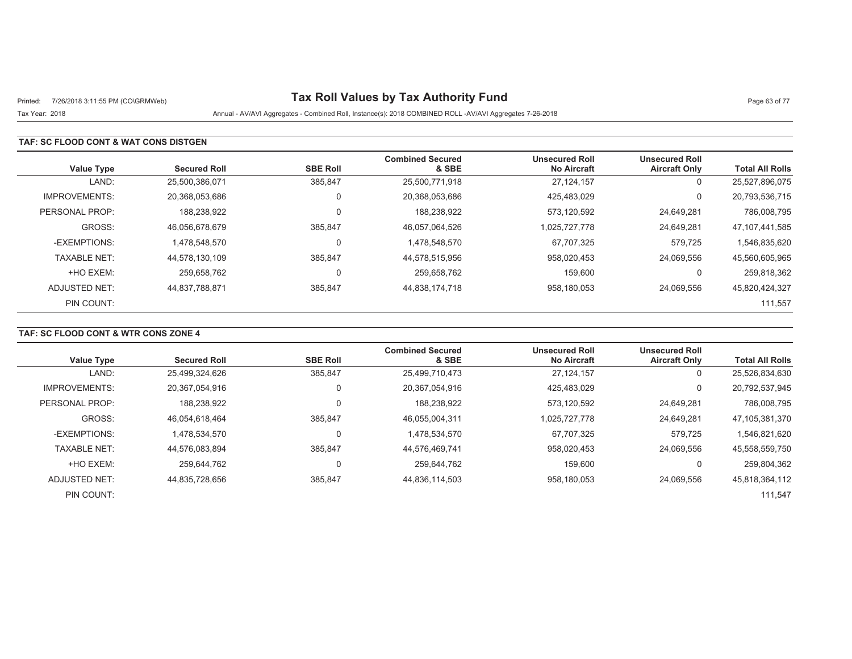# Printed: 7/26/2018 3:11:55 PM (CO\GRMWeb) **Tax Roll Values by Tax Authority Fund** Page 63 of 77

## Tax Year: 2018 Annual - AV/AVI Aggregates - Combined Roll, Instance(s): 2018 COMBINED ROLL -AV/AVI Aggregates 7-26-2018

### **TAF: SC FLOOD CONT & WAT CONS DISTGEN**

| <b>Value Type</b>    | <b>Secured Roll</b> | <b>SBE Roll</b> | <b>Combined Secured</b><br>& SBE | <b>Unsecured Roll</b><br><b>No Aircraft</b> | <b>Unsecured Roll</b><br><b>Aircraft Only</b> | <b>Total All Rolls</b> |
|----------------------|---------------------|-----------------|----------------------------------|---------------------------------------------|-----------------------------------------------|------------------------|
| LAND:                | 25.500.386.071      | 385,847         | 25,500,771,918                   | 27,124,157                                  | 0                                             | 25,527,896,075         |
| <b>IMPROVEMENTS:</b> | 20,368,053,686      |                 | 20,368,053,686                   | 425.483.029                                 | 0                                             | 20,793,536,715         |
| PERSONAL PROP:       | 188,238,922         |                 | 188,238,922                      | 573.120.592                                 | 24,649,281                                    | 786,008,795            |
| GROSS:               | 46,056,678,679      | 385,847         | 46,057,064,526                   | 1,025,727,778                               | 24,649,281                                    | 47,107,441,585         |
| -EXEMPTIONS:         | 1.478.548.570       |                 | 1,478,548,570                    | 67.707.325                                  | 579.725                                       | 1,546,835,620          |
| <b>TAXABLE NET:</b>  | 44.578.130.109      | 385.847         | 44,578,515,956                   | 958.020.453                                 | 24.069.556                                    | 45,560,605,965         |
| +HO EXEM:            | 259.658.762         |                 | 259,658,762                      | 159,600                                     | 0                                             | 259,818,362            |
| ADJUSTED NET:        | 44.837.788.871      | 385,847         | 44,838,174,718                   | 958,180,053                                 | 24.069.556                                    | 45,820,424,327         |
| PIN COUNT:           |                     |                 |                                  |                                             |                                               | 111,557                |

## **TAF: SC FLOOD CONT & WTR CONS ZONE 4**

| <b>Value Type</b>    | <b>Secured Roll</b> | <b>SBE Roll</b> | <b>Combined Secured</b><br>& SBE | <b>Unsecured Roll</b><br><b>No Aircraft</b> | <b>Unsecured Roll</b><br><b>Aircraft Only</b> | <b>Total All Rolls</b> |
|----------------------|---------------------|-----------------|----------------------------------|---------------------------------------------|-----------------------------------------------|------------------------|
|                      |                     |                 |                                  |                                             |                                               |                        |
| LAND:                | 25,499,324,626      | 385.847         | 25,499,710,473                   | 27.124.157                                  | U                                             | 25,526,834,630         |
| <b>IMPROVEMENTS:</b> | 20,367,054,916      |                 | 20,367,054,916                   | 425.483.029                                 | 0                                             | 20,792,537,945         |
| PERSONAL PROP:       | 188,238,922         |                 | 188,238,922                      | 573.120.592                                 | 24,649,281                                    | 786,008,795            |
| GROSS:               | 46.054.618.464      | 385.847         | 46,055,004,311                   | 1,025,727,778                               | 24.649.281                                    | 47,105,381,370         |
| -EXEMPTIONS:         | 1,478,534,570       |                 | 1,478,534,570                    | 67,707,325                                  | 579,725                                       | 1,546,821,620          |
| <b>TAXABLE NET:</b>  | 44.576.083.894      | 385.847         | 44.576.469.741                   | 958.020.453                                 | 24.069.556                                    | 45,558,559,750         |
| +HO EXEM:            | 259.644.762         |                 | 259.644.762                      | 159.600                                     |                                               | 259,804,362            |
| ADJUSTED NET:        | 44.835.728.656      | 385,847         | 44,836,114,503                   | 958,180,053                                 | 24.069.556                                    | 45,818,364,112         |
| PIN COUNT:           |                     |                 |                                  |                                             |                                               | 111.547                |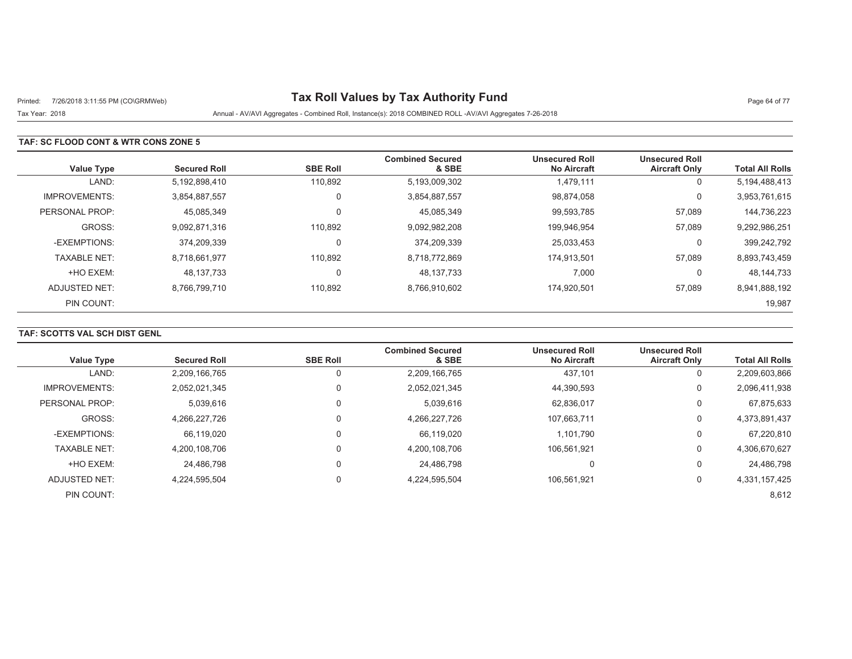# Printed: 7/26/2018 3:11:55 PM (CO\GRMWeb) **Tax Roll Values by Tax Authority Fund** Page 64 of 77

Tax Year: 2018 Annual - AV/AVI Aggregates - Combined Roll, Instance(s): 2018 COMBINED ROLL -AV/AVI Aggregates 7-26-2018

### **TAF: SC FLOOD CONT & WTR CONS ZONE 5**

| <b>Value Type</b>    | <b>Secured Roll</b> | <b>SBE Roll</b> | <b>Combined Secured</b><br>& SBE | <b>Unsecured Roll</b><br><b>No Aircraft</b> | <b>Unsecured Roll</b><br><b>Aircraft Only</b> | <b>Total All Rolls</b> |
|----------------------|---------------------|-----------------|----------------------------------|---------------------------------------------|-----------------------------------------------|------------------------|
| LAND:                | 5,192,898,410       | 110,892         | 5,193,009,302                    | 1,479,111                                   | 0                                             | 5,194,488,413          |
| <b>IMPROVEMENTS:</b> | 3.854.887.557       | $\mathbf 0$     | 3,854,887,557                    | 98.874.058                                  | 0                                             | 3,953,761,615          |
| PERSONAL PROP:       | 45,085,349          | $\mathbf 0$     | 45,085,349                       | 99,593,785                                  | 57,089                                        | 144,736,223            |
| GROSS:               | 9.092.871.316       | 110.892         | 9,092,982,208                    | 199,946,954                                 | 57,089                                        | 9,292,986,251          |
| -EXEMPTIONS:         | 374.209.339         | $\mathbf 0$     | 374,209,339                      | 25.033.453                                  | 0                                             | 399,242,792            |
| <b>TAXABLE NET:</b>  | 8,718,661,977       | 110,892         | 8,718,772,869                    | 174,913,501                                 | 57,089                                        | 8,893,743,459          |
| +HO EXEM:            | 48,137,733          | 0               | 48,137,733                       | 7,000                                       | 0                                             | 48,144,733             |
| ADJUSTED NET:        | 8.766.799.710       | 110,892         | 8,766,910,602                    | 174.920.501                                 | 57,089                                        | 8,941,888,192          |
| PIN COUNT:           |                     |                 |                                  |                                             |                                               | 19,987                 |

## **TAF: SCOTTS VAL SCH DIST GENL**

| <b>Value Type</b>    | <b>Secured Roll</b> | <b>SBE Roll</b> | <b>Combined Secured</b><br>& SBE | <b>Unsecured Roll</b><br><b>No Aircraft</b> | <b>Unsecured Roll</b><br><b>Aircraft Only</b> | <b>Total All Rolls</b> |
|----------------------|---------------------|-----------------|----------------------------------|---------------------------------------------|-----------------------------------------------|------------------------|
| LAND:                | 2,209,166,765       |                 | 2,209,166,765                    | 437,101                                     | 0                                             | 2,209,603,866          |
| <b>IMPROVEMENTS:</b> | 2,052,021,345       |                 | 2,052,021,345                    | 44,390,593                                  | 0                                             | 2,096,411,938          |
| PERSONAL PROP:       | 5,039,616           |                 | 5,039,616                        | 62,836,017                                  | 0                                             | 67,875,633             |
| GROSS:               | 4.266.227.726       |                 | 4,266,227,726                    | 107.663.711                                 | 0                                             | 4,373,891,437          |
| -EXEMPTIONS:         | 66,119,020          |                 | 66,119,020                       | 1,101,790                                   | 0                                             | 67,220,810             |
| <b>TAXABLE NET:</b>  | 4.200.108.706       |                 | 4,200,108,706                    | 106.561.921                                 | 0                                             | 4,306,670,627          |
| +HO EXEM:            | 24.486.798          |                 | 24.486.798                       | υ                                           | $\Omega$                                      | 24,486,798             |
| ADJUSTED NET:        | 4,224,595,504       |                 | 4,224,595,504                    | 106.561.921                                 | 0                                             | 4,331,157,425          |
| PIN COUNT:           |                     |                 |                                  |                                             |                                               | 8,612                  |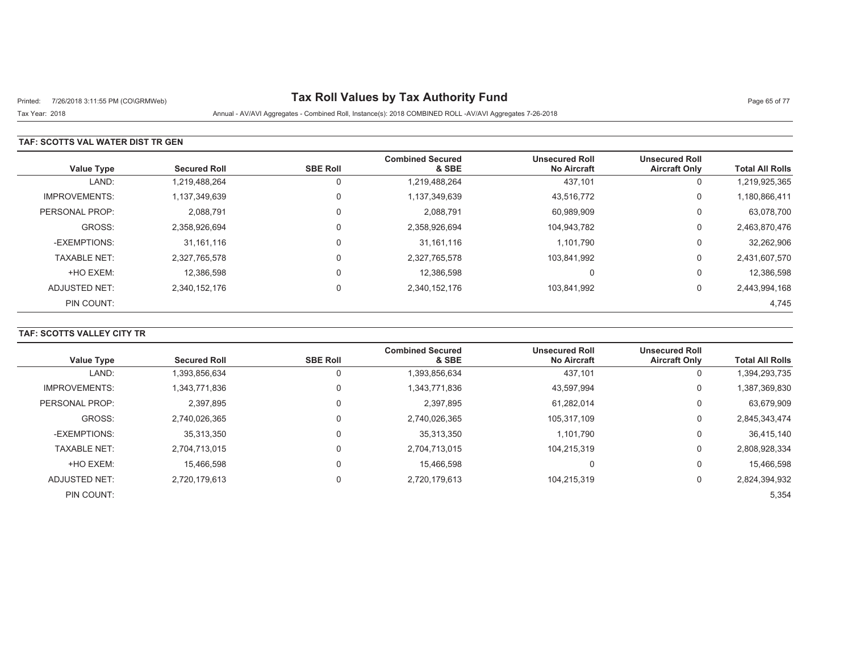# Printed: 7/26/2018 3:11:55 PM (CO\GRMWeb) **Tax Roll Values by Tax Authority Fund** Page 65 of 77

Tax Year: 2018 Annual - AV/AVI Aggregates - Combined Roll, Instance(s): 2018 COMBINED ROLL -AV/AVI Aggregates 7-26-2018

### **TAF: SCOTTS VAL WATER DIST TR GEN**

| <b>Value Type</b>    | <b>Secured Roll</b> | <b>SBE Roll</b> | <b>Combined Secured</b><br>& SBE | <b>Unsecured Roll</b><br><b>No Aircraft</b> | <b>Unsecured Roll</b><br><b>Aircraft Only</b> | <b>Total All Rolls</b> |
|----------------------|---------------------|-----------------|----------------------------------|---------------------------------------------|-----------------------------------------------|------------------------|
| LAND:                | 1,219,488,264       | U               | 1,219,488,264                    | 437,101                                     | 0                                             | 1,219,925,365          |
| <b>IMPROVEMENTS:</b> | 1,137,349,639       | 0               | 1,137,349,639                    | 43,516,772                                  | 0                                             | 1,180,866,411          |
| PERSONAL PROP:       | 2,088,791           | 0               | 2,088,791                        | 60,989,909                                  | 0                                             | 63,078,700             |
| GROSS:               | 2.358.926.694       | $\Omega$        | 2,358,926,694                    | 104.943.782                                 | 0                                             | 2,463,870,476          |
| -EXEMPTIONS:         | 31,161,116          |                 | 31, 161, 116                     | 1,101,790                                   | 0                                             | 32,262,906             |
| <b>TAXABLE NET:</b>  | 2,327,765,578       | $\Omega$        | 2,327,765,578                    | 103,841,992                                 | 0                                             | 2,431,607,570          |
| +HO EXEM:            | 12.386.598          |                 | 12.386.598                       | 0                                           | 0                                             | 12,386,598             |
| ADJUSTED NET:        | 2,340,152,176       | $\Omega$        | 2,340,152,176                    | 103.841.992                                 | 0                                             | 2,443,994,168          |
| PIN COUNT:           |                     |                 |                                  |                                             |                                               | 4,745                  |

### **TAF: SCOTTS VALLEY CITY TR**

| <b>Value Type</b>    | <b>Secured Roll</b> | <b>SBE Roll</b> | <b>Combined Secured</b><br>& SBE | <b>Unsecured Roll</b><br><b>No Aircraft</b> | <b>Unsecured Roll</b><br><b>Aircraft Only</b> | <b>Total All Rolls</b> |
|----------------------|---------------------|-----------------|----------------------------------|---------------------------------------------|-----------------------------------------------|------------------------|
| LAND:                | 1,393,856,634       |                 | 1,393,856,634                    | 437,101                                     | 0                                             | 1,394,293,735          |
| <b>IMPROVEMENTS:</b> | 1,343,771,836       |                 | 1,343,771,836                    | 43,597,994                                  | 0                                             | 1,387,369,830          |
| PERSONAL PROP:       | 2,397,895           |                 | 2,397,895                        | 61,282,014                                  | 0                                             | 63,679,909             |
| GROSS:               | 2.740.026.365       |                 | 2,740,026,365                    | 105.317.109                                 | 0                                             | 2,845,343,474          |
| -EXEMPTIONS:         | 35,313,350          |                 | 35,313,350                       | 1,101,790                                   | 0                                             | 36,415,140             |
| <b>TAXABLE NET:</b>  | 2,704,713,015       |                 | 2,704,713,015                    | 104.215.319                                 | 0                                             | 2,808,928,334          |
| +HO EXEM:            | 15,466,598          |                 | 15,466,598                       | v                                           | 0                                             | 15,466,598             |
| ADJUSTED NET:        | 2.720.179.613       |                 | 2,720,179,613                    | 104.215.319                                 | 0                                             | 2,824,394,932          |
| PIN COUNT:           |                     |                 |                                  |                                             |                                               | 5,354                  |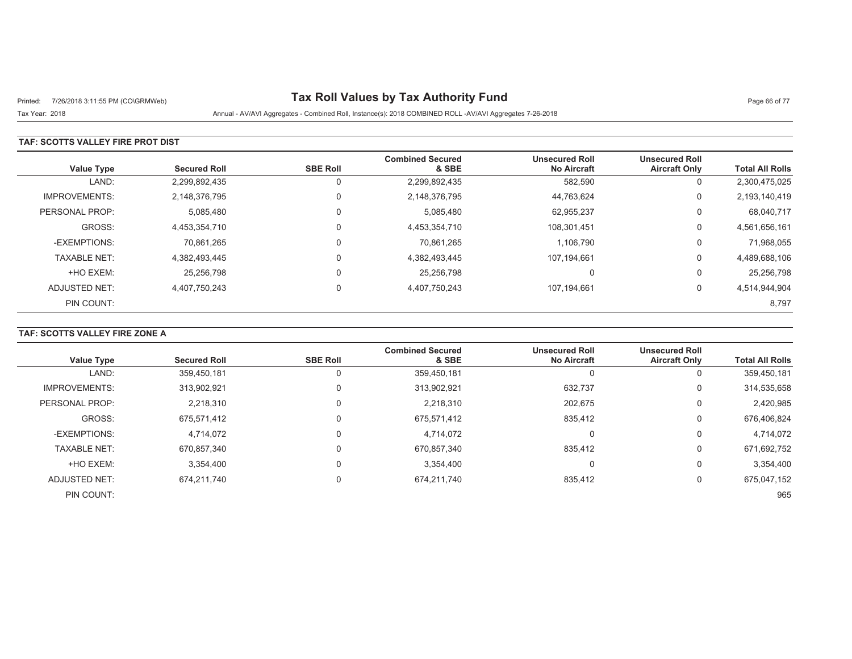# Printed: 7/26/2018 3:11:55 PM (CO\GRMWeb) **Tax Roll Values by Tax Authority Fund** Page 66 of 77

Tax Year: 2018 Annual - AV/AVI Aggregates - Combined Roll, Instance(s): 2018 COMBINED ROLL -AV/AVI Aggregates 7-26-2018

### **TAF: SCOTTS VALLEY FIRE PROT DIST**

| <b>Value Type</b>    | <b>Secured Roll</b> | <b>SBE Roll</b> | <b>Combined Secured</b><br>& SBE | <b>Unsecured Roll</b><br><b>No Aircraft</b> | <b>Unsecured Roll</b><br><b>Aircraft Only</b> | <b>Total All Rolls</b> |
|----------------------|---------------------|-----------------|----------------------------------|---------------------------------------------|-----------------------------------------------|------------------------|
| LAND:                | 2,299,892,435       | 0               | 2,299,892,435                    | 582,590                                     | 0                                             | 2,300,475,025          |
| <b>IMPROVEMENTS:</b> | 2,148,376,795       | 0               | 2,148,376,795                    | 44,763,624                                  | 0                                             | 2,193,140,419          |
| PERSONAL PROP:       | 5,085,480           | 0               | 5,085,480                        | 62,955,237                                  | 0                                             | 68,040,717             |
| GROSS:               | 4.453.354.710       | $\Omega$        | 4,453,354,710                    | 108.301.451                                 | 0                                             | 4,561,656,161          |
| -EXEMPTIONS:         | 70.861.265          | $\mathbf 0$     | 70,861,265                       | 1,106,790                                   | 0                                             | 71,968,055             |
| <b>TAXABLE NET:</b>  | 4,382,493,445       | 0               | 4,382,493,445                    | 107,194,661                                 | 0                                             | 4,489,688,106          |
| +HO EXEM:            | 25,256,798          | $\mathbf 0$     | 25,256,798                       | $\Omega$                                    | 0                                             | 25,256,798             |
| ADJUSTED NET:        | 4,407,750,243       | $\mathbf 0$     | 4,407,750,243                    | 107,194,661                                 | 0                                             | 4,514,944,904          |
| PIN COUNT:           |                     |                 |                                  |                                             |                                               | 8,797                  |

## **TAF: SCOTTS VALLEY FIRE ZONE A**

| <b>Value Type</b>    | <b>Secured Roll</b> | <b>SBE Roll</b> | <b>Combined Secured</b><br>& SBE | <b>Unsecured Roll</b><br><b>No Aircraft</b> | <b>Unsecured Roll</b><br><b>Aircraft Only</b> | <b>Total All Rolls</b> |
|----------------------|---------------------|-----------------|----------------------------------|---------------------------------------------|-----------------------------------------------|------------------------|
|                      |                     |                 |                                  |                                             |                                               |                        |
| LAND:                | 359.450.181         |                 | 359,450,181                      |                                             | 0                                             | 359,450,181            |
| <b>IMPROVEMENTS:</b> | 313,902,921         |                 | 313,902,921                      | 632,737                                     | 0                                             | 314,535,658            |
| PERSONAL PROP:       | 2,218,310           |                 | 2,218,310                        | 202,675                                     | 0                                             | 2,420,985              |
| GROSS:               | 675,571,412         |                 | 675,571,412                      | 835,412                                     | 0                                             | 676,406,824            |
| -EXEMPTIONS:         | 4.714.072           |                 | 4,714,072                        |                                             | 0                                             | 4,714,072              |
| <b>TAXABLE NET:</b>  | 670,857,340         |                 | 670,857,340                      | 835,412                                     | 0                                             | 671,692,752            |
| +HO EXEM:            | 3,354,400           |                 | 3,354,400                        | υ                                           | 0                                             | 3,354,400              |
| <b>ADJUSTED NET:</b> | 674.211.740         |                 | 674,211,740                      | 835,412                                     | 0                                             | 675,047,152            |
| PIN COUNT:           |                     |                 |                                  |                                             |                                               | 965                    |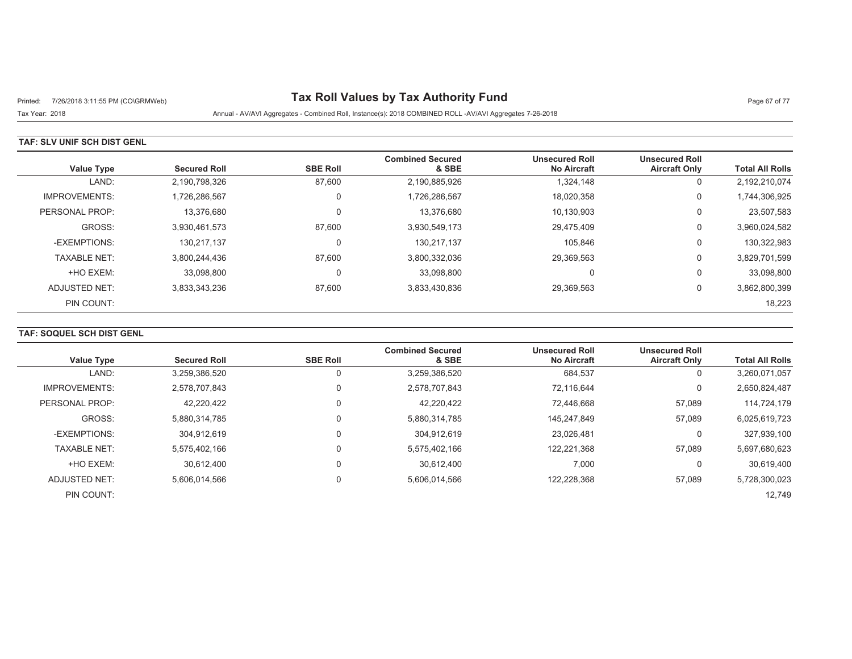# Printed: 7/26/2018 3:11:55 PM (CO\GRMWeb) **Tax Roll Values by Tax Authority Fund** Page 67 of 77

Tax Year: 2018 Annual - AV/AVI Aggregates - Combined Roll, Instance(s): 2018 COMBINED ROLL -AV/AVI Aggregates 7-26-2018

### **TAF: SLV UNIF SCH DIST GENL**

| Value Type           | <b>Secured Roll</b> | <b>SBE Roll</b> | <b>Combined Secured</b><br>& SBE | <b>Unsecured Roll</b><br><b>No Aircraft</b> | <b>Unsecured Roll</b><br><b>Aircraft Only</b> | <b>Total All Rolls</b> |
|----------------------|---------------------|-----------------|----------------------------------|---------------------------------------------|-----------------------------------------------|------------------------|
| LAND:                | 2,190,798,326       | 87,600          | 2,190,885,926                    | 1,324,148                                   | 0                                             | 2,192,210,074          |
| <b>IMPROVEMENTS:</b> | 1.726.286.567       | $\Omega$        | 1,726,286,567                    | 18.020.358                                  | 0                                             | 1,744,306,925          |
| PERSONAL PROP:       | 13,376,680          | $\Omega$        | 13,376,680                       | 10,130,903                                  | 0                                             | 23,507,583             |
| GROSS:               | 3,930,461,573       | 87,600          | 3,930,549,173                    | 29,475,409                                  | 0                                             | 3,960,024,582          |
| -EXEMPTIONS:         | 130.217.137         | $\Omega$        | 130,217,137                      | 105.846                                     | 0                                             | 130,322,983            |
| <b>TAXABLE NET:</b>  | 3,800,244,436       | 87,600          | 3,800,332,036                    | 29,369,563                                  | 0                                             | 3,829,701,599          |
| +HO EXEM:            | 33,098,800          | $\Omega$        | 33,098,800                       | 0                                           | 0                                             | 33,098,800             |
| ADJUSTED NET:        | 3,833,343,236       | 87,600          | 3,833,430,836                    | 29,369,563                                  | 0                                             | 3,862,800,399          |
| PIN COUNT:           |                     |                 |                                  |                                             |                                               | 18,223                 |

## **TAF: SOQUEL SCH DIST GENL**

|                      |                     |                 | <b>Combined Secured</b> | <b>Unsecured Roll</b> | <b>Unsecured Roll</b> |                        |
|----------------------|---------------------|-----------------|-------------------------|-----------------------|-----------------------|------------------------|
| <b>Value Type</b>    | <b>Secured Roll</b> | <b>SBE Roll</b> | & SBE                   | <b>No Aircraft</b>    | <b>Aircraft Only</b>  | <b>Total All Rolls</b> |
| LAND:                | 3,259,386,520       | 0               | 3,259,386,520           | 684,537               | υ                     | 3,260,071,057          |
| <b>IMPROVEMENTS:</b> | 2,578,707,843       | 0               | 2,578,707,843           | 72.116.644            | 0                     | 2,650,824,487          |
| PERSONAL PROP:       | 42,220,422          | 0               | 42,220,422              | 72.446.668            | 57,089                | 114,724,179            |
| GROSS:               | 5.880.314.785       | $\Omega$        | 5.880.314.785           | 145.247.849           | 57.089                | 6,025,619,723          |
| -EXEMPTIONS:         | 304.912.619         | 0               | 304.912.619             | 23,026,481            | 0                     | 327,939,100            |
| <b>TAXABLE NET:</b>  | 5.575.402.166       | 0               | 5,575,402,166           | 122,221,368           | 57,089                | 5,697,680,623          |
| +HO EXEM:            | 30,612,400          | 0               | 30.612.400              | 7,000                 | 0                     | 30,619,400             |
| <b>ADJUSTED NET:</b> | 5.606.014.566       | 0               | 5,606,014,566           | 122.228.368           | 57,089                | 5,728,300,023          |
| PIN COUNT:           |                     |                 |                         |                       |                       | 12,749                 |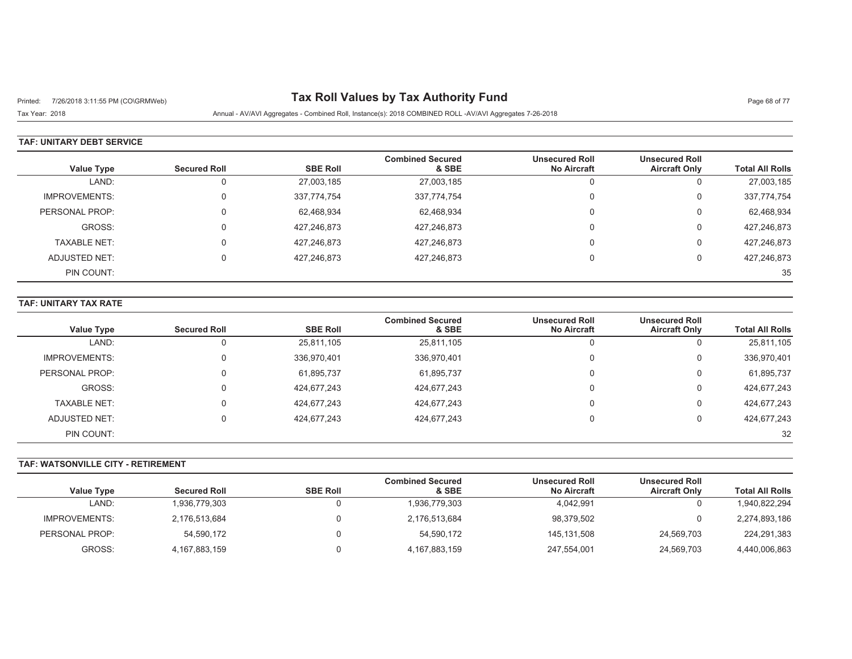# Printed: 7/26/2018 3:11:55 PM (CO\GRMWeb) **Tax Roll Values by Tax Authority Fund** Page 68 of 77

Tax Year: 2018 Annual - AV/AVI Aggregates - Combined Roll, Instance(s): 2018 COMBINED ROLL -AV/AVI Aggregates 7-26-2018

### **TAF: UNITARY DEBT SERVICE**

|                      |                     |                 | <b>Combined Secured</b> | <b>Unsecured Roll</b> | <b>Unsecured Roll</b> |                        |
|----------------------|---------------------|-----------------|-------------------------|-----------------------|-----------------------|------------------------|
| Value Type           | <b>Secured Roll</b> | <b>SBE Roll</b> | & SBE                   | <b>No Aircraft</b>    | <b>Aircraft Only</b>  | <b>Total All Rolls</b> |
| LAND:                |                     | 27,003,185      | 27,003,185              | υ                     | u                     | 27,003,185             |
| <b>IMPROVEMENTS:</b> |                     | 337,774,754     | 337,774,754             | 0                     | U                     | 337,774,754            |
| PERSONAL PROP:       |                     | 62,468,934      | 62,468,934              | 0                     | 0                     | 62,468,934             |
| GROSS:               |                     | 427,246,873     | 427,246,873             | 0                     | U                     | 427,246,873            |
| TAXABLE NET:         |                     | 427.246.873     | 427,246,873             | 0                     | 0                     | 427,246,873            |
| ADJUSTED NET:        |                     | 427.246.873     | 427,246,873             |                       |                       | 427,246,873            |
| PIN COUNT:           |                     |                 |                         |                       |                       | 35                     |

#### **TAF: UNITARY TAX RATE**

|                      |                     |                 | <b>Combined Secured</b> | <b>Unsecured Roll</b> | <b>Unsecured Roll</b> |                        |
|----------------------|---------------------|-----------------|-------------------------|-----------------------|-----------------------|------------------------|
| <b>Value Type</b>    | <b>Secured Roll</b> | <b>SBE Roll</b> | & SBE                   | <b>No Aircraft</b>    | <b>Aircraft Only</b>  | <b>Total All Rolls</b> |
| LAND:                |                     | 25,811,105      | 25,811,105              | $\Omega$              |                       | 25,811,105             |
| <b>IMPROVEMENTS:</b> |                     | 336,970,401     | 336,970,401             | $\Omega$              | υ                     | 336,970,401            |
| PERSONAL PROP:       |                     | 61,895,737      | 61,895,737              | $\Omega$              |                       | 61,895,737             |
| GROSS:               |                     | 424,677,243     | 424,677,243             | $\Omega$              | 0                     | 424,677,243            |
| <b>TAXABLE NET:</b>  |                     | 424,677,243     | 424,677,243             | $\Omega$              |                       | 424,677,243            |
| ADJUSTED NET:        |                     | 424,677,243     | 424,677,243             |                       |                       | 424,677,243            |
| PIN COUNT:           |                     |                 |                         |                       |                       | 32                     |

#### **TAF: WATSONVILLE CITY - RETIREMENT**

| <b>Value Type</b> | <b>Secured Roll</b> | <b>SBE Roll</b> | <b>Combined Secured</b><br>& SBE | <b>Unsecured Roll</b><br><b>No Aircraft</b> | <b>Unsecured Roll</b><br><b>Aircraft Only</b> | <b>Total All Rolls</b> |
|-------------------|---------------------|-----------------|----------------------------------|---------------------------------------------|-----------------------------------------------|------------------------|
|                   |                     |                 |                                  |                                             |                                               |                        |
| LAND:             | 1,936,779,303       |                 | 1,936,779,303                    | 4,042,991                                   |                                               | 1,940,822,294          |
| IMPROVEMENTS:     | 2,176,513,684       |                 | 2,176,513,684                    | 98,379,502                                  |                                               | 2,274,893,186          |
| PERSONAL PROP:    | 54,590,172          |                 | 54,590,172                       | 145,131,508                                 | 24.569.703                                    | 224,291,383            |
| GROSS:            | 4,167,883,159       |                 | 4,167,883,159                    | 247,554,001                                 | 24,569,703                                    | 4,440,006,863          |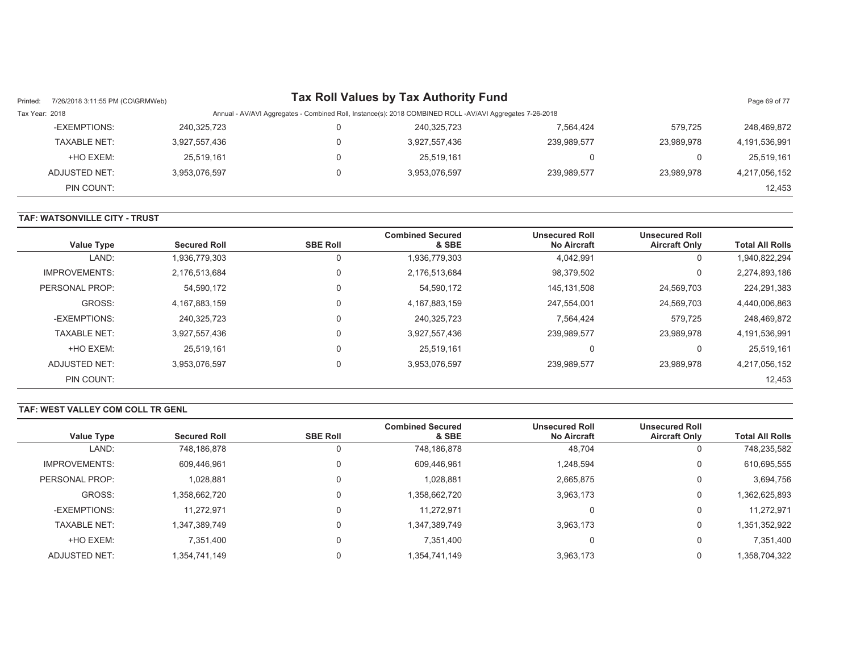| Printed:       | 7/26/2018 3:11:55 PM (CO\GRMWeb) |               |                                                                                                          | <b>Tax Roll Values by Tax Authority Fund</b> |             |                | Page 69 of 77 |  |  |
|----------------|----------------------------------|---------------|----------------------------------------------------------------------------------------------------------|----------------------------------------------|-------------|----------------|---------------|--|--|
| Tax Year: 2018 |                                  |               | Annual - AV/AVI Aggregates - Combined Roll, Instance(s): 2018 COMBINED ROLL -AV/AVI Aggregates 7-26-2018 |                                              |             |                |               |  |  |
|                | -EXEMPTIONS:                     | 240,325,723   |                                                                                                          | 240,325,723                                  | 7,564,424   | 579.725        | 248,469,872   |  |  |
|                | <b>TAXABLE NET:</b>              | 3,927,557,436 |                                                                                                          | 3,927,557,436                                | 239,989,577 | 23.989.978     | 4,191,536,991 |  |  |
|                | +HO EXEM:                        | 25,519,161    |                                                                                                          | 25.519.161                                   |             | $\overline{0}$ | 25,519,161    |  |  |
|                | ADJUSTED NET:                    | 3,953,076,597 |                                                                                                          | 3,953,076,597                                | 239,989,577 | 23.989.978     | 4,217,056,152 |  |  |
|                | PIN COUNT:                       |               |                                                                                                          |                                              |             |                | 12,453        |  |  |

#### **TAF: WATSONVILLE CITY - TRUST**

| Value Type           | <b>Secured Roll</b> | <b>SBE Roll</b> | <b>Combined Secured</b><br>& SBE | <b>Unsecured Roll</b><br><b>No Aircraft</b> | <b>Unsecured Roll</b><br><b>Aircraft Only</b> | <b>Total All Rolls</b> |
|----------------------|---------------------|-----------------|----------------------------------|---------------------------------------------|-----------------------------------------------|------------------------|
| LAND:                | 1,936,779,303       | 0               | 1,936,779,303                    | 4,042,991                                   | 0                                             | 1,940,822,294          |
| <b>IMPROVEMENTS:</b> | 2,176,513,684       | 0               | 2,176,513,684                    | 98,379,502                                  | 0                                             | 2,274,893,186          |
| PERSONAL PROP:       | 54,590,172          | 0               | 54,590,172                       | 145,131,508                                 | 24,569,703                                    | 224,291,383            |
| GROSS:               | 4,167,883,159       | 0               | 4, 167, 883, 159                 | 247.554.001                                 | 24,569,703                                    | 4,440,006,863          |
| -EXEMPTIONS:         | 240,325,723         | 0               | 240,325,723                      | 7,564,424                                   | 579,725                                       | 248,469,872            |
| <b>TAXABLE NET:</b>  | 3,927,557,436       | 0               | 3,927,557,436                    | 239,989,577                                 | 23,989,978                                    | 4,191,536,991          |
| +HO EXEM:            | 25,519,161          | 0               | 25,519,161                       | $\Omega$                                    |                                               | 25,519,161             |
| ADJUSTED NET:        | 3.953.076.597       | 0               | 3,953,076,597                    | 239,989,577                                 | 23.989.978                                    | 4,217,056,152          |
| PIN COUNT:           |                     |                 |                                  |                                             |                                               | 12,453                 |

#### **TAF: WEST VALLEY COM COLL TR GENL**

| <b>Value Type</b>    | <b>Secured Roll</b> | <b>SBE Roll</b> | <b>Combined Secured</b><br>& SBE | <b>Unsecured Roll</b><br><b>No Aircraft</b> | <b>Unsecured Roll</b><br><b>Aircraft Only</b> | <b>Total All Rolls</b> |
|----------------------|---------------------|-----------------|----------------------------------|---------------------------------------------|-----------------------------------------------|------------------------|
| LAND:                | 748,186,878         |                 | 748,186,878                      | 48,704                                      | 0                                             | 748,235,582            |
|                      |                     |                 |                                  |                                             |                                               |                        |
| <b>IMPROVEMENTS:</b> | 609,446,961         |                 | 609,446,961                      | 1,248,594                                   | 0                                             | 610,695,555            |
| PERSONAL PROP:       | 1,028,881           |                 | 1,028,881                        | 2,665,875                                   | 0                                             | 3,694,756              |
| GROSS:               | 1,358,662,720       |                 | 1,358,662,720                    | 3,963,173                                   | 0                                             | 1,362,625,893          |
| -EXEMPTIONS:         | 11,272,971          |                 | 11.272.971                       |                                             | 0                                             | 11,272,971             |
| <b>TAXABLE NET:</b>  | 1,347,389,749       |                 | 1,347,389,749                    | 3,963,173                                   | 0                                             | 1,351,352,922          |
| +HO EXEM:            | 7,351,400           | 0               | 7,351,400                        | υ                                           | 0                                             | 7,351,400              |
| ADJUSTED NET:        | 1,354,741,149       | 0               | 1,354,741,149                    | 3,963,173                                   | 0                                             | 1,358,704,322          |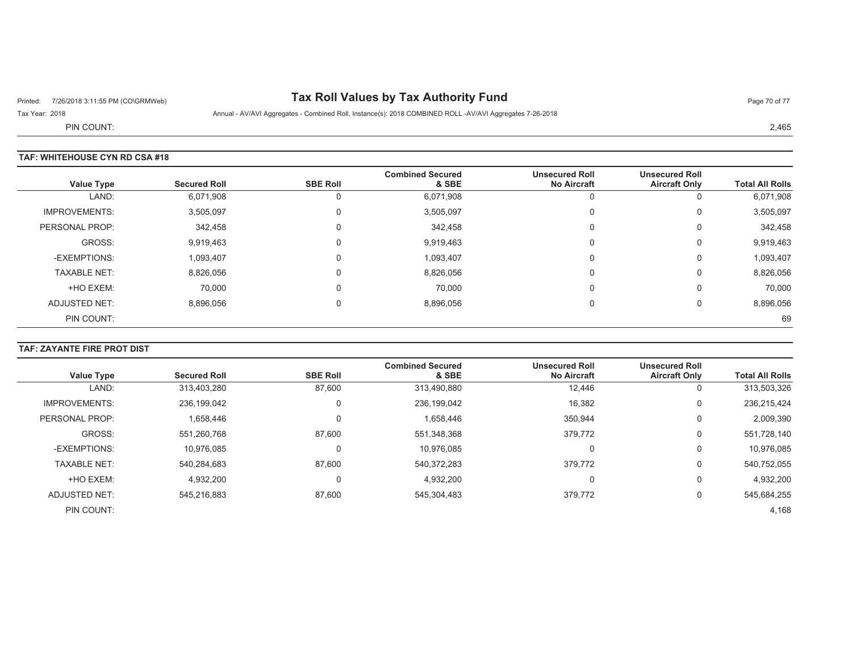# Printed: 7/26/2018 3:11:55 PM (CO\GRMWeb) **Tax Roll Values by Tax Authority Fund** Page 70 of 77

Tax Year: 2018 **Annual - AV/AVI Aggregates - Combined Roll**, Instance(s): 2018 COMBINED ROLL -AV/AVI Aggregates 7-26-2018

PIN COUNT:

### **TAF: WHITEHOUSE CYN RD CSA #18**

| <b>Value Type</b>    | <b>Secured Roll</b> | <b>SBE Roll</b> | <b>Combined Secured</b><br>& SBE | <b>Unsecured Roll</b><br><b>No Aircraft</b> | <b>Unsecured Roll</b><br><b>Aircraft Only</b> | <b>Total All Rolls</b> |
|----------------------|---------------------|-----------------|----------------------------------|---------------------------------------------|-----------------------------------------------|------------------------|
| LAND:                | 6,071,908           |                 | 6,071,908                        |                                             | U                                             | 6,071,908              |
| <b>IMPROVEMENTS:</b> | 3,505,097           | υ               | 3,505,097                        | $\Omega$                                    | $\mathbf 0$                                   | 3,505,097              |
| PERSONAL PROP:       | 342,458             | 0               | 342,458                          | $\Omega$                                    | 0                                             | 342,458                |
| GROSS:               | 9,919,463           | 0               | 9,919,463                        | $\Omega$                                    | $\mathbf 0$                                   | 9,919,463              |
| -EXEMPTIONS:         | 1,093,407           | 0               | 1,093,407                        | $\Omega$                                    | 0                                             | 1,093,407              |
| <b>TAXABLE NET:</b>  | 8,826,056           |                 | 8,826,056                        | $\Omega$                                    | 0                                             | 8,826,056              |
| +HO EXEM:            | 70,000              | 0               | 70.000                           | $\Omega$                                    | $\mathbf 0$                                   | 70,000                 |
| ADJUSTED NET:        | 8,896,056           |                 | 8,896,056                        | $\Omega$                                    | 0                                             | 8,896,056              |
| PIN COUNT:           |                     |                 |                                  |                                             |                                               | 69                     |

## **TAF: ZAYANTE FIRE PROT DIST**

| <b>Value Type</b>    | <b>Secured Roll</b> | <b>SBE Roll</b> | <b>Combined Secured</b><br>& SBE | <b>Unsecured Roll</b><br><b>No Aircraft</b> | <b>Unsecured Roll</b><br><b>Aircraft Only</b> | <b>Total All Rolls</b> |
|----------------------|---------------------|-----------------|----------------------------------|---------------------------------------------|-----------------------------------------------|------------------------|
| LAND:                | 313,403,280         | 87,600          | 313,490,880                      | 12,446                                      | 0                                             | 313,503,326            |
| <b>IMPROVEMENTS:</b> | 236,199,042         | 0               | 236,199,042                      | 16,382                                      | 0                                             | 236,215,424            |
| PERSONAL PROP:       | 1,658,446           |                 | 1,658,446                        | 350,944                                     | 0                                             | 2,009,390              |
| GROSS:               | 551,260,768         | 87.600          | 551,348,368                      | 379,772                                     | 0                                             | 551,728,140            |
| -EXEMPTIONS:         | 10,976,085          |                 | 10.976.085                       | 0                                           | 0                                             | 10,976,085             |
| <b>TAXABLE NET:</b>  | 540,284,683         | 87,600          | 540,372,283                      | 379,772                                     | 0                                             | 540,752,055            |
| +HO EXEM:            | 4,932,200           |                 | 4,932,200                        | 0                                           | 0                                             | 4,932,200              |
| ADJUSTED NET:        | 545,216,883         | 87,600          | 545,304,483                      | 379,772                                     | 0                                             | 545,684,255            |
| PIN COUNT:           |                     |                 |                                  |                                             |                                               | 4,168                  |

2,465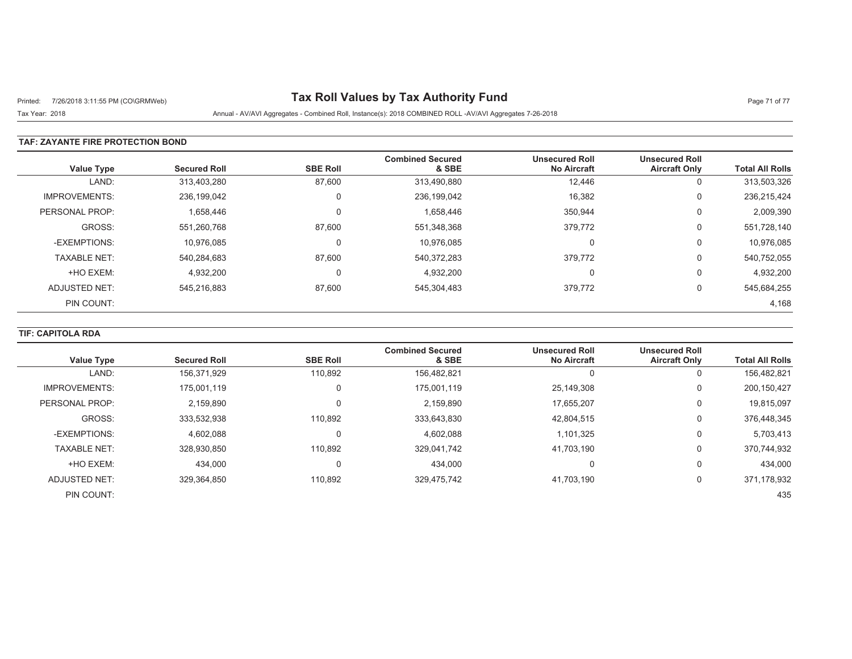# Printed: 7/26/2018 3:11:55 PM (CO\GRMWeb) **Tax Roll Values by Tax Authority Fund** Page 71 of 77

Tax Year: 2018 Annual - AV/AVI Aggregates - Combined Roll, Instance(s): 2018 COMBINED ROLL -AV/AVI Aggregates 7-26-2018

### **TAF: ZAYANTE FIRE PROTECTION BOND**

| <b>Value Type</b>    | <b>Secured Roll</b> | <b>SBE Roll</b> | <b>Combined Secured</b><br>& SBE | <b>Unsecured Roll</b><br><b>No Aircraft</b> | <b>Unsecured Roll</b><br><b>Aircraft Only</b> | <b>Total All Rolls</b> |
|----------------------|---------------------|-----------------|----------------------------------|---------------------------------------------|-----------------------------------------------|------------------------|
| LAND:                | 313,403,280         | 87,600          | 313,490,880                      | 12.446                                      | υ                                             | 313,503,326            |
| <b>IMPROVEMENTS:</b> | 236,199,042         | $\Omega$        | 236,199,042                      | 16,382                                      | 0                                             | 236,215,424            |
| PERSONAL PROP:       | 1,658,446           | $\Omega$        | 1,658,446                        | 350,944                                     | 0                                             | 2,009,390              |
| GROSS:               | 551,260,768         | 87,600          | 551,348,368                      | 379,772                                     | U                                             | 551,728,140            |
| -EXEMPTIONS:         | 10,976,085          | $\Omega$        | 10,976,085                       | C                                           | U                                             | 10,976,085             |
| <b>TAXABLE NET:</b>  | 540,284,683         | 87,600          | 540,372,283                      | 379,772                                     | 0                                             | 540,752,055            |
| +HO EXEM:            | 4,932,200           | $\Omega$        | 4,932,200                        | C                                           | υ                                             | 4,932,200              |
| ADJUSTED NET:        | 545,216,883         | 87,600          | 545,304,483                      | 379,772                                     | 0                                             | 545,684,255            |
| PIN COUNT:           |                     |                 |                                  |                                             |                                               | 4,168                  |

## **TIF: CAPITOLA RDA**

| <b>Value Type</b>    | <b>Secured Roll</b> | <b>SBE Roll</b> | <b>Combined Secured</b><br>& SBE | <b>Unsecured Roll</b><br><b>No Aircraft</b> | <b>Unsecured Roll</b><br><b>Aircraft Only</b> | <b>Total All Rolls</b> |
|----------------------|---------------------|-----------------|----------------------------------|---------------------------------------------|-----------------------------------------------|------------------------|
| LAND:                | 156.371.929         | 110.892         | 156,482,821                      |                                             | 0                                             | 156,482,821            |
| <b>IMPROVEMENTS:</b> | 175.001.119         | 0               | 175,001,119                      | 25.149.308                                  | 0                                             | 200,150,427            |
| PERSONAL PROP:       | 2,159,890           | $\mathbf 0$     | 2,159,890                        | 17,655,207                                  | 0                                             | 19,815,097             |
| GROSS:               | 333,532,938         | 110.892         | 333,643,830                      | 42,804,515                                  | 0                                             | 376,448,345            |
| -EXEMPTIONS:         | 4,602,088           | $\mathbf 0$     | 4,602,088                        | 1,101,325                                   | 0                                             | 5,703,413              |
| <b>TAXABLE NET:</b>  | 328.930.850         | 110.892         | 329,041,742                      | 41.703.190                                  | 0                                             | 370,744,932            |
| +HO EXEM:            | 434,000             | $\Omega$        | 434.000                          | $\Omega$                                    | 0                                             | 434,000                |
| <b>ADJUSTED NET:</b> | 329,364,850         | 110,892         | 329,475,742                      | 41,703,190                                  | 0                                             | 371,178,932            |
| PIN COUNT:           |                     |                 |                                  |                                             |                                               | 435                    |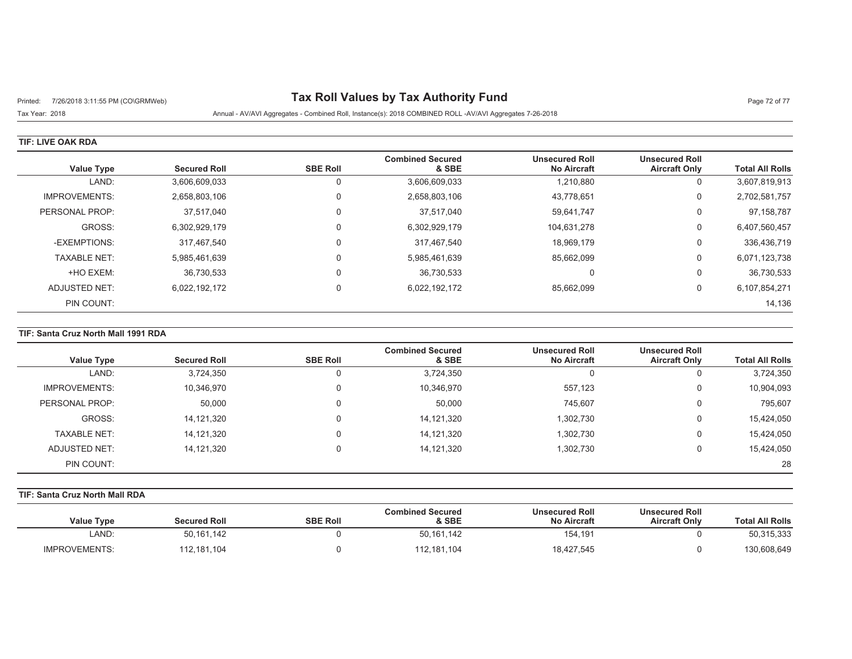# Printed: 7/26/2018 3:11:55 PM (CO\GRMWeb) **Tax Roll Values by Tax Authority Fund** Page 72 of 77

Tax Year: 2018 Annual - AV/AVI Aggregates - Combined Roll, Instance(s): 2018 COMBINED ROLL -AV/AVI Aggregates 7-26-2018

#### **TIF: LIVE OAK RDA**

| <b>Value Type</b>    | <b>Secured Roll</b> | <b>SBE Roll</b> | <b>Combined Secured</b><br>& SBE | <b>Unsecured Roll</b><br><b>No Aircraft</b> | <b>Unsecured Roll</b><br><b>Aircraft Only</b> | <b>Total All Rolls</b> |
|----------------------|---------------------|-----------------|----------------------------------|---------------------------------------------|-----------------------------------------------|------------------------|
| LAND:                | 3,606,609,033       |                 | 3,606,609,033                    | 1,210,880                                   | U                                             | 3,607,819,913          |
| <b>IMPROVEMENTS:</b> | 2,658,803,106       | 0               | 2,658,803,106                    | 43,778,651                                  | 0                                             | 2,702,581,757          |
| PERSONAL PROP:       | 37,517,040          | $\Omega$        | 37,517,040                       | 59,641,747                                  | 0                                             | 97,158,787             |
| GROSS:               | 6,302,929,179       |                 | 6,302,929,179                    | 104,631,278                                 | 0                                             | 6,407,560,457          |
| -EXEMPTIONS:         | 317,467,540         | $\Omega$        | 317,467,540                      | 18.969.179                                  | 0                                             | 336,436,719            |
| <b>TAXABLE NET:</b>  | 5,985,461,639       | $\Omega$        | 5,985,461,639                    | 85,662,099                                  | 0                                             | 6,071,123,738          |
| +HO EXEM:            | 36,730,533          | $\Omega$        | 36,730,533                       | C                                           | U                                             | 36,730,533             |
| ADJUSTED NET:        | 6,022,192,172       | $\Omega$        | 6,022,192,172                    | 85,662,099                                  | 0                                             | 6,107,854,271          |
| PIN COUNT:           |                     |                 |                                  |                                             |                                               | 14,136                 |

### **TIF: Santa Cruz North Mall 1991 RDA**

| Value Type           | <b>Secured Roll</b> | <b>SBE Roll</b> | <b>Combined Secured</b><br>& SBE | <b>Unsecured Roll</b><br><b>No Aircraft</b> | <b>Unsecured Roll</b><br><b>Aircraft Only</b> | <b>Total All Rolls</b> |
|----------------------|---------------------|-----------------|----------------------------------|---------------------------------------------|-----------------------------------------------|------------------------|
| LAND:                | 3,724,350           | 0               | 3,724,350                        |                                             | υ                                             | 3,724,350              |
| <b>IMPROVEMENTS:</b> | 10,346,970          | $\Omega$        | 10,346,970                       | 557.123                                     | U                                             | 10,904,093             |
| PERSONAL PROP:       | 50,000              | 0               | 50,000                           | 745,607                                     | 0                                             | 795,607                |
| GROSS:               | 14,121,320          |                 | 14,121,320                       | 1,302,730                                   | U                                             | 15,424,050             |
| <b>TAXABLE NET:</b>  | 14,121,320          |                 | 14,121,320                       | 1,302,730                                   | υ                                             | 15,424,050             |
| ADJUSTED NET:        | 14,121,320          | 0               | 14,121,320                       | 1,302,730                                   | U                                             | 15,424,050             |
| PIN COUNT:           |                     |                 |                                  |                                             |                                               | 28                     |

## **TIF: Santa Cruz North Mall RDA**

| <b>Value Type</b>    | <b>Secured Roll</b> | <b>SBE Roll</b> | <b>Combined Secured</b><br>& SBE | <b>Unsecured Roll</b><br><b>No Aircraft</b> | <b>Unsecured Roll</b><br><b>Aircraft Only</b> | <b>Total All Rolls</b> |
|----------------------|---------------------|-----------------|----------------------------------|---------------------------------------------|-----------------------------------------------|------------------------|
| LAND:                | 50,161,142          |                 | 50,161,142                       | 154,191                                     |                                               | 50,315,333             |
| <b>IMPROVEMENTS:</b> | 112,181,104         |                 | 112,181,104                      | 18,427,545                                  |                                               | 130,608,649            |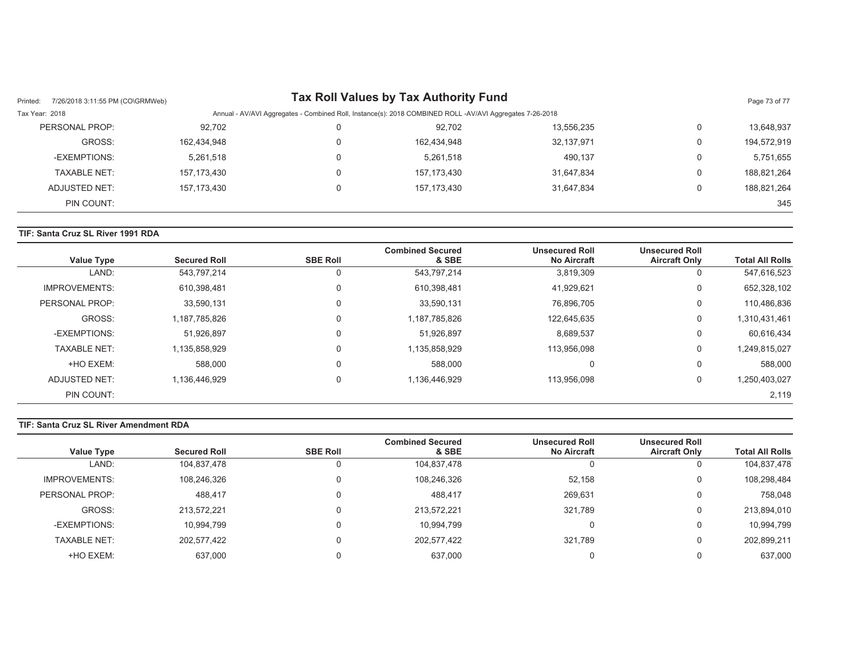| 7/26/2018 3:11:55 PM (CO\GRMWeb)<br>Printed: |             |                                                                                                          | Tax Roll Values by Tax Authority Fund |            |                | Page 73 of 77 |  |
|----------------------------------------------|-------------|----------------------------------------------------------------------------------------------------------|---------------------------------------|------------|----------------|---------------|--|
| Tax Year: 2018                               |             | Annual - AV/AVI Aggregates - Combined Roll, Instance(s): 2018 COMBINED ROLL -AV/AVI Aggregates 7-26-2018 |                                       |            |                |               |  |
| PERSONAL PROP:                               | 92,702      | 0                                                                                                        | 92.702                                | 13,556,235 | $\overline{0}$ | 13,648,937    |  |
| GROSS:                                       | 162,434,948 | 0                                                                                                        | 162,434,948                           | 32,137,971 | $\overline{0}$ | 194,572,919   |  |
| -EXEMPTIONS:                                 | 5,261,518   | 0                                                                                                        | 5,261,518                             | 490,137    | 0              | 5,751,655     |  |
| TAXABLE NET:                                 | 157,173,430 | 0                                                                                                        | 157, 173, 430                         | 31,647,834 | $\mathbf{0}$   | 188,821,264   |  |
| ADJUSTED NET:                                | 157,173,430 | 0                                                                                                        | 157.173.430                           | 31.647.834 | $\overline{0}$ | 188,821,264   |  |
| PIN COUNT:                                   |             |                                                                                                          |                                       |            |                | 345           |  |

## **TIF: Santa Cruz SL River 1991 RDA**

| <b>Value Type</b>    | <b>Secured Roll</b> | <b>SBE Roll</b> | <b>Combined Secured</b><br>& SBE | <b>Unsecured Roll</b><br><b>No Aircraft</b> | <b>Unsecured Roll</b><br><b>Aircraft Only</b> | <b>Total All Rolls</b> |
|----------------------|---------------------|-----------------|----------------------------------|---------------------------------------------|-----------------------------------------------|------------------------|
| LAND:                | 543,797,214         | 0               | 543,797,214                      | 3,819,309                                   | U                                             | 547,616,523            |
| <b>IMPROVEMENTS:</b> | 610,398,481         | 0               | 610,398,481                      | 41,929,621                                  | 0                                             | 652,328,102            |
| PERSONAL PROP:       | 33,590,131          | $\Omega$        | 33,590,131                       | 76.896.705                                  | $\Omega$                                      | 110,486,836            |
| GROSS:               | 1,187,785,826       | 0               | 1,187,785,826                    | 122,645,635                                 | 0                                             | 1,310,431,461          |
| -EXEMPTIONS:         | 51,926,897          | $\Omega$        | 51,926,897                       | 8,689,537                                   | $\Omega$                                      | 60,616,434             |
| <b>TAXABLE NET:</b>  | 1,135,858,929       | 0               | 1,135,858,929                    | 113,956,098                                 | 0                                             | 1,249,815,027          |
| +HO EXEM:            | 588,000             | 0               | 588,000                          |                                             | $\Omega$                                      | 588,000                |
| ADJUSTED NET:        | 1,136,446,929       | 0               | 1,136,446,929                    | 113,956,098                                 | 0                                             | 1,250,403,027          |
| PIN COUNT:           |                     |                 |                                  |                                             |                                               | 2,119                  |

## **TIF: Santa Cruz SL River Amendment RDA**

|                     |                     |                 | <b>Combined Secured</b> | <b>Unsecured Roll</b> | <b>Unsecured Roll</b> |                        |
|---------------------|---------------------|-----------------|-------------------------|-----------------------|-----------------------|------------------------|
| Value Type          | <b>Secured Roll</b> | <b>SBE Roll</b> | & SBE                   | <b>No Aircraft</b>    | <b>Aircraft Only</b>  | <b>Total All Rolls</b> |
| LAND:               | 104,837,478         | υ               | 104,837,478             |                       |                       | 104,837,478            |
| IMPROVEMENTS:       | 108,246,326         | 0               | 108,246,326             | 52.158                |                       | 108,298,484            |
| PERSONAL PROP:      | 488.417             | 0               | 488.417                 | 269,631               |                       | 758.048                |
| GROSS:              | 213.572.221         | 0               | 213,572,221             | 321.789               |                       | 213,894,010            |
| -EXEMPTIONS:        | 10.994.799          | 0               | 10.994.799              |                       |                       | 10,994,799             |
| <b>TAXABLE NET:</b> | 202,577,422         | 0               | 202,577,422             | 321.789               |                       | 202,899,211            |
| +HO EXEM:           | 637.000             |                 | 637.000                 |                       |                       | 637,000                |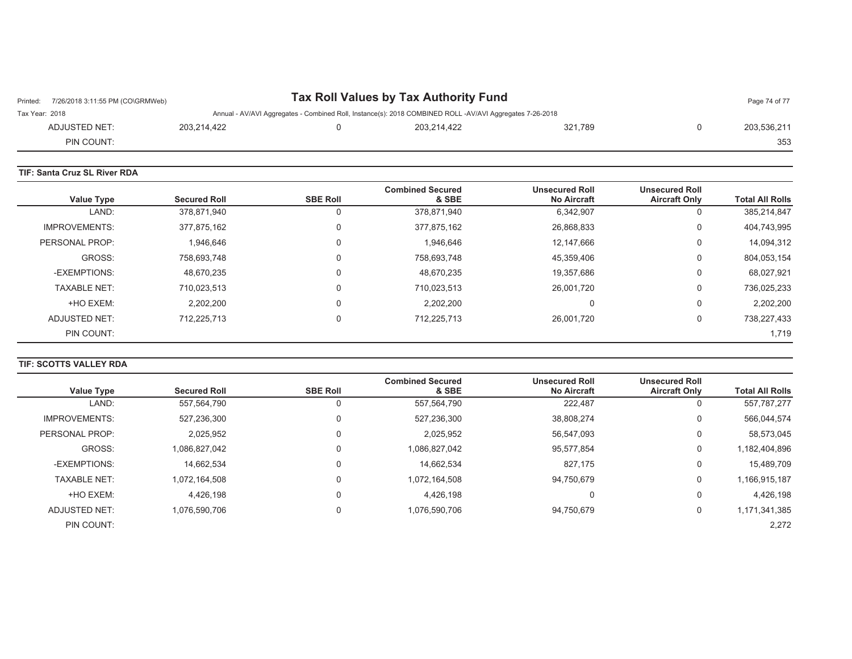| 7/26/2018 3:11:55 PM (CO\GRMWeb)<br>Printed: |             | Tax Roll Values by Tax Authority Fund                                                                    |         | Page 74 of 77 |
|----------------------------------------------|-------------|----------------------------------------------------------------------------------------------------------|---------|---------------|
| Tax Year: 2018                               |             | Annual - AV/AVI Aggregates - Combined Roll, Instance(s): 2018 COMBINED ROLL -AV/AVI Aggregates 7-26-2018 |         |               |
| ADJUSTED NET:                                | 203.214.422 | 203.214.422                                                                                              | 321.789 | 203.536.211   |
| PIN COUNT:                                   |             |                                                                                                          |         | 353           |

| <b>TIF: Santa Cruz SL River RDA</b> |                     |                 |                                  |                                             |                                               |                        |
|-------------------------------------|---------------------|-----------------|----------------------------------|---------------------------------------------|-----------------------------------------------|------------------------|
| <b>Value Type</b>                   | <b>Secured Roll</b> | <b>SBE Roll</b> | <b>Combined Secured</b><br>& SBE | <b>Unsecured Roll</b><br><b>No Aircraft</b> | <b>Unsecured Roll</b><br><b>Aircraft Only</b> | <b>Total All Rolls</b> |
| LAND:                               | 378,871,940         | 0               | 378,871,940                      | 6,342,907                                   | υ                                             | 385,214,847            |
| <b>IMPROVEMENTS:</b>                | 377,875,162         | 0               | 377,875,162                      | 26,868,833                                  | 0                                             | 404,743,995            |
| PERSONAL PROP:                      | 1,946,646           | 0               | 1,946,646                        | 12,147,666                                  | 0                                             | 14,094,312             |
| GROSS:                              | 758,693,748         | 0               | 758,693,748                      | 45,359,406                                  | 0                                             | 804,053,154            |
| -EXEMPTIONS:                        | 48,670,235          | 0               | 48,670,235                       | 19.357.686                                  | 0                                             | 68,027,921             |
| <b>TAXABLE NET:</b>                 | 710,023,513         | 0               | 710,023,513                      | 26,001,720                                  | 0                                             | 736,025,233            |
| +HO EXEM:                           | 2,202,200           | 0               | 2,202,200                        | 0                                           | 0                                             | 2,202,200              |
| ADJUSTED NET:                       | 712,225,713         | 0               | 712,225,713                      | 26,001,720                                  | 0                                             | 738,227,433            |
| PIN COUNT:                          |                     |                 |                                  |                                             |                                               | 1,719                  |

## **TIF: SCOTTS VALLEY RDA**

| <b>Value Type</b>    | <b>Secured Roll</b> | <b>SBE Roll</b> | <b>Combined Secured</b><br>& SBE | <b>Unsecured Roll</b><br><b>No Aircraft</b> | <b>Unsecured Roll</b><br><b>Aircraft Only</b> | <b>Total All Rolls</b> |
|----------------------|---------------------|-----------------|----------------------------------|---------------------------------------------|-----------------------------------------------|------------------------|
|                      |                     |                 |                                  |                                             |                                               |                        |
| LAND:                | 557,564,790         |                 | 557,564,790                      | 222,487                                     | 0                                             | 557,787,277            |
| <b>IMPROVEMENTS:</b> | 527,236,300         | 0               | 527,236,300                      | 38,808,274                                  | 0                                             | 566,044,574            |
| PERSONAL PROP:       | 2,025,952           | 0               | 2,025,952                        | 56,547,093                                  | 0                                             | 58,573,045             |
| GROSS:               | 1,086,827,042       | 0               | 1,086,827,042                    | 95,577,854                                  | 0                                             | 1,182,404,896          |
| -EXEMPTIONS:         | 14,662,534          | 0               | 14,662,534                       | 827,175                                     | 0                                             | 15,489,709             |
| <b>TAXABLE NET:</b>  | 1.072.164.508       | 0               | 1,072,164,508                    | 94.750.679                                  | 0                                             | 1,166,915,187          |
| +HO EXEM:            | 4,426,198           | 0               | 4,426,198                        | 0                                           | 0                                             | 4,426,198              |
| ADJUSTED NET:        | 1,076,590,706       | 0               | 1,076,590,706                    | 94.750.679                                  | 0                                             | 1,171,341,385          |
| PIN COUNT:           |                     |                 |                                  |                                             |                                               | 2,272                  |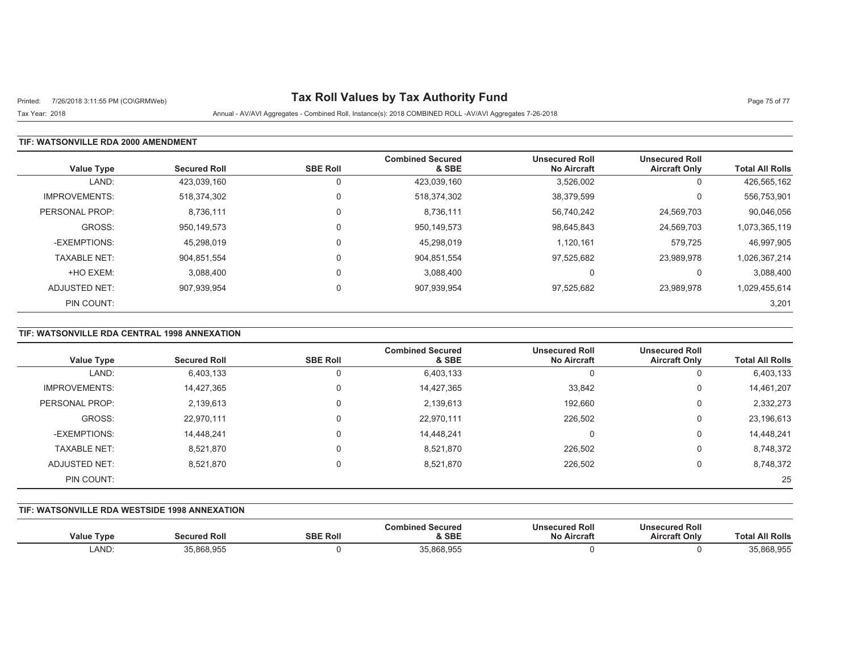# Printed: 7/26/2018 3:11:55 PM (CO\GRMWeb) **Tax Roll Values by Tax Authority Fund** Page 75 of 77

Tax Year: 2018 Annual - AV/AVI Aggregates - Combined Roll, Instance(s): 2018 COMBINED ROLL -AV/AVI Aggregates 7-26-2018

## **TIF: WATSONVILLE RDA 2000 AMENDMENT**

| <b>Value Type</b>    | <b>Secured Roll</b> | <b>SBE Roll</b> | <b>Combined Secured</b><br>& SBE | <b>Unsecured Roll</b><br><b>No Aircraft</b> | <b>Unsecured Roll</b><br><b>Aircraft Only</b> | <b>Total All Rolls</b> |
|----------------------|---------------------|-----------------|----------------------------------|---------------------------------------------|-----------------------------------------------|------------------------|
| LAND:                | 423,039,160         |                 | 423,039,160                      | 3,526,002                                   | 0                                             | 426,565,162            |
| <b>IMPROVEMENTS:</b> | 518,374,302         |                 | 518,374,302                      | 38,379,599                                  | 0                                             | 556,753,901            |
| PERSONAL PROP:       | 8,736,111           |                 | 8,736,111                        | 56,740,242                                  | 24,569,703                                    | 90,046,056             |
| GROSS:               | 950.149.573         |                 | 950,149,573                      | 98,645,843                                  | 24,569,703                                    | 1,073,365,119          |
| -EXEMPTIONS:         | 45,298,019          |                 | 45,298,019                       | 1,120,161                                   | 579,725                                       | 46,997,905             |
| <b>TAXABLE NET:</b>  | 904,851,554         | $\mathbf{0}$    | 904,851,554                      | 97,525,682                                  | 23,989,978                                    | 1,026,367,214          |
| +HO EXEM:            | 3,088,400           |                 | 3,088,400                        |                                             | 0                                             | 3,088,400              |
| ADJUSTED NET:        | 907,939,954         |                 | 907,939,954                      | 97,525,682                                  | 23,989,978                                    | 1,029,455,614          |
| PIN COUNT:           |                     |                 |                                  |                                             |                                               | 3,201                  |

# **TIF: WATSONVILLE RDA CENTRAL 1998 ANNEXATION**

| <b>Value Type</b>    | <b>Secured Roll</b> | <b>SBE Roll</b> | <b>Combined Secured</b><br>& SBE | <b>Unsecured Roll</b><br><b>No Aircraft</b> | <b>Unsecured Roll</b><br><b>Aircraft Only</b> | <b>Total All Rolls</b> |
|----------------------|---------------------|-----------------|----------------------------------|---------------------------------------------|-----------------------------------------------|------------------------|
| LAND:                | 6,403,133           | 0               | 6,403,133                        |                                             | υ                                             | 6,403,133              |
| <b>IMPROVEMENTS:</b> | 14,427,365          | 0               | 14,427,365                       | 33,842                                      | U                                             | 14,461,207             |
| PERSONAL PROP:       | 2,139,613           | $\Omega$        | 2,139,613                        | 192,660                                     | υ                                             | 2,332,273              |
| GROSS:               | 22,970,111          | $\Omega$        | 22,970,111                       | 226,502                                     | υ                                             | 23,196,613             |
| -EXEMPTIONS:         | 14,448,241          | $\Omega$        | 14,448,241                       | $\Omega$                                    | 0                                             | 14,448,241             |
| <b>TAXABLE NET:</b>  | 8,521,870           | $\Omega$        | 8,521,870                        | 226,502                                     | U                                             | 8,748,372              |
| ADJUSTED NET:        | 8,521,870           | 0               | 8,521,870                        | 226,502                                     | υ                                             | 8,748,372              |
| PIN COUNT:           |                     |                 |                                  |                                             |                                               | 25                     |

#### **TIF: WATSONVILLE RDA WESTSIDE 1998 ANNEXATION**

| √alue Type | ed Rol<br>™eured ⊾. | <b>SBE Roll</b> | Secured<br>& SBE | <b>Jnsecured Roll</b><br>Nο<br>Aircran | secured Roll<br>Uns<br><b>Aircraft Only</b> | ∣ Rolls<br>Γot              |
|------------|---------------------|-----------------|------------------|----------------------------------------|---------------------------------------------|-----------------------------|
| LAND:      | ,868,955<br>$\sim$  |                 | 35,868,955       |                                        |                                             | <b>68 Q55</b><br>35,868,955 |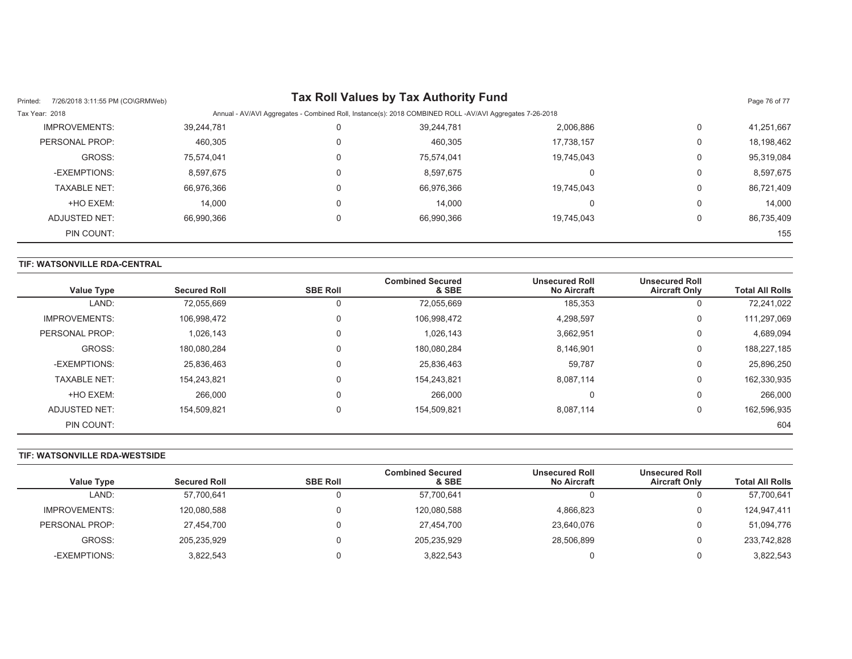| 7/26/2018 3:11:55 PM (CO\GRMWeb)<br>Printed: |            |                                                                                                          | Tax Roll Values by Tax Authority Fund |            |          | Page 76 of 77 |  |
|----------------------------------------------|------------|----------------------------------------------------------------------------------------------------------|---------------------------------------|------------|----------|---------------|--|
| Tax Year: 2018                               |            | Annual - AV/AVI Aggregates - Combined Roll, Instance(s): 2018 COMBINED ROLL -AV/AVI Aggregates 7-26-2018 |                                       |            |          |               |  |
| <b>IMPROVEMENTS:</b>                         | 39,244,781 |                                                                                                          | 39.244.781                            | 2,006,886  | $\Omega$ | 41,251,667    |  |
| PERSONAL PROP:                               | 460.305    |                                                                                                          | 460,305                               | 17.738.157 | 0        | 18,198,462    |  |
| GROSS:                                       | 75,574,041 |                                                                                                          | 75.574.041                            | 19,745,043 | 0        | 95,319,084    |  |
| -EXEMPTIONS:                                 | 8,597,675  |                                                                                                          | 8,597,675                             |            | 0        | 8,597,675     |  |
| <b>TAXABLE NET:</b>                          | 66,976,366 |                                                                                                          | 66,976,366                            | 19.745.043 | 0        | 86,721,409    |  |
| +HO EXEM:                                    | 14.000     |                                                                                                          | 14.000                                |            | 0        | 14.000        |  |
| ADJUSTED NET:                                | 66.990.366 |                                                                                                          | 66.990.366                            | 19.745.043 | $\Omega$ | 86,735,409    |  |
| PIN COUNT:                                   |            |                                                                                                          |                                       |            |          | 155           |  |

### **TIF: WATSONVILLE RDA-CENTRAL**

| <b>Value Type</b>    | <b>Secured Roll</b> | <b>SBE Roll</b> | <b>Combined Secured</b><br>& SBE | <b>Unsecured Roll</b><br><b>No Aircraft</b> | <b>Unsecured Roll</b><br><b>Aircraft Only</b> | <b>Total All Rolls</b> |
|----------------------|---------------------|-----------------|----------------------------------|---------------------------------------------|-----------------------------------------------|------------------------|
| LAND:                | 72,055,669          |                 | 72,055,669                       | 185,353                                     | υ                                             | 72,241,022             |
| <b>IMPROVEMENTS:</b> | 106,998,472         | $\Omega$        | 106,998,472                      | 4,298,597                                   | 0                                             | 111,297,069            |
| PERSONAL PROP:       | 1,026,143           | $\Omega$        | 1,026,143                        | 3,662,951                                   | 0                                             | 4,689,094              |
| GROSS:               | 180,080,284         |                 | 180,080,284                      | 8,146,901                                   | 0                                             | 188,227,185            |
| -EXEMPTIONS:         | 25,836,463          |                 | 25,836,463                       | 59,787                                      | 0                                             | 25,896,250             |
| <b>TAXABLE NET:</b>  | 154,243,821         |                 | 154,243,821                      | 8,087,114                                   | 0                                             | 162,330,935            |
| +HO EXEM:            | 266,000             |                 | 266,000                          | C                                           | 0                                             | 266,000                |
| ADJUSTED NET:        | 154,509,821         |                 | 154,509,821                      | 8,087,114                                   | 0                                             | 162,596,935            |
| PIN COUNT:           |                     |                 |                                  |                                             |                                               | 604                    |

#### **TIF: WATSONVILLE RDA-WESTSIDE**

|                      |                     |                 | <b>Combined Secured</b> | <b>Unsecured Roll</b> | <b>Unsecured Roll</b> |                        |
|----------------------|---------------------|-----------------|-------------------------|-----------------------|-----------------------|------------------------|
| <b>Value Type</b>    | <b>Secured Roll</b> | <b>SBE Roll</b> | & SBE                   | <b>No Aircraft</b>    | <b>Aircraft Only</b>  | <b>Total All Rolls</b> |
| LAND:                | 57,700,641          |                 | 57.700.641              |                       |                       | 57,700,641             |
| <b>IMPROVEMENTS:</b> | 120,080,588         |                 | 120,080,588             | 4,866,823             |                       | 124,947,411            |
| PERSONAL PROP:       | 27,454,700          |                 | 27,454,700              | 23,640,076            |                       | 51,094,776             |
| GROSS:               | 205,235,929         |                 | 205,235,929             | 28,506,899            |                       | 233,742,828            |
| -EXEMPTIONS:         | 3,822,543           |                 | 3,822,543               |                       |                       | 3,822,543              |